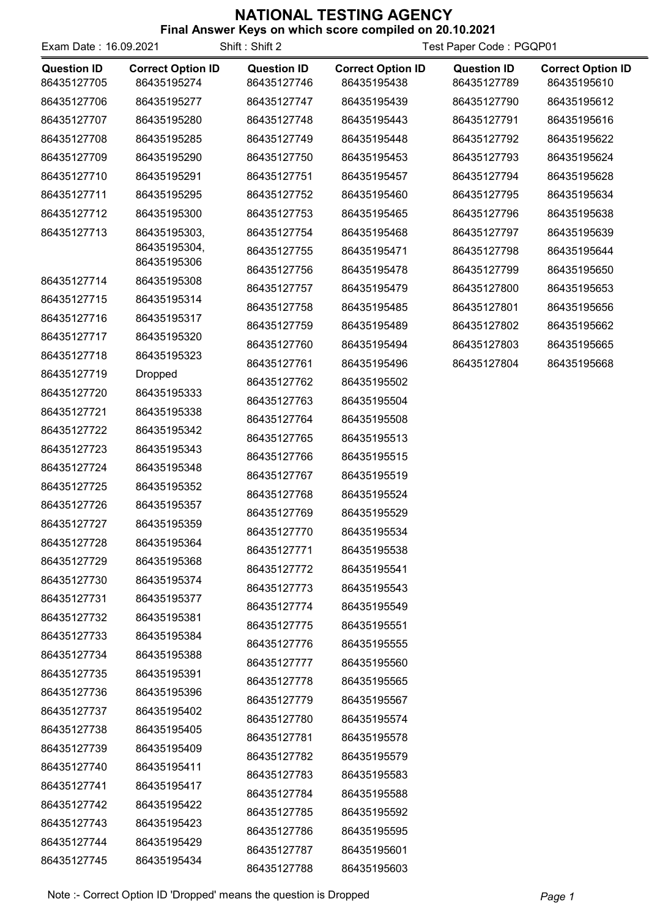| Exam Date: 16.09.2021             |                                         | Shift: Shift 2                    | Test Paper Code: PGQP01                 |                                   |                                         |
|-----------------------------------|-----------------------------------------|-----------------------------------|-----------------------------------------|-----------------------------------|-----------------------------------------|
| <b>Question ID</b><br>86435127705 | <b>Correct Option ID</b><br>86435195274 | <b>Question ID</b><br>86435127746 | <b>Correct Option ID</b><br>86435195438 | <b>Question ID</b><br>86435127789 | <b>Correct Option ID</b><br>86435195610 |
| 86435127706                       | 86435195277                             | 86435127747                       | 86435195439                             | 86435127790                       | 86435195612                             |
| 86435127707                       | 86435195280                             | 86435127748                       | 86435195443                             | 86435127791                       | 86435195616                             |
| 86435127708                       | 86435195285                             | 86435127749                       | 86435195448                             | 86435127792                       | 86435195622                             |
| 86435127709                       | 86435195290                             | 86435127750                       | 86435195453                             | 86435127793                       | 86435195624                             |
| 86435127710                       | 86435195291                             | 86435127751                       | 86435195457                             | 86435127794                       | 86435195628                             |
| 86435127711                       | 86435195295                             | 86435127752                       | 86435195460                             | 86435127795                       | 86435195634                             |
| 86435127712                       | 86435195300                             | 86435127753                       | 86435195465                             | 86435127796                       | 86435195638                             |
| 86435127713                       | 86435195303,                            | 86435127754                       | 86435195468                             | 86435127797                       | 86435195639                             |
|                                   | 86435195304,                            | 86435127755                       | 86435195471                             | 86435127798                       | 86435195644                             |
|                                   | 86435195306                             | 86435127756                       | 86435195478                             | 86435127799                       | 86435195650                             |
| 86435127714                       | 86435195308                             | 86435127757                       | 86435195479                             | 86435127800                       | 86435195653                             |
| 86435127715                       | 86435195314                             | 86435127758                       | 86435195485                             | 86435127801                       | 86435195656                             |
| 86435127716                       | 86435195317                             | 86435127759                       | 86435195489                             | 86435127802                       | 86435195662                             |
| 86435127717                       | 86435195320                             | 86435127760                       | 86435195494                             | 86435127803                       | 86435195665                             |
| 86435127718                       | 86435195323                             | 86435127761                       | 86435195496                             | 86435127804                       | 86435195668                             |
| 86435127719                       | <b>Dropped</b>                          | 86435127762                       | 86435195502                             |                                   |                                         |
| 86435127720                       | 86435195333                             | 86435127763                       | 86435195504                             |                                   |                                         |
| 86435127721                       | 86435195338                             | 86435127764                       | 86435195508                             |                                   |                                         |
| 86435127722                       | 86435195342                             | 86435127765                       | 86435195513                             |                                   |                                         |
| 86435127723                       | 86435195343                             | 86435127766                       | 86435195515                             |                                   |                                         |
| 86435127724                       | 86435195348                             | 86435127767                       | 86435195519                             |                                   |                                         |
| 86435127725                       | 86435195352                             | 86435127768                       | 86435195524                             |                                   |                                         |
| 86435127726                       | 86435195357                             | 86435127769                       | 86435195529                             |                                   |                                         |
| 86435127727                       | 86435195359                             | 86435127770                       | 86435195534                             |                                   |                                         |
| 86435127728                       | 86435195364                             | 86435127771                       | 86435195538                             |                                   |                                         |
| 86435127729                       | 86435195368                             | 86435127772                       | 86435195541                             |                                   |                                         |
| 86435127730                       | 86435195374                             | 86435127773                       | 86435195543                             |                                   |                                         |
| 86435127731                       | 86435195377                             | 86435127774                       | 86435195549                             |                                   |                                         |
| 86435127732                       | 86435195381                             | 86435127775                       | 86435195551                             |                                   |                                         |
| 86435127733                       | 86435195384                             | 86435127776                       | 86435195555                             |                                   |                                         |
| 86435127734                       | 86435195388                             | 86435127777                       | 86435195560                             |                                   |                                         |
| 86435127735                       | 86435195391                             | 86435127778                       | 86435195565                             |                                   |                                         |
| 86435127736                       | 86435195396                             | 86435127779                       | 86435195567                             |                                   |                                         |
| 86435127737                       | 86435195402                             | 86435127780                       | 86435195574                             |                                   |                                         |
| 86435127738                       | 86435195405                             | 86435127781                       | 86435195578                             |                                   |                                         |
| 86435127739                       | 86435195409                             | 86435127782                       | 86435195579                             |                                   |                                         |
| 86435127740                       | 86435195411                             | 86435127783                       | 86435195583                             |                                   |                                         |
| 86435127741                       | 86435195417                             | 86435127784                       | 86435195588                             |                                   |                                         |
| 86435127742                       | 86435195422                             | 86435127785                       | 86435195592                             |                                   |                                         |
| 86435127743                       | 86435195423                             | 86435127786                       | 86435195595                             |                                   |                                         |
| 86435127744                       | 86435195429                             | 86435127787                       | 86435195601                             |                                   |                                         |
| 86435127745                       | 86435195434                             | 86435127788                       | 86435195603                             |                                   |                                         |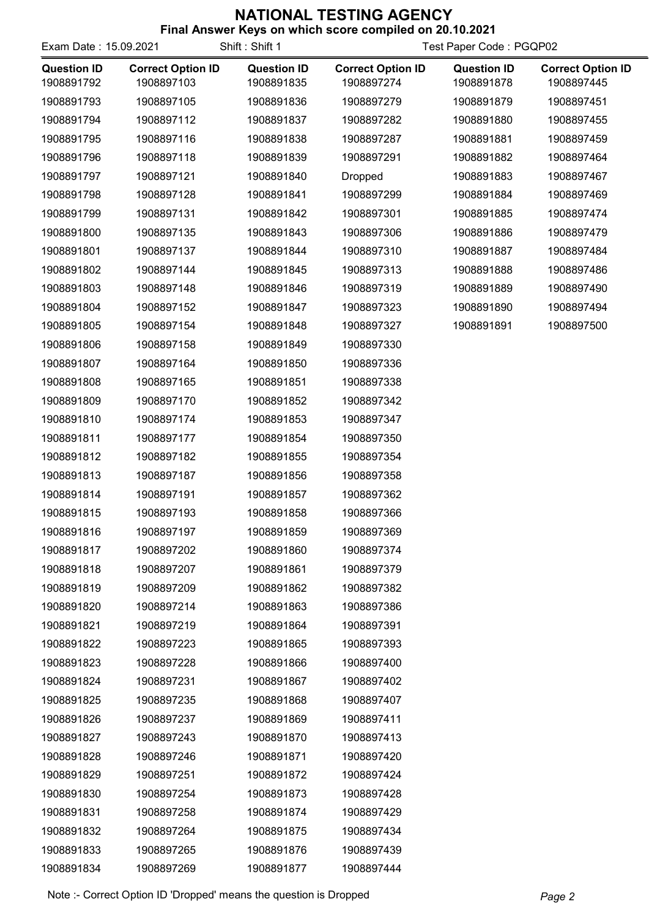| <b>I IIIAI AIISWEI KEYS UII WIIIUII SUULE CUIIIPIIEU UII ZU. IU.ZUZ I</b><br>Shift: Shift 1<br>Test Paper Code: PGQP02<br>Exam Date: 15.09.2021 |                                        |                                  |                                        |                                  |                                        |
|-------------------------------------------------------------------------------------------------------------------------------------------------|----------------------------------------|----------------------------------|----------------------------------------|----------------------------------|----------------------------------------|
| <b>Question ID</b><br>1908891792                                                                                                                | <b>Correct Option ID</b><br>1908897103 | <b>Question ID</b><br>1908891835 | <b>Correct Option ID</b><br>1908897274 | <b>Question ID</b><br>1908891878 | <b>Correct Option ID</b><br>1908897445 |
| 1908891793                                                                                                                                      | 1908897105                             | 1908891836                       | 1908897279                             | 1908891879                       | 1908897451                             |
| 1908891794                                                                                                                                      | 1908897112                             | 1908891837                       | 1908897282                             | 1908891880                       | 1908897455                             |
| 1908891795                                                                                                                                      | 1908897116                             | 1908891838                       | 1908897287                             | 1908891881                       | 1908897459                             |
| 1908891796                                                                                                                                      | 1908897118                             | 1908891839                       | 1908897291                             | 1908891882                       | 1908897464                             |
| 1908891797                                                                                                                                      | 1908897121                             | 1908891840                       | <b>Dropped</b>                         | 1908891883                       | 1908897467                             |
| 1908891798                                                                                                                                      | 1908897128                             | 1908891841                       | 1908897299                             | 1908891884                       | 1908897469                             |
| 1908891799                                                                                                                                      | 1908897131                             | 1908891842                       | 1908897301                             | 1908891885                       | 1908897474                             |
| 1908891800                                                                                                                                      | 1908897135                             | 1908891843                       | 1908897306                             | 1908891886                       | 1908897479                             |
| 1908891801                                                                                                                                      | 1908897137                             | 1908891844                       | 1908897310                             | 1908891887                       | 1908897484                             |
| 1908891802                                                                                                                                      | 1908897144                             | 1908891845                       | 1908897313                             | 1908891888                       | 1908897486                             |
| 1908891803                                                                                                                                      | 1908897148                             | 1908891846                       | 1908897319                             | 1908891889                       | 1908897490                             |
| 1908891804                                                                                                                                      | 1908897152                             | 1908891847                       | 1908897323                             | 1908891890                       | 1908897494                             |
| 1908891805                                                                                                                                      | 1908897154                             | 1908891848                       | 1908897327                             | 1908891891                       | 1908897500                             |
| 1908891806                                                                                                                                      | 1908897158                             | 1908891849                       | 1908897330                             |                                  |                                        |
| 1908891807                                                                                                                                      | 1908897164                             | 1908891850                       | 1908897336                             |                                  |                                        |
| 1908891808                                                                                                                                      | 1908897165                             | 1908891851                       | 1908897338                             |                                  |                                        |
| 1908891809                                                                                                                                      | 1908897170                             | 1908891852                       | 1908897342                             |                                  |                                        |
| 1908891810                                                                                                                                      | 1908897174                             | 1908891853                       | 1908897347                             |                                  |                                        |
| 1908891811                                                                                                                                      | 1908897177                             | 1908891854                       | 1908897350                             |                                  |                                        |
| 1908891812                                                                                                                                      | 1908897182                             | 1908891855                       | 1908897354                             |                                  |                                        |
| 1908891813                                                                                                                                      | 1908897187                             | 1908891856                       | 1908897358                             |                                  |                                        |
| 1908891814                                                                                                                                      | 1908897191                             | 1908891857                       | 1908897362                             |                                  |                                        |
| 1908891815                                                                                                                                      | 1908897193                             | 1908891858                       | 1908897366                             |                                  |                                        |
| 1908891816                                                                                                                                      | 1908897197                             | 1908891859                       | 1908897369                             |                                  |                                        |
| 1908891817                                                                                                                                      | 1908897202                             | 1908891860                       | 1908897374                             |                                  |                                        |
| 1908891818                                                                                                                                      | 1908897207                             | 1908891861                       | 1908897379                             |                                  |                                        |
| 1908891819                                                                                                                                      | 1908897209                             | 1908891862                       | 1908897382                             |                                  |                                        |
| 1908891820                                                                                                                                      | 1908897214                             | 1908891863                       | 1908897386                             |                                  |                                        |
| 1908891821                                                                                                                                      | 1908897219                             | 1908891864                       | 1908897391                             |                                  |                                        |
| 1908891822                                                                                                                                      | 1908897223                             | 1908891865                       | 1908897393                             |                                  |                                        |
| 1908891823                                                                                                                                      | 1908897228                             | 1908891866                       | 1908897400                             |                                  |                                        |
| 1908891824                                                                                                                                      | 1908897231                             | 1908891867                       | 1908897402                             |                                  |                                        |
| 1908891825                                                                                                                                      | 1908897235                             | 1908891868                       | 1908897407                             |                                  |                                        |
| 1908891826                                                                                                                                      | 1908897237                             | 1908891869                       | 1908897411                             |                                  |                                        |
| 1908891827                                                                                                                                      | 1908897243                             | 1908891870                       | 1908897413                             |                                  |                                        |
| 1908891828                                                                                                                                      | 1908897246                             | 1908891871                       | 1908897420                             |                                  |                                        |
| 1908891829                                                                                                                                      | 1908897251                             | 1908891872                       | 1908897424                             |                                  |                                        |
| 1908891830                                                                                                                                      | 1908897254                             | 1908891873                       | 1908897428                             |                                  |                                        |
| 1908891831                                                                                                                                      | 1908897258                             | 1908891874                       | 1908897429                             |                                  |                                        |
| 1908891832                                                                                                                                      | 1908897264                             | 1908891875                       | 1908897434                             |                                  |                                        |
| 1908891833                                                                                                                                      | 1908897265                             | 1908891876                       | 1908897439                             |                                  |                                        |
| 1908891834                                                                                                                                      | 1908897269                             | 1908891877                       | 1908897444                             |                                  |                                        |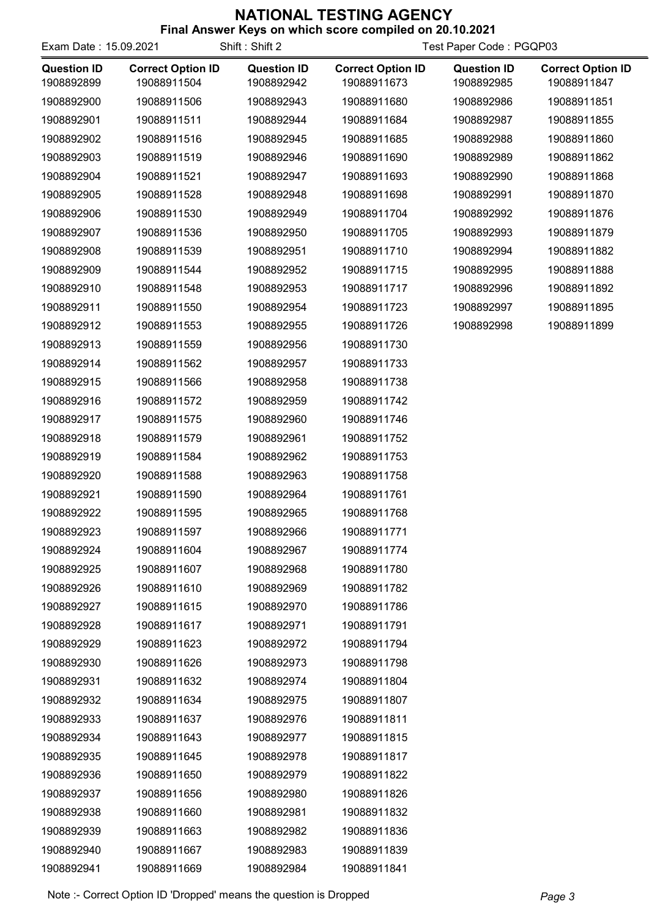| <b>THIS ANSWER INEXED ON WHILE SUCKE COMPILED ON ZU. 10.2021</b><br>Shift: Shift 2<br>Exam Date: 15.09.2021<br>Test Paper Code: PGQP03 |                                         |                                  |                                         |                                  |                                         |
|----------------------------------------------------------------------------------------------------------------------------------------|-----------------------------------------|----------------------------------|-----------------------------------------|----------------------------------|-----------------------------------------|
| <b>Question ID</b><br>1908892899                                                                                                       | <b>Correct Option ID</b><br>19088911504 | <b>Question ID</b><br>1908892942 | <b>Correct Option ID</b><br>19088911673 | <b>Question ID</b><br>1908892985 | <b>Correct Option ID</b><br>19088911847 |
| 1908892900                                                                                                                             | 19088911506                             | 1908892943                       | 19088911680                             | 1908892986                       | 19088911851                             |
| 1908892901                                                                                                                             | 19088911511                             | 1908892944                       | 19088911684                             | 1908892987                       | 19088911855                             |
| 1908892902                                                                                                                             | 19088911516                             | 1908892945                       | 19088911685                             | 1908892988                       | 19088911860                             |
| 1908892903                                                                                                                             | 19088911519                             | 1908892946                       | 19088911690                             | 1908892989                       | 19088911862                             |
| 1908892904                                                                                                                             | 19088911521                             | 1908892947                       | 19088911693                             | 1908892990                       | 19088911868                             |
| 1908892905                                                                                                                             | 19088911528                             | 1908892948                       | 19088911698                             | 1908892991                       | 19088911870                             |
| 1908892906                                                                                                                             | 19088911530                             | 1908892949                       | 19088911704                             | 1908892992                       | 19088911876                             |
| 1908892907                                                                                                                             | 19088911536                             | 1908892950                       | 19088911705                             | 1908892993                       | 19088911879                             |
| 1908892908                                                                                                                             | 19088911539                             | 1908892951                       | 19088911710                             | 1908892994                       | 19088911882                             |
| 1908892909                                                                                                                             | 19088911544                             | 1908892952                       | 19088911715                             | 1908892995                       | 19088911888                             |
| 1908892910                                                                                                                             | 19088911548                             | 1908892953                       | 19088911717                             | 1908892996                       | 19088911892                             |
| 1908892911                                                                                                                             | 19088911550                             | 1908892954                       | 19088911723                             | 1908892997                       | 19088911895                             |
| 1908892912                                                                                                                             | 19088911553                             | 1908892955                       | 19088911726                             | 1908892998                       | 19088911899                             |
| 1908892913                                                                                                                             | 19088911559                             | 1908892956                       | 19088911730                             |                                  |                                         |
| 1908892914                                                                                                                             | 19088911562                             | 1908892957                       | 19088911733                             |                                  |                                         |
| 1908892915                                                                                                                             | 19088911566                             | 1908892958                       | 19088911738                             |                                  |                                         |
| 1908892916                                                                                                                             | 19088911572                             | 1908892959                       | 19088911742                             |                                  |                                         |
| 1908892917                                                                                                                             | 19088911575                             | 1908892960                       | 19088911746                             |                                  |                                         |
| 1908892918                                                                                                                             | 19088911579                             | 1908892961                       | 19088911752                             |                                  |                                         |
| 1908892919                                                                                                                             | 19088911584                             | 1908892962                       | 19088911753                             |                                  |                                         |
| 1908892920                                                                                                                             | 19088911588                             | 1908892963                       | 19088911758                             |                                  |                                         |
| 1908892921                                                                                                                             | 19088911590                             | 1908892964                       | 19088911761                             |                                  |                                         |
| 1908892922                                                                                                                             | 19088911595                             | 1908892965                       | 19088911768                             |                                  |                                         |
| 1908892923                                                                                                                             | 19088911597                             | 1908892966                       | 19088911771                             |                                  |                                         |
| 1908892924                                                                                                                             | 19088911604                             | 1908892967                       | 19088911774                             |                                  |                                         |
| 1908892925                                                                                                                             | 19088911607                             | 1908892968                       | 19088911780                             |                                  |                                         |
| 1908892926                                                                                                                             | 19088911610                             | 1908892969                       | 19088911782                             |                                  |                                         |
| 1908892927                                                                                                                             | 19088911615                             | 1908892970                       | 19088911786                             |                                  |                                         |
| 1908892928                                                                                                                             | 19088911617                             | 1908892971                       | 19088911791                             |                                  |                                         |
| 1908892929                                                                                                                             | 19088911623                             | 1908892972                       | 19088911794                             |                                  |                                         |
| 1908892930                                                                                                                             | 19088911626                             | 1908892973                       | 19088911798                             |                                  |                                         |
| 1908892931                                                                                                                             | 19088911632                             | 1908892974                       | 19088911804                             |                                  |                                         |
| 1908892932                                                                                                                             | 19088911634                             | 1908892975                       | 19088911807                             |                                  |                                         |
| 1908892933                                                                                                                             | 19088911637                             | 1908892976                       | 19088911811                             |                                  |                                         |
| 1908892934                                                                                                                             | 19088911643                             | 1908892977                       | 19088911815                             |                                  |                                         |
| 1908892935                                                                                                                             | 19088911645                             | 1908892978                       | 19088911817                             |                                  |                                         |
| 1908892936                                                                                                                             | 19088911650                             | 1908892979                       | 19088911822                             |                                  |                                         |
| 1908892937                                                                                                                             | 19088911656                             | 1908892980                       | 19088911826                             |                                  |                                         |
| 1908892938                                                                                                                             | 19088911660                             | 1908892981                       | 19088911832                             |                                  |                                         |
| 1908892939                                                                                                                             | 19088911663                             | 1908892982                       | 19088911836                             |                                  |                                         |
| 1908892940                                                                                                                             | 19088911667                             | 1908892983                       | 19088911839                             |                                  |                                         |
| 1908892941                                                                                                                             | 19088911669                             | 1908892984                       | 19088911841                             |                                  |                                         |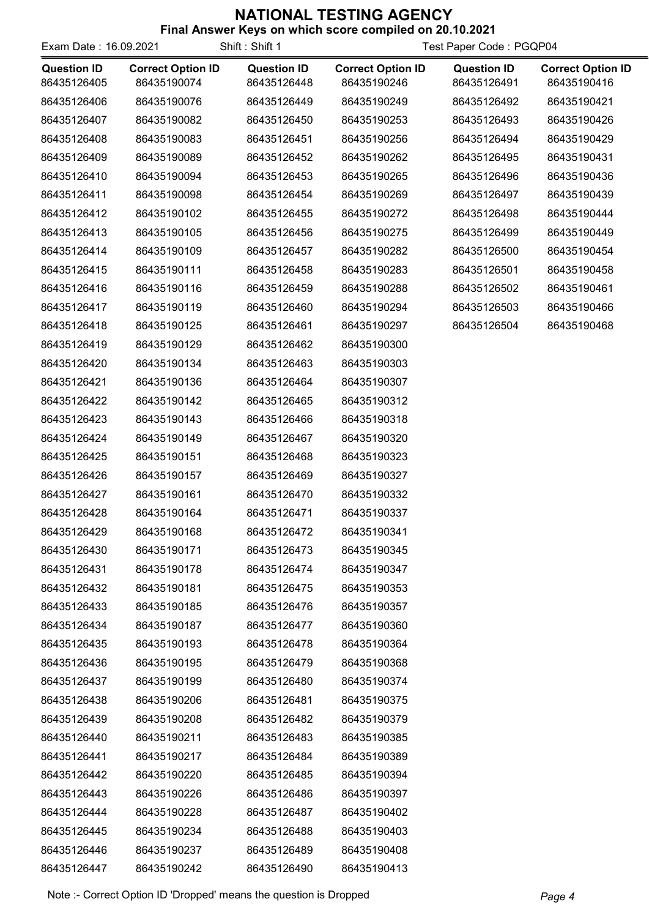| Exam Date: 16.09.2021             |                                         | Shift: Shift 1                    | Test Paper Code: PGQP04                 |                                   |                                         |
|-----------------------------------|-----------------------------------------|-----------------------------------|-----------------------------------------|-----------------------------------|-----------------------------------------|
| <b>Question ID</b><br>86435126405 | <b>Correct Option ID</b><br>86435190074 | <b>Question ID</b><br>86435126448 | <b>Correct Option ID</b><br>86435190246 | <b>Question ID</b><br>86435126491 | <b>Correct Option ID</b><br>86435190416 |
| 86435126406                       | 86435190076                             | 86435126449                       | 86435190249                             | 86435126492                       | 86435190421                             |
| 86435126407                       | 86435190082                             | 86435126450                       | 86435190253                             | 86435126493                       | 86435190426                             |
| 86435126408                       | 86435190083                             | 86435126451                       | 86435190256                             | 86435126494                       | 86435190429                             |
| 86435126409                       | 86435190089                             | 86435126452                       | 86435190262                             | 86435126495                       | 86435190431                             |
| 86435126410                       | 86435190094                             | 86435126453                       | 86435190265                             | 86435126496                       | 86435190436                             |
| 86435126411                       | 86435190098                             | 86435126454                       | 86435190269                             | 86435126497                       | 86435190439                             |
| 86435126412                       | 86435190102                             | 86435126455                       | 86435190272                             | 86435126498                       | 86435190444                             |
| 86435126413                       | 86435190105                             | 86435126456                       | 86435190275                             | 86435126499                       | 86435190449                             |
| 86435126414                       | 86435190109                             | 86435126457                       | 86435190282                             | 86435126500                       | 86435190454                             |
| 86435126415                       | 86435190111                             | 86435126458                       | 86435190283                             | 86435126501                       | 86435190458                             |
| 86435126416                       | 86435190116                             | 86435126459                       | 86435190288                             | 86435126502                       | 86435190461                             |
| 86435126417                       | 86435190119                             | 86435126460                       | 86435190294                             | 86435126503                       | 86435190466                             |
| 86435126418                       | 86435190125                             | 86435126461                       | 86435190297                             | 86435126504                       | 86435190468                             |
| 86435126419                       | 86435190129                             | 86435126462                       | 86435190300                             |                                   |                                         |
| 86435126420                       | 86435190134                             | 86435126463                       | 86435190303                             |                                   |                                         |
| 86435126421                       | 86435190136                             | 86435126464                       | 86435190307                             |                                   |                                         |
| 86435126422                       | 86435190142                             | 86435126465                       | 86435190312                             |                                   |                                         |
| 86435126423                       | 86435190143                             | 86435126466                       | 86435190318                             |                                   |                                         |
| 86435126424                       | 86435190149                             | 86435126467                       | 86435190320                             |                                   |                                         |
| 86435126425                       | 86435190151                             | 86435126468                       | 86435190323                             |                                   |                                         |
| 86435126426                       | 86435190157                             | 86435126469                       | 86435190327                             |                                   |                                         |
| 86435126427                       | 86435190161                             | 86435126470                       | 86435190332                             |                                   |                                         |
| 86435126428                       | 86435190164                             | 86435126471                       | 86435190337                             |                                   |                                         |
| 86435126429                       | 86435190168                             | 86435126472                       | 86435190341                             |                                   |                                         |
| 86435126430                       | 86435190171                             | 86435126473                       | 86435190345                             |                                   |                                         |
| 86435126431                       | 86435190178                             | 86435126474                       | 86435190347                             |                                   |                                         |
| 86435126432                       | 86435190181                             | 86435126475                       | 86435190353                             |                                   |                                         |
| 86435126433                       | 86435190185                             | 86435126476                       | 86435190357                             |                                   |                                         |
| 86435126434                       | 86435190187                             | 86435126477                       | 86435190360                             |                                   |                                         |
| 86435126435                       | 86435190193                             | 86435126478                       | 86435190364                             |                                   |                                         |
| 86435126436                       | 86435190195                             | 86435126479                       | 86435190368                             |                                   |                                         |
| 86435126437                       | 86435190199                             | 86435126480                       | 86435190374                             |                                   |                                         |
| 86435126438                       | 86435190206                             | 86435126481                       | 86435190375                             |                                   |                                         |
| 86435126439                       | 86435190208                             | 86435126482                       | 86435190379                             |                                   |                                         |
| 86435126440                       | 86435190211                             | 86435126483                       | 86435190385                             |                                   |                                         |
| 86435126441                       | 86435190217                             | 86435126484                       | 86435190389                             |                                   |                                         |
| 86435126442                       | 86435190220                             | 86435126485                       | 86435190394                             |                                   |                                         |
| 86435126443                       | 86435190226                             | 86435126486                       | 86435190397                             |                                   |                                         |
| 86435126444                       | 86435190228                             | 86435126487                       | 86435190402                             |                                   |                                         |
| 86435126445                       | 86435190234                             | 86435126488                       | 86435190403                             |                                   |                                         |
| 86435126446                       | 86435190237                             | 86435126489                       | 86435190408                             |                                   |                                         |
| 86435126447                       | 86435190242                             | 86435126490                       | 86435190413                             |                                   |                                         |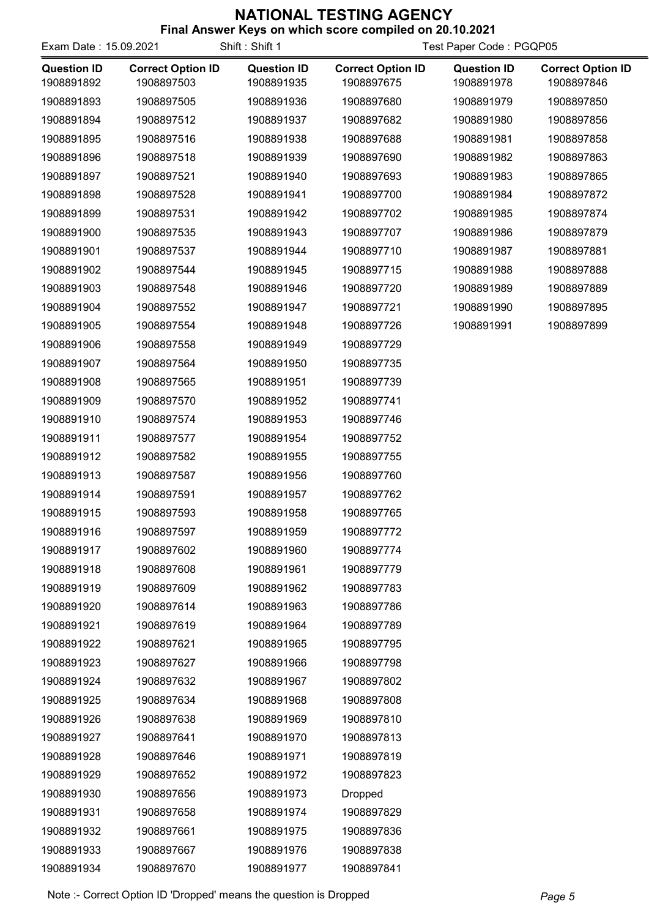| Exam Date: 15.09.2021            |                                        | Shift: Shift 1                   | <b>THIS ANSWER INEXED ON WHILE SUCKE COMPILED ON ZU. 10.2021</b> | Test Paper Code: PGQP05          |                                        |  |
|----------------------------------|----------------------------------------|----------------------------------|------------------------------------------------------------------|----------------------------------|----------------------------------------|--|
| <b>Question ID</b><br>1908891892 | <b>Correct Option ID</b><br>1908897503 | <b>Question ID</b><br>1908891935 | <b>Correct Option ID</b><br>1908897675                           | <b>Question ID</b><br>1908891978 | <b>Correct Option ID</b><br>1908897846 |  |
| 1908891893                       | 1908897505                             | 1908891936                       | 1908897680                                                       | 1908891979                       | 1908897850                             |  |
| 1908891894                       | 1908897512                             | 1908891937                       | 1908897682                                                       | 1908891980                       | 1908897856                             |  |
| 1908891895                       | 1908897516                             | 1908891938                       | 1908897688                                                       | 1908891981                       | 1908897858                             |  |
| 1908891896                       | 1908897518                             | 1908891939                       | 1908897690                                                       | 1908891982                       | 1908897863                             |  |
| 1908891897                       | 1908897521                             | 1908891940                       | 1908897693                                                       | 1908891983                       | 1908897865                             |  |
| 1908891898                       | 1908897528                             | 1908891941                       | 1908897700                                                       | 1908891984                       | 1908897872                             |  |
| 1908891899                       | 1908897531                             | 1908891942                       | 1908897702                                                       | 1908891985                       | 1908897874                             |  |
| 1908891900                       | 1908897535                             | 1908891943                       | 1908897707                                                       | 1908891986                       | 1908897879                             |  |
| 1908891901                       | 1908897537                             | 1908891944                       | 1908897710                                                       | 1908891987                       | 1908897881                             |  |
| 1908891902                       | 1908897544                             | 1908891945                       | 1908897715                                                       | 1908891988                       | 1908897888                             |  |
| 1908891903                       | 1908897548                             | 1908891946                       | 1908897720                                                       | 1908891989                       | 1908897889                             |  |
| 1908891904                       | 1908897552                             | 1908891947                       | 1908897721                                                       | 1908891990                       | 1908897895                             |  |
| 1908891905                       | 1908897554                             | 1908891948                       | 1908897726                                                       | 1908891991                       | 1908897899                             |  |
| 1908891906                       | 1908897558                             | 1908891949                       | 1908897729                                                       |                                  |                                        |  |
| 1908891907                       | 1908897564                             | 1908891950                       | 1908897735                                                       |                                  |                                        |  |
| 1908891908                       | 1908897565                             | 1908891951                       | 1908897739                                                       |                                  |                                        |  |
| 1908891909                       | 1908897570                             | 1908891952                       | 1908897741                                                       |                                  |                                        |  |
| 1908891910                       | 1908897574                             | 1908891953                       | 1908897746                                                       |                                  |                                        |  |
| 1908891911                       | 1908897577                             | 1908891954                       | 1908897752                                                       |                                  |                                        |  |
| 1908891912                       | 1908897582                             | 1908891955                       | 1908897755                                                       |                                  |                                        |  |
| 1908891913                       | 1908897587                             | 1908891956                       | 1908897760                                                       |                                  |                                        |  |
| 1908891914                       | 1908897591                             | 1908891957                       | 1908897762                                                       |                                  |                                        |  |
| 1908891915                       | 1908897593                             | 1908891958                       | 1908897765                                                       |                                  |                                        |  |
| 1908891916                       | 1908897597                             | 1908891959                       | 1908897772                                                       |                                  |                                        |  |
| 1908891917                       | 1908897602                             | 1908891960                       | 1908897774                                                       |                                  |                                        |  |
| 1908891918                       | 1908897608                             | 1908891961                       | 1908897779                                                       |                                  |                                        |  |
| 1908891919                       | 1908897609                             | 1908891962                       | 1908897783                                                       |                                  |                                        |  |
| 1908891920                       | 1908897614                             | 1908891963                       | 1908897786                                                       |                                  |                                        |  |
| 1908891921                       | 1908897619                             | 1908891964                       | 1908897789                                                       |                                  |                                        |  |
| 1908891922                       | 1908897621                             | 1908891965                       | 1908897795                                                       |                                  |                                        |  |
| 1908891923                       | 1908897627                             | 1908891966                       | 1908897798                                                       |                                  |                                        |  |
| 1908891924                       | 1908897632                             | 1908891967                       | 1908897802                                                       |                                  |                                        |  |
| 1908891925                       | 1908897634                             | 1908891968                       | 1908897808                                                       |                                  |                                        |  |
| 1908891926                       | 1908897638                             | 1908891969                       | 1908897810                                                       |                                  |                                        |  |
| 1908891927                       | 1908897641                             | 1908891970                       | 1908897813                                                       |                                  |                                        |  |
| 1908891928                       | 1908897646                             | 1908891971                       | 1908897819                                                       |                                  |                                        |  |
| 1908891929                       | 1908897652                             | 1908891972                       | 1908897823                                                       |                                  |                                        |  |
| 1908891930                       | 1908897656                             | 1908891973                       | Dropped                                                          |                                  |                                        |  |
| 1908891931                       | 1908897658                             | 1908891974                       | 1908897829                                                       |                                  |                                        |  |
| 1908891932                       | 1908897661                             | 1908891975                       | 1908897836                                                       |                                  |                                        |  |
| 1908891933                       | 1908897667                             | 1908891976                       | 1908897838                                                       |                                  |                                        |  |
| 1908891934                       | 1908897670                             | 1908891977                       | 1908897841                                                       |                                  |                                        |  |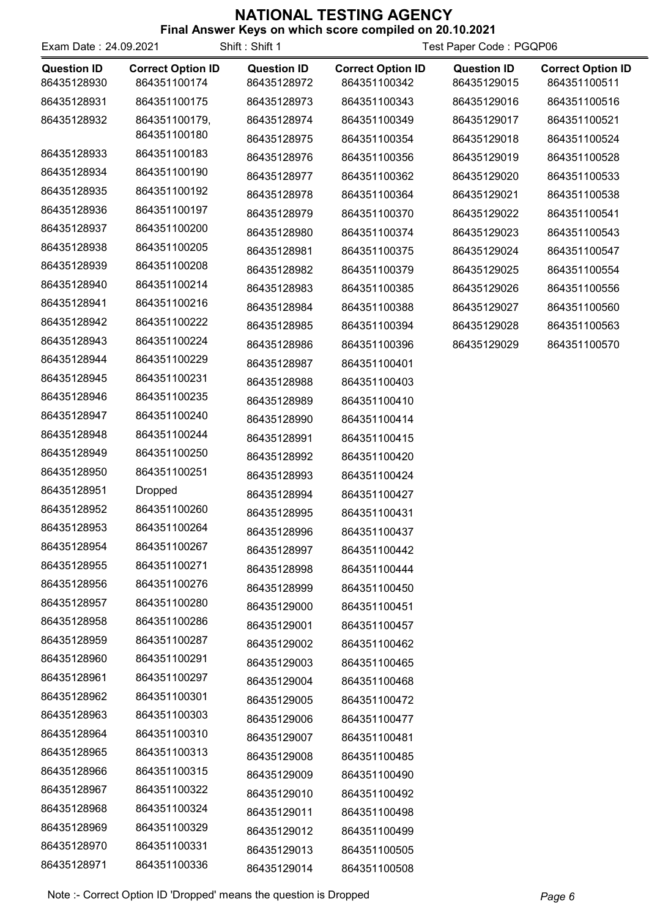| Exam Date: 24.09.2021             |                                          | Shift: Shift 1                    | Test Paper Code: PGQP06                  |                                   |                                          |
|-----------------------------------|------------------------------------------|-----------------------------------|------------------------------------------|-----------------------------------|------------------------------------------|
| <b>Question ID</b><br>86435128930 | <b>Correct Option ID</b><br>864351100174 | <b>Question ID</b><br>86435128972 | <b>Correct Option ID</b><br>864351100342 | <b>Question ID</b><br>86435129015 | <b>Correct Option ID</b><br>864351100511 |
| 86435128931                       | 864351100175                             | 86435128973                       | 864351100343                             | 86435129016                       | 864351100516                             |
| 86435128932                       | 864351100179,                            | 86435128974                       | 864351100349                             | 86435129017                       | 864351100521                             |
|                                   | 864351100180                             | 86435128975                       | 864351100354                             | 86435129018                       | 864351100524                             |
| 86435128933                       | 864351100183                             | 86435128976                       | 864351100356                             | 86435129019                       | 864351100528                             |
| 86435128934                       | 864351100190                             | 86435128977                       | 864351100362                             | 86435129020                       | 864351100533                             |
| 86435128935                       | 864351100192                             | 86435128978                       | 864351100364                             | 86435129021                       | 864351100538                             |
| 86435128936                       | 864351100197                             | 86435128979                       | 864351100370                             | 86435129022                       | 864351100541                             |
| 86435128937                       | 864351100200                             | 86435128980                       | 864351100374                             | 86435129023                       | 864351100543                             |
| 86435128938                       | 864351100205                             | 86435128981                       | 864351100375                             | 86435129024                       | 864351100547                             |
| 86435128939                       | 864351100208                             | 86435128982                       | 864351100379                             | 86435129025                       | 864351100554                             |
| 86435128940                       | 864351100214                             | 86435128983                       | 864351100385                             | 86435129026                       | 864351100556                             |
| 86435128941                       | 864351100216                             | 86435128984                       | 864351100388                             | 86435129027                       | 864351100560                             |
| 86435128942                       | 864351100222                             | 86435128985                       | 864351100394                             | 86435129028                       | 864351100563                             |
| 86435128943                       | 864351100224                             | 86435128986                       | 864351100396                             | 86435129029                       | 864351100570                             |
| 86435128944                       | 864351100229                             | 86435128987                       | 864351100401                             |                                   |                                          |
| 86435128945                       | 864351100231                             | 86435128988                       | 864351100403                             |                                   |                                          |
| 86435128946                       | 864351100235                             | 86435128989                       | 864351100410                             |                                   |                                          |
| 86435128947                       | 864351100240                             | 86435128990                       | 864351100414                             |                                   |                                          |
| 86435128948                       | 864351100244                             | 86435128991                       | 864351100415                             |                                   |                                          |
| 86435128949                       | 864351100250                             | 86435128992                       | 864351100420                             |                                   |                                          |
| 86435128950                       | 864351100251                             | 86435128993                       | 864351100424                             |                                   |                                          |
| 86435128951                       | <b>Dropped</b>                           | 86435128994                       | 864351100427                             |                                   |                                          |
| 86435128952                       | 864351100260                             | 86435128995                       | 864351100431                             |                                   |                                          |
| 86435128953                       | 864351100264                             | 86435128996                       | 864351100437                             |                                   |                                          |
| 86435128954                       | 864351100267                             | 86435128997                       | 864351100442                             |                                   |                                          |
| 86435128955                       | 864351100271                             | 86435128998                       | 864351100444                             |                                   |                                          |
| 86435128956                       | 864351100276                             | 86435128999                       | 864351100450                             |                                   |                                          |
| 86435128957                       | 864351100280                             | 86435129000                       | 864351100451                             |                                   |                                          |
| 86435128958                       | 864351100286                             | 86435129001                       | 864351100457                             |                                   |                                          |
| 86435128959                       | 864351100287                             | 86435129002                       | 864351100462                             |                                   |                                          |
| 86435128960                       | 864351100291                             | 86435129003                       | 864351100465                             |                                   |                                          |
| 86435128961                       | 864351100297                             | 86435129004                       | 864351100468                             |                                   |                                          |
| 86435128962                       | 864351100301                             | 86435129005                       | 864351100472                             |                                   |                                          |
| 86435128963                       | 864351100303                             | 86435129006                       | 864351100477                             |                                   |                                          |
| 86435128964                       | 864351100310                             | 86435129007                       | 864351100481                             |                                   |                                          |
| 86435128965                       | 864351100313                             | 86435129008                       | 864351100485                             |                                   |                                          |
| 86435128966                       | 864351100315                             | 86435129009                       | 864351100490                             |                                   |                                          |
| 86435128967                       | 864351100322                             | 86435129010                       | 864351100492                             |                                   |                                          |
| 86435128968                       | 864351100324                             | 86435129011                       | 864351100498                             |                                   |                                          |
| 86435128969                       | 864351100329                             | 86435129012                       | 864351100499                             |                                   |                                          |
| 86435128970                       | 864351100331                             | 86435129013                       | 864351100505                             |                                   |                                          |
| 86435128971                       | 864351100336                             | 86435129014                       | 864351100508                             |                                   |                                          |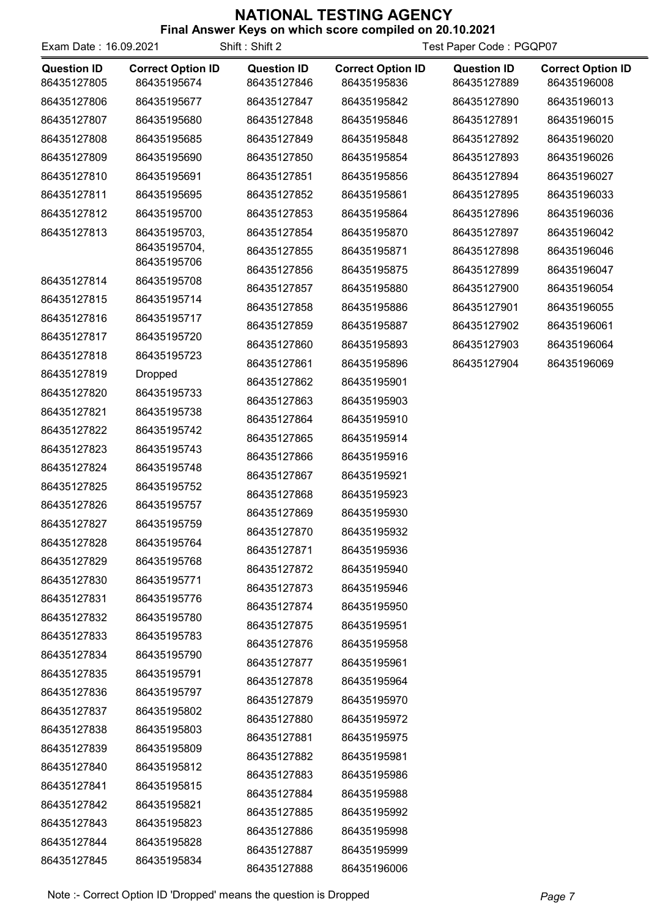| Exam Date: 16.09.2021             |                                         | Shift: Shift 2                    | Test Paper Code: PGQP07                 |                                   |                                         |
|-----------------------------------|-----------------------------------------|-----------------------------------|-----------------------------------------|-----------------------------------|-----------------------------------------|
| <b>Question ID</b><br>86435127805 | <b>Correct Option ID</b><br>86435195674 | <b>Question ID</b><br>86435127846 | <b>Correct Option ID</b><br>86435195836 | <b>Question ID</b><br>86435127889 | <b>Correct Option ID</b><br>86435196008 |
| 86435127806                       | 86435195677                             | 86435127847                       | 86435195842                             | 86435127890                       | 86435196013                             |
| 86435127807                       | 86435195680                             | 86435127848                       | 86435195846                             | 86435127891                       | 86435196015                             |
| 86435127808                       | 86435195685                             | 86435127849                       | 86435195848                             | 86435127892                       | 86435196020                             |
| 86435127809                       | 86435195690                             | 86435127850                       | 86435195854                             | 86435127893                       | 86435196026                             |
| 86435127810                       | 86435195691                             | 86435127851                       | 86435195856                             | 86435127894                       | 86435196027                             |
| 86435127811                       | 86435195695                             | 86435127852                       | 86435195861                             | 86435127895                       | 86435196033                             |
| 86435127812                       | 86435195700                             | 86435127853                       | 86435195864                             | 86435127896                       | 86435196036                             |
| 86435127813                       | 86435195703,                            | 86435127854                       | 86435195870                             | 86435127897                       | 86435196042                             |
|                                   | 86435195704,                            | 86435127855                       | 86435195871                             | 86435127898                       | 86435196046                             |
|                                   | 86435195706                             | 86435127856                       | 86435195875                             | 86435127899                       | 86435196047                             |
| 86435127814                       | 86435195708<br>86435195714              | 86435127857                       | 86435195880                             | 86435127900                       | 86435196054                             |
| 86435127815                       |                                         | 86435127858                       | 86435195886                             | 86435127901                       | 86435196055                             |
| 86435127816                       | 86435195717                             | 86435127859                       | 86435195887                             | 86435127902                       | 86435196061                             |
| 86435127817<br>86435127818        | 86435195720<br>86435195723              | 86435127860                       | 86435195893                             | 86435127903                       | 86435196064                             |
|                                   |                                         | 86435127861                       | 86435195896                             | 86435127904                       | 86435196069                             |
| 86435127819                       | <b>Dropped</b>                          | 86435127862                       | 86435195901                             |                                   |                                         |
| 86435127820                       | 86435195733                             | 86435127863                       | 86435195903                             |                                   |                                         |
| 86435127821<br>86435127822        | 86435195738<br>86435195742              | 86435127864                       | 86435195910                             |                                   |                                         |
| 86435127823                       | 86435195743                             | 86435127865                       | 86435195914                             |                                   |                                         |
| 86435127824                       |                                         | 86435127866                       | 86435195916                             |                                   |                                         |
|                                   | 86435195748                             | 86435127867                       | 86435195921                             |                                   |                                         |
| 86435127825                       | 86435195752                             | 86435127868                       | 86435195923                             |                                   |                                         |
| 86435127826<br>86435127827        | 86435195757<br>86435195759              | 86435127869                       | 86435195930                             |                                   |                                         |
|                                   |                                         | 86435127870                       | 86435195932                             |                                   |                                         |
| 86435127828                       | 86435195764<br>86435195768              | 86435127871                       | 86435195936                             |                                   |                                         |
| 86435127829<br>86435127830        |                                         | 86435127872                       | 86435195940                             |                                   |                                         |
| 86435127831                       | 86435195771<br>86435195776              | 86435127873                       | 86435195946                             |                                   |                                         |
| 86435127832                       | 86435195780                             | 86435127874                       | 86435195950                             |                                   |                                         |
| 86435127833                       | 86435195783                             | 86435127875                       | 86435195951                             |                                   |                                         |
| 86435127834                       | 86435195790                             | 86435127876                       | 86435195958                             |                                   |                                         |
| 86435127835                       | 86435195791                             | 86435127877                       | 86435195961                             |                                   |                                         |
| 86435127836                       | 86435195797                             | 86435127878                       | 86435195964                             |                                   |                                         |
| 86435127837                       | 86435195802                             | 86435127879                       | 86435195970                             |                                   |                                         |
| 86435127838                       |                                         | 86435127880                       | 86435195972                             |                                   |                                         |
| 86435127839                       | 86435195803<br>86435195809              | 86435127881                       | 86435195975                             |                                   |                                         |
| 86435127840                       | 86435195812                             | 86435127882                       | 86435195981                             |                                   |                                         |
| 86435127841                       | 86435195815                             | 86435127883                       | 86435195986                             |                                   |                                         |
| 86435127842                       | 86435195821                             | 86435127884                       | 86435195988                             |                                   |                                         |
| 86435127843                       | 86435195823                             | 86435127885                       | 86435195992                             |                                   |                                         |
| 86435127844                       |                                         | 86435127886                       | 86435195998                             |                                   |                                         |
|                                   | 86435195828                             | 86435127887                       | 86435195999                             |                                   |                                         |
| 86435127845                       | 86435195834                             | 86435127888                       | 86435196006                             |                                   |                                         |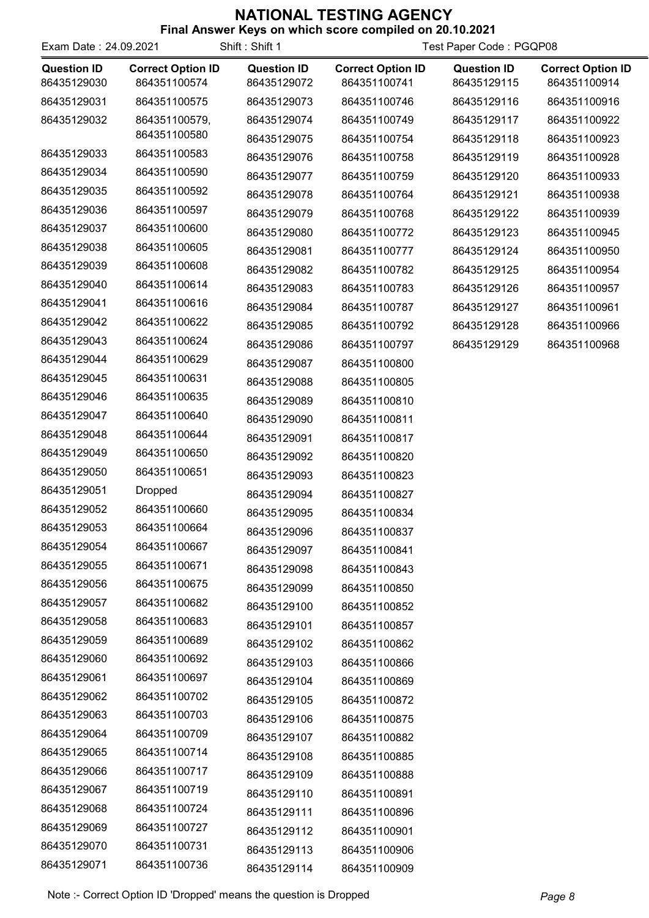| Exam Date: 24.09.2021             |                                          | Shift: Shift 1                    | Test Paper Code: PGQP08                  |                                   |                                          |
|-----------------------------------|------------------------------------------|-----------------------------------|------------------------------------------|-----------------------------------|------------------------------------------|
| <b>Question ID</b><br>86435129030 | <b>Correct Option ID</b><br>864351100574 | <b>Question ID</b><br>86435129072 | <b>Correct Option ID</b><br>864351100741 | <b>Question ID</b><br>86435129115 | <b>Correct Option ID</b><br>864351100914 |
| 86435129031                       | 864351100575                             | 86435129073                       | 864351100746                             | 86435129116                       | 864351100916                             |
| 86435129032                       | 864351100579,                            | 86435129074                       | 864351100749                             | 86435129117                       | 864351100922                             |
|                                   | 864351100580                             | 86435129075                       | 864351100754                             | 86435129118                       | 864351100923                             |
| 86435129033                       | 864351100583                             | 86435129076                       | 864351100758                             | 86435129119                       | 864351100928                             |
| 86435129034                       | 864351100590                             | 86435129077                       | 864351100759                             | 86435129120                       | 864351100933                             |
| 86435129035                       | 864351100592                             | 86435129078                       | 864351100764                             | 86435129121                       | 864351100938                             |
| 86435129036                       | 864351100597                             | 86435129079                       | 864351100768                             | 86435129122                       | 864351100939                             |
| 86435129037                       | 864351100600                             | 86435129080                       | 864351100772                             | 86435129123                       | 864351100945                             |
| 86435129038                       | 864351100605                             | 86435129081                       | 864351100777                             | 86435129124                       | 864351100950                             |
| 86435129039                       | 864351100608                             | 86435129082                       | 864351100782                             | 86435129125                       | 864351100954                             |
| 86435129040                       | 864351100614                             | 86435129083                       | 864351100783                             | 86435129126                       | 864351100957                             |
| 86435129041                       | 864351100616                             | 86435129084                       | 864351100787                             | 86435129127                       | 864351100961                             |
| 86435129042                       | 864351100622                             | 86435129085                       | 864351100792                             | 86435129128                       | 864351100966                             |
| 86435129043                       | 864351100624                             | 86435129086                       | 864351100797                             | 86435129129                       | 864351100968                             |
| 86435129044                       | 864351100629                             | 86435129087                       | 864351100800                             |                                   |                                          |
| 86435129045                       | 864351100631                             | 86435129088                       | 864351100805                             |                                   |                                          |
| 86435129046                       | 864351100635                             | 86435129089                       | 864351100810                             |                                   |                                          |
| 86435129047                       | 864351100640                             | 86435129090                       | 864351100811                             |                                   |                                          |
| 86435129048                       | 864351100644                             | 86435129091                       | 864351100817                             |                                   |                                          |
| 86435129049                       | 864351100650                             | 86435129092                       | 864351100820                             |                                   |                                          |
| 86435129050                       | 864351100651                             | 86435129093                       | 864351100823                             |                                   |                                          |
| 86435129051                       | <b>Dropped</b>                           | 86435129094                       | 864351100827                             |                                   |                                          |
| 86435129052                       | 864351100660                             | 86435129095                       | 864351100834                             |                                   |                                          |
| 86435129053                       | 864351100664                             | 86435129096                       | 864351100837                             |                                   |                                          |
| 86435129054                       | 864351100667                             | 86435129097                       | 864351100841                             |                                   |                                          |
| 86435129055                       | 864351100671                             | 86435129098                       | 864351100843                             |                                   |                                          |
| 86435129056                       | 864351100675                             | 86435129099                       | 864351100850                             |                                   |                                          |
| 86435129057                       | 864351100682                             | 86435129100                       | 864351100852                             |                                   |                                          |
| 86435129058                       | 864351100683                             | 86435129101                       | 864351100857                             |                                   |                                          |
| 86435129059                       | 864351100689                             | 86435129102                       | 864351100862                             |                                   |                                          |
| 86435129060                       | 864351100692                             | 86435129103                       | 864351100866                             |                                   |                                          |
| 86435129061                       | 864351100697                             | 86435129104                       | 864351100869                             |                                   |                                          |
| 86435129062                       | 864351100702                             | 86435129105                       | 864351100872                             |                                   |                                          |
| 86435129063                       | 864351100703                             | 86435129106                       | 864351100875                             |                                   |                                          |
| 86435129064                       | 864351100709                             | 86435129107                       | 864351100882                             |                                   |                                          |
| 86435129065                       | 864351100714                             | 86435129108                       | 864351100885                             |                                   |                                          |
| 86435129066                       | 864351100717                             | 86435129109                       | 864351100888                             |                                   |                                          |
| 86435129067                       | 864351100719                             | 86435129110                       | 864351100891                             |                                   |                                          |
| 86435129068                       | 864351100724                             | 86435129111                       | 864351100896                             |                                   |                                          |
| 86435129069                       | 864351100727                             | 86435129112                       | 864351100901                             |                                   |                                          |
| 86435129070                       | 864351100731                             | 86435129113                       | 864351100906                             |                                   |                                          |
| 86435129071                       | 864351100736                             | 86435129114                       | 864351100909                             |                                   |                                          |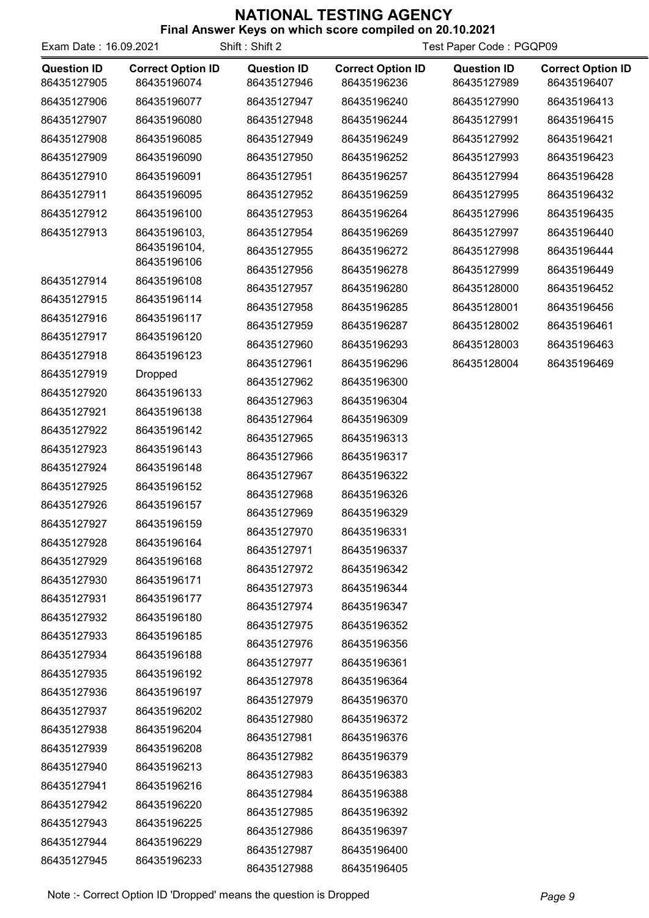| Exam Date: 16.09.2021             |                                         | Shift: Shift 2                    | Test Paper Code: PGQP09                 |                                   |                                         |
|-----------------------------------|-----------------------------------------|-----------------------------------|-----------------------------------------|-----------------------------------|-----------------------------------------|
| <b>Question ID</b><br>86435127905 | <b>Correct Option ID</b><br>86435196074 | <b>Question ID</b><br>86435127946 | <b>Correct Option ID</b><br>86435196236 | <b>Question ID</b><br>86435127989 | <b>Correct Option ID</b><br>86435196407 |
| 86435127906                       | 86435196077                             | 86435127947                       | 86435196240                             | 86435127990                       | 86435196413                             |
| 86435127907                       | 86435196080                             | 86435127948                       | 86435196244                             | 86435127991                       | 86435196415                             |
| 86435127908                       | 86435196085                             | 86435127949                       | 86435196249                             | 86435127992                       | 86435196421                             |
| 86435127909                       | 86435196090                             | 86435127950                       | 86435196252                             | 86435127993                       | 86435196423                             |
| 86435127910                       | 86435196091                             | 86435127951                       | 86435196257                             | 86435127994                       | 86435196428                             |
| 86435127911                       | 86435196095                             | 86435127952                       | 86435196259                             | 86435127995                       | 86435196432                             |
| 86435127912                       | 86435196100                             | 86435127953                       | 86435196264                             | 86435127996                       | 86435196435                             |
| 86435127913                       | 86435196103,                            | 86435127954                       | 86435196269                             | 86435127997                       | 86435196440                             |
|                                   | 86435196104,<br>86435196106             | 86435127955                       | 86435196272                             | 86435127998                       | 86435196444                             |
|                                   |                                         | 86435127956                       | 86435196278                             | 86435127999                       | 86435196449                             |
| 86435127914                       | 86435196108                             | 86435127957                       | 86435196280                             | 86435128000                       | 86435196452                             |
| 86435127915                       | 86435196114                             | 86435127958                       | 86435196285                             | 86435128001                       | 86435196456                             |
| 86435127916                       | 86435196117                             | 86435127959                       | 86435196287                             | 86435128002                       | 86435196461                             |
| 86435127917<br>86435127918        | 86435196120                             | 86435127960                       | 86435196293                             | 86435128003                       | 86435196463                             |
|                                   | 86435196123                             | 86435127961                       | 86435196296                             | 86435128004                       | 86435196469                             |
| 86435127919                       | <b>Dropped</b>                          | 86435127962                       | 86435196300                             |                                   |                                         |
| 86435127920                       | 86435196133                             | 86435127963                       | 86435196304                             |                                   |                                         |
| 86435127921                       | 86435196138                             | 86435127964                       | 86435196309                             |                                   |                                         |
| 86435127922                       | 86435196142                             | 86435127965                       | 86435196313                             |                                   |                                         |
| 86435127923                       | 86435196143                             | 86435127966                       | 86435196317                             |                                   |                                         |
| 86435127924                       | 86435196148                             | 86435127967                       | 86435196322                             |                                   |                                         |
| 86435127925                       | 86435196152                             | 86435127968                       | 86435196326                             |                                   |                                         |
| 86435127926<br>86435127927        | 86435196157                             | 86435127969                       | 86435196329                             |                                   |                                         |
|                                   | 86435196159                             | 86435127970                       | 86435196331                             |                                   |                                         |
| 86435127928                       | 86435196164<br>86435196168              | 86435127971                       | 86435196337                             |                                   |                                         |
| 86435127929                       |                                         | 86435127972                       | 86435196342                             |                                   |                                         |
| 86435127930<br>86435127931        | 86435196171<br>86435196177              | 86435127973                       | 86435196344                             |                                   |                                         |
| 86435127932                       | 86435196180                             | 86435127974                       | 86435196347                             |                                   |                                         |
| 86435127933                       | 86435196185                             | 86435127975                       | 86435196352                             |                                   |                                         |
| 86435127934                       | 86435196188                             | 86435127976                       | 86435196356                             |                                   |                                         |
| 86435127935                       | 86435196192                             | 86435127977                       | 86435196361                             |                                   |                                         |
| 86435127936                       | 86435196197                             | 86435127978                       | 86435196364                             |                                   |                                         |
| 86435127937                       | 86435196202                             | 86435127979                       | 86435196370                             |                                   |                                         |
| 86435127938                       | 86435196204                             | 86435127980                       | 86435196372                             |                                   |                                         |
| 86435127939                       | 86435196208                             | 86435127981                       | 86435196376                             |                                   |                                         |
| 86435127940                       | 86435196213                             | 86435127982                       | 86435196379                             |                                   |                                         |
| 86435127941                       | 86435196216                             | 86435127983                       | 86435196383                             |                                   |                                         |
| 86435127942                       | 86435196220                             | 86435127984                       | 86435196388                             |                                   |                                         |
| 86435127943                       | 86435196225                             | 86435127985                       | 86435196392                             |                                   |                                         |
| 86435127944                       |                                         | 86435127986                       | 86435196397                             |                                   |                                         |
|                                   | 86435196229                             | 86435127987                       | 86435196400                             |                                   |                                         |
| 86435127945                       | 86435196233                             | 86435127988                       | 86435196405                             |                                   |                                         |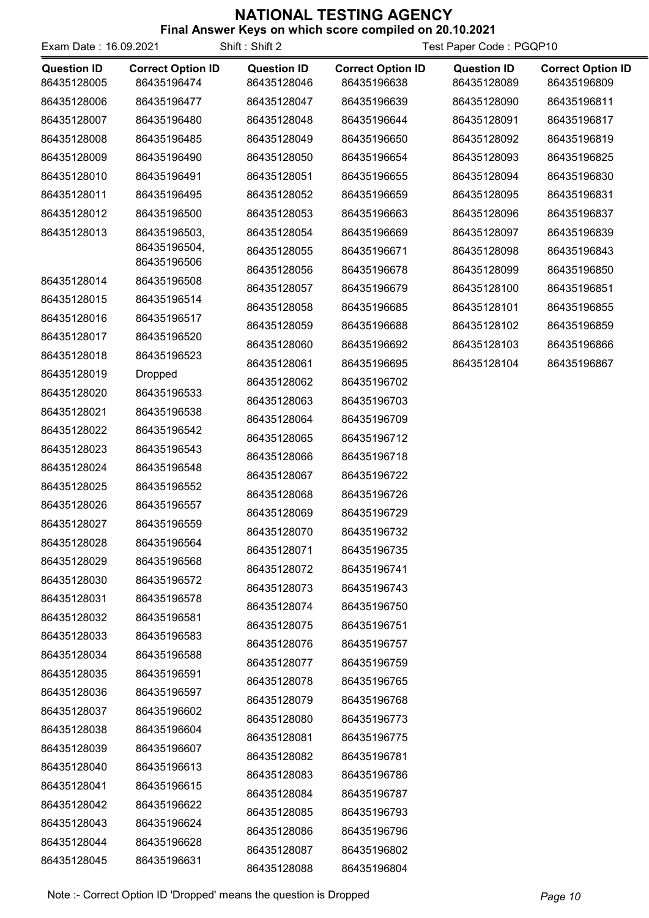| Exam Date: 16.09.2021             |                                         | Shift: Shift 2                    | Test Paper Code: PGQP10                 |                                   |                                         |
|-----------------------------------|-----------------------------------------|-----------------------------------|-----------------------------------------|-----------------------------------|-----------------------------------------|
| <b>Question ID</b><br>86435128005 | <b>Correct Option ID</b><br>86435196474 | <b>Question ID</b><br>86435128046 | <b>Correct Option ID</b><br>86435196638 | <b>Question ID</b><br>86435128089 | <b>Correct Option ID</b><br>86435196809 |
| 86435128006                       | 86435196477                             | 86435128047                       | 86435196639                             | 86435128090                       | 86435196811                             |
| 86435128007                       | 86435196480                             | 86435128048                       | 86435196644                             | 86435128091                       | 86435196817                             |
| 86435128008                       | 86435196485                             | 86435128049                       | 86435196650                             | 86435128092                       | 86435196819                             |
| 86435128009                       | 86435196490                             | 86435128050                       | 86435196654                             | 86435128093                       | 86435196825                             |
| 86435128010                       | 86435196491                             | 86435128051                       | 86435196655                             | 86435128094                       | 86435196830                             |
| 86435128011                       | 86435196495                             | 86435128052                       | 86435196659                             | 86435128095                       | 86435196831                             |
| 86435128012                       | 86435196500                             | 86435128053                       | 86435196663                             | 86435128096                       | 86435196837                             |
| 86435128013                       | 86435196503,                            | 86435128054                       | 86435196669                             | 86435128097                       | 86435196839                             |
|                                   | 86435196504,                            | 86435128055                       | 86435196671                             | 86435128098                       | 86435196843                             |
|                                   | 86435196506                             | 86435128056                       | 86435196678                             | 86435128099                       | 86435196850                             |
| 86435128014                       | 86435196508                             | 86435128057                       | 86435196679                             | 86435128100                       | 86435196851                             |
| 86435128015                       | 86435196514                             | 86435128058                       | 86435196685                             | 86435128101                       | 86435196855                             |
| 86435128016                       | 86435196517                             | 86435128059                       | 86435196688                             | 86435128102                       | 86435196859                             |
| 86435128017                       | 86435196520                             | 86435128060                       | 86435196692                             | 86435128103                       | 86435196866                             |
| 86435128018                       | 86435196523                             | 86435128061                       | 86435196695                             | 86435128104                       | 86435196867                             |
| 86435128019                       | <b>Dropped</b>                          | 86435128062                       | 86435196702                             |                                   |                                         |
| 86435128020                       | 86435196533                             | 86435128063                       | 86435196703                             |                                   |                                         |
| 86435128021                       | 86435196538                             | 86435128064                       | 86435196709                             |                                   |                                         |
| 86435128022                       | 86435196542                             | 86435128065                       | 86435196712                             |                                   |                                         |
| 86435128023                       | 86435196543                             | 86435128066                       | 86435196718                             |                                   |                                         |
| 86435128024                       | 86435196548                             | 86435128067                       | 86435196722                             |                                   |                                         |
| 86435128025                       | 86435196552                             | 86435128068                       | 86435196726                             |                                   |                                         |
| 86435128026                       | 86435196557                             | 86435128069                       | 86435196729                             |                                   |                                         |
| 86435128027                       | 86435196559                             | 86435128070                       | 86435196732                             |                                   |                                         |
| 86435128028                       | 86435196564                             | 86435128071                       | 86435196735                             |                                   |                                         |
| 86435128029                       | 86435196568                             | 86435128072                       | 86435196741                             |                                   |                                         |
| 86435128030                       | 86435196572                             | 86435128073                       | 86435196743                             |                                   |                                         |
| 86435128031                       | 86435196578                             | 86435128074                       | 86435196750                             |                                   |                                         |
| 86435128032                       | 86435196581                             | 86435128075                       | 86435196751                             |                                   |                                         |
| 86435128033                       | 86435196583                             | 86435128076                       | 86435196757                             |                                   |                                         |
| 86435128034                       | 86435196588                             | 86435128077                       | 86435196759                             |                                   |                                         |
| 86435128035                       | 86435196591                             | 86435128078                       | 86435196765                             |                                   |                                         |
| 86435128036                       | 86435196597                             | 86435128079                       | 86435196768                             |                                   |                                         |
| 86435128037                       | 86435196602                             | 86435128080                       | 86435196773                             |                                   |                                         |
| 86435128038                       | 86435196604                             | 86435128081                       | 86435196775                             |                                   |                                         |
| 86435128039                       | 86435196607                             | 86435128082                       | 86435196781                             |                                   |                                         |
| 86435128040                       | 86435196613                             | 86435128083                       | 86435196786                             |                                   |                                         |
| 86435128041                       | 86435196615                             | 86435128084                       | 86435196787                             |                                   |                                         |
| 86435128042                       | 86435196622                             | 86435128085                       | 86435196793                             |                                   |                                         |
| 86435128043                       | 86435196624                             | 86435128086                       | 86435196796                             |                                   |                                         |
| 86435128044                       | 86435196628                             | 86435128087                       | 86435196802                             |                                   |                                         |
| 86435128045                       | 86435196631                             | 86435128088                       | 86435196804                             |                                   |                                         |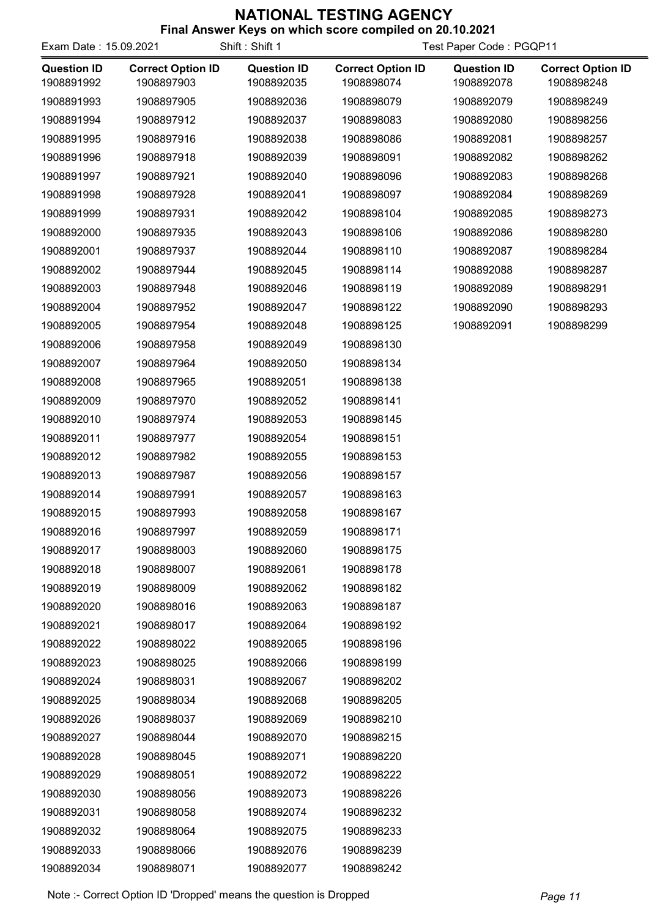| <b>Final Aliswer Reys Off Which Score Complied Off 20.10.2021</b> |  |  |                      |  |
|-------------------------------------------------------------------|--|--|----------------------|--|
|                                                                   |  |  | $\sim$ $\sim$ $\sim$ |  |

| Exam Date: 15.09.2021            |                                        | Shift: Shift 1                   | Test Paper Code: PGQP11                |                                  |                                        |
|----------------------------------|----------------------------------------|----------------------------------|----------------------------------------|----------------------------------|----------------------------------------|
| <b>Question ID</b><br>1908891992 | <b>Correct Option ID</b><br>1908897903 | <b>Question ID</b><br>1908892035 | <b>Correct Option ID</b><br>1908898074 | <b>Question ID</b><br>1908892078 | <b>Correct Option ID</b><br>1908898248 |
| 1908891993                       | 1908897905                             | 1908892036                       | 1908898079                             | 1908892079                       | 1908898249                             |
| 1908891994                       | 1908897912                             | 1908892037                       | 1908898083                             | 1908892080                       | 1908898256                             |
| 1908891995                       | 1908897916                             | 1908892038                       | 1908898086                             | 1908892081                       | 1908898257                             |
| 1908891996                       | 1908897918                             | 1908892039                       | 1908898091                             | 1908892082                       | 1908898262                             |
| 1908891997                       | 1908897921                             | 1908892040                       | 1908898096                             | 1908892083                       | 1908898268                             |
| 1908891998                       | 1908897928                             | 1908892041                       | 1908898097                             | 1908892084                       | 1908898269                             |
| 1908891999                       | 1908897931                             | 1908892042                       | 1908898104                             | 1908892085                       | 1908898273                             |
| 1908892000                       | 1908897935                             | 1908892043                       | 1908898106                             | 1908892086                       | 1908898280                             |
| 1908892001                       | 1908897937                             | 1908892044                       | 1908898110                             | 1908892087                       | 1908898284                             |
| 1908892002                       | 1908897944                             | 1908892045                       | 1908898114                             | 1908892088                       | 1908898287                             |
| 1908892003                       | 1908897948                             | 1908892046                       | 1908898119                             | 1908892089                       | 1908898291                             |
| 1908892004                       | 1908897952                             | 1908892047                       | 1908898122                             | 1908892090                       | 1908898293                             |
| 1908892005                       | 1908897954                             | 1908892048                       | 1908898125                             | 1908892091                       | 1908898299                             |
| 1908892006                       | 1908897958                             | 1908892049                       | 1908898130                             |                                  |                                        |
| 1908892007                       | 1908897964                             | 1908892050                       | 1908898134                             |                                  |                                        |
| 1908892008                       | 1908897965                             | 1908892051                       | 1908898138                             |                                  |                                        |
| 1908892009                       | 1908897970                             | 1908892052                       | 1908898141                             |                                  |                                        |
| 1908892010                       | 1908897974                             | 1908892053                       | 1908898145                             |                                  |                                        |
| 1908892011                       | 1908897977                             | 1908892054                       | 1908898151                             |                                  |                                        |
| 1908892012                       | 1908897982                             | 1908892055                       | 1908898153                             |                                  |                                        |
| 1908892013                       | 1908897987                             | 1908892056                       | 1908898157                             |                                  |                                        |
| 1908892014                       | 1908897991                             | 1908892057                       | 1908898163                             |                                  |                                        |
| 1908892015                       | 1908897993                             | 1908892058                       | 1908898167                             |                                  |                                        |
| 1908892016                       | 1908897997                             | 1908892059                       | 1908898171                             |                                  |                                        |
| 1908892017                       | 1908898003                             | 1908892060                       | 1908898175                             |                                  |                                        |
| 1908892018                       | 1908898007                             | 1908892061                       | 1908898178                             |                                  |                                        |
| 1908892019                       | 1908898009                             | 1908892062                       | 1908898182                             |                                  |                                        |
| 1908892020                       | 1908898016                             | 1908892063                       | 1908898187                             |                                  |                                        |
| 1908892021                       | 1908898017                             | 1908892064                       | 1908898192                             |                                  |                                        |
| 1908892022                       | 1908898022                             | 1908892065                       | 1908898196                             |                                  |                                        |
| 1908892023                       | 1908898025                             | 1908892066                       | 1908898199                             |                                  |                                        |
| 1908892024                       | 1908898031                             | 1908892067                       | 1908898202                             |                                  |                                        |
| 1908892025                       | 1908898034                             | 1908892068                       | 1908898205                             |                                  |                                        |
| 1908892026                       | 1908898037                             | 1908892069                       | 1908898210                             |                                  |                                        |
| 1908892027                       | 1908898044                             | 1908892070                       | 1908898215                             |                                  |                                        |
| 1908892028                       | 1908898045                             | 1908892071                       | 1908898220                             |                                  |                                        |
| 1908892029                       | 1908898051                             | 1908892072                       | 1908898222                             |                                  |                                        |
| 1908892030                       | 1908898056                             | 1908892073                       | 1908898226                             |                                  |                                        |
| 1908892031                       | 1908898058                             | 1908892074                       | 1908898232                             |                                  |                                        |
| 1908892032                       | 1908898064                             | 1908892075                       | 1908898233                             |                                  |                                        |
| 1908892033                       | 1908898066                             | 1908892076                       | 1908898239                             |                                  |                                        |
| 1908892034                       | 1908898071                             | 1908892077                       | 1908898242                             |                                  |                                        |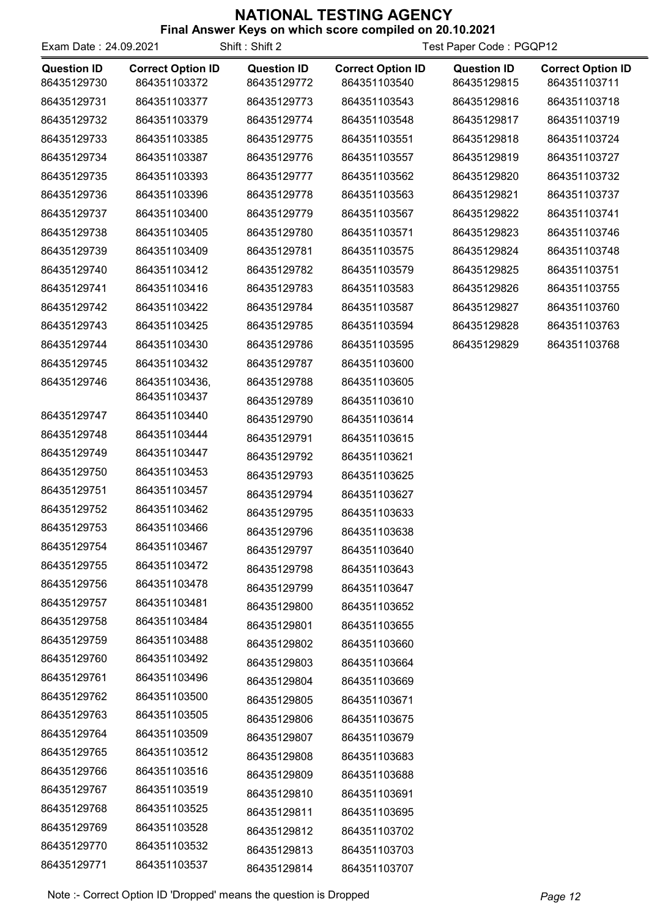| Exam Date: 24.09.2021             |                                          | Shift: Shift 2                    | Test Paper Code: PGQP12                  |                                   |                                          |
|-----------------------------------|------------------------------------------|-----------------------------------|------------------------------------------|-----------------------------------|------------------------------------------|
| <b>Question ID</b><br>86435129730 | <b>Correct Option ID</b><br>864351103372 | <b>Question ID</b><br>86435129772 | <b>Correct Option ID</b><br>864351103540 | <b>Question ID</b><br>86435129815 | <b>Correct Option ID</b><br>864351103711 |
| 86435129731                       | 864351103377                             | 86435129773                       | 864351103543                             | 86435129816                       | 864351103718                             |
| 86435129732                       | 864351103379                             | 86435129774                       | 864351103548                             | 86435129817                       | 864351103719                             |
| 86435129733                       | 864351103385                             | 86435129775                       | 864351103551                             | 86435129818                       | 864351103724                             |
| 86435129734                       | 864351103387                             | 86435129776                       | 864351103557                             | 86435129819                       | 864351103727                             |
| 86435129735                       | 864351103393                             | 86435129777                       | 864351103562                             | 86435129820                       | 864351103732                             |
| 86435129736                       | 864351103396                             | 86435129778                       | 864351103563                             | 86435129821                       | 864351103737                             |
| 86435129737                       | 864351103400                             | 86435129779                       | 864351103567                             | 86435129822                       | 864351103741                             |
| 86435129738                       | 864351103405                             | 86435129780                       | 864351103571                             | 86435129823                       | 864351103746                             |
| 86435129739                       | 864351103409                             | 86435129781                       | 864351103575                             | 86435129824                       | 864351103748                             |
| 86435129740                       | 864351103412                             | 86435129782                       | 864351103579                             | 86435129825                       | 864351103751                             |
| 86435129741                       | 864351103416                             | 86435129783                       | 864351103583                             | 86435129826                       | 864351103755                             |
| 86435129742                       | 864351103422                             | 86435129784                       | 864351103587                             | 86435129827                       | 864351103760                             |
| 86435129743                       | 864351103425                             | 86435129785                       | 864351103594                             | 86435129828                       | 864351103763                             |
| 86435129744                       | 864351103430                             | 86435129786                       | 864351103595                             | 86435129829                       | 864351103768                             |
| 86435129745                       | 864351103432                             | 86435129787                       | 864351103600                             |                                   |                                          |
| 86435129746                       | 864351103436,                            | 86435129788                       | 864351103605                             |                                   |                                          |
|                                   | 864351103437                             | 86435129789                       | 864351103610                             |                                   |                                          |
| 86435129747                       | 864351103440                             | 86435129790                       | 864351103614                             |                                   |                                          |
| 86435129748                       | 864351103444                             | 86435129791                       | 864351103615                             |                                   |                                          |
| 86435129749                       | 864351103447                             | 86435129792                       | 864351103621                             |                                   |                                          |
| 86435129750                       | 864351103453                             | 86435129793                       | 864351103625                             |                                   |                                          |
| 86435129751                       | 864351103457                             | 86435129794                       | 864351103627                             |                                   |                                          |
| 86435129752                       | 864351103462                             | 86435129795                       | 864351103633                             |                                   |                                          |
| 86435129753                       | 864351103466                             | 86435129796                       | 864351103638                             |                                   |                                          |
| 86435129754                       | 864351103467                             | 86435129797                       | 864351103640                             |                                   |                                          |
| 86435129755                       | 864351103472                             | 86435129798                       | 864351103643                             |                                   |                                          |
| 86435129756                       | 864351103478                             | 86435129799                       | 864351103647                             |                                   |                                          |
| 86435129757                       | 864351103481                             | 86435129800                       | 864351103652                             |                                   |                                          |
| 86435129758                       | 864351103484                             | 86435129801                       | 864351103655                             |                                   |                                          |
| 86435129759                       | 864351103488                             | 86435129802                       | 864351103660                             |                                   |                                          |
| 86435129760                       | 864351103492                             | 86435129803                       | 864351103664                             |                                   |                                          |
| 86435129761                       | 864351103496                             | 86435129804                       | 864351103669                             |                                   |                                          |
| 86435129762                       | 864351103500                             | 86435129805                       | 864351103671                             |                                   |                                          |
| 86435129763                       | 864351103505                             | 86435129806                       | 864351103675                             |                                   |                                          |
| 86435129764                       | 864351103509                             | 86435129807                       | 864351103679                             |                                   |                                          |
| 86435129765                       | 864351103512                             | 86435129808                       | 864351103683                             |                                   |                                          |
| 86435129766                       | 864351103516                             | 86435129809                       | 864351103688                             |                                   |                                          |
| 86435129767                       | 864351103519                             | 86435129810                       | 864351103691                             |                                   |                                          |
| 86435129768                       | 864351103525                             | 86435129811                       | 864351103695                             |                                   |                                          |
| 86435129769                       | 864351103528                             | 86435129812                       | 864351103702                             |                                   |                                          |
| 86435129770                       | 864351103532                             | 86435129813                       | 864351103703                             |                                   |                                          |
| 86435129771                       | 864351103537                             | 86435129814                       | 864351103707                             |                                   |                                          |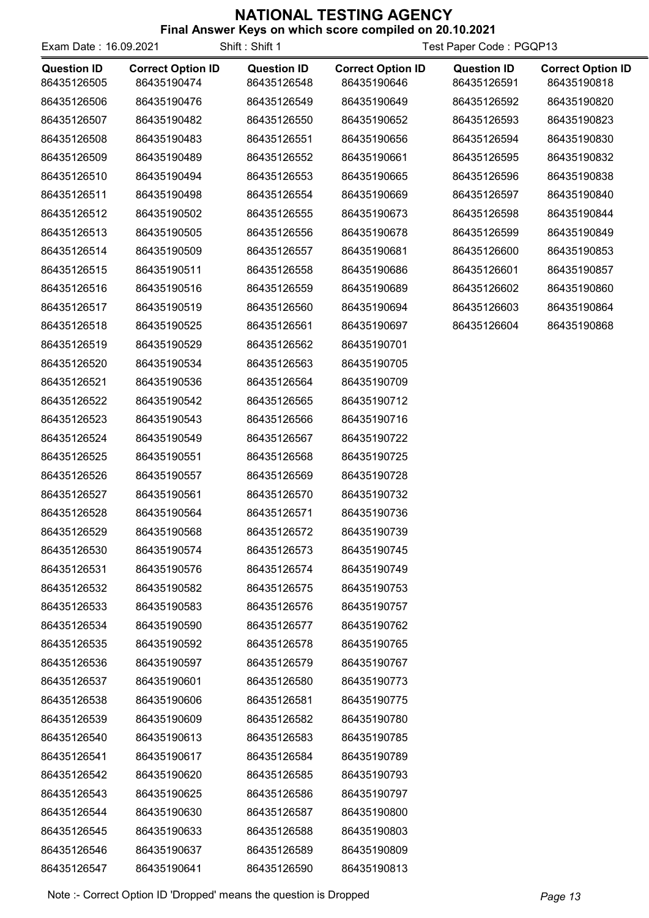| Exam Date: 16.09.2021             |                                         | Shift: Shift 1                    | Test Paper Code: PGQP13                 |                                   |                                         |
|-----------------------------------|-----------------------------------------|-----------------------------------|-----------------------------------------|-----------------------------------|-----------------------------------------|
| <b>Question ID</b><br>86435126505 | <b>Correct Option ID</b><br>86435190474 | <b>Question ID</b><br>86435126548 | <b>Correct Option ID</b><br>86435190646 | <b>Question ID</b><br>86435126591 | <b>Correct Option ID</b><br>86435190818 |
| 86435126506                       | 86435190476                             | 86435126549                       | 86435190649                             | 86435126592                       | 86435190820                             |
| 86435126507                       | 86435190482                             | 86435126550                       | 86435190652                             | 86435126593                       | 86435190823                             |
| 86435126508                       | 86435190483                             | 86435126551                       | 86435190656                             | 86435126594                       | 86435190830                             |
| 86435126509                       | 86435190489                             | 86435126552                       | 86435190661                             | 86435126595                       | 86435190832                             |
| 86435126510                       | 86435190494                             | 86435126553                       | 86435190665                             | 86435126596                       | 86435190838                             |
| 86435126511                       | 86435190498                             | 86435126554                       | 86435190669                             | 86435126597                       | 86435190840                             |
| 86435126512                       | 86435190502                             | 86435126555                       | 86435190673                             | 86435126598                       | 86435190844                             |
| 86435126513                       | 86435190505                             | 86435126556                       | 86435190678                             | 86435126599                       | 86435190849                             |
| 86435126514                       | 86435190509                             | 86435126557                       | 86435190681                             | 86435126600                       | 86435190853                             |
| 86435126515                       | 86435190511                             | 86435126558                       | 86435190686                             | 86435126601                       | 86435190857                             |
| 86435126516                       | 86435190516                             | 86435126559                       | 86435190689                             | 86435126602                       | 86435190860                             |
| 86435126517                       | 86435190519                             | 86435126560                       | 86435190694                             | 86435126603                       | 86435190864                             |
| 86435126518                       | 86435190525                             | 86435126561                       | 86435190697                             | 86435126604                       | 86435190868                             |
| 86435126519                       | 86435190529                             | 86435126562                       | 86435190701                             |                                   |                                         |
| 86435126520                       | 86435190534                             | 86435126563                       | 86435190705                             |                                   |                                         |
| 86435126521                       | 86435190536                             | 86435126564                       | 86435190709                             |                                   |                                         |
| 86435126522                       | 86435190542                             | 86435126565                       | 86435190712                             |                                   |                                         |
| 86435126523                       | 86435190543                             | 86435126566                       | 86435190716                             |                                   |                                         |
| 86435126524                       | 86435190549                             | 86435126567                       | 86435190722                             |                                   |                                         |
| 86435126525                       | 86435190551                             | 86435126568                       | 86435190725                             |                                   |                                         |
| 86435126526                       | 86435190557                             | 86435126569                       | 86435190728                             |                                   |                                         |
| 86435126527                       | 86435190561                             | 86435126570                       | 86435190732                             |                                   |                                         |
| 86435126528                       | 86435190564                             | 86435126571                       | 86435190736                             |                                   |                                         |
| 86435126529                       | 86435190568                             | 86435126572                       | 86435190739                             |                                   |                                         |
| 86435126530                       | 86435190574                             | 86435126573                       | 86435190745                             |                                   |                                         |
| 86435126531                       | 86435190576                             | 86435126574                       | 86435190749                             |                                   |                                         |
| 86435126532                       | 86435190582                             | 86435126575                       | 86435190753                             |                                   |                                         |
| 86435126533                       | 86435190583                             | 86435126576                       | 86435190757                             |                                   |                                         |
| 86435126534                       | 86435190590                             | 86435126577                       | 86435190762                             |                                   |                                         |
| 86435126535                       | 86435190592                             | 86435126578                       | 86435190765                             |                                   |                                         |
| 86435126536                       | 86435190597                             | 86435126579                       | 86435190767                             |                                   |                                         |
| 86435126537                       | 86435190601                             | 86435126580                       | 86435190773                             |                                   |                                         |
| 86435126538                       | 86435190606                             | 86435126581                       | 86435190775                             |                                   |                                         |
| 86435126539                       | 86435190609                             | 86435126582                       | 86435190780                             |                                   |                                         |
| 86435126540                       | 86435190613                             | 86435126583                       | 86435190785                             |                                   |                                         |
| 86435126541                       | 86435190617                             | 86435126584                       | 86435190789                             |                                   |                                         |
| 86435126542                       | 86435190620                             | 86435126585                       | 86435190793                             |                                   |                                         |
| 86435126543                       | 86435190625                             | 86435126586                       | 86435190797                             |                                   |                                         |
| 86435126544                       | 86435190630                             | 86435126587                       | 86435190800                             |                                   |                                         |
| 86435126545                       | 86435190633                             | 86435126588                       | 86435190803                             |                                   |                                         |
| 86435126546                       | 86435190637                             | 86435126589                       | 86435190809                             |                                   |                                         |
| 86435126547                       | 86435190641                             | 86435126590                       | 86435190813                             |                                   |                                         |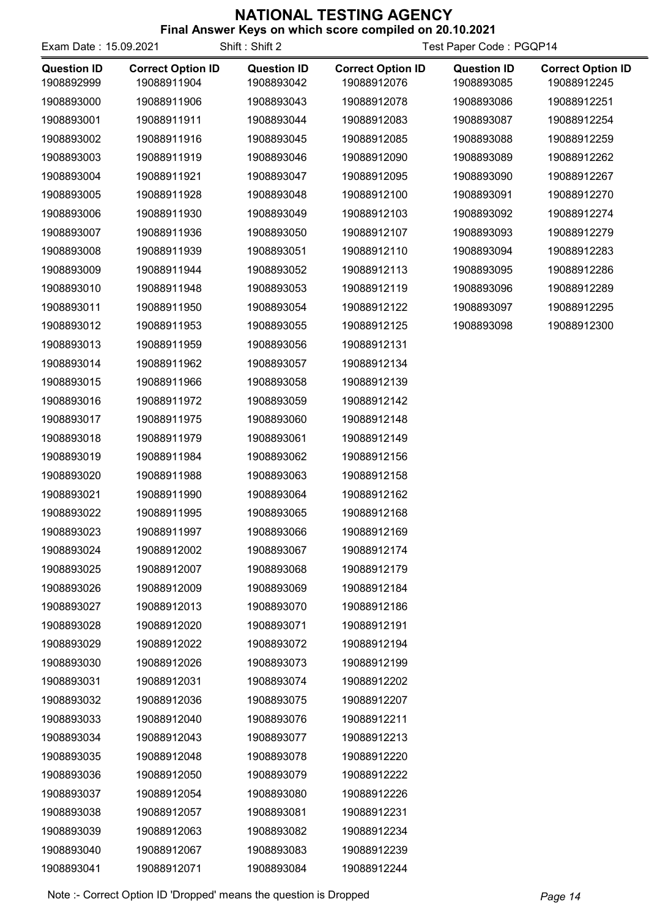| <b>THIS ANSWER INEXED ON WHICH SCOTE COMPILED ON ZU. 10.2021</b><br>Shift: Shift 2<br>Test Paper Code: PGQP14<br>Exam Date: 15.09.2021 |                                         |                                  |                                         |                                  |                                         |
|----------------------------------------------------------------------------------------------------------------------------------------|-----------------------------------------|----------------------------------|-----------------------------------------|----------------------------------|-----------------------------------------|
| <b>Question ID</b><br>1908892999                                                                                                       | <b>Correct Option ID</b><br>19088911904 | <b>Question ID</b><br>1908893042 | <b>Correct Option ID</b><br>19088912076 | <b>Question ID</b><br>1908893085 | <b>Correct Option ID</b><br>19088912245 |
| 1908893000                                                                                                                             | 19088911906                             | 1908893043                       | 19088912078                             | 1908893086                       | 19088912251                             |
| 1908893001                                                                                                                             | 19088911911                             | 1908893044                       | 19088912083                             | 1908893087                       | 19088912254                             |
| 1908893002                                                                                                                             | 19088911916                             | 1908893045                       | 19088912085                             | 1908893088                       | 19088912259                             |
| 1908893003                                                                                                                             | 19088911919                             | 1908893046                       | 19088912090                             | 1908893089                       | 19088912262                             |
| 1908893004                                                                                                                             | 19088911921                             | 1908893047                       | 19088912095                             | 1908893090                       | 19088912267                             |
| 1908893005                                                                                                                             | 19088911928                             | 1908893048                       | 19088912100                             | 1908893091                       | 19088912270                             |
| 1908893006                                                                                                                             | 19088911930                             | 1908893049                       | 19088912103                             | 1908893092                       | 19088912274                             |
| 1908893007                                                                                                                             | 19088911936                             | 1908893050                       | 19088912107                             | 1908893093                       | 19088912279                             |
| 1908893008                                                                                                                             | 19088911939                             | 1908893051                       | 19088912110                             | 1908893094                       | 19088912283                             |
| 1908893009                                                                                                                             | 19088911944                             | 1908893052                       | 19088912113                             | 1908893095                       | 19088912286                             |
| 1908893010                                                                                                                             | 19088911948                             | 1908893053                       | 19088912119                             | 1908893096                       | 19088912289                             |
| 1908893011                                                                                                                             | 19088911950                             | 1908893054                       | 19088912122                             | 1908893097                       | 19088912295                             |
| 1908893012                                                                                                                             | 19088911953                             | 1908893055                       | 19088912125                             | 1908893098                       | 19088912300                             |
| 1908893013                                                                                                                             | 19088911959                             | 1908893056                       | 19088912131                             |                                  |                                         |
| 1908893014                                                                                                                             | 19088911962                             | 1908893057                       | 19088912134                             |                                  |                                         |
| 1908893015                                                                                                                             | 19088911966                             | 1908893058                       | 19088912139                             |                                  |                                         |
| 1908893016                                                                                                                             | 19088911972                             | 1908893059                       | 19088912142                             |                                  |                                         |
| 1908893017                                                                                                                             | 19088911975                             | 1908893060                       | 19088912148                             |                                  |                                         |
| 1908893018                                                                                                                             | 19088911979                             | 1908893061                       | 19088912149                             |                                  |                                         |
| 1908893019                                                                                                                             | 19088911984                             | 1908893062                       | 19088912156                             |                                  |                                         |
| 1908893020                                                                                                                             | 19088911988                             | 1908893063                       | 19088912158                             |                                  |                                         |
| 1908893021                                                                                                                             | 19088911990                             | 1908893064                       | 19088912162                             |                                  |                                         |
| 1908893022                                                                                                                             | 19088911995                             | 1908893065                       | 19088912168                             |                                  |                                         |
| 1908893023                                                                                                                             | 19088911997                             | 1908893066                       | 19088912169                             |                                  |                                         |
| 1908893024                                                                                                                             | 19088912002                             | 1908893067                       | 19088912174                             |                                  |                                         |
| 1908893025                                                                                                                             | 19088912007                             | 1908893068                       | 19088912179                             |                                  |                                         |
| 1908893026                                                                                                                             | 19088912009                             | 1908893069                       | 19088912184                             |                                  |                                         |
| 1908893027                                                                                                                             | 19088912013                             | 1908893070                       | 19088912186                             |                                  |                                         |
| 1908893028                                                                                                                             | 19088912020                             | 1908893071                       | 19088912191                             |                                  |                                         |
| 1908893029                                                                                                                             | 19088912022                             | 1908893072                       | 19088912194                             |                                  |                                         |
| 1908893030                                                                                                                             | 19088912026                             | 1908893073                       | 19088912199                             |                                  |                                         |
| 1908893031                                                                                                                             | 19088912031                             | 1908893074                       | 19088912202                             |                                  |                                         |
| 1908893032                                                                                                                             | 19088912036                             | 1908893075                       | 19088912207                             |                                  |                                         |
| 1908893033                                                                                                                             | 19088912040                             | 1908893076                       | 19088912211                             |                                  |                                         |
| 1908893034                                                                                                                             | 19088912043                             | 1908893077                       | 19088912213                             |                                  |                                         |
| 1908893035                                                                                                                             | 19088912048                             | 1908893078                       | 19088912220                             |                                  |                                         |
| 1908893036                                                                                                                             | 19088912050                             | 1908893079                       | 19088912222                             |                                  |                                         |
| 1908893037                                                                                                                             | 19088912054                             | 1908893080                       | 19088912226                             |                                  |                                         |
| 1908893038                                                                                                                             | 19088912057                             | 1908893081                       | 19088912231                             |                                  |                                         |
| 1908893039                                                                                                                             | 19088912063                             | 1908893082                       | 19088912234                             |                                  |                                         |
| 1908893040                                                                                                                             | 19088912067                             | 1908893083                       | 19088912239                             |                                  |                                         |
| 1908893041                                                                                                                             | 19088912071                             | 1908893084                       | 19088912244                             |                                  |                                         |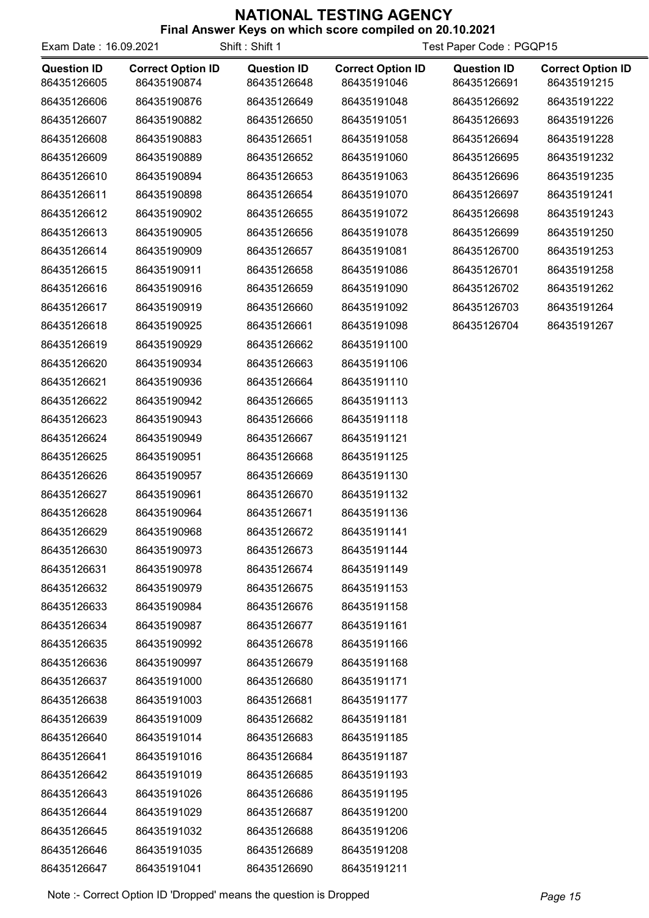| Exam Date: 16.09.2021             |                                         | Shift: Shift 1                    | Test Paper Code: PGQP15                 |                                   |                                         |
|-----------------------------------|-----------------------------------------|-----------------------------------|-----------------------------------------|-----------------------------------|-----------------------------------------|
| <b>Question ID</b><br>86435126605 | <b>Correct Option ID</b><br>86435190874 | <b>Question ID</b><br>86435126648 | <b>Correct Option ID</b><br>86435191046 | <b>Question ID</b><br>86435126691 | <b>Correct Option ID</b><br>86435191215 |
| 86435126606                       | 86435190876                             | 86435126649                       | 86435191048                             | 86435126692                       | 86435191222                             |
| 86435126607                       | 86435190882                             | 86435126650                       | 86435191051                             | 86435126693                       | 86435191226                             |
| 86435126608                       | 86435190883                             | 86435126651                       | 86435191058                             | 86435126694                       | 86435191228                             |
| 86435126609                       | 86435190889                             | 86435126652                       | 86435191060                             | 86435126695                       | 86435191232                             |
| 86435126610                       | 86435190894                             | 86435126653                       | 86435191063                             | 86435126696                       | 86435191235                             |
| 86435126611                       | 86435190898                             | 86435126654                       | 86435191070                             | 86435126697                       | 86435191241                             |
| 86435126612                       | 86435190902                             | 86435126655                       | 86435191072                             | 86435126698                       | 86435191243                             |
| 86435126613                       | 86435190905                             | 86435126656                       | 86435191078                             | 86435126699                       | 86435191250                             |
| 86435126614                       | 86435190909                             | 86435126657                       | 86435191081                             | 86435126700                       | 86435191253                             |
| 86435126615                       | 86435190911                             | 86435126658                       | 86435191086                             | 86435126701                       | 86435191258                             |
| 86435126616                       | 86435190916                             | 86435126659                       | 86435191090                             | 86435126702                       | 86435191262                             |
| 86435126617                       | 86435190919                             | 86435126660                       | 86435191092                             | 86435126703                       | 86435191264                             |
| 86435126618                       | 86435190925                             | 86435126661                       | 86435191098                             | 86435126704                       | 86435191267                             |
| 86435126619                       | 86435190929                             | 86435126662                       | 86435191100                             |                                   |                                         |
| 86435126620                       | 86435190934                             | 86435126663                       | 86435191106                             |                                   |                                         |
| 86435126621                       | 86435190936                             | 86435126664                       | 86435191110                             |                                   |                                         |
| 86435126622                       | 86435190942                             | 86435126665                       | 86435191113                             |                                   |                                         |
| 86435126623                       | 86435190943                             | 86435126666                       | 86435191118                             |                                   |                                         |
| 86435126624                       | 86435190949                             | 86435126667                       | 86435191121                             |                                   |                                         |
| 86435126625                       | 86435190951                             | 86435126668                       | 86435191125                             |                                   |                                         |
| 86435126626                       | 86435190957                             | 86435126669                       | 86435191130                             |                                   |                                         |
| 86435126627                       | 86435190961                             | 86435126670                       | 86435191132                             |                                   |                                         |
| 86435126628                       | 86435190964                             | 86435126671                       | 86435191136                             |                                   |                                         |
| 86435126629                       | 86435190968                             | 86435126672                       | 86435191141                             |                                   |                                         |
| 86435126630                       | 86435190973                             | 86435126673                       | 86435191144                             |                                   |                                         |
| 86435126631                       | 86435190978                             | 86435126674                       | 86435191149                             |                                   |                                         |
| 86435126632                       | 86435190979                             | 86435126675                       | 86435191153                             |                                   |                                         |
| 86435126633                       | 86435190984                             | 86435126676                       | 86435191158                             |                                   |                                         |
| 86435126634                       | 86435190987                             | 86435126677                       | 86435191161                             |                                   |                                         |
| 86435126635                       | 86435190992                             | 86435126678                       | 86435191166                             |                                   |                                         |
| 86435126636                       | 86435190997                             | 86435126679                       | 86435191168                             |                                   |                                         |
| 86435126637                       | 86435191000                             | 86435126680                       | 86435191171                             |                                   |                                         |
| 86435126638                       | 86435191003                             | 86435126681                       | 86435191177                             |                                   |                                         |
| 86435126639                       | 86435191009                             | 86435126682                       | 86435191181                             |                                   |                                         |
| 86435126640                       | 86435191014                             | 86435126683                       | 86435191185                             |                                   |                                         |
| 86435126641                       | 86435191016                             | 86435126684                       | 86435191187                             |                                   |                                         |
| 86435126642                       | 86435191019                             | 86435126685                       | 86435191193                             |                                   |                                         |
| 86435126643                       | 86435191026                             | 86435126686                       | 86435191195                             |                                   |                                         |
| 86435126644                       | 86435191029                             | 86435126687                       | 86435191200                             |                                   |                                         |
| 86435126645                       | 86435191032                             | 86435126688                       | 86435191206                             |                                   |                                         |
| 86435126646                       | 86435191035                             | 86435126689                       | 86435191208                             |                                   |                                         |
| 86435126647                       | 86435191041                             | 86435126690                       | 86435191211                             |                                   |                                         |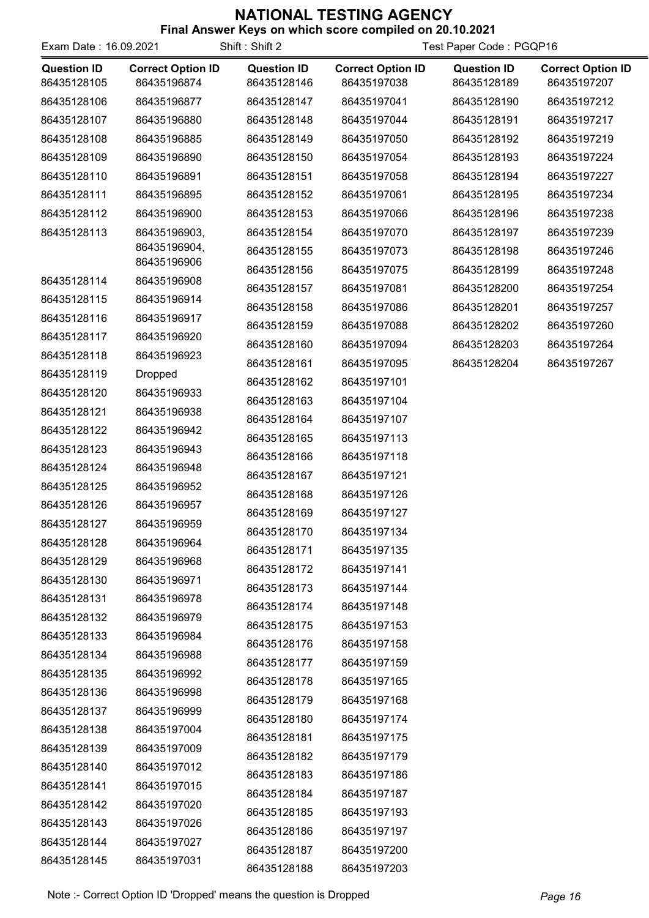| Exam Date: 16.09.2021             |                                         | Shift: Shift 2                    |                                         | Test Paper Code: PGQP16           |                                         |
|-----------------------------------|-----------------------------------------|-----------------------------------|-----------------------------------------|-----------------------------------|-----------------------------------------|
| <b>Question ID</b><br>86435128105 | <b>Correct Option ID</b><br>86435196874 | <b>Question ID</b><br>86435128146 | <b>Correct Option ID</b><br>86435197038 | <b>Question ID</b><br>86435128189 | <b>Correct Option ID</b><br>86435197207 |
| 86435128106                       | 86435196877                             | 86435128147                       | 86435197041                             | 86435128190                       | 86435197212                             |
| 86435128107                       | 86435196880                             | 86435128148                       | 86435197044                             | 86435128191                       | 86435197217                             |
| 86435128108                       | 86435196885                             | 86435128149                       | 86435197050                             | 86435128192                       | 86435197219                             |
| 86435128109                       | 86435196890                             | 86435128150                       | 86435197054                             | 86435128193                       | 86435197224                             |
| 86435128110                       | 86435196891                             | 86435128151                       | 86435197058                             | 86435128194                       | 86435197227                             |
| 86435128111                       | 86435196895                             | 86435128152                       | 86435197061                             | 86435128195                       | 86435197234                             |
| 86435128112                       | 86435196900                             | 86435128153                       | 86435197066                             | 86435128196                       | 86435197238                             |
| 86435128113                       | 86435196903,                            | 86435128154                       | 86435197070                             | 86435128197                       | 86435197239                             |
|                                   | 86435196904,                            | 86435128155                       | 86435197073                             | 86435128198                       | 86435197246                             |
|                                   | 86435196906                             | 86435128156                       | 86435197075                             | 86435128199                       | 86435197248                             |
| 86435128114                       | 86435196908                             | 86435128157                       | 86435197081                             | 86435128200                       | 86435197254                             |
| 86435128115                       | 86435196914                             | 86435128158                       | 86435197086                             | 86435128201                       | 86435197257                             |
| 86435128116                       | 86435196917                             | 86435128159                       | 86435197088                             | 86435128202                       | 86435197260                             |
| 86435128117                       | 86435196920                             | 86435128160                       | 86435197094                             | 86435128203                       | 86435197264                             |
| 86435128118                       | 86435196923                             | 86435128161                       | 86435197095                             | 86435128204                       | 86435197267                             |
| 86435128119                       | <b>Dropped</b>                          | 86435128162                       | 86435197101                             |                                   |                                         |
| 86435128120                       | 86435196933                             | 86435128163                       | 86435197104                             |                                   |                                         |
| 86435128121                       | 86435196938                             | 86435128164                       | 86435197107                             |                                   |                                         |
| 86435128122                       | 86435196942                             | 86435128165                       | 86435197113                             |                                   |                                         |
| 86435128123                       | 86435196943                             | 86435128166                       | 86435197118                             |                                   |                                         |
| 86435128124                       | 86435196948                             | 86435128167                       | 86435197121                             |                                   |                                         |
| 86435128125                       | 86435196952                             | 86435128168                       | 86435197126                             |                                   |                                         |
| 86435128126                       | 86435196957                             | 86435128169                       | 86435197127                             |                                   |                                         |
| 86435128127                       | 86435196959                             | 86435128170                       | 86435197134                             |                                   |                                         |
| 86435128128                       | 86435196964                             | 86435128171                       | 86435197135                             |                                   |                                         |
| 86435128129                       | 86435196968                             | 86435128172                       | 86435197141                             |                                   |                                         |
| 86435128130                       | 86435196971                             | 86435128173                       | 86435197144                             |                                   |                                         |
| 86435128131                       | 86435196978                             | 86435128174                       | 86435197148                             |                                   |                                         |
| 86435128132                       | 86435196979                             | 86435128175                       | 86435197153                             |                                   |                                         |
| 86435128133                       | 86435196984                             | 86435128176                       | 86435197158                             |                                   |                                         |
| 86435128134                       | 86435196988                             | 86435128177                       | 86435197159                             |                                   |                                         |
| 86435128135                       | 86435196992                             | 86435128178                       | 86435197165                             |                                   |                                         |
| 86435128136                       | 86435196998                             | 86435128179                       | 86435197168                             |                                   |                                         |
| 86435128137                       | 86435196999                             | 86435128180                       | 86435197174                             |                                   |                                         |
| 86435128138                       | 86435197004                             | 86435128181                       | 86435197175                             |                                   |                                         |
| 86435128139                       | 86435197009                             | 86435128182                       | 86435197179                             |                                   |                                         |
| 86435128140                       | 86435197012                             | 86435128183                       | 86435197186                             |                                   |                                         |
| 86435128141                       | 86435197015                             | 86435128184                       | 86435197187                             |                                   |                                         |
| 86435128142                       | 86435197020                             | 86435128185                       | 86435197193                             |                                   |                                         |
| 86435128143                       | 86435197026                             | 86435128186                       | 86435197197                             |                                   |                                         |
| 86435128144                       | 86435197027                             | 86435128187                       | 86435197200                             |                                   |                                         |
| 86435128145                       | 86435197031                             | 86435128188                       | 86435197203                             |                                   |                                         |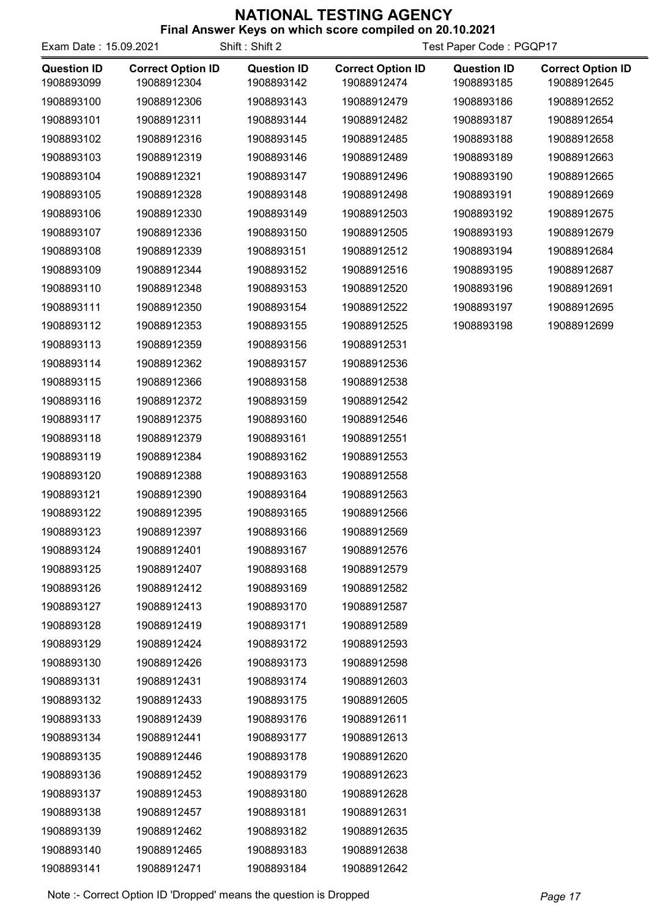| Exam Date: 15.09.2021            |                                         | כעטו וטאסווא ושווו ו<br><b>SIL MINOR SCOTE COMPREG ON EU. 19.2021</b><br>Shift: Shift 2<br>Test Paper Code: PGQP17 |                                         |                                  |                                         |
|----------------------------------|-----------------------------------------|--------------------------------------------------------------------------------------------------------------------|-----------------------------------------|----------------------------------|-----------------------------------------|
| <b>Question ID</b><br>1908893099 | <b>Correct Option ID</b><br>19088912304 | <b>Question ID</b><br>1908893142                                                                                   | <b>Correct Option ID</b><br>19088912474 | <b>Question ID</b><br>1908893185 | <b>Correct Option ID</b><br>19088912645 |
| 1908893100                       | 19088912306                             | 1908893143                                                                                                         | 19088912479                             | 1908893186                       | 19088912652                             |
| 1908893101                       | 19088912311                             | 1908893144                                                                                                         | 19088912482                             | 1908893187                       | 19088912654                             |
| 1908893102                       | 19088912316                             | 1908893145                                                                                                         | 19088912485                             | 1908893188                       | 19088912658                             |
| 1908893103                       | 19088912319                             | 1908893146                                                                                                         | 19088912489                             | 1908893189                       | 19088912663                             |
| 1908893104                       | 19088912321                             | 1908893147                                                                                                         | 19088912496                             | 1908893190                       | 19088912665                             |
| 1908893105                       | 19088912328                             | 1908893148                                                                                                         | 19088912498                             | 1908893191                       | 19088912669                             |
| 1908893106                       | 19088912330                             | 1908893149                                                                                                         | 19088912503                             | 1908893192                       | 19088912675                             |
| 1908893107                       | 19088912336                             | 1908893150                                                                                                         | 19088912505                             | 1908893193                       | 19088912679                             |
| 1908893108                       | 19088912339                             | 1908893151                                                                                                         | 19088912512                             | 1908893194                       | 19088912684                             |
| 1908893109                       | 19088912344                             | 1908893152                                                                                                         | 19088912516                             | 1908893195                       | 19088912687                             |
| 1908893110                       | 19088912348                             | 1908893153                                                                                                         | 19088912520                             | 1908893196                       | 19088912691                             |
| 1908893111                       | 19088912350                             | 1908893154                                                                                                         | 19088912522                             | 1908893197                       | 19088912695                             |
| 1908893112                       | 19088912353                             | 1908893155                                                                                                         | 19088912525                             | 1908893198                       | 19088912699                             |
| 1908893113                       | 19088912359                             | 1908893156                                                                                                         | 19088912531                             |                                  |                                         |
| 1908893114                       | 19088912362                             | 1908893157                                                                                                         | 19088912536                             |                                  |                                         |
| 1908893115                       | 19088912366                             | 1908893158                                                                                                         | 19088912538                             |                                  |                                         |
| 1908893116                       | 19088912372                             | 1908893159                                                                                                         | 19088912542                             |                                  |                                         |
| 1908893117                       | 19088912375                             | 1908893160                                                                                                         | 19088912546                             |                                  |                                         |
| 1908893118                       | 19088912379                             | 1908893161                                                                                                         | 19088912551                             |                                  |                                         |
| 1908893119                       | 19088912384                             | 1908893162                                                                                                         | 19088912553                             |                                  |                                         |
| 1908893120                       | 19088912388                             | 1908893163                                                                                                         | 19088912558                             |                                  |                                         |
| 1908893121                       | 19088912390                             | 1908893164                                                                                                         | 19088912563                             |                                  |                                         |
| 1908893122                       | 19088912395                             | 1908893165                                                                                                         | 19088912566                             |                                  |                                         |
| 1908893123                       | 19088912397                             | 1908893166                                                                                                         | 19088912569                             |                                  |                                         |
| 1908893124                       | 19088912401                             | 1908893167                                                                                                         | 19088912576                             |                                  |                                         |
| 1908893125                       | 19088912407                             | 1908893168                                                                                                         | 19088912579                             |                                  |                                         |
| 1908893126                       | 19088912412                             | 1908893169                                                                                                         | 19088912582                             |                                  |                                         |
| 1908893127                       | 19088912413                             | 1908893170                                                                                                         | 19088912587                             |                                  |                                         |
| 1908893128                       | 19088912419                             | 1908893171                                                                                                         | 19088912589                             |                                  |                                         |
| 1908893129                       | 19088912424                             | 1908893172                                                                                                         | 19088912593                             |                                  |                                         |
| 1908893130                       | 19088912426                             | 1908893173                                                                                                         | 19088912598                             |                                  |                                         |
| 1908893131                       | 19088912431                             | 1908893174                                                                                                         | 19088912603                             |                                  |                                         |
| 1908893132                       | 19088912433                             | 1908893175                                                                                                         | 19088912605                             |                                  |                                         |
| 1908893133                       | 19088912439                             | 1908893176                                                                                                         | 19088912611                             |                                  |                                         |
| 1908893134                       | 19088912441                             | 1908893177                                                                                                         | 19088912613                             |                                  |                                         |
| 1908893135                       | 19088912446                             | 1908893178                                                                                                         | 19088912620                             |                                  |                                         |
| 1908893136                       | 19088912452                             | 1908893179                                                                                                         | 19088912623                             |                                  |                                         |
| 1908893137                       | 19088912453                             | 1908893180                                                                                                         | 19088912628                             |                                  |                                         |
| 1908893138                       | 19088912457                             | 1908893181                                                                                                         | 19088912631                             |                                  |                                         |
| 1908893139                       | 19088912462                             | 1908893182                                                                                                         | 19088912635                             |                                  |                                         |
| 1908893140                       | 19088912465                             | 1908893183                                                                                                         | 19088912638                             |                                  |                                         |
| 1908893141                       | 19088912471                             | 1908893184                                                                                                         | 19088912642                             |                                  |                                         |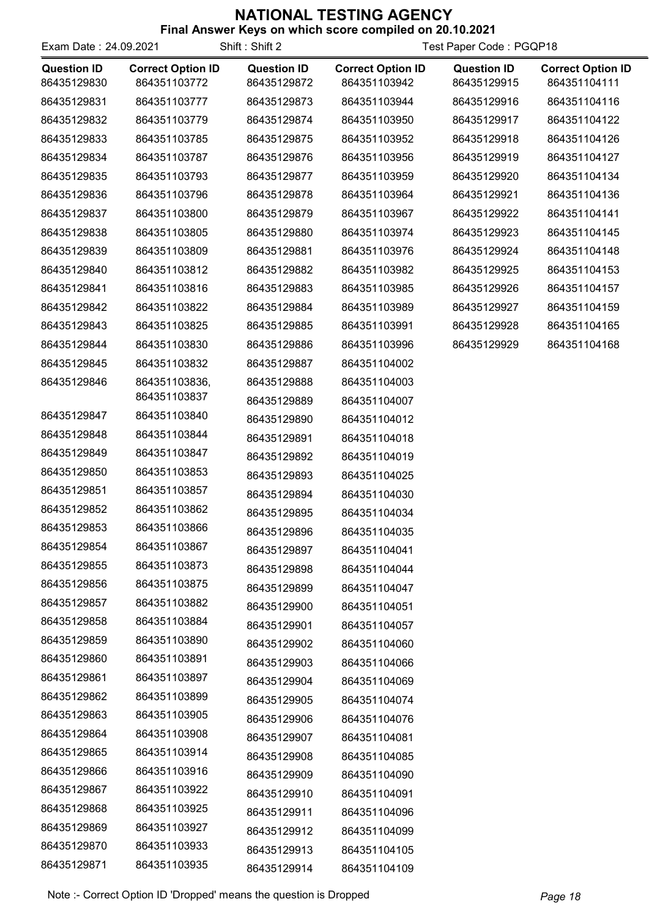| Exam Date: 24.09.2021             |                                          | Shift: Shift 2                    |                                          | Test Paper Code: PGQP18           |                                          |
|-----------------------------------|------------------------------------------|-----------------------------------|------------------------------------------|-----------------------------------|------------------------------------------|
| <b>Question ID</b><br>86435129830 | <b>Correct Option ID</b><br>864351103772 | <b>Question ID</b><br>86435129872 | <b>Correct Option ID</b><br>864351103942 | <b>Question ID</b><br>86435129915 | <b>Correct Option ID</b><br>864351104111 |
| 86435129831                       | 864351103777                             | 86435129873                       | 864351103944                             | 86435129916                       | 864351104116                             |
| 86435129832                       | 864351103779                             | 86435129874                       | 864351103950                             | 86435129917                       | 864351104122                             |
| 86435129833                       | 864351103785                             | 86435129875                       | 864351103952                             | 86435129918                       | 864351104126                             |
| 86435129834                       | 864351103787                             | 86435129876                       | 864351103956                             | 86435129919                       | 864351104127                             |
| 86435129835                       | 864351103793                             | 86435129877                       | 864351103959                             | 86435129920                       | 864351104134                             |
| 86435129836                       | 864351103796                             | 86435129878                       | 864351103964                             | 86435129921                       | 864351104136                             |
| 86435129837                       | 864351103800                             | 86435129879                       | 864351103967                             | 86435129922                       | 864351104141                             |
| 86435129838                       | 864351103805                             | 86435129880                       | 864351103974                             | 86435129923                       | 864351104145                             |
| 86435129839                       | 864351103809                             | 86435129881                       | 864351103976                             | 86435129924                       | 864351104148                             |
| 86435129840                       | 864351103812                             | 86435129882                       | 864351103982                             | 86435129925                       | 864351104153                             |
| 86435129841                       | 864351103816                             | 86435129883                       | 864351103985                             | 86435129926                       | 864351104157                             |
| 86435129842                       | 864351103822                             | 86435129884                       | 864351103989                             | 86435129927                       | 864351104159                             |
| 86435129843                       | 864351103825                             | 86435129885                       | 864351103991                             | 86435129928                       | 864351104165                             |
| 86435129844                       | 864351103830                             | 86435129886                       | 864351103996                             | 86435129929                       | 864351104168                             |
| 86435129845                       | 864351103832                             | 86435129887                       | 864351104002                             |                                   |                                          |
| 86435129846                       | 864351103836,                            | 86435129888                       | 864351104003                             |                                   |                                          |
|                                   | 864351103837                             | 86435129889                       | 864351104007                             |                                   |                                          |
| 86435129847                       | 864351103840                             | 86435129890                       | 864351104012                             |                                   |                                          |
| 86435129848                       | 864351103844                             | 86435129891                       | 864351104018                             |                                   |                                          |
| 86435129849                       | 864351103847                             | 86435129892                       | 864351104019                             |                                   |                                          |
| 86435129850                       | 864351103853                             | 86435129893                       | 864351104025                             |                                   |                                          |
| 86435129851                       | 864351103857                             | 86435129894                       | 864351104030                             |                                   |                                          |
| 86435129852                       | 864351103862                             | 86435129895                       | 864351104034                             |                                   |                                          |
| 86435129853                       | 864351103866                             | 86435129896                       | 864351104035                             |                                   |                                          |
| 86435129854                       | 864351103867                             | 86435129897                       | 864351104041                             |                                   |                                          |
| 86435129855                       | 864351103873                             | 86435129898                       | 864351104044                             |                                   |                                          |
| 86435129856                       | 864351103875                             | 86435129899                       | 864351104047                             |                                   |                                          |
| 86435129857                       | 864351103882                             | 86435129900                       | 864351104051                             |                                   |                                          |
| 86435129858                       | 864351103884                             | 86435129901                       | 864351104057                             |                                   |                                          |
| 86435129859                       | 864351103890                             | 86435129902                       | 864351104060                             |                                   |                                          |
| 86435129860                       | 864351103891                             | 86435129903                       | 864351104066                             |                                   |                                          |
| 86435129861                       | 864351103897                             | 86435129904                       | 864351104069                             |                                   |                                          |
| 86435129862                       | 864351103899                             | 86435129905                       | 864351104074                             |                                   |                                          |
| 86435129863                       | 864351103905                             | 86435129906                       | 864351104076                             |                                   |                                          |
| 86435129864                       | 864351103908                             | 86435129907                       | 864351104081                             |                                   |                                          |
| 86435129865                       | 864351103914                             | 86435129908                       | 864351104085                             |                                   |                                          |
| 86435129866                       | 864351103916                             | 86435129909                       | 864351104090                             |                                   |                                          |
| 86435129867                       | 864351103922                             | 86435129910                       | 864351104091                             |                                   |                                          |
| 86435129868                       | 864351103925                             | 86435129911                       | 864351104096                             |                                   |                                          |
| 86435129869                       | 864351103927                             | 86435129912                       | 864351104099                             |                                   |                                          |
| 86435129870                       | 864351103933                             | 86435129913                       | 864351104105                             |                                   |                                          |
| 86435129871                       | 864351103935                             | 86435129914                       | 864351104109                             |                                   |                                          |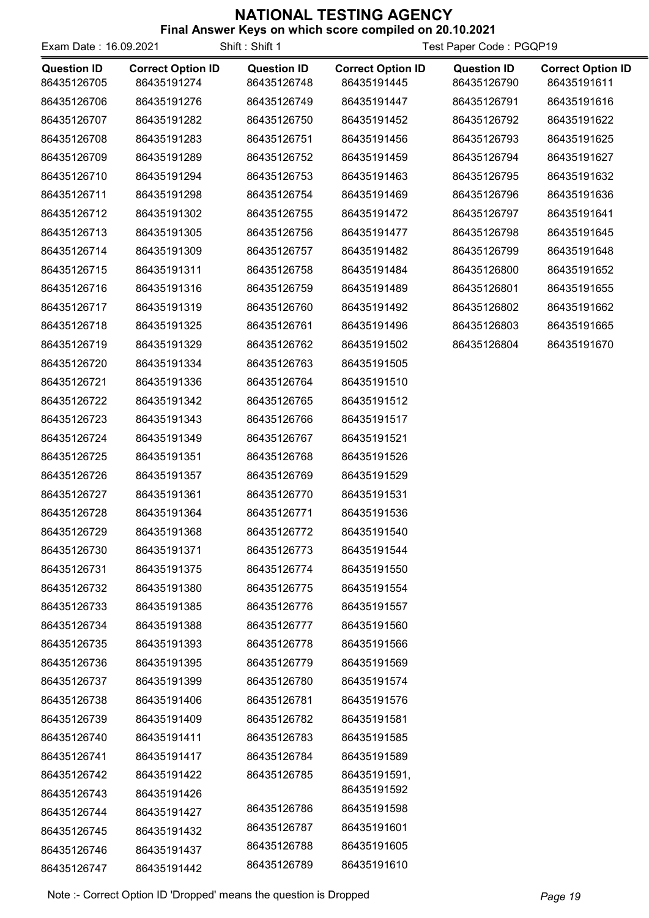| Exam Date: 16.09.2021             |                                         | Shift: Shift 1                    | Test Paper Code: PGQP19                 |                                   |                                         |
|-----------------------------------|-----------------------------------------|-----------------------------------|-----------------------------------------|-----------------------------------|-----------------------------------------|
| <b>Question ID</b><br>86435126705 | <b>Correct Option ID</b><br>86435191274 | <b>Question ID</b><br>86435126748 | <b>Correct Option ID</b><br>86435191445 | <b>Question ID</b><br>86435126790 | <b>Correct Option ID</b><br>86435191611 |
| 86435126706                       | 86435191276                             | 86435126749                       | 86435191447                             | 86435126791                       | 86435191616                             |
| 86435126707                       | 86435191282                             | 86435126750                       | 86435191452                             | 86435126792                       | 86435191622                             |
| 86435126708                       | 86435191283                             | 86435126751                       | 86435191456                             | 86435126793                       | 86435191625                             |
| 86435126709                       | 86435191289                             | 86435126752                       | 86435191459                             | 86435126794                       | 86435191627                             |
| 86435126710                       | 86435191294                             | 86435126753                       | 86435191463                             | 86435126795                       | 86435191632                             |
| 86435126711                       | 86435191298                             | 86435126754                       | 86435191469                             | 86435126796                       | 86435191636                             |
| 86435126712                       | 86435191302                             | 86435126755                       | 86435191472                             | 86435126797                       | 86435191641                             |
| 86435126713                       | 86435191305                             | 86435126756                       | 86435191477                             | 86435126798                       | 86435191645                             |
| 86435126714                       | 86435191309                             | 86435126757                       | 86435191482                             | 86435126799                       | 86435191648                             |
| 86435126715                       | 86435191311                             | 86435126758                       | 86435191484                             | 86435126800                       | 86435191652                             |
| 86435126716                       | 86435191316                             | 86435126759                       | 86435191489                             | 86435126801                       | 86435191655                             |
| 86435126717                       | 86435191319                             | 86435126760                       | 86435191492                             | 86435126802                       | 86435191662                             |
| 86435126718                       | 86435191325                             | 86435126761                       | 86435191496                             | 86435126803                       | 86435191665                             |
| 86435126719                       | 86435191329                             | 86435126762                       | 86435191502                             | 86435126804                       | 86435191670                             |
| 86435126720                       | 86435191334                             | 86435126763                       | 86435191505                             |                                   |                                         |
| 86435126721                       | 86435191336                             | 86435126764                       | 86435191510                             |                                   |                                         |
| 86435126722                       | 86435191342                             | 86435126765                       | 86435191512                             |                                   |                                         |
| 86435126723                       | 86435191343                             | 86435126766                       | 86435191517                             |                                   |                                         |
| 86435126724                       | 86435191349                             | 86435126767                       | 86435191521                             |                                   |                                         |
| 86435126725                       | 86435191351                             | 86435126768                       | 86435191526                             |                                   |                                         |
| 86435126726                       | 86435191357                             | 86435126769                       | 86435191529                             |                                   |                                         |
| 86435126727                       | 86435191361                             | 86435126770                       | 86435191531                             |                                   |                                         |
| 86435126728                       | 86435191364                             | 86435126771                       | 86435191536                             |                                   |                                         |
| 86435126729                       | 86435191368                             | 86435126772                       | 86435191540                             |                                   |                                         |
| 86435126730                       | 86435191371                             | 86435126773                       | 86435191544                             |                                   |                                         |
| 86435126731                       | 86435191375                             | 86435126774                       | 86435191550                             |                                   |                                         |
| 86435126732                       | 86435191380                             | 86435126775                       | 86435191554                             |                                   |                                         |
| 86435126733                       | 86435191385                             | 86435126776                       | 86435191557                             |                                   |                                         |
| 86435126734                       | 86435191388                             | 86435126777                       | 86435191560                             |                                   |                                         |
| 86435126735                       | 86435191393                             | 86435126778                       | 86435191566                             |                                   |                                         |
| 86435126736                       | 86435191395                             | 86435126779                       | 86435191569                             |                                   |                                         |
| 86435126737                       | 86435191399                             | 86435126780                       | 86435191574                             |                                   |                                         |
| 86435126738                       | 86435191406                             | 86435126781                       | 86435191576                             |                                   |                                         |
| 86435126739                       | 86435191409                             | 86435126782                       | 86435191581                             |                                   |                                         |
| 86435126740                       | 86435191411                             | 86435126783                       | 86435191585                             |                                   |                                         |
| 86435126741                       | 86435191417                             | 86435126784                       | 86435191589                             |                                   |                                         |
| 86435126742                       | 86435191422                             | 86435126785                       | 86435191591,                            |                                   |                                         |
| 86435126743                       | 86435191426                             |                                   | 86435191592                             |                                   |                                         |
| 86435126744                       | 86435191427                             | 86435126786                       | 86435191598                             |                                   |                                         |
| 86435126745                       | 86435191432                             | 86435126787                       | 86435191601                             |                                   |                                         |
| 86435126746                       | 86435191437                             | 86435126788                       | 86435191605                             |                                   |                                         |
| 86435126747                       | 86435191442                             | 86435126789                       | 86435191610                             |                                   |                                         |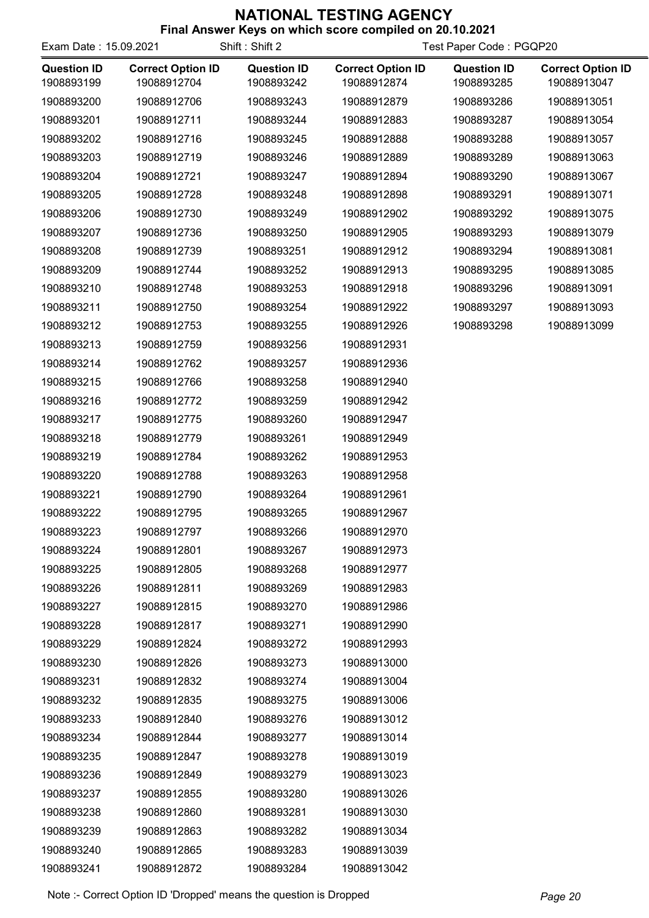|                                  | כעטו וטאסווא ושווו ו<br><b>SIL MINOR SCOTE COMPREG ON EU. 19.2021</b><br>Shift: Shift 2<br>Exam Date: 15.09.2021<br>Test Paper Code: PGQP20 |                                  |                                         |                                  |                                         |
|----------------------------------|---------------------------------------------------------------------------------------------------------------------------------------------|----------------------------------|-----------------------------------------|----------------------------------|-----------------------------------------|
| <b>Question ID</b><br>1908893199 | <b>Correct Option ID</b><br>19088912704                                                                                                     | <b>Question ID</b><br>1908893242 | <b>Correct Option ID</b><br>19088912874 | <b>Question ID</b><br>1908893285 | <b>Correct Option ID</b><br>19088913047 |
| 1908893200                       | 19088912706                                                                                                                                 | 1908893243                       | 19088912879                             | 1908893286                       | 19088913051                             |
| 1908893201                       | 19088912711                                                                                                                                 | 1908893244                       | 19088912883                             | 1908893287                       | 19088913054                             |
| 1908893202                       | 19088912716                                                                                                                                 | 1908893245                       | 19088912888                             | 1908893288                       | 19088913057                             |
| 1908893203                       | 19088912719                                                                                                                                 | 1908893246                       | 19088912889                             | 1908893289                       | 19088913063                             |
| 1908893204                       | 19088912721                                                                                                                                 | 1908893247                       | 19088912894                             | 1908893290                       | 19088913067                             |
| 1908893205                       | 19088912728                                                                                                                                 | 1908893248                       | 19088912898                             | 1908893291                       | 19088913071                             |
| 1908893206                       | 19088912730                                                                                                                                 | 1908893249                       | 19088912902                             | 1908893292                       | 19088913075                             |
| 1908893207                       | 19088912736                                                                                                                                 | 1908893250                       | 19088912905                             | 1908893293                       | 19088913079                             |
| 1908893208                       | 19088912739                                                                                                                                 | 1908893251                       | 19088912912                             | 1908893294                       | 19088913081                             |
| 1908893209                       | 19088912744                                                                                                                                 | 1908893252                       | 19088912913                             | 1908893295                       | 19088913085                             |
| 1908893210                       | 19088912748                                                                                                                                 | 1908893253                       | 19088912918                             | 1908893296                       | 19088913091                             |
| 1908893211                       | 19088912750                                                                                                                                 | 1908893254                       | 19088912922                             | 1908893297                       | 19088913093                             |
| 1908893212                       | 19088912753                                                                                                                                 | 1908893255                       | 19088912926                             | 1908893298                       | 19088913099                             |
| 1908893213                       | 19088912759                                                                                                                                 | 1908893256                       | 19088912931                             |                                  |                                         |
| 1908893214                       | 19088912762                                                                                                                                 | 1908893257                       | 19088912936                             |                                  |                                         |
| 1908893215                       | 19088912766                                                                                                                                 | 1908893258                       | 19088912940                             |                                  |                                         |
| 1908893216                       | 19088912772                                                                                                                                 | 1908893259                       | 19088912942                             |                                  |                                         |
| 1908893217                       | 19088912775                                                                                                                                 | 1908893260                       | 19088912947                             |                                  |                                         |
| 1908893218                       | 19088912779                                                                                                                                 | 1908893261                       | 19088912949                             |                                  |                                         |
| 1908893219                       | 19088912784                                                                                                                                 | 1908893262                       | 19088912953                             |                                  |                                         |
| 1908893220                       | 19088912788                                                                                                                                 | 1908893263                       | 19088912958                             |                                  |                                         |
| 1908893221                       | 19088912790                                                                                                                                 | 1908893264                       | 19088912961                             |                                  |                                         |
| 1908893222                       | 19088912795                                                                                                                                 | 1908893265                       | 19088912967                             |                                  |                                         |
| 1908893223                       | 19088912797                                                                                                                                 | 1908893266                       | 19088912970                             |                                  |                                         |
| 1908893224                       | 19088912801                                                                                                                                 | 1908893267                       | 19088912973                             |                                  |                                         |
| 1908893225                       | 19088912805                                                                                                                                 | 1908893268                       | 19088912977                             |                                  |                                         |
| 1908893226                       | 19088912811                                                                                                                                 | 1908893269                       | 19088912983                             |                                  |                                         |
| 1908893227                       | 19088912815                                                                                                                                 | 1908893270                       | 19088912986                             |                                  |                                         |
| 1908893228                       | 19088912817                                                                                                                                 | 1908893271                       | 19088912990                             |                                  |                                         |
| 1908893229                       | 19088912824                                                                                                                                 | 1908893272                       | 19088912993                             |                                  |                                         |
| 1908893230                       | 19088912826                                                                                                                                 | 1908893273                       | 19088913000                             |                                  |                                         |
| 1908893231                       | 19088912832                                                                                                                                 | 1908893274                       | 19088913004                             |                                  |                                         |
| 1908893232                       | 19088912835                                                                                                                                 | 1908893275                       | 19088913006                             |                                  |                                         |
| 1908893233                       | 19088912840                                                                                                                                 | 1908893276                       | 19088913012                             |                                  |                                         |
| 1908893234                       | 19088912844                                                                                                                                 | 1908893277                       | 19088913014                             |                                  |                                         |
| 1908893235                       | 19088912847                                                                                                                                 | 1908893278                       | 19088913019                             |                                  |                                         |
| 1908893236                       | 19088912849                                                                                                                                 | 1908893279                       | 19088913023                             |                                  |                                         |
| 1908893237                       | 19088912855                                                                                                                                 | 1908893280                       | 19088913026                             |                                  |                                         |
| 1908893238                       | 19088912860                                                                                                                                 | 1908893281                       | 19088913030                             |                                  |                                         |
| 1908893239                       | 19088912863                                                                                                                                 | 1908893282                       | 19088913034                             |                                  |                                         |
| 1908893240                       | 19088912865                                                                                                                                 | 1908893283                       | 19088913039                             |                                  |                                         |
| 1908893241                       | 19088912872                                                                                                                                 | 1908893284                       | 19088913042                             |                                  |                                         |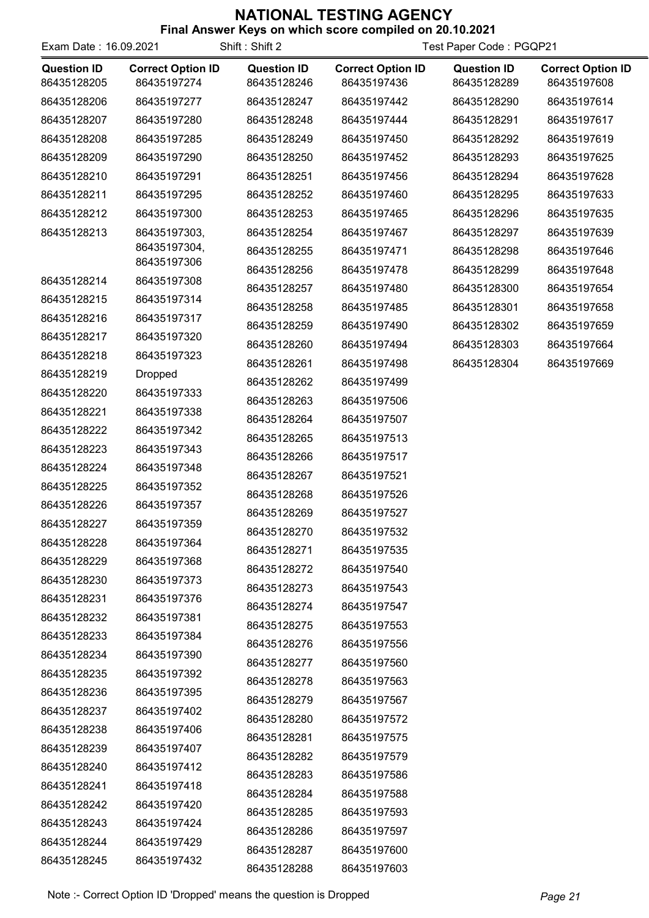| Exam Date: 16.09.2021             |                                         | Shift: Shift 2                    | Test Paper Code: PGQP21                 |                                   |                                         |
|-----------------------------------|-----------------------------------------|-----------------------------------|-----------------------------------------|-----------------------------------|-----------------------------------------|
| <b>Question ID</b><br>86435128205 | <b>Correct Option ID</b><br>86435197274 | <b>Question ID</b><br>86435128246 | <b>Correct Option ID</b><br>86435197436 | <b>Question ID</b><br>86435128289 | <b>Correct Option ID</b><br>86435197608 |
| 86435128206                       | 86435197277                             | 86435128247                       | 86435197442                             | 86435128290                       | 86435197614                             |
| 86435128207                       | 86435197280                             | 86435128248                       | 86435197444                             | 86435128291                       | 86435197617                             |
| 86435128208                       | 86435197285                             | 86435128249                       | 86435197450                             | 86435128292                       | 86435197619                             |
| 86435128209                       | 86435197290                             | 86435128250                       | 86435197452                             | 86435128293                       | 86435197625                             |
| 86435128210                       | 86435197291                             | 86435128251                       | 86435197456                             | 86435128294                       | 86435197628                             |
| 86435128211                       | 86435197295                             | 86435128252                       | 86435197460                             | 86435128295                       | 86435197633                             |
| 86435128212                       | 86435197300                             | 86435128253                       | 86435197465                             | 86435128296                       | 86435197635                             |
| 86435128213                       | 86435197303,                            | 86435128254                       | 86435197467                             | 86435128297                       | 86435197639                             |
|                                   | 86435197304,                            | 86435128255                       | 86435197471                             | 86435128298                       | 86435197646                             |
|                                   | 86435197306                             | 86435128256                       | 86435197478                             | 86435128299                       | 86435197648                             |
| 86435128214                       | 86435197308                             | 86435128257                       | 86435197480                             | 86435128300                       | 86435197654                             |
| 86435128215                       | 86435197314                             | 86435128258                       | 86435197485                             | 86435128301                       | 86435197658                             |
| 86435128216                       | 86435197317                             | 86435128259                       | 86435197490                             | 86435128302                       | 86435197659                             |
| 86435128217                       | 86435197320                             | 86435128260                       | 86435197494                             | 86435128303                       | 86435197664                             |
| 86435128218                       | 86435197323                             | 86435128261                       | 86435197498                             | 86435128304                       | 86435197669                             |
| 86435128219                       | <b>Dropped</b>                          | 86435128262                       | 86435197499                             |                                   |                                         |
| 86435128220                       | 86435197333                             | 86435128263                       | 86435197506                             |                                   |                                         |
| 86435128221                       | 86435197338                             | 86435128264                       | 86435197507                             |                                   |                                         |
| 86435128222                       | 86435197342                             | 86435128265                       | 86435197513                             |                                   |                                         |
| 86435128223                       | 86435197343                             | 86435128266                       | 86435197517                             |                                   |                                         |
| 86435128224                       | 86435197348                             | 86435128267                       | 86435197521                             |                                   |                                         |
| 86435128225                       | 86435197352                             | 86435128268                       | 86435197526                             |                                   |                                         |
| 86435128226                       | 86435197357                             | 86435128269                       | 86435197527                             |                                   |                                         |
| 86435128227                       | 86435197359                             | 86435128270                       | 86435197532                             |                                   |                                         |
| 86435128228                       | 86435197364                             | 86435128271                       | 86435197535                             |                                   |                                         |
| 86435128229                       | 86435197368                             | 86435128272                       | 86435197540                             |                                   |                                         |
| 86435128230                       | 86435197373                             | 86435128273                       | 86435197543                             |                                   |                                         |
| 86435128231                       | 86435197376                             | 86435128274                       | 86435197547                             |                                   |                                         |
| 86435128232                       | 86435197381                             | 86435128275                       | 86435197553                             |                                   |                                         |
| 86435128233                       | 86435197384                             | 86435128276                       | 86435197556                             |                                   |                                         |
| 86435128234                       | 86435197390                             | 86435128277                       | 86435197560                             |                                   |                                         |
| 86435128235                       | 86435197392                             | 86435128278                       | 86435197563                             |                                   |                                         |
| 86435128236                       | 86435197395                             | 86435128279                       | 86435197567                             |                                   |                                         |
| 86435128237                       | 86435197402                             | 86435128280                       | 86435197572                             |                                   |                                         |
| 86435128238                       | 86435197406                             | 86435128281                       | 86435197575                             |                                   |                                         |
| 86435128239                       | 86435197407                             | 86435128282                       | 86435197579                             |                                   |                                         |
| 86435128240                       | 86435197412                             | 86435128283                       | 86435197586                             |                                   |                                         |
| 86435128241                       | 86435197418                             | 86435128284                       | 86435197588                             |                                   |                                         |
| 86435128242                       | 86435197420                             | 86435128285                       | 86435197593                             |                                   |                                         |
| 86435128243                       | 86435197424                             | 86435128286                       | 86435197597                             |                                   |                                         |
| 86435128244                       | 86435197429                             | 86435128287                       | 86435197600                             |                                   |                                         |
| 86435128245                       | 86435197432                             | 86435128288                       | 86435197603                             |                                   |                                         |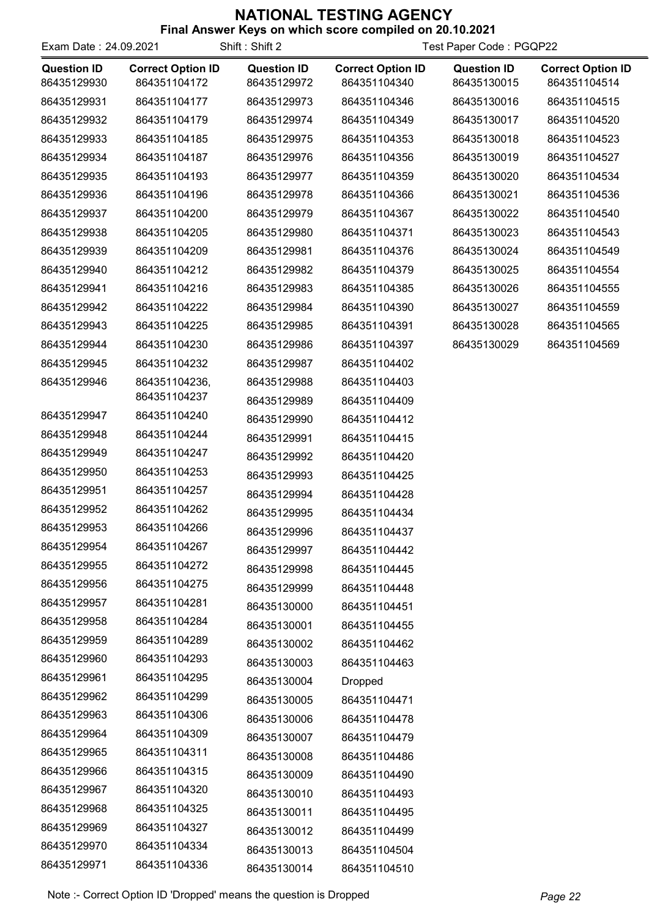| Exam Date: 24.09.2021             |                                          | Shift: Shift 2                    | Test Paper Code: PGQP22                  |                                   |                                          |
|-----------------------------------|------------------------------------------|-----------------------------------|------------------------------------------|-----------------------------------|------------------------------------------|
| <b>Question ID</b><br>86435129930 | <b>Correct Option ID</b><br>864351104172 | <b>Question ID</b><br>86435129972 | <b>Correct Option ID</b><br>864351104340 | <b>Question ID</b><br>86435130015 | <b>Correct Option ID</b><br>864351104514 |
| 86435129931                       | 864351104177                             | 86435129973                       | 864351104346                             | 86435130016                       | 864351104515                             |
| 86435129932                       | 864351104179                             | 86435129974                       | 864351104349                             | 86435130017                       | 864351104520                             |
| 86435129933                       | 864351104185                             | 86435129975                       | 864351104353                             | 86435130018                       | 864351104523                             |
| 86435129934                       | 864351104187                             | 86435129976                       | 864351104356                             | 86435130019                       | 864351104527                             |
| 86435129935                       | 864351104193                             | 86435129977                       | 864351104359                             | 86435130020                       | 864351104534                             |
| 86435129936                       | 864351104196                             | 86435129978                       | 864351104366                             | 86435130021                       | 864351104536                             |
| 86435129937                       | 864351104200                             | 86435129979                       | 864351104367                             | 86435130022                       | 864351104540                             |
| 86435129938                       | 864351104205                             | 86435129980                       | 864351104371                             | 86435130023                       | 864351104543                             |
| 86435129939                       | 864351104209                             | 86435129981                       | 864351104376                             | 86435130024                       | 864351104549                             |
| 86435129940                       | 864351104212                             | 86435129982                       | 864351104379                             | 86435130025                       | 864351104554                             |
| 86435129941                       | 864351104216                             | 86435129983                       | 864351104385                             | 86435130026                       | 864351104555                             |
| 86435129942                       | 864351104222                             | 86435129984                       | 864351104390                             | 86435130027                       | 864351104559                             |
| 86435129943                       | 864351104225                             | 86435129985                       | 864351104391                             | 86435130028                       | 864351104565                             |
| 86435129944                       | 864351104230                             | 86435129986                       | 864351104397                             | 86435130029                       | 864351104569                             |
| 86435129945                       | 864351104232                             | 86435129987                       | 864351104402                             |                                   |                                          |
| 86435129946                       | 864351104236,                            | 86435129988                       | 864351104403                             |                                   |                                          |
|                                   | 864351104237                             | 86435129989                       | 864351104409                             |                                   |                                          |
| 86435129947                       | 864351104240                             | 86435129990                       | 864351104412                             |                                   |                                          |
| 86435129948                       | 864351104244                             | 86435129991                       | 864351104415                             |                                   |                                          |
| 86435129949                       | 864351104247                             | 86435129992                       | 864351104420                             |                                   |                                          |
| 86435129950                       | 864351104253                             | 86435129993                       | 864351104425                             |                                   |                                          |
| 86435129951                       | 864351104257                             | 86435129994                       | 864351104428                             |                                   |                                          |
| 86435129952                       | 864351104262                             | 86435129995                       | 864351104434                             |                                   |                                          |
| 86435129953                       | 864351104266                             | 86435129996                       | 864351104437                             |                                   |                                          |
| 86435129954                       | 864351104267                             | 86435129997                       | 864351104442                             |                                   |                                          |
| 86435129955                       | 864351104272                             | 86435129998                       | 864351104445                             |                                   |                                          |
| 86435129956                       | 864351104275                             | 86435129999                       | 864351104448                             |                                   |                                          |
| 86435129957                       | 864351104281                             | 86435130000                       | 864351104451                             |                                   |                                          |
| 86435129958                       | 864351104284                             | 86435130001                       | 864351104455                             |                                   |                                          |
| 86435129959                       | 864351104289                             | 86435130002                       | 864351104462                             |                                   |                                          |
| 86435129960                       | 864351104293                             | 86435130003                       | 864351104463                             |                                   |                                          |
| 86435129961                       | 864351104295                             | 86435130004                       | <b>Dropped</b>                           |                                   |                                          |
| 86435129962                       | 864351104299                             | 86435130005                       | 864351104471                             |                                   |                                          |
| 86435129963                       | 864351104306                             | 86435130006                       | 864351104478                             |                                   |                                          |
| 86435129964                       | 864351104309                             | 86435130007                       | 864351104479                             |                                   |                                          |
| 86435129965                       | 864351104311                             | 86435130008                       | 864351104486                             |                                   |                                          |
| 86435129966                       | 864351104315                             | 86435130009                       | 864351104490                             |                                   |                                          |
| 86435129967                       | 864351104320                             | 86435130010                       | 864351104493                             |                                   |                                          |
| 86435129968                       | 864351104325                             | 86435130011                       | 864351104495                             |                                   |                                          |
| 86435129969                       | 864351104327                             | 86435130012                       | 864351104499                             |                                   |                                          |
| 86435129970                       | 864351104334                             | 86435130013                       | 864351104504                             |                                   |                                          |
| 86435129971                       | 864351104336                             | 86435130014                       | 864351104510                             |                                   |                                          |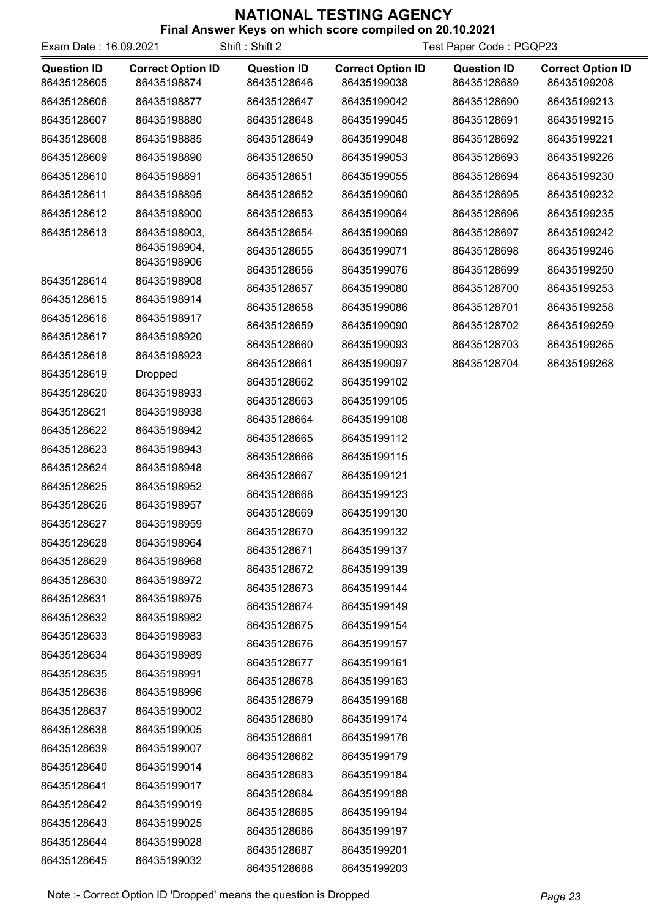| Exam Date: 16.09.2021             |                                         | Shift: Shift 2                    | Test Paper Code: PGQP23                 |                                   |                                         |
|-----------------------------------|-----------------------------------------|-----------------------------------|-----------------------------------------|-----------------------------------|-----------------------------------------|
| <b>Question ID</b><br>86435128605 | <b>Correct Option ID</b><br>86435198874 | <b>Question ID</b><br>86435128646 | <b>Correct Option ID</b><br>86435199038 | <b>Question ID</b><br>86435128689 | <b>Correct Option ID</b><br>86435199208 |
| 86435128606                       | 86435198877                             | 86435128647                       | 86435199042                             | 86435128690                       | 86435199213                             |
| 86435128607                       | 86435198880                             | 86435128648                       | 86435199045                             | 86435128691                       | 86435199215                             |
| 86435128608                       | 86435198885                             | 86435128649                       | 86435199048                             | 86435128692                       | 86435199221                             |
| 86435128609                       | 86435198890                             | 86435128650                       | 86435199053                             | 86435128693                       | 86435199226                             |
| 86435128610                       | 86435198891                             | 86435128651                       | 86435199055                             | 86435128694                       | 86435199230                             |
| 86435128611                       | 86435198895                             | 86435128652                       | 86435199060                             | 86435128695                       | 86435199232                             |
| 86435128612                       | 86435198900                             | 86435128653                       | 86435199064                             | 86435128696                       | 86435199235                             |
| 86435128613                       | 86435198903,                            | 86435128654                       | 86435199069                             | 86435128697                       | 86435199242                             |
|                                   | 86435198904,                            | 86435128655                       | 86435199071                             | 86435128698                       | 86435199246                             |
|                                   | 86435198906<br>86435198908              | 86435128656                       | 86435199076                             | 86435128699                       | 86435199250                             |
| 86435128614                       |                                         | 86435128657                       | 86435199080                             | 86435128700                       | 86435199253                             |
| 86435128615                       | 86435198914                             | 86435128658                       | 86435199086                             | 86435128701                       | 86435199258                             |
| 86435128616                       | 86435198917                             | 86435128659                       | 86435199090                             | 86435128702                       | 86435199259                             |
| 86435128617                       | 86435198920                             | 86435128660                       | 86435199093                             | 86435128703                       | 86435199265                             |
| 86435128618                       | 86435198923                             | 86435128661                       | 86435199097                             | 86435128704                       | 86435199268                             |
| 86435128619                       | <b>Dropped</b>                          | 86435128662                       | 86435199102                             |                                   |                                         |
| 86435128620                       | 86435198933                             | 86435128663                       | 86435199105                             |                                   |                                         |
| 86435128621                       | 86435198938                             | 86435128664                       | 86435199108                             |                                   |                                         |
| 86435128622                       | 86435198942                             | 86435128665                       | 86435199112                             |                                   |                                         |
| 86435128623                       | 86435198943                             | 86435128666                       | 86435199115                             |                                   |                                         |
| 86435128624                       | 86435198948                             | 86435128667                       | 86435199121                             |                                   |                                         |
| 86435128625                       | 86435198952                             | 86435128668                       | 86435199123                             |                                   |                                         |
| 86435128626<br>86435128627        | 86435198957<br>86435198959              | 86435128669                       | 86435199130                             |                                   |                                         |
|                                   |                                         | 86435128670                       | 86435199132                             |                                   |                                         |
| 86435128628                       | 86435198964                             | 86435128671                       | 86435199137                             |                                   |                                         |
| 86435128629<br>86435128630        | 86435198968                             | 86435128672                       | 86435199139                             |                                   |                                         |
| 86435128631                       | 86435198972<br>86435198975              | 86435128673                       | 86435199144                             |                                   |                                         |
| 86435128632                       | 86435198982                             | 86435128674                       | 86435199149                             |                                   |                                         |
| 86435128633                       | 86435198983                             | 86435128675                       | 86435199154                             |                                   |                                         |
| 86435128634                       | 86435198989                             | 86435128676                       | 86435199157                             |                                   |                                         |
| 86435128635                       | 86435198991                             | 86435128677                       | 86435199161                             |                                   |                                         |
| 86435128636                       | 86435198996                             | 86435128678                       | 86435199163                             |                                   |                                         |
| 86435128637                       | 86435199002                             | 86435128679                       | 86435199168                             |                                   |                                         |
| 86435128638                       | 86435199005                             | 86435128680                       | 86435199174                             |                                   |                                         |
| 86435128639                       | 86435199007                             | 86435128681                       | 86435199176                             |                                   |                                         |
| 86435128640                       | 86435199014                             | 86435128682                       | 86435199179                             |                                   |                                         |
| 86435128641                       | 86435199017                             | 86435128683                       | 86435199184                             |                                   |                                         |
| 86435128642                       | 86435199019                             | 86435128684                       | 86435199188                             |                                   |                                         |
| 86435128643                       | 86435199025                             | 86435128685                       | 86435199194                             |                                   |                                         |
| 86435128644                       |                                         | 86435128686                       | 86435199197                             |                                   |                                         |
|                                   | 86435199028                             | 86435128687                       | 86435199201                             |                                   |                                         |
| 86435128645                       | 86435199032                             | 86435128688                       | 86435199203                             |                                   |                                         |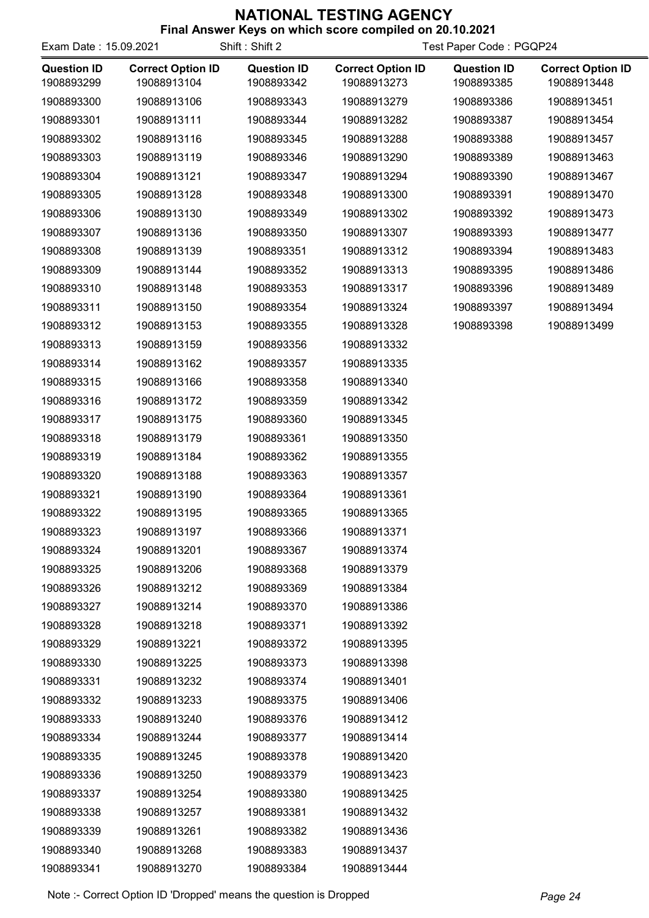| Exam Date: 15.09.2021            | ניעטו וטאסווארוויו                      | Shift: Shift 2                   | <b>OUT WITHOUT SOUTH COMPTION ON EV. TV.EVE</b><br>Test Paper Code: PGQP24 |                                  |                                         |  |
|----------------------------------|-----------------------------------------|----------------------------------|----------------------------------------------------------------------------|----------------------------------|-----------------------------------------|--|
| <b>Question ID</b><br>1908893299 | <b>Correct Option ID</b><br>19088913104 | <b>Question ID</b><br>1908893342 | <b>Correct Option ID</b><br>19088913273                                    | <b>Question ID</b><br>1908893385 | <b>Correct Option ID</b><br>19088913448 |  |
| 1908893300                       | 19088913106                             | 1908893343                       | 19088913279                                                                | 1908893386                       | 19088913451                             |  |
| 1908893301                       | 19088913111                             | 1908893344                       | 19088913282                                                                | 1908893387                       | 19088913454                             |  |
| 1908893302                       | 19088913116                             | 1908893345                       | 19088913288                                                                | 1908893388                       | 19088913457                             |  |
| 1908893303                       | 19088913119                             | 1908893346                       | 19088913290                                                                | 1908893389                       | 19088913463                             |  |
| 1908893304                       | 19088913121                             | 1908893347                       | 19088913294                                                                | 1908893390                       | 19088913467                             |  |
| 1908893305                       | 19088913128                             | 1908893348                       | 19088913300                                                                | 1908893391                       | 19088913470                             |  |
| 1908893306                       | 19088913130                             | 1908893349                       | 19088913302                                                                | 1908893392                       | 19088913473                             |  |
| 1908893307                       | 19088913136                             | 1908893350                       | 19088913307                                                                | 1908893393                       | 19088913477                             |  |
| 1908893308                       | 19088913139                             | 1908893351                       | 19088913312                                                                | 1908893394                       | 19088913483                             |  |
| 1908893309                       | 19088913144                             | 1908893352                       | 19088913313                                                                | 1908893395                       | 19088913486                             |  |
| 1908893310                       | 19088913148                             | 1908893353                       | 19088913317                                                                | 1908893396                       | 19088913489                             |  |
| 1908893311                       | 19088913150                             | 1908893354                       | 19088913324                                                                | 1908893397                       | 19088913494                             |  |
| 1908893312                       | 19088913153                             | 1908893355                       | 19088913328                                                                | 1908893398                       | 19088913499                             |  |
| 1908893313                       | 19088913159                             | 1908893356                       | 19088913332                                                                |                                  |                                         |  |
| 1908893314                       | 19088913162                             | 1908893357                       | 19088913335                                                                |                                  |                                         |  |
| 1908893315                       | 19088913166                             | 1908893358                       | 19088913340                                                                |                                  |                                         |  |
| 1908893316                       | 19088913172                             | 1908893359                       | 19088913342                                                                |                                  |                                         |  |
| 1908893317                       | 19088913175                             | 1908893360                       | 19088913345                                                                |                                  |                                         |  |
| 1908893318                       | 19088913179                             | 1908893361                       | 19088913350                                                                |                                  |                                         |  |
| 1908893319                       | 19088913184                             | 1908893362                       | 19088913355                                                                |                                  |                                         |  |
| 1908893320                       | 19088913188                             | 1908893363                       | 19088913357                                                                |                                  |                                         |  |
| 1908893321                       | 19088913190                             | 1908893364                       | 19088913361                                                                |                                  |                                         |  |
| 1908893322                       | 19088913195                             | 1908893365                       | 19088913365                                                                |                                  |                                         |  |
| 1908893323                       | 19088913197                             | 1908893366                       | 19088913371                                                                |                                  |                                         |  |
| 1908893324                       | 19088913201                             | 1908893367                       | 19088913374                                                                |                                  |                                         |  |
| 1908893325                       | 19088913206                             | 1908893368                       | 19088913379                                                                |                                  |                                         |  |
| 1908893326                       | 19088913212                             | 1908893369                       | 19088913384                                                                |                                  |                                         |  |
| 1908893327                       | 19088913214                             | 1908893370                       | 19088913386                                                                |                                  |                                         |  |
| 1908893328                       | 19088913218                             | 1908893371                       | 19088913392                                                                |                                  |                                         |  |
| 1908893329                       | 19088913221                             | 1908893372                       | 19088913395                                                                |                                  |                                         |  |
| 1908893330                       | 19088913225                             | 1908893373                       | 19088913398                                                                |                                  |                                         |  |
| 1908893331                       | 19088913232                             | 1908893374                       | 19088913401                                                                |                                  |                                         |  |
| 1908893332                       | 19088913233                             | 1908893375                       | 19088913406                                                                |                                  |                                         |  |
| 1908893333                       | 19088913240                             | 1908893376                       | 19088913412                                                                |                                  |                                         |  |
| 1908893334                       | 19088913244                             | 1908893377                       | 19088913414                                                                |                                  |                                         |  |
| 1908893335                       | 19088913245                             | 1908893378                       | 19088913420                                                                |                                  |                                         |  |
| 1908893336                       | 19088913250                             | 1908893379                       | 19088913423                                                                |                                  |                                         |  |
| 1908893337                       | 19088913254                             | 1908893380                       | 19088913425                                                                |                                  |                                         |  |
| 1908893338                       | 19088913257                             | 1908893381                       | 19088913432                                                                |                                  |                                         |  |
| 1908893339                       | 19088913261                             | 1908893382                       | 19088913436                                                                |                                  |                                         |  |
| 1908893340                       | 19088913268                             | 1908893383                       | 19088913437                                                                |                                  |                                         |  |
| 1908893341                       | 19088913270                             | 1908893384                       | 19088913444                                                                |                                  |                                         |  |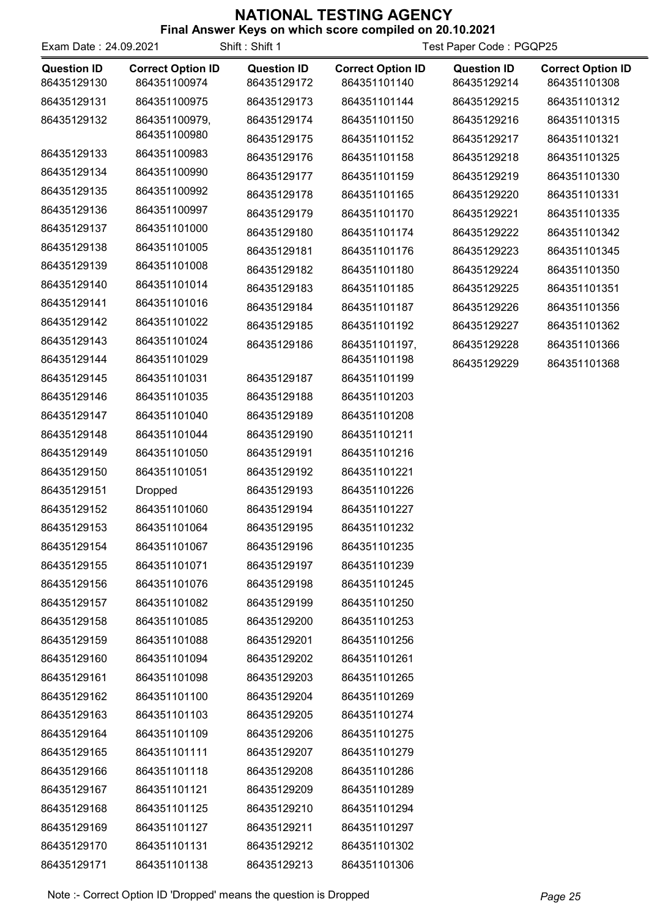|  | Final Answer Keys on which score compiled on 20.10.2021 |  |  |
|--|---------------------------------------------------------|--|--|
|  |                                                         |  |  |

| Exam Date: 24.09.2021             |                                          | Shift: Shift 1                    | Test Paper Code: PGQP25                  |                                   |                                          |
|-----------------------------------|------------------------------------------|-----------------------------------|------------------------------------------|-----------------------------------|------------------------------------------|
| <b>Question ID</b><br>86435129130 | <b>Correct Option ID</b><br>864351100974 | <b>Question ID</b><br>86435129172 | <b>Correct Option ID</b><br>864351101140 | <b>Question ID</b><br>86435129214 | <b>Correct Option ID</b><br>864351101308 |
| 86435129131                       | 864351100975                             | 86435129173                       | 864351101144                             | 86435129215                       | 864351101312                             |
| 86435129132                       | 864351100979,                            | 86435129174                       | 864351101150                             | 86435129216                       | 864351101315                             |
|                                   | 864351100980                             | 86435129175                       | 864351101152                             | 86435129217                       | 864351101321                             |
| 86435129133                       | 864351100983                             | 86435129176                       | 864351101158                             | 86435129218                       | 864351101325                             |
| 86435129134                       | 864351100990                             | 86435129177                       | 864351101159                             | 86435129219                       | 864351101330                             |
| 86435129135                       | 864351100992                             | 86435129178                       | 864351101165                             | 86435129220                       | 864351101331                             |
| 86435129136                       | 864351100997                             | 86435129179                       | 864351101170                             | 86435129221                       | 864351101335                             |
| 86435129137                       | 864351101000                             | 86435129180                       | 864351101174                             | 86435129222                       | 864351101342                             |
| 86435129138                       | 864351101005                             | 86435129181                       | 864351101176                             | 86435129223                       | 864351101345                             |
| 86435129139                       | 864351101008                             | 86435129182                       | 864351101180                             | 86435129224                       | 864351101350                             |
| 86435129140                       | 864351101014                             | 86435129183                       | 864351101185                             | 86435129225                       | 864351101351                             |
| 86435129141                       | 864351101016                             | 86435129184                       | 864351101187                             | 86435129226                       | 864351101356                             |
| 86435129142                       | 864351101022                             | 86435129185                       | 864351101192                             | 86435129227                       | 864351101362                             |
| 86435129143                       | 864351101024                             | 86435129186                       | 864351101197,                            | 86435129228                       | 864351101366                             |
| 86435129144                       | 864351101029                             |                                   | 864351101198                             | 86435129229                       | 864351101368                             |
| 86435129145                       | 864351101031                             | 86435129187                       | 864351101199                             |                                   |                                          |
| 86435129146                       | 864351101035                             | 86435129188                       | 864351101203                             |                                   |                                          |
| 86435129147                       | 864351101040                             | 86435129189                       | 864351101208                             |                                   |                                          |
| 86435129148                       | 864351101044                             | 86435129190                       | 864351101211                             |                                   |                                          |
| 86435129149                       | 864351101050                             | 86435129191                       | 864351101216                             |                                   |                                          |
| 86435129150                       | 864351101051                             | 86435129192                       | 864351101221                             |                                   |                                          |
| 86435129151                       | <b>Dropped</b>                           | 86435129193                       | 864351101226                             |                                   |                                          |
| 86435129152                       | 864351101060                             | 86435129194                       | 864351101227                             |                                   |                                          |
| 86435129153                       | 864351101064                             | 86435129195                       | 864351101232                             |                                   |                                          |
| 86435129154                       | 864351101067                             | 86435129196                       | 864351101235                             |                                   |                                          |
| 86435129155                       | 864351101071                             | 86435129197                       | 864351101239                             |                                   |                                          |
| 86435129156                       | 864351101076                             | 86435129198                       | 864351101245                             |                                   |                                          |
| 86435129157                       | 864351101082                             | 86435129199                       | 864351101250                             |                                   |                                          |
| 86435129158                       | 864351101085                             | 86435129200                       | 864351101253                             |                                   |                                          |
| 86435129159                       | 864351101088                             | 86435129201                       | 864351101256                             |                                   |                                          |
| 86435129160                       | 864351101094                             | 86435129202                       | 864351101261                             |                                   |                                          |
| 86435129161                       | 864351101098                             | 86435129203                       | 864351101265                             |                                   |                                          |
| 86435129162                       | 864351101100                             | 86435129204                       | 864351101269                             |                                   |                                          |
| 86435129163                       | 864351101103                             | 86435129205                       | 864351101274                             |                                   |                                          |
| 86435129164                       | 864351101109                             | 86435129206                       | 864351101275                             |                                   |                                          |
| 86435129165                       | 864351101111                             | 86435129207                       | 864351101279                             |                                   |                                          |
| 86435129166                       | 864351101118                             | 86435129208                       | 864351101286                             |                                   |                                          |
| 86435129167                       | 864351101121                             | 86435129209                       | 864351101289                             |                                   |                                          |
| 86435129168                       | 864351101125                             | 86435129210                       | 864351101294                             |                                   |                                          |
| 86435129169                       | 864351101127                             | 86435129211                       | 864351101297                             |                                   |                                          |
| 86435129170                       | 864351101131                             | 86435129212                       | 864351101302                             |                                   |                                          |
| 86435129171                       | 864351101138                             | 86435129213                       | 864351101306                             |                                   |                                          |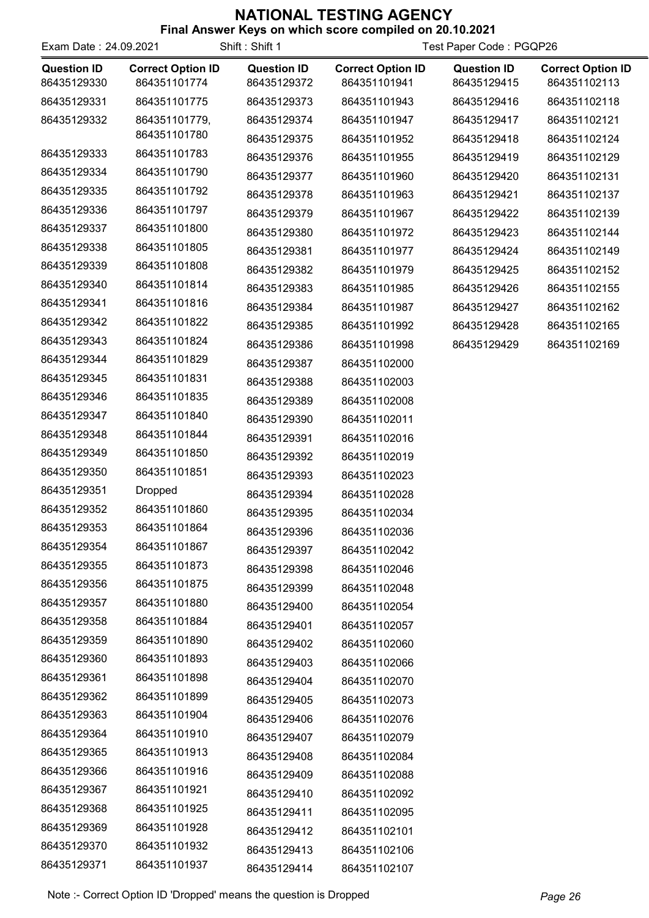| Exam Date: 24.09.2021 |                          | Shift: Shift 1     |                          |                    | Test Paper Code: PGQP26  |  |  |
|-----------------------|--------------------------|--------------------|--------------------------|--------------------|--------------------------|--|--|
| <b>Question ID</b>    | <b>Correct Option ID</b> | <b>Question ID</b> | <b>Correct Option ID</b> | <b>Question ID</b> | <b>Correct Option ID</b> |  |  |
| 86435129330           | 864351101774             | 86435129372        | 864351101941             | 86435129415        | 864351102113             |  |  |
| 86435129331           | 864351101775             | 86435129373        | 864351101943             | 86435129416        | 864351102118             |  |  |
| 86435129332           | 864351101779,            | 86435129374        | 864351101947             | 86435129417        | 864351102121             |  |  |
|                       | 864351101780             | 86435129375        | 864351101952             | 86435129418        | 864351102124             |  |  |
| 86435129333           | 864351101783             | 86435129376        | 864351101955             | 86435129419        | 864351102129             |  |  |
| 86435129334           | 864351101790             | 86435129377        | 864351101960             | 86435129420        | 864351102131             |  |  |
| 86435129335           | 864351101792             | 86435129378        | 864351101963             | 86435129421        | 864351102137             |  |  |
| 86435129336           | 864351101797             | 86435129379        | 864351101967             | 86435129422        | 864351102139             |  |  |
| 86435129337           | 864351101800             | 86435129380        | 864351101972             | 86435129423        | 864351102144             |  |  |
| 86435129338           | 864351101805             | 86435129381        | 864351101977             | 86435129424        | 864351102149             |  |  |
| 86435129339           | 864351101808             | 86435129382        | 864351101979             | 86435129425        | 864351102152             |  |  |
| 86435129340           | 864351101814             | 86435129383        | 864351101985             | 86435129426        | 864351102155             |  |  |
| 86435129341           | 864351101816             | 86435129384        | 864351101987             | 86435129427        | 864351102162             |  |  |
| 86435129342           | 864351101822             | 86435129385        | 864351101992             | 86435129428        | 864351102165             |  |  |
| 86435129343           | 864351101824             | 86435129386        | 864351101998             | 86435129429        | 864351102169             |  |  |
| 86435129344           | 864351101829             | 86435129387        | 864351102000             |                    |                          |  |  |
| 86435129345           | 864351101831             | 86435129388        | 864351102003             |                    |                          |  |  |
| 86435129346           | 864351101835             | 86435129389        | 864351102008             |                    |                          |  |  |
| 86435129347           | 864351101840             | 86435129390        | 864351102011             |                    |                          |  |  |
| 86435129348           | 864351101844             | 86435129391        | 864351102016             |                    |                          |  |  |
| 86435129349           | 864351101850             | 86435129392        | 864351102019             |                    |                          |  |  |
| 86435129350           | 864351101851             | 86435129393        | 864351102023             |                    |                          |  |  |
| 86435129351           | <b>Dropped</b>           | 86435129394        | 864351102028             |                    |                          |  |  |
| 86435129352           | 864351101860             | 86435129395        | 864351102034             |                    |                          |  |  |
| 86435129353           | 864351101864             | 86435129396        | 864351102036             |                    |                          |  |  |
| 86435129354           | 864351101867             | 86435129397        | 864351102042             |                    |                          |  |  |
| 86435129355           | 864351101873             | 86435129398        | 864351102046             |                    |                          |  |  |
| 86435129356           | 864351101875             | 86435129399        | 864351102048             |                    |                          |  |  |
| 86435129357           | 864351101880             | 86435129400        | 864351102054             |                    |                          |  |  |
| 86435129358           | 864351101884             | 86435129401        | 864351102057             |                    |                          |  |  |
| 86435129359           | 864351101890             | 86435129402        | 864351102060             |                    |                          |  |  |
| 86435129360           | 864351101893             | 86435129403        | 864351102066             |                    |                          |  |  |
| 86435129361           | 864351101898             | 86435129404        | 864351102070             |                    |                          |  |  |
| 86435129362           | 864351101899             | 86435129405        | 864351102073             |                    |                          |  |  |
| 86435129363           | 864351101904             | 86435129406        | 864351102076             |                    |                          |  |  |
| 86435129364           | 864351101910             | 86435129407        | 864351102079             |                    |                          |  |  |
| 86435129365           | 864351101913             | 86435129408        | 864351102084             |                    |                          |  |  |
| 86435129366           | 864351101916             | 86435129409        | 864351102088             |                    |                          |  |  |
| 86435129367           | 864351101921             | 86435129410        | 864351102092             |                    |                          |  |  |
| 86435129368           | 864351101925             | 86435129411        | 864351102095             |                    |                          |  |  |
| 86435129369           | 864351101928             | 86435129412        | 864351102101             |                    |                          |  |  |
| 86435129370           | 864351101932             | 86435129413        | 864351102106             |                    |                          |  |  |
| 86435129371           | 864351101937             | 86435129414        | 864351102107             |                    |                          |  |  |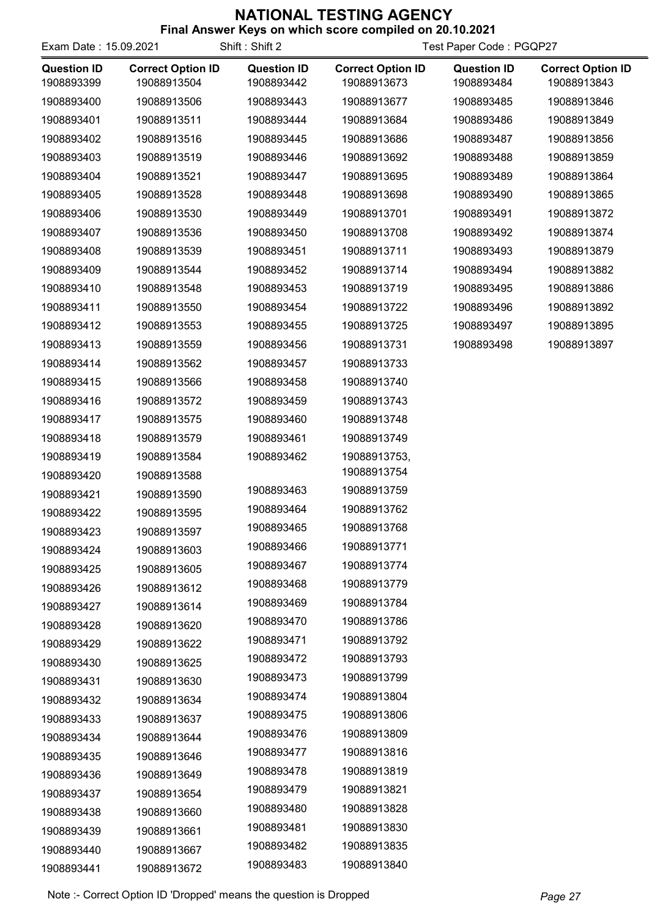| <b>I IIIAI AIISWEI KEYS UII WIIIUII SUUFE CUIIIPIIEU UII ZU. IU.ZUZ I</b><br>Shift: Shift 2<br>Test Paper Code: PGQP27<br>Exam Date: 15.09.2021 |                                         |                                  |                                         |                                  |                                         |
|-------------------------------------------------------------------------------------------------------------------------------------------------|-----------------------------------------|----------------------------------|-----------------------------------------|----------------------------------|-----------------------------------------|
| <b>Question ID</b><br>1908893399                                                                                                                | <b>Correct Option ID</b><br>19088913504 | <b>Question ID</b><br>1908893442 | <b>Correct Option ID</b><br>19088913673 | <b>Question ID</b><br>1908893484 | <b>Correct Option ID</b><br>19088913843 |
| 1908893400                                                                                                                                      | 19088913506                             | 1908893443                       | 19088913677                             | 1908893485                       | 19088913846                             |
| 1908893401                                                                                                                                      | 19088913511                             | 1908893444                       | 19088913684                             | 1908893486                       | 19088913849                             |
| 1908893402                                                                                                                                      | 19088913516                             | 1908893445                       | 19088913686                             | 1908893487                       | 19088913856                             |
| 1908893403                                                                                                                                      | 19088913519                             | 1908893446                       | 19088913692                             | 1908893488                       | 19088913859                             |
| 1908893404                                                                                                                                      | 19088913521                             | 1908893447                       | 19088913695                             | 1908893489                       | 19088913864                             |
| 1908893405                                                                                                                                      | 19088913528                             | 1908893448                       | 19088913698                             | 1908893490                       | 19088913865                             |
| 1908893406                                                                                                                                      | 19088913530                             | 1908893449                       | 19088913701                             | 1908893491                       | 19088913872                             |
| 1908893407                                                                                                                                      | 19088913536                             | 1908893450                       | 19088913708                             | 1908893492                       | 19088913874                             |
| 1908893408                                                                                                                                      | 19088913539                             | 1908893451                       | 19088913711                             | 1908893493                       | 19088913879                             |
| 1908893409                                                                                                                                      | 19088913544                             | 1908893452                       | 19088913714                             | 1908893494                       | 19088913882                             |
| 1908893410                                                                                                                                      | 19088913548                             | 1908893453                       | 19088913719                             | 1908893495                       | 19088913886                             |
| 1908893411                                                                                                                                      | 19088913550                             | 1908893454                       | 19088913722                             | 1908893496                       | 19088913892                             |
| 1908893412                                                                                                                                      | 19088913553                             | 1908893455                       | 19088913725                             | 1908893497                       | 19088913895                             |
| 1908893413                                                                                                                                      | 19088913559                             | 1908893456                       | 19088913731                             | 1908893498                       | 19088913897                             |
| 1908893414                                                                                                                                      | 19088913562                             | 1908893457                       | 19088913733                             |                                  |                                         |
| 1908893415                                                                                                                                      | 19088913566                             | 1908893458                       | 19088913740                             |                                  |                                         |
| 1908893416                                                                                                                                      | 19088913572                             | 1908893459                       | 19088913743                             |                                  |                                         |
| 1908893417                                                                                                                                      | 19088913575                             | 1908893460                       | 19088913748                             |                                  |                                         |
| 1908893418                                                                                                                                      | 19088913579                             | 1908893461                       | 19088913749                             |                                  |                                         |
| 1908893419                                                                                                                                      | 19088913584                             | 1908893462                       | 19088913753,                            |                                  |                                         |
| 1908893420                                                                                                                                      | 19088913588                             |                                  | 19088913754                             |                                  |                                         |
| 1908893421                                                                                                                                      | 19088913590                             | 1908893463                       | 19088913759                             |                                  |                                         |
| 1908893422                                                                                                                                      | 19088913595                             | 1908893464                       | 19088913762                             |                                  |                                         |
| 1908893423                                                                                                                                      | 19088913597                             | 1908893465                       | 19088913768                             |                                  |                                         |
| 1908893424                                                                                                                                      | 19088913603                             | 1908893466                       | 19088913771                             |                                  |                                         |
| 1908893425                                                                                                                                      | 19088913605                             | 1908893467                       | 19088913774                             |                                  |                                         |
| 1908893426                                                                                                                                      | 19088913612                             | 1908893468                       | 19088913779                             |                                  |                                         |
| 1908893427                                                                                                                                      | 19088913614                             | 1908893469                       | 19088913784                             |                                  |                                         |
| 1908893428                                                                                                                                      | 19088913620                             | 1908893470                       | 19088913786                             |                                  |                                         |
| 1908893429                                                                                                                                      | 19088913622                             | 1908893471                       | 19088913792                             |                                  |                                         |
| 1908893430                                                                                                                                      | 19088913625                             | 1908893472                       | 19088913793                             |                                  |                                         |
| 1908893431                                                                                                                                      | 19088913630                             | 1908893473                       | 19088913799                             |                                  |                                         |
| 1908893432                                                                                                                                      | 19088913634                             | 1908893474                       | 19088913804                             |                                  |                                         |
| 1908893433                                                                                                                                      | 19088913637                             | 1908893475                       | 19088913806                             |                                  |                                         |
| 1908893434                                                                                                                                      | 19088913644                             | 1908893476                       | 19088913809                             |                                  |                                         |
| 1908893435                                                                                                                                      | 19088913646                             | 1908893477                       | 19088913816                             |                                  |                                         |
| 1908893436                                                                                                                                      | 19088913649                             | 1908893478                       | 19088913819                             |                                  |                                         |
| 1908893437                                                                                                                                      | 19088913654                             | 1908893479                       | 19088913821                             |                                  |                                         |
| 1908893438                                                                                                                                      | 19088913660                             | 1908893480                       | 19088913828                             |                                  |                                         |
| 1908893439                                                                                                                                      | 19088913661                             | 1908893481                       | 19088913830                             |                                  |                                         |
| 1908893440                                                                                                                                      | 19088913667                             | 1908893482                       | 19088913835                             |                                  |                                         |
| 1908893441                                                                                                                                      | 19088913672                             | 1908893483                       | 19088913840                             |                                  |                                         |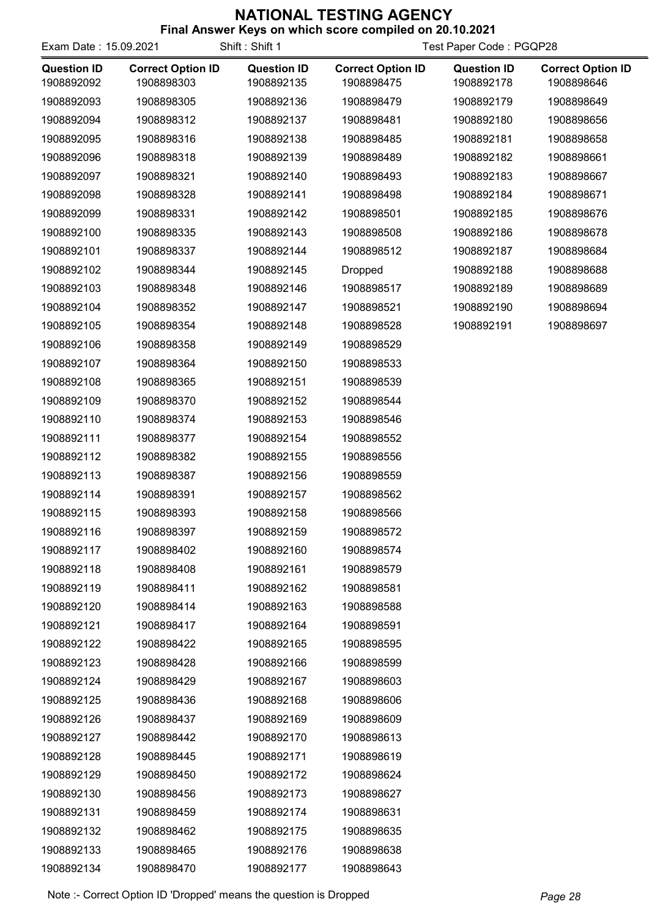| Exam Date: 15.09.2021            | כעטו וטאסוראוויו                       | Shift: Shift 1                   | <b>OUT MITTLE ACCEPT COMPTION ON EAT 19.2021</b><br>Test Paper Code: PGQP28 |                                  |                                        |  |
|----------------------------------|----------------------------------------|----------------------------------|-----------------------------------------------------------------------------|----------------------------------|----------------------------------------|--|
| <b>Question ID</b><br>1908892092 | <b>Correct Option ID</b><br>1908898303 | <b>Question ID</b><br>1908892135 | <b>Correct Option ID</b><br>1908898475                                      | <b>Question ID</b><br>1908892178 | <b>Correct Option ID</b><br>1908898646 |  |
| 1908892093                       | 1908898305                             | 1908892136                       | 1908898479                                                                  | 1908892179                       | 1908898649                             |  |
| 1908892094                       | 1908898312                             | 1908892137                       | 1908898481                                                                  | 1908892180                       | 1908898656                             |  |
| 1908892095                       | 1908898316                             | 1908892138                       | 1908898485                                                                  | 1908892181                       | 1908898658                             |  |
| 1908892096                       | 1908898318                             | 1908892139                       | 1908898489                                                                  | 1908892182                       | 1908898661                             |  |
| 1908892097                       | 1908898321                             | 1908892140                       | 1908898493                                                                  | 1908892183                       | 1908898667                             |  |
| 1908892098                       | 1908898328                             | 1908892141                       | 1908898498                                                                  | 1908892184                       | 1908898671                             |  |
| 1908892099                       | 1908898331                             | 1908892142                       | 1908898501                                                                  | 1908892185                       | 1908898676                             |  |
| 1908892100                       | 1908898335                             | 1908892143                       | 1908898508                                                                  | 1908892186                       | 1908898678                             |  |
| 1908892101                       | 1908898337                             | 1908892144                       | 1908898512                                                                  | 1908892187                       | 1908898684                             |  |
| 1908892102                       | 1908898344                             | 1908892145                       | Dropped                                                                     | 1908892188                       | 1908898688                             |  |
| 1908892103                       | 1908898348                             | 1908892146                       | 1908898517                                                                  | 1908892189                       | 1908898689                             |  |
| 1908892104                       | 1908898352                             | 1908892147                       | 1908898521                                                                  | 1908892190                       | 1908898694                             |  |
| 1908892105                       | 1908898354                             | 1908892148                       | 1908898528                                                                  | 1908892191                       | 1908898697                             |  |
| 1908892106                       | 1908898358                             | 1908892149                       | 1908898529                                                                  |                                  |                                        |  |
| 1908892107                       | 1908898364                             | 1908892150                       | 1908898533                                                                  |                                  |                                        |  |
| 1908892108                       | 1908898365                             | 1908892151                       | 1908898539                                                                  |                                  |                                        |  |
| 1908892109                       | 1908898370                             | 1908892152                       | 1908898544                                                                  |                                  |                                        |  |
| 1908892110                       | 1908898374                             | 1908892153                       | 1908898546                                                                  |                                  |                                        |  |
| 1908892111                       | 1908898377                             | 1908892154                       | 1908898552                                                                  |                                  |                                        |  |
| 1908892112                       | 1908898382                             | 1908892155                       | 1908898556                                                                  |                                  |                                        |  |
| 1908892113                       | 1908898387                             | 1908892156                       | 1908898559                                                                  |                                  |                                        |  |
| 1908892114                       | 1908898391                             | 1908892157                       | 1908898562                                                                  |                                  |                                        |  |
| 1908892115                       | 1908898393                             | 1908892158                       | 1908898566                                                                  |                                  |                                        |  |
| 1908892116                       | 1908898397                             | 1908892159                       | 1908898572                                                                  |                                  |                                        |  |
| 1908892117                       | 1908898402                             | 1908892160                       | 1908898574                                                                  |                                  |                                        |  |
| 1908892118                       | 1908898408                             | 1908892161                       | 1908898579                                                                  |                                  |                                        |  |
| 1908892119                       | 1908898411                             | 1908892162                       | 1908898581                                                                  |                                  |                                        |  |
| 1908892120                       | 1908898414                             | 1908892163                       | 1908898588                                                                  |                                  |                                        |  |
| 1908892121                       | 1908898417                             | 1908892164                       | 1908898591                                                                  |                                  |                                        |  |
| 1908892122                       | 1908898422                             | 1908892165                       | 1908898595                                                                  |                                  |                                        |  |
| 1908892123                       | 1908898428                             | 1908892166                       | 1908898599                                                                  |                                  |                                        |  |
| 1908892124                       | 1908898429                             | 1908892167                       | 1908898603                                                                  |                                  |                                        |  |
| 1908892125                       | 1908898436                             | 1908892168                       | 1908898606                                                                  |                                  |                                        |  |
| 1908892126                       | 1908898437                             | 1908892169                       | 1908898609                                                                  |                                  |                                        |  |
| 1908892127                       | 1908898442                             | 1908892170                       | 1908898613                                                                  |                                  |                                        |  |
| 1908892128                       | 1908898445                             | 1908892171                       | 1908898619                                                                  |                                  |                                        |  |
| 1908892129                       | 1908898450                             | 1908892172                       | 1908898624                                                                  |                                  |                                        |  |
| 1908892130                       | 1908898456                             | 1908892173                       | 1908898627                                                                  |                                  |                                        |  |
| 1908892131                       | 1908898459                             | 1908892174                       | 1908898631                                                                  |                                  |                                        |  |
| 1908892132                       | 1908898462                             | 1908892175                       | 1908898635                                                                  |                                  |                                        |  |
| 1908892133                       | 1908898465                             | 1908892176                       | 1908898638                                                                  |                                  |                                        |  |
| 1908892134                       | 1908898470                             | 1908892177                       | 1908898643                                                                  |                                  |                                        |  |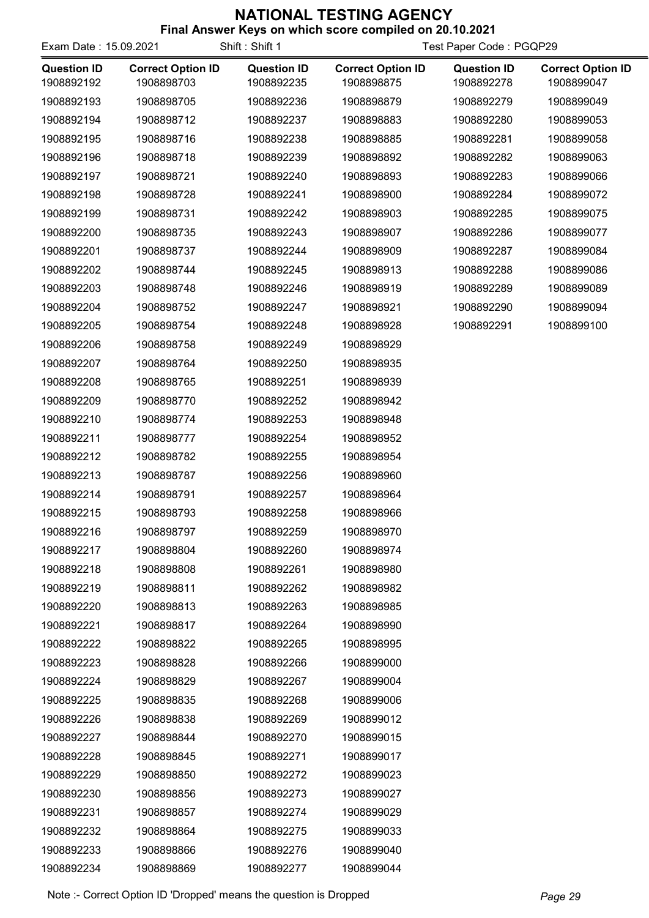| Exam Date: 15.09.2021            |                                        | Shift: Shift 1                   | Test Paper Code: PGQP29                |                                  |                                        |
|----------------------------------|----------------------------------------|----------------------------------|----------------------------------------|----------------------------------|----------------------------------------|
| <b>Question ID</b><br>1908892192 | <b>Correct Option ID</b><br>1908898703 | <b>Question ID</b><br>1908892235 | <b>Correct Option ID</b><br>1908898875 | <b>Question ID</b><br>1908892278 | <b>Correct Option ID</b><br>1908899047 |
| 1908892193                       | 1908898705                             | 1908892236                       | 1908898879                             | 1908892279                       | 1908899049                             |
| 1908892194                       | 1908898712                             | 1908892237                       | 1908898883                             | 1908892280                       | 1908899053                             |
| 1908892195                       | 1908898716                             | 1908892238                       | 1908898885                             | 1908892281                       | 1908899058                             |
| 1908892196                       | 1908898718                             | 1908892239                       | 1908898892                             | 1908892282                       | 1908899063                             |
| 1908892197                       | 1908898721                             | 1908892240                       | 1908898893                             | 1908892283                       | 1908899066                             |
| 1908892198                       | 1908898728                             | 1908892241                       | 1908898900                             | 1908892284                       | 1908899072                             |
| 1908892199                       | 1908898731                             | 1908892242                       | 1908898903                             | 1908892285                       | 1908899075                             |
| 1908892200                       | 1908898735                             | 1908892243                       | 1908898907                             | 1908892286                       | 1908899077                             |
| 1908892201                       | 1908898737                             | 1908892244                       | 1908898909                             | 1908892287                       | 1908899084                             |
| 1908892202                       | 1908898744                             | 1908892245                       | 1908898913                             | 1908892288                       | 1908899086                             |
| 1908892203                       | 1908898748                             | 1908892246                       | 1908898919                             | 1908892289                       | 1908899089                             |
| 1908892204                       | 1908898752                             | 1908892247                       | 1908898921                             | 1908892290                       | 1908899094                             |
| 1908892205                       | 1908898754                             | 1908892248                       | 1908898928                             | 1908892291                       | 1908899100                             |
| 1908892206                       | 1908898758                             | 1908892249                       | 1908898929                             |                                  |                                        |
| 1908892207                       | 1908898764                             | 1908892250                       | 1908898935                             |                                  |                                        |
| 1908892208                       | 1908898765                             | 1908892251                       | 1908898939                             |                                  |                                        |
| 1908892209                       | 1908898770                             | 1908892252                       | 1908898942                             |                                  |                                        |
| 1908892210                       | 1908898774                             | 1908892253                       | 1908898948                             |                                  |                                        |
| 1908892211                       | 1908898777                             | 1908892254                       | 1908898952                             |                                  |                                        |
| 1908892212                       | 1908898782                             | 1908892255                       | 1908898954                             |                                  |                                        |
| 1908892213                       | 1908898787                             | 1908892256                       | 1908898960                             |                                  |                                        |
| 1908892214                       | 1908898791                             | 1908892257                       | 1908898964                             |                                  |                                        |
| 1908892215                       | 1908898793                             | 1908892258                       | 1908898966                             |                                  |                                        |
| 1908892216                       | 1908898797                             | 1908892259                       | 1908898970                             |                                  |                                        |
| 1908892217                       | 1908898804                             | 1908892260                       | 1908898974                             |                                  |                                        |
| 1908892218                       | 1908898808                             | 1908892261                       | 1908898980                             |                                  |                                        |
| 1908892219                       | 1908898811                             | 1908892262                       | 1908898982                             |                                  |                                        |
| 1908892220                       | 1908898813                             | 1908892263                       | 1908898985                             |                                  |                                        |
| 1908892221                       | 1908898817                             | 1908892264                       | 1908898990                             |                                  |                                        |
| 1908892222                       | 1908898822                             | 1908892265                       | 1908898995                             |                                  |                                        |
| 1908892223                       | 1908898828                             | 1908892266                       | 1908899000                             |                                  |                                        |
| 1908892224                       | 1908898829                             | 1908892267                       | 1908899004                             |                                  |                                        |
| 1908892225                       | 1908898835                             | 1908892268                       | 1908899006                             |                                  |                                        |
| 1908892226                       | 1908898838                             | 1908892269                       | 1908899012                             |                                  |                                        |
| 1908892227                       | 1908898844                             | 1908892270                       | 1908899015                             |                                  |                                        |
| 1908892228                       | 1908898845                             | 1908892271                       | 1908899017                             |                                  |                                        |
| 1908892229                       | 1908898850                             | 1908892272                       | 1908899023                             |                                  |                                        |
| 1908892230                       | 1908898856                             | 1908892273                       | 1908899027                             |                                  |                                        |
| 1908892231                       | 1908898857                             | 1908892274                       | 1908899029                             |                                  |                                        |
| 1908892232                       | 1908898864                             | 1908892275                       | 1908899033                             |                                  |                                        |
| 1908892233                       | 1908898866                             | 1908892276                       | 1908899040                             |                                  |                                        |
| 1908892234                       | 1908898869                             | 1908892277                       | 1908899044                             |                                  |                                        |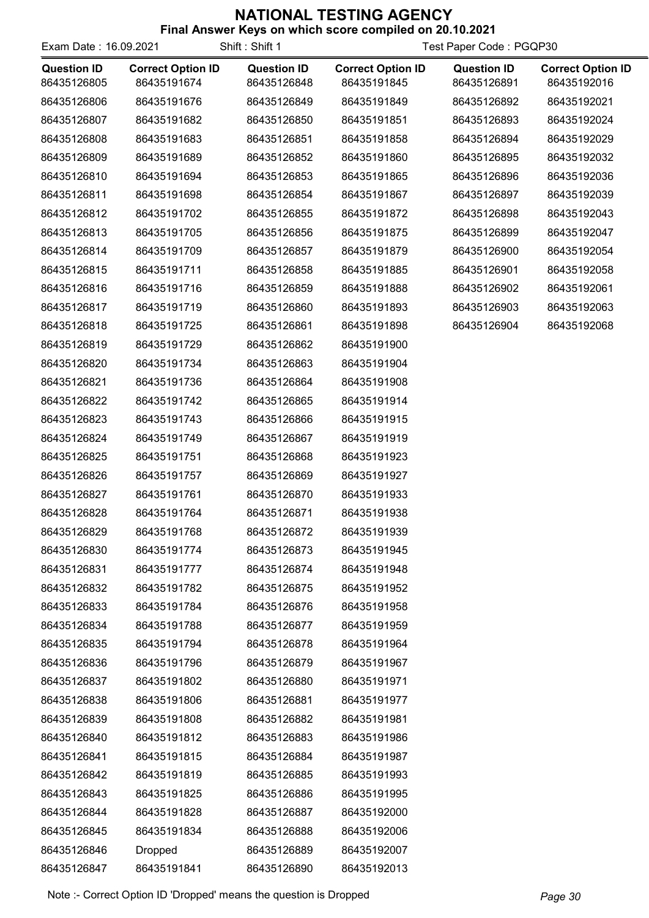| Exam Date: 16.09.2021             |                                         | Shift: Shift 1                    | Test Paper Code: PGQP30                 |                                   |                                         |
|-----------------------------------|-----------------------------------------|-----------------------------------|-----------------------------------------|-----------------------------------|-----------------------------------------|
| <b>Question ID</b><br>86435126805 | <b>Correct Option ID</b><br>86435191674 | <b>Question ID</b><br>86435126848 | <b>Correct Option ID</b><br>86435191845 | <b>Question ID</b><br>86435126891 | <b>Correct Option ID</b><br>86435192016 |
| 86435126806                       | 86435191676                             | 86435126849                       | 86435191849                             | 86435126892                       | 86435192021                             |
| 86435126807                       | 86435191682                             | 86435126850                       | 86435191851                             | 86435126893                       | 86435192024                             |
| 86435126808                       | 86435191683                             | 86435126851                       | 86435191858                             | 86435126894                       | 86435192029                             |
| 86435126809                       | 86435191689                             | 86435126852                       | 86435191860                             | 86435126895                       | 86435192032                             |
| 86435126810                       | 86435191694                             | 86435126853                       | 86435191865                             | 86435126896                       | 86435192036                             |
| 86435126811                       | 86435191698                             | 86435126854                       | 86435191867                             | 86435126897                       | 86435192039                             |
| 86435126812                       | 86435191702                             | 86435126855                       | 86435191872                             | 86435126898                       | 86435192043                             |
| 86435126813                       | 86435191705                             | 86435126856                       | 86435191875                             | 86435126899                       | 86435192047                             |
| 86435126814                       | 86435191709                             | 86435126857                       | 86435191879                             | 86435126900                       | 86435192054                             |
| 86435126815                       | 86435191711                             | 86435126858                       | 86435191885                             | 86435126901                       | 86435192058                             |
| 86435126816                       | 86435191716                             | 86435126859                       | 86435191888                             | 86435126902                       | 86435192061                             |
| 86435126817                       | 86435191719                             | 86435126860                       | 86435191893                             | 86435126903                       | 86435192063                             |
| 86435126818                       | 86435191725                             | 86435126861                       | 86435191898                             | 86435126904                       | 86435192068                             |
| 86435126819                       | 86435191729                             | 86435126862                       | 86435191900                             |                                   |                                         |
| 86435126820                       | 86435191734                             | 86435126863                       | 86435191904                             |                                   |                                         |
| 86435126821                       | 86435191736                             | 86435126864                       | 86435191908                             |                                   |                                         |
| 86435126822                       | 86435191742                             | 86435126865                       | 86435191914                             |                                   |                                         |
| 86435126823                       | 86435191743                             | 86435126866                       | 86435191915                             |                                   |                                         |
| 86435126824                       | 86435191749                             | 86435126867                       | 86435191919                             |                                   |                                         |
| 86435126825                       | 86435191751                             | 86435126868                       | 86435191923                             |                                   |                                         |
| 86435126826                       | 86435191757                             | 86435126869                       | 86435191927                             |                                   |                                         |
| 86435126827                       | 86435191761                             | 86435126870                       | 86435191933                             |                                   |                                         |
| 86435126828                       | 86435191764                             | 86435126871                       | 86435191938                             |                                   |                                         |
| 86435126829                       | 86435191768                             | 86435126872                       | 86435191939                             |                                   |                                         |
| 86435126830                       | 86435191774                             | 86435126873                       | 86435191945                             |                                   |                                         |
| 86435126831                       | 86435191777                             | 86435126874                       | 86435191948                             |                                   |                                         |
| 86435126832                       | 86435191782                             | 86435126875                       | 86435191952                             |                                   |                                         |
| 86435126833                       | 86435191784                             | 86435126876                       | 86435191958                             |                                   |                                         |
| 86435126834                       | 86435191788                             | 86435126877                       | 86435191959                             |                                   |                                         |
| 86435126835                       | 86435191794                             | 86435126878                       | 86435191964                             |                                   |                                         |
| 86435126836                       | 86435191796                             | 86435126879                       | 86435191967                             |                                   |                                         |
| 86435126837                       | 86435191802                             | 86435126880                       | 86435191971                             |                                   |                                         |
| 86435126838                       | 86435191806                             | 86435126881                       | 86435191977                             |                                   |                                         |
| 86435126839                       | 86435191808                             | 86435126882                       | 86435191981                             |                                   |                                         |
| 86435126840                       | 86435191812                             | 86435126883                       | 86435191986                             |                                   |                                         |
| 86435126841                       | 86435191815                             | 86435126884                       | 86435191987                             |                                   |                                         |
| 86435126842                       | 86435191819                             | 86435126885                       | 86435191993                             |                                   |                                         |
| 86435126843                       | 86435191825                             | 86435126886                       | 86435191995                             |                                   |                                         |
| 86435126844                       | 86435191828                             | 86435126887                       | 86435192000                             |                                   |                                         |
| 86435126845                       | 86435191834                             | 86435126888                       | 86435192006                             |                                   |                                         |
| 86435126846                       | Dropped                                 | 86435126889                       | 86435192007                             |                                   |                                         |
| 86435126847                       | 86435191841                             | 86435126890                       | 86435192013                             |                                   |                                         |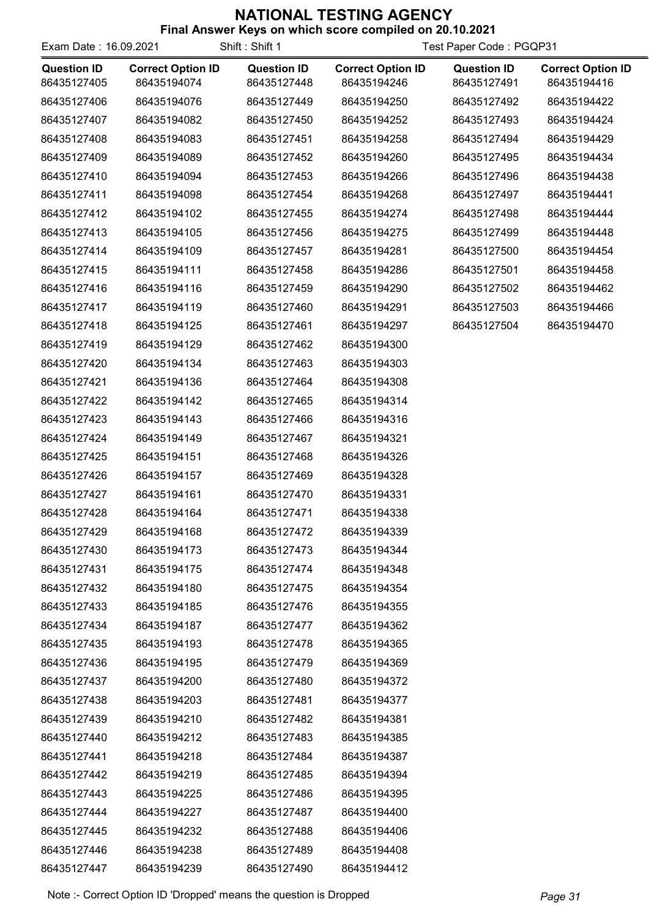| Exam Date: 16.09.2021             |                                         | Shift: Shift 1                    | Test Paper Code: PGQP31                 |                                   |                                         |
|-----------------------------------|-----------------------------------------|-----------------------------------|-----------------------------------------|-----------------------------------|-----------------------------------------|
| <b>Question ID</b><br>86435127405 | <b>Correct Option ID</b><br>86435194074 | <b>Question ID</b><br>86435127448 | <b>Correct Option ID</b><br>86435194246 | <b>Question ID</b><br>86435127491 | <b>Correct Option ID</b><br>86435194416 |
| 86435127406                       | 86435194076                             | 86435127449                       | 86435194250                             | 86435127492                       | 86435194422                             |
| 86435127407                       | 86435194082                             | 86435127450                       | 86435194252                             | 86435127493                       | 86435194424                             |
| 86435127408                       | 86435194083                             | 86435127451                       | 86435194258                             | 86435127494                       | 86435194429                             |
| 86435127409                       | 86435194089                             | 86435127452                       | 86435194260                             | 86435127495                       | 86435194434                             |
| 86435127410                       | 86435194094                             | 86435127453                       | 86435194266                             | 86435127496                       | 86435194438                             |
| 86435127411                       | 86435194098                             | 86435127454                       | 86435194268                             | 86435127497                       | 86435194441                             |
| 86435127412                       | 86435194102                             | 86435127455                       | 86435194274                             | 86435127498                       | 86435194444                             |
| 86435127413                       | 86435194105                             | 86435127456                       | 86435194275                             | 86435127499                       | 86435194448                             |
| 86435127414                       | 86435194109                             | 86435127457                       | 86435194281                             | 86435127500                       | 86435194454                             |
| 86435127415                       | 86435194111                             | 86435127458                       | 86435194286                             | 86435127501                       | 86435194458                             |
| 86435127416                       | 86435194116                             | 86435127459                       | 86435194290                             | 86435127502                       | 86435194462                             |
| 86435127417                       | 86435194119                             | 86435127460                       | 86435194291                             | 86435127503                       | 86435194466                             |
| 86435127418                       | 86435194125                             | 86435127461                       | 86435194297                             | 86435127504                       | 86435194470                             |
| 86435127419                       | 86435194129                             | 86435127462                       | 86435194300                             |                                   |                                         |
| 86435127420                       | 86435194134                             | 86435127463                       | 86435194303                             |                                   |                                         |
| 86435127421                       | 86435194136                             | 86435127464                       | 86435194308                             |                                   |                                         |
| 86435127422                       | 86435194142                             | 86435127465                       | 86435194314                             |                                   |                                         |
| 86435127423                       | 86435194143                             | 86435127466                       | 86435194316                             |                                   |                                         |
| 86435127424                       | 86435194149                             | 86435127467                       | 86435194321                             |                                   |                                         |
| 86435127425                       | 86435194151                             | 86435127468                       | 86435194326                             |                                   |                                         |
| 86435127426                       | 86435194157                             | 86435127469                       | 86435194328                             |                                   |                                         |
| 86435127427                       | 86435194161                             | 86435127470                       | 86435194331                             |                                   |                                         |
| 86435127428                       | 86435194164                             | 86435127471                       | 86435194338                             |                                   |                                         |
| 86435127429                       | 86435194168                             | 86435127472                       | 86435194339                             |                                   |                                         |
| 86435127430                       | 86435194173                             | 86435127473                       | 86435194344                             |                                   |                                         |
| 86435127431                       | 86435194175                             | 86435127474                       | 86435194348                             |                                   |                                         |
| 86435127432                       | 86435194180                             | 86435127475                       | 86435194354                             |                                   |                                         |
| 86435127433                       | 86435194185                             | 86435127476                       | 86435194355                             |                                   |                                         |
| 86435127434                       | 86435194187                             | 86435127477                       | 86435194362                             |                                   |                                         |
| 86435127435                       | 86435194193                             | 86435127478                       | 86435194365                             |                                   |                                         |
| 86435127436                       | 86435194195                             | 86435127479                       | 86435194369                             |                                   |                                         |
| 86435127437                       | 86435194200                             | 86435127480                       | 86435194372                             |                                   |                                         |
| 86435127438                       | 86435194203                             | 86435127481                       | 86435194377                             |                                   |                                         |
| 86435127439                       | 86435194210                             | 86435127482                       | 86435194381                             |                                   |                                         |
| 86435127440                       | 86435194212                             | 86435127483                       | 86435194385                             |                                   |                                         |
| 86435127441                       | 86435194218                             | 86435127484                       | 86435194387                             |                                   |                                         |
| 86435127442                       | 86435194219                             | 86435127485                       | 86435194394                             |                                   |                                         |
| 86435127443                       | 86435194225                             | 86435127486                       | 86435194395                             |                                   |                                         |
| 86435127444                       | 86435194227                             | 86435127487                       | 86435194400                             |                                   |                                         |
| 86435127445                       | 86435194232                             | 86435127488                       | 86435194406                             |                                   |                                         |
| 86435127446                       | 86435194238                             | 86435127489                       | 86435194408                             |                                   |                                         |
| 86435127447                       | 86435194239                             | 86435127490                       | 86435194412                             |                                   |                                         |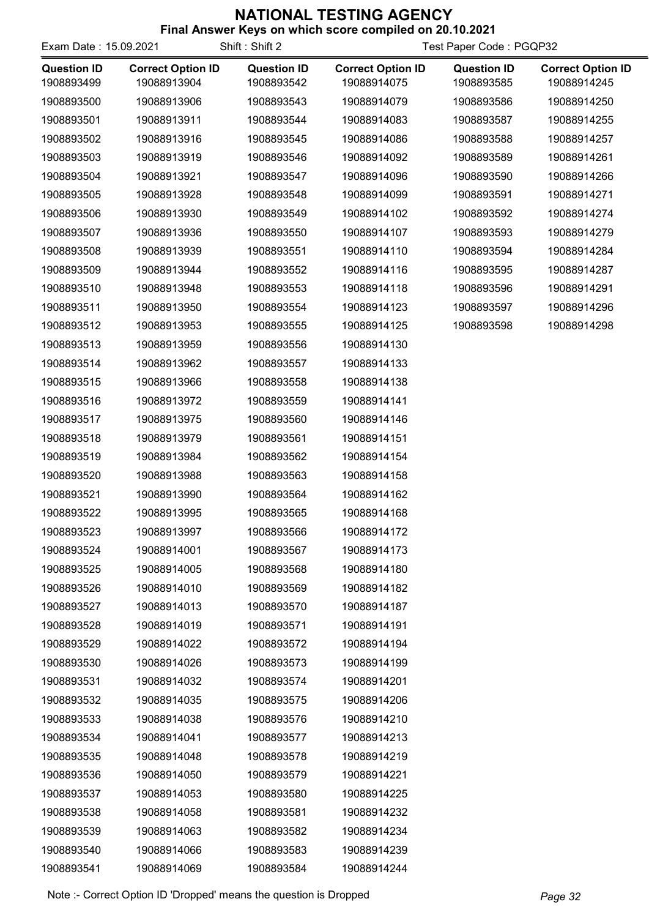| <b>THIGH AND WELL ASSESSED IN A MILLER SCOTE COMPLIED ON ZV. TV.2VZT</b><br>Shift: Shift 2<br>Test Paper Code: PGQP32<br>Exam Date: 15.09.2021 |                                         |                                  |                                         |                                  |                                         |  |
|------------------------------------------------------------------------------------------------------------------------------------------------|-----------------------------------------|----------------------------------|-----------------------------------------|----------------------------------|-----------------------------------------|--|
| <b>Question ID</b><br>1908893499                                                                                                               | <b>Correct Option ID</b><br>19088913904 | <b>Question ID</b><br>1908893542 | <b>Correct Option ID</b><br>19088914075 | <b>Question ID</b><br>1908893585 | <b>Correct Option ID</b><br>19088914245 |  |
| 1908893500                                                                                                                                     | 19088913906                             | 1908893543                       | 19088914079                             | 1908893586                       | 19088914250                             |  |
| 1908893501                                                                                                                                     | 19088913911                             | 1908893544                       | 19088914083                             | 1908893587                       | 19088914255                             |  |
| 1908893502                                                                                                                                     | 19088913916                             | 1908893545                       | 19088914086                             | 1908893588                       | 19088914257                             |  |
| 1908893503                                                                                                                                     | 19088913919                             | 1908893546                       | 19088914092                             | 1908893589                       | 19088914261                             |  |
| 1908893504                                                                                                                                     | 19088913921                             | 1908893547                       | 19088914096                             | 1908893590                       | 19088914266                             |  |
| 1908893505                                                                                                                                     | 19088913928                             | 1908893548                       | 19088914099                             | 1908893591                       | 19088914271                             |  |
| 1908893506                                                                                                                                     | 19088913930                             | 1908893549                       | 19088914102                             | 1908893592                       | 19088914274                             |  |
| 1908893507                                                                                                                                     | 19088913936                             | 1908893550                       | 19088914107                             | 1908893593                       | 19088914279                             |  |
| 1908893508                                                                                                                                     | 19088913939                             | 1908893551                       | 19088914110                             | 1908893594                       | 19088914284                             |  |
| 1908893509                                                                                                                                     | 19088913944                             | 1908893552                       | 19088914116                             | 1908893595                       | 19088914287                             |  |
| 1908893510                                                                                                                                     | 19088913948                             | 1908893553                       | 19088914118                             | 1908893596                       | 19088914291                             |  |
| 1908893511                                                                                                                                     | 19088913950                             | 1908893554                       | 19088914123                             | 1908893597                       | 19088914296                             |  |
| 1908893512                                                                                                                                     | 19088913953                             | 1908893555                       | 19088914125                             | 1908893598                       | 19088914298                             |  |
| 1908893513                                                                                                                                     | 19088913959                             | 1908893556                       | 19088914130                             |                                  |                                         |  |
| 1908893514                                                                                                                                     | 19088913962                             | 1908893557                       | 19088914133                             |                                  |                                         |  |
| 1908893515                                                                                                                                     | 19088913966                             | 1908893558                       | 19088914138                             |                                  |                                         |  |
| 1908893516                                                                                                                                     | 19088913972                             | 1908893559                       | 19088914141                             |                                  |                                         |  |
| 1908893517                                                                                                                                     | 19088913975                             | 1908893560                       | 19088914146                             |                                  |                                         |  |
| 1908893518                                                                                                                                     | 19088913979                             | 1908893561                       | 19088914151                             |                                  |                                         |  |
| 1908893519                                                                                                                                     | 19088913984                             | 1908893562                       | 19088914154                             |                                  |                                         |  |
| 1908893520                                                                                                                                     | 19088913988                             | 1908893563                       | 19088914158                             |                                  |                                         |  |
| 1908893521                                                                                                                                     | 19088913990                             | 1908893564                       | 19088914162                             |                                  |                                         |  |
| 1908893522                                                                                                                                     | 19088913995                             | 1908893565                       | 19088914168                             |                                  |                                         |  |
| 1908893523                                                                                                                                     | 19088913997                             | 1908893566                       | 19088914172                             |                                  |                                         |  |
| 1908893524                                                                                                                                     | 19088914001                             | 1908893567                       | 19088914173                             |                                  |                                         |  |
| 1908893525                                                                                                                                     | 19088914005                             | 1908893568                       | 19088914180                             |                                  |                                         |  |
| 1908893526                                                                                                                                     | 19088914010                             | 1908893569                       | 19088914182                             |                                  |                                         |  |
| 1908893527                                                                                                                                     | 19088914013                             | 1908893570                       | 19088914187                             |                                  |                                         |  |
| 1908893528                                                                                                                                     | 19088914019                             | 1908893571                       | 19088914191                             |                                  |                                         |  |
| 1908893529                                                                                                                                     | 19088914022                             | 1908893572                       | 19088914194                             |                                  |                                         |  |
| 1908893530                                                                                                                                     | 19088914026                             | 1908893573                       | 19088914199                             |                                  |                                         |  |
| 1908893531                                                                                                                                     | 19088914032                             | 1908893574                       | 19088914201                             |                                  |                                         |  |
| 1908893532                                                                                                                                     | 19088914035                             | 1908893575                       | 19088914206                             |                                  |                                         |  |
| 1908893533                                                                                                                                     | 19088914038                             | 1908893576                       | 19088914210                             |                                  |                                         |  |
| 1908893534                                                                                                                                     | 19088914041                             | 1908893577                       | 19088914213                             |                                  |                                         |  |
| 1908893535                                                                                                                                     | 19088914048                             | 1908893578                       | 19088914219                             |                                  |                                         |  |
| 1908893536                                                                                                                                     | 19088914050                             | 1908893579                       | 19088914221                             |                                  |                                         |  |
| 1908893537                                                                                                                                     | 19088914053                             | 1908893580                       | 19088914225                             |                                  |                                         |  |
| 1908893538                                                                                                                                     | 19088914058                             | 1908893581                       | 19088914232                             |                                  |                                         |  |
| 1908893539                                                                                                                                     | 19088914063                             | 1908893582                       | 19088914234                             |                                  |                                         |  |
| 1908893540                                                                                                                                     | 19088914066                             | 1908893583                       | 19088914239                             |                                  |                                         |  |
| 1908893541                                                                                                                                     | 19088914069                             | 1908893584                       | 19088914244                             |                                  |                                         |  |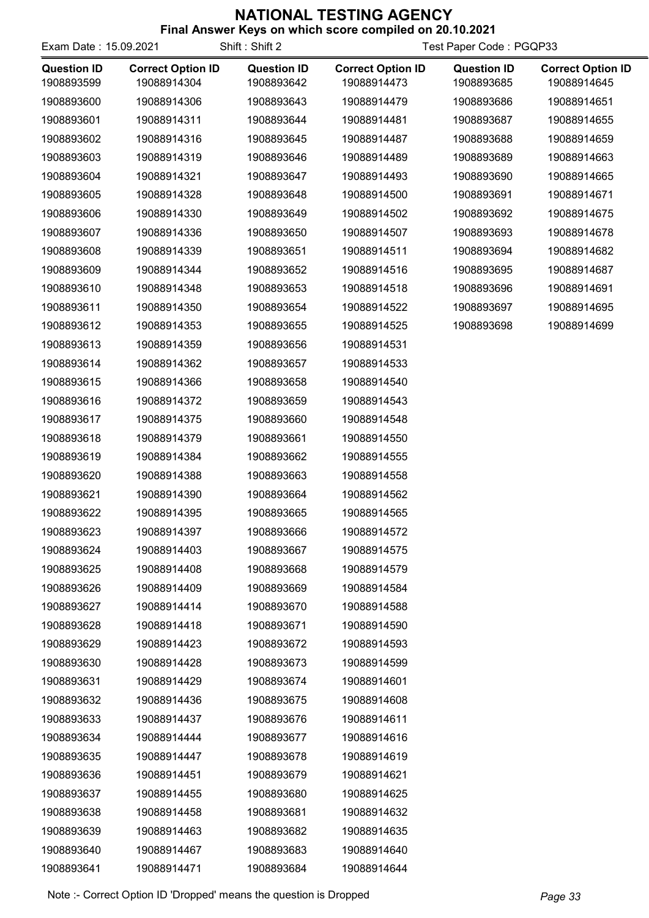| <b>Final Aliswer Reys Off Which Score complied Off ZU. 10.2021</b> |  |  |
|--------------------------------------------------------------------|--|--|
|                                                                    |  |  |

| Exam Date: 15.09.2021            |                                         | Shift: Shift 2                   | Test Paper Code: PGQP33                 |                                  |                                         |
|----------------------------------|-----------------------------------------|----------------------------------|-----------------------------------------|----------------------------------|-----------------------------------------|
| <b>Question ID</b><br>1908893599 | <b>Correct Option ID</b><br>19088914304 | <b>Question ID</b><br>1908893642 | <b>Correct Option ID</b><br>19088914473 | <b>Question ID</b><br>1908893685 | <b>Correct Option ID</b><br>19088914645 |
| 1908893600                       | 19088914306                             | 1908893643                       | 19088914479                             | 1908893686                       | 19088914651                             |
| 1908893601                       | 19088914311                             | 1908893644                       | 19088914481                             | 1908893687                       | 19088914655                             |
| 1908893602                       | 19088914316                             | 1908893645                       | 19088914487                             | 1908893688                       | 19088914659                             |
| 1908893603                       | 19088914319                             | 1908893646                       | 19088914489                             | 1908893689                       | 19088914663                             |
| 1908893604                       | 19088914321                             | 1908893647                       | 19088914493                             | 1908893690                       | 19088914665                             |
| 1908893605                       | 19088914328                             | 1908893648                       | 19088914500                             | 1908893691                       | 19088914671                             |
| 1908893606                       | 19088914330                             | 1908893649                       | 19088914502                             | 1908893692                       | 19088914675                             |
| 1908893607                       | 19088914336                             | 1908893650                       | 19088914507                             | 1908893693                       | 19088914678                             |
| 1908893608                       | 19088914339                             | 1908893651                       | 19088914511                             | 1908893694                       | 19088914682                             |
| 1908893609                       | 19088914344                             | 1908893652                       | 19088914516                             | 1908893695                       | 19088914687                             |
| 1908893610                       | 19088914348                             | 1908893653                       | 19088914518                             | 1908893696                       | 19088914691                             |
| 1908893611                       | 19088914350                             | 1908893654                       | 19088914522                             | 1908893697                       | 19088914695                             |
| 1908893612                       | 19088914353                             | 1908893655                       | 19088914525                             | 1908893698                       | 19088914699                             |
| 1908893613                       | 19088914359                             | 1908893656                       | 19088914531                             |                                  |                                         |
| 1908893614                       | 19088914362                             | 1908893657                       | 19088914533                             |                                  |                                         |
| 1908893615                       | 19088914366                             | 1908893658                       | 19088914540                             |                                  |                                         |
| 1908893616                       | 19088914372                             | 1908893659                       | 19088914543                             |                                  |                                         |
| 1908893617                       | 19088914375                             | 1908893660                       | 19088914548                             |                                  |                                         |
| 1908893618                       | 19088914379                             | 1908893661                       | 19088914550                             |                                  |                                         |
| 1908893619                       | 19088914384                             | 1908893662                       | 19088914555                             |                                  |                                         |
| 1908893620                       | 19088914388                             | 1908893663                       | 19088914558                             |                                  |                                         |
| 1908893621                       | 19088914390                             | 1908893664                       | 19088914562                             |                                  |                                         |
| 1908893622                       | 19088914395                             | 1908893665                       | 19088914565                             |                                  |                                         |
| 1908893623                       | 19088914397                             | 1908893666                       | 19088914572                             |                                  |                                         |
| 1908893624                       | 19088914403                             | 1908893667                       | 19088914575                             |                                  |                                         |
| 1908893625                       | 19088914408                             | 1908893668                       | 19088914579                             |                                  |                                         |
| 1908893626                       | 19088914409                             | 1908893669                       | 19088914584                             |                                  |                                         |
| 1908893627                       | 19088914414                             | 1908893670                       | 19088914588                             |                                  |                                         |
| 1908893628                       | 19088914418                             | 1908893671                       | 19088914590                             |                                  |                                         |
| 1908893629                       | 19088914423                             | 1908893672                       | 19088914593                             |                                  |                                         |
| 1908893630                       | 19088914428                             | 1908893673                       | 19088914599                             |                                  |                                         |
| 1908893631                       | 19088914429                             | 1908893674                       | 19088914601                             |                                  |                                         |
| 1908893632                       | 19088914436                             | 1908893675                       | 19088914608                             |                                  |                                         |
| 1908893633                       | 19088914437                             | 1908893676                       | 19088914611                             |                                  |                                         |
| 1908893634                       | 19088914444                             | 1908893677                       | 19088914616                             |                                  |                                         |
| 1908893635                       | 19088914447                             | 1908893678                       | 19088914619                             |                                  |                                         |
| 1908893636                       | 19088914451                             | 1908893679                       | 19088914621                             |                                  |                                         |
| 1908893637                       | 19088914455                             | 1908893680                       | 19088914625                             |                                  |                                         |
| 1908893638                       | 19088914458                             | 1908893681                       | 19088914632                             |                                  |                                         |
| 1908893639                       | 19088914463                             | 1908893682                       | 19088914635                             |                                  |                                         |
| 1908893640                       | 19088914467                             | 1908893683                       | 19088914640                             |                                  |                                         |
| 1908893641                       | 19088914471                             | 1908893684                       | 19088914644                             |                                  |                                         |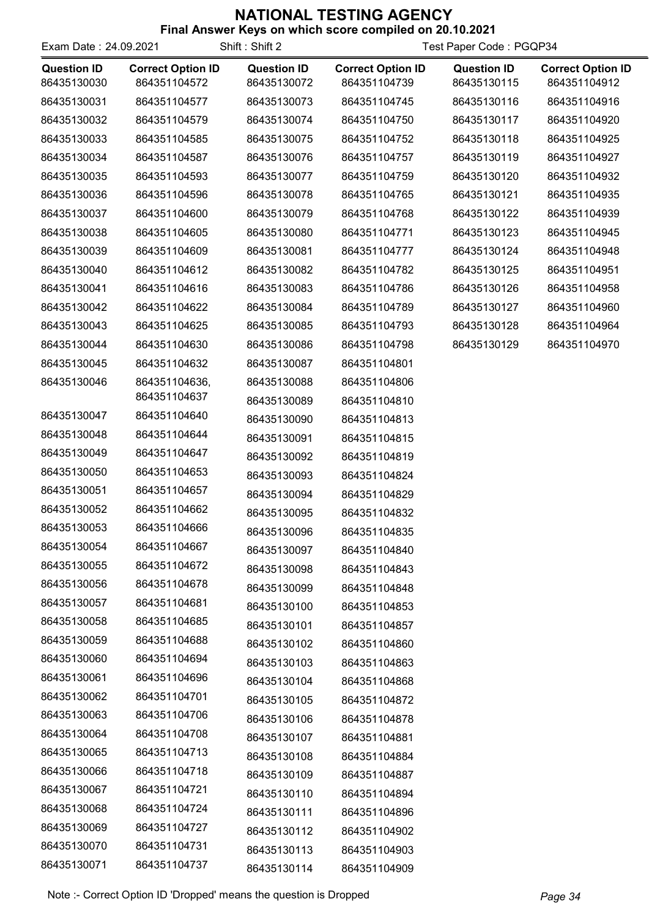| Exam Date: 24.09.2021             |                                          | Shift: Shift 2                    | Test Paper Code: PGQP34                  |                                   |                                          |
|-----------------------------------|------------------------------------------|-----------------------------------|------------------------------------------|-----------------------------------|------------------------------------------|
| <b>Question ID</b><br>86435130030 | <b>Correct Option ID</b><br>864351104572 | <b>Question ID</b><br>86435130072 | <b>Correct Option ID</b><br>864351104739 | <b>Question ID</b><br>86435130115 | <b>Correct Option ID</b><br>864351104912 |
| 86435130031                       | 864351104577                             | 86435130073                       | 864351104745                             | 86435130116                       | 864351104916                             |
| 86435130032                       | 864351104579                             | 86435130074                       | 864351104750                             | 86435130117                       | 864351104920                             |
| 86435130033                       | 864351104585                             | 86435130075                       | 864351104752                             | 86435130118                       | 864351104925                             |
| 86435130034                       | 864351104587                             | 86435130076                       | 864351104757                             | 86435130119                       | 864351104927                             |
| 86435130035                       | 864351104593                             | 86435130077                       | 864351104759                             | 86435130120                       | 864351104932                             |
| 86435130036                       | 864351104596                             | 86435130078                       | 864351104765                             | 86435130121                       | 864351104935                             |
| 86435130037                       | 864351104600                             | 86435130079                       | 864351104768                             | 86435130122                       | 864351104939                             |
| 86435130038                       | 864351104605                             | 86435130080                       | 864351104771                             | 86435130123                       | 864351104945                             |
| 86435130039                       | 864351104609                             | 86435130081                       | 864351104777                             | 86435130124                       | 864351104948                             |
| 86435130040                       | 864351104612                             | 86435130082                       | 864351104782                             | 86435130125                       | 864351104951                             |
| 86435130041                       | 864351104616                             | 86435130083                       | 864351104786                             | 86435130126                       | 864351104958                             |
| 86435130042                       | 864351104622                             | 86435130084                       | 864351104789                             | 86435130127                       | 864351104960                             |
| 86435130043                       | 864351104625                             | 86435130085                       | 864351104793                             | 86435130128                       | 864351104964                             |
| 86435130044                       | 864351104630                             | 86435130086                       | 864351104798                             | 86435130129                       | 864351104970                             |
| 86435130045                       | 864351104632                             | 86435130087                       | 864351104801                             |                                   |                                          |
| 86435130046                       | 864351104636,                            | 86435130088                       | 864351104806                             |                                   |                                          |
|                                   | 864351104637                             | 86435130089                       | 864351104810                             |                                   |                                          |
| 86435130047                       | 864351104640                             | 86435130090                       | 864351104813                             |                                   |                                          |
| 86435130048                       | 864351104644                             | 86435130091                       | 864351104815                             |                                   |                                          |
| 86435130049                       | 864351104647                             | 86435130092                       | 864351104819                             |                                   |                                          |
| 86435130050                       | 864351104653                             | 86435130093                       | 864351104824                             |                                   |                                          |
| 86435130051                       | 864351104657                             | 86435130094                       | 864351104829                             |                                   |                                          |
| 86435130052                       | 864351104662                             | 86435130095                       | 864351104832                             |                                   |                                          |
| 86435130053                       | 864351104666                             | 86435130096                       | 864351104835                             |                                   |                                          |
| 86435130054                       | 864351104667                             | 86435130097                       | 864351104840                             |                                   |                                          |
| 86435130055                       | 864351104672                             | 86435130098                       | 864351104843                             |                                   |                                          |
| 86435130056                       | 864351104678                             | 86435130099                       | 864351104848                             |                                   |                                          |
| 86435130057                       | 864351104681                             | 86435130100                       | 864351104853                             |                                   |                                          |
| 86435130058                       | 864351104685                             | 86435130101                       | 864351104857                             |                                   |                                          |
| 86435130059                       | 864351104688                             | 86435130102                       | 864351104860                             |                                   |                                          |
| 86435130060                       | 864351104694                             | 86435130103                       | 864351104863                             |                                   |                                          |
| 86435130061                       | 864351104696                             | 86435130104                       | 864351104868                             |                                   |                                          |
| 86435130062                       | 864351104701                             | 86435130105                       | 864351104872                             |                                   |                                          |
| 86435130063                       | 864351104706                             | 86435130106                       | 864351104878                             |                                   |                                          |
| 86435130064                       | 864351104708                             | 86435130107                       | 864351104881                             |                                   |                                          |
| 86435130065                       | 864351104713                             | 86435130108                       | 864351104884                             |                                   |                                          |
| 86435130066                       | 864351104718                             | 86435130109                       | 864351104887                             |                                   |                                          |
| 86435130067                       | 864351104721                             | 86435130110                       | 864351104894                             |                                   |                                          |
| 86435130068                       | 864351104724                             | 86435130111                       | 864351104896                             |                                   |                                          |
| 86435130069                       | 864351104727                             | 86435130112                       | 864351104902                             |                                   |                                          |
| 86435130070                       | 864351104731                             | 86435130113                       | 864351104903                             |                                   |                                          |
| 86435130071                       | 864351104737                             | 86435130114                       | 864351104909                             |                                   |                                          |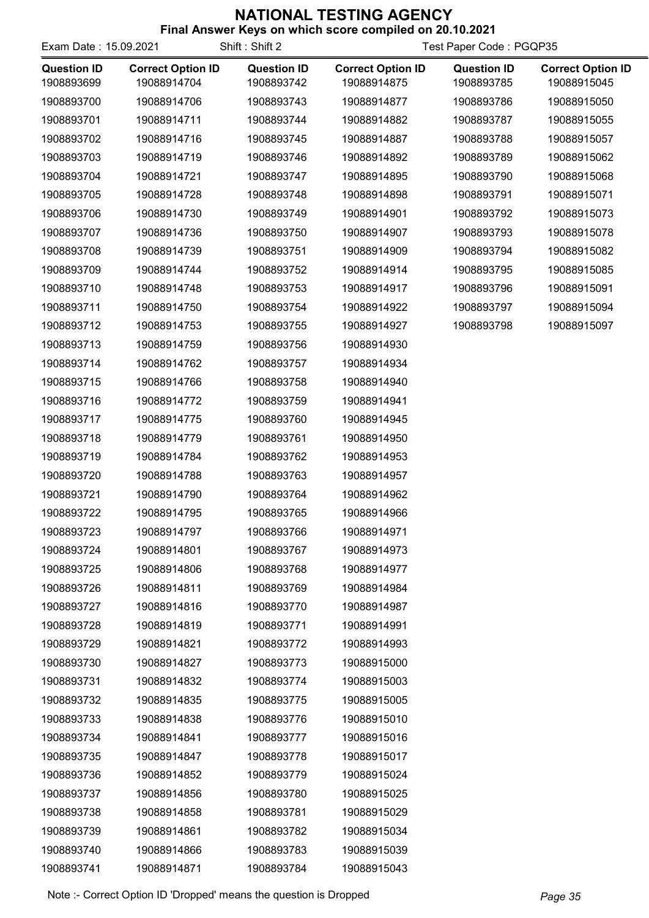| Final Aliswer Reys on which score complied on 20.10.2021<br>Shift: Shift 2<br>Exam Date: 15.09.2021<br>Test Paper Code: PGQP35 |                                         |                                  |                                         |                                  |                                         |
|--------------------------------------------------------------------------------------------------------------------------------|-----------------------------------------|----------------------------------|-----------------------------------------|----------------------------------|-----------------------------------------|
| <b>Question ID</b><br>1908893699                                                                                               | <b>Correct Option ID</b><br>19088914704 | <b>Question ID</b><br>1908893742 | <b>Correct Option ID</b><br>19088914875 | <b>Question ID</b><br>1908893785 | <b>Correct Option ID</b><br>19088915045 |
| 1908893700                                                                                                                     | 19088914706                             | 1908893743                       | 19088914877                             | 1908893786                       | 19088915050                             |
| 1908893701                                                                                                                     | 19088914711                             | 1908893744                       | 19088914882                             | 1908893787                       | 19088915055                             |
| 1908893702                                                                                                                     | 19088914716                             | 1908893745                       | 19088914887                             | 1908893788                       | 19088915057                             |
| 1908893703                                                                                                                     | 19088914719                             | 1908893746                       | 19088914892                             | 1908893789                       | 19088915062                             |
| 1908893704                                                                                                                     | 19088914721                             | 1908893747                       | 19088914895                             | 1908893790                       | 19088915068                             |
| 1908893705                                                                                                                     | 19088914728                             | 1908893748                       | 19088914898                             | 1908893791                       | 19088915071                             |
| 1908893706                                                                                                                     | 19088914730                             | 1908893749                       | 19088914901                             | 1908893792                       | 19088915073                             |
| 1908893707                                                                                                                     | 19088914736                             | 1908893750                       | 19088914907                             | 1908893793                       | 19088915078                             |
| 1908893708                                                                                                                     | 19088914739                             | 1908893751                       | 19088914909                             | 1908893794                       | 19088915082                             |
| 1908893709                                                                                                                     | 19088914744                             | 1908893752                       | 19088914914                             | 1908893795                       | 19088915085                             |
| 1908893710                                                                                                                     | 19088914748                             | 1908893753                       | 19088914917                             | 1908893796                       | 19088915091                             |
| 1908893711                                                                                                                     | 19088914750                             | 1908893754                       | 19088914922                             | 1908893797                       | 19088915094                             |
| 1908893712                                                                                                                     | 19088914753                             | 1908893755                       | 19088914927                             | 1908893798                       | 19088915097                             |
| 1908893713                                                                                                                     | 19088914759                             | 1908893756                       | 19088914930                             |                                  |                                         |
| 1908893714                                                                                                                     | 19088914762                             | 1908893757                       | 19088914934                             |                                  |                                         |
| 1908893715                                                                                                                     | 19088914766                             | 1908893758                       | 19088914940                             |                                  |                                         |
| 1908893716                                                                                                                     | 19088914772                             | 1908893759                       | 19088914941                             |                                  |                                         |
| 1908893717                                                                                                                     | 19088914775                             | 1908893760                       | 19088914945                             |                                  |                                         |
| 1908893718                                                                                                                     | 19088914779                             | 1908893761                       | 19088914950                             |                                  |                                         |
| 1908893719                                                                                                                     | 19088914784                             | 1908893762                       | 19088914953                             |                                  |                                         |
| 1908893720                                                                                                                     | 19088914788                             | 1908893763                       | 19088914957                             |                                  |                                         |
| 1908893721                                                                                                                     | 19088914790                             | 1908893764                       | 19088914962                             |                                  |                                         |
| 1908893722                                                                                                                     | 19088914795                             | 1908893765                       | 19088914966                             |                                  |                                         |
| 1908893723                                                                                                                     | 19088914797                             | 1908893766                       | 19088914971                             |                                  |                                         |
| 1908893724                                                                                                                     | 19088914801                             | 1908893767                       | 19088914973                             |                                  |                                         |
| 1908893725                                                                                                                     | 19088914806                             | 1908893768                       | 19088914977                             |                                  |                                         |
| 1908893726                                                                                                                     | 19088914811                             | 1908893769                       | 19088914984                             |                                  |                                         |
| 1908893727                                                                                                                     | 19088914816                             | 1908893770                       | 19088914987                             |                                  |                                         |
| 1908893728                                                                                                                     | 19088914819                             | 1908893771                       | 19088914991                             |                                  |                                         |
| 1908893729                                                                                                                     | 19088914821                             | 1908893772                       | 19088914993                             |                                  |                                         |
| 1908893730                                                                                                                     | 19088914827                             | 1908893773                       | 19088915000                             |                                  |                                         |
| 1908893731                                                                                                                     | 19088914832                             | 1908893774                       | 19088915003                             |                                  |                                         |
| 1908893732                                                                                                                     | 19088914835                             | 1908893775                       | 19088915005                             |                                  |                                         |
| 1908893733                                                                                                                     | 19088914838                             | 1908893776                       | 19088915010                             |                                  |                                         |
| 1908893734                                                                                                                     | 19088914841                             | 1908893777                       | 19088915016                             |                                  |                                         |
| 1908893735                                                                                                                     | 19088914847                             | 1908893778                       | 19088915017                             |                                  |                                         |
| 1908893736                                                                                                                     | 19088914852                             | 1908893779                       | 19088915024                             |                                  |                                         |
| 1908893737                                                                                                                     | 19088914856                             | 1908893780                       | 19088915025                             |                                  |                                         |
| 1908893738                                                                                                                     | 19088914858                             | 1908893781                       | 19088915029                             |                                  |                                         |
| 1908893739                                                                                                                     | 19088914861                             | 1908893782                       | 19088915034                             |                                  |                                         |
| 1908893740                                                                                                                     | 19088914866                             | 1908893783                       | 19088915039                             |                                  |                                         |
| 1908893741                                                                                                                     | 19088914871                             | 1908893784                       | 19088915043                             |                                  |                                         |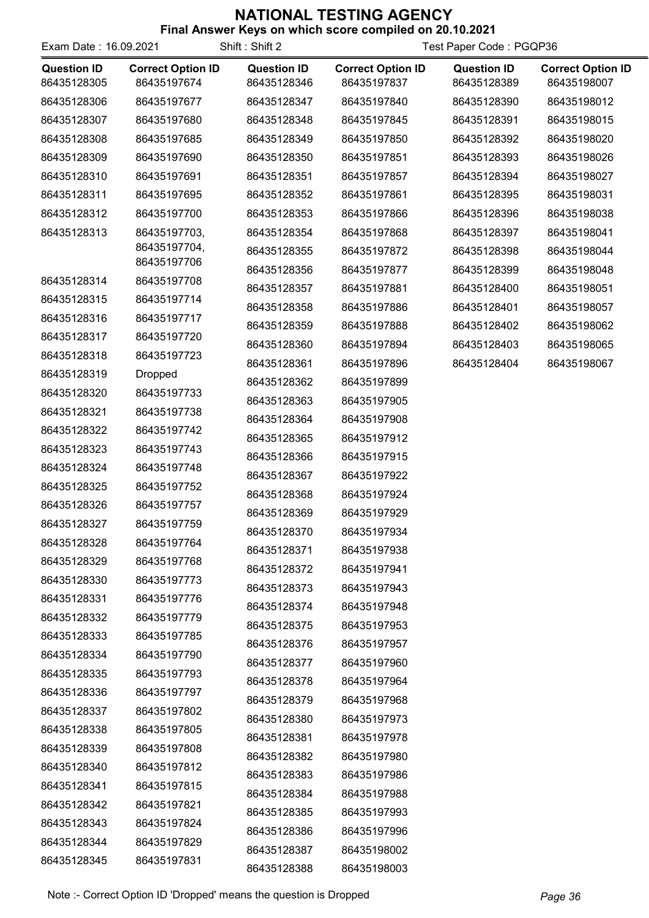| Final Answer Keys on which score compiled on 20.10.2021 |  |  |
|---------------------------------------------------------|--|--|
|                                                         |  |  |

| Exam Date: 16.09.2021             |                                         | Shift: Shift 2                    | Test Paper Code: PGQP36                 |                                   |                                         |
|-----------------------------------|-----------------------------------------|-----------------------------------|-----------------------------------------|-----------------------------------|-----------------------------------------|
| <b>Question ID</b><br>86435128305 | <b>Correct Option ID</b><br>86435197674 | <b>Question ID</b><br>86435128346 | <b>Correct Option ID</b><br>86435197837 | <b>Question ID</b><br>86435128389 | <b>Correct Option ID</b><br>86435198007 |
| 86435128306                       | 86435197677                             | 86435128347                       | 86435197840                             | 86435128390                       | 86435198012                             |
| 86435128307                       | 86435197680                             | 86435128348                       | 86435197845                             | 86435128391                       | 86435198015                             |
| 86435128308                       | 86435197685                             | 86435128349                       | 86435197850                             | 86435128392                       | 86435198020                             |
| 86435128309                       | 86435197690                             | 86435128350                       | 86435197851                             | 86435128393                       | 86435198026                             |
| 86435128310                       | 86435197691                             | 86435128351                       | 86435197857                             | 86435128394                       | 86435198027                             |
| 86435128311                       | 86435197695                             | 86435128352                       | 86435197861                             | 86435128395                       | 86435198031                             |
| 86435128312                       | 86435197700                             | 86435128353                       | 86435197866                             | 86435128396                       | 86435198038                             |
| 86435128313                       | 86435197703,                            | 86435128354                       | 86435197868                             | 86435128397                       | 86435198041                             |
|                                   | 86435197704,                            | 86435128355                       | 86435197872                             | 86435128398                       | 86435198044                             |
|                                   | 86435197706                             | 86435128356                       | 86435197877                             | 86435128399                       | 86435198048                             |
| 86435128314                       | 86435197708                             | 86435128357                       | 86435197881                             | 86435128400                       | 86435198051                             |
| 86435128315                       | 86435197714                             | 86435128358                       | 86435197886                             | 86435128401                       | 86435198057                             |
| 86435128316                       | 86435197717                             | 86435128359                       | 86435197888                             | 86435128402                       | 86435198062                             |
| 86435128317                       | 86435197720                             | 86435128360                       | 86435197894                             | 86435128403                       | 86435198065                             |
| 86435128318                       | 86435197723                             | 86435128361                       | 86435197896                             | 86435128404                       | 86435198067                             |
| 86435128319                       | <b>Dropped</b>                          | 86435128362                       | 86435197899                             |                                   |                                         |
| 86435128320<br>86435128321        | 86435197733<br>86435197738              | 86435128363                       | 86435197905                             |                                   |                                         |
| 86435128322                       | 86435197742                             | 86435128364                       | 86435197908                             |                                   |                                         |
| 86435128323                       | 86435197743                             | 86435128365                       | 86435197912                             |                                   |                                         |
| 86435128324                       | 86435197748                             | 86435128366                       | 86435197915                             |                                   |                                         |
|                                   | 86435197752                             | 86435128367                       | 86435197922                             |                                   |                                         |
| 86435128325<br>86435128326        | 86435197757                             | 86435128368                       | 86435197924                             |                                   |                                         |
| 86435128327                       | 86435197759                             | 86435128369                       | 86435197929                             |                                   |                                         |
| 86435128328                       | 86435197764                             | 86435128370                       | 86435197934                             |                                   |                                         |
| 86435128329                       | 86435197768                             | 86435128371                       | 86435197938                             |                                   |                                         |
| 86435128330                       | 86435197773                             | 86435128372                       | 86435197941                             |                                   |                                         |
| 86435128331                       | 86435197776                             | 86435128373                       | 86435197943                             |                                   |                                         |
| 86435128332                       | 86435197779                             | 86435128374                       | 86435197948                             |                                   |                                         |
| 86435128333                       | 86435197785                             | 86435128375                       | 86435197953                             |                                   |                                         |
| 86435128334                       | 86435197790                             | 86435128376                       | 86435197957                             |                                   |                                         |
| 86435128335                       | 86435197793                             | 86435128377                       | 86435197960                             |                                   |                                         |
| 86435128336                       | 86435197797                             | 86435128378                       | 86435197964                             |                                   |                                         |
| 86435128337                       | 86435197802                             | 86435128379                       | 86435197968                             |                                   |                                         |
| 86435128338                       | 86435197805                             | 86435128380                       | 86435197973                             |                                   |                                         |
| 86435128339                       | 86435197808                             | 86435128381                       | 86435197978                             |                                   |                                         |
| 86435128340                       | 86435197812                             | 86435128382                       | 86435197980                             |                                   |                                         |
| 86435128341                       | 86435197815                             | 86435128383                       | 86435197986                             |                                   |                                         |
| 86435128342                       | 86435197821                             | 86435128384                       | 86435197988                             |                                   |                                         |
| 86435128343                       | 86435197824                             | 86435128385                       | 86435197993                             |                                   |                                         |
| 86435128344                       | 86435197829                             | 86435128386                       | 86435197996                             |                                   |                                         |
| 86435128345                       | 86435197831                             | 86435128387                       | 86435198002                             |                                   |                                         |
|                                   |                                         | 86435128388                       | 86435198003                             |                                   |                                         |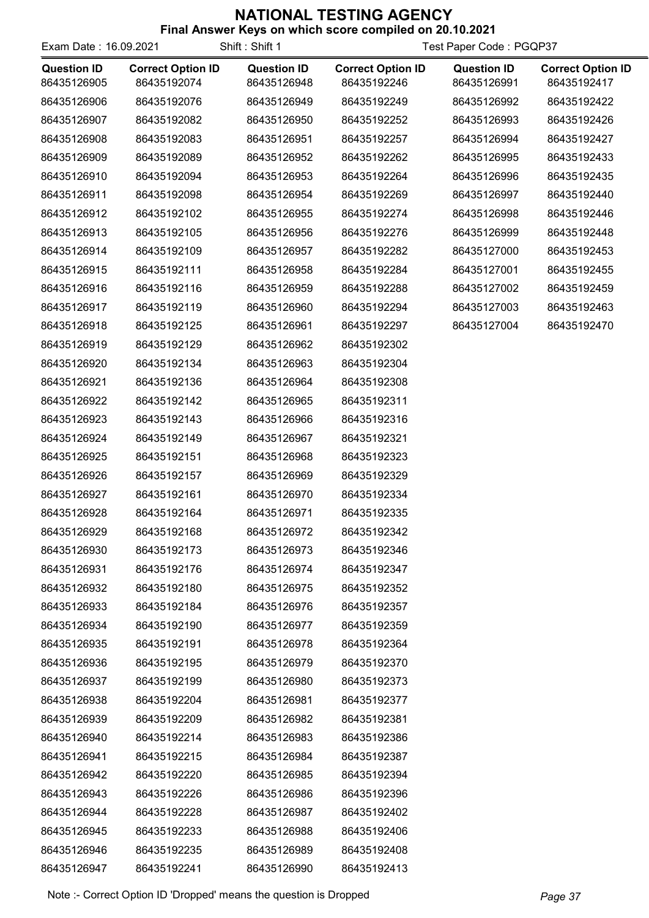| Exam Date: 16.09.2021             |                                         | Shift: Shift 1                    | Test Paper Code: PGQP37                 |                                   |                                         |
|-----------------------------------|-----------------------------------------|-----------------------------------|-----------------------------------------|-----------------------------------|-----------------------------------------|
| <b>Question ID</b><br>86435126905 | <b>Correct Option ID</b><br>86435192074 | <b>Question ID</b><br>86435126948 | <b>Correct Option ID</b><br>86435192246 | <b>Question ID</b><br>86435126991 | <b>Correct Option ID</b><br>86435192417 |
| 86435126906                       | 86435192076                             | 86435126949                       | 86435192249                             | 86435126992                       | 86435192422                             |
| 86435126907                       | 86435192082                             | 86435126950                       | 86435192252                             | 86435126993                       | 86435192426                             |
| 86435126908                       | 86435192083                             | 86435126951                       | 86435192257                             | 86435126994                       | 86435192427                             |
| 86435126909                       | 86435192089                             | 86435126952                       | 86435192262                             | 86435126995                       | 86435192433                             |
| 86435126910                       | 86435192094                             | 86435126953                       | 86435192264                             | 86435126996                       | 86435192435                             |
| 86435126911                       | 86435192098                             | 86435126954                       | 86435192269                             | 86435126997                       | 86435192440                             |
| 86435126912                       | 86435192102                             | 86435126955                       | 86435192274                             | 86435126998                       | 86435192446                             |
| 86435126913                       | 86435192105                             | 86435126956                       | 86435192276                             | 86435126999                       | 86435192448                             |
| 86435126914                       | 86435192109                             | 86435126957                       | 86435192282                             | 86435127000                       | 86435192453                             |
| 86435126915                       | 86435192111                             | 86435126958                       | 86435192284                             | 86435127001                       | 86435192455                             |
| 86435126916                       | 86435192116                             | 86435126959                       | 86435192288                             | 86435127002                       | 86435192459                             |
| 86435126917                       | 86435192119                             | 86435126960                       | 86435192294                             | 86435127003                       | 86435192463                             |
| 86435126918                       | 86435192125                             | 86435126961                       | 86435192297                             | 86435127004                       | 86435192470                             |
| 86435126919                       | 86435192129                             | 86435126962                       | 86435192302                             |                                   |                                         |
| 86435126920                       | 86435192134                             | 86435126963                       | 86435192304                             |                                   |                                         |
| 86435126921                       | 86435192136                             | 86435126964                       | 86435192308                             |                                   |                                         |
| 86435126922                       | 86435192142                             | 86435126965                       | 86435192311                             |                                   |                                         |
| 86435126923                       | 86435192143                             | 86435126966                       | 86435192316                             |                                   |                                         |
| 86435126924                       | 86435192149                             | 86435126967                       | 86435192321                             |                                   |                                         |
| 86435126925                       | 86435192151                             | 86435126968                       | 86435192323                             |                                   |                                         |
| 86435126926                       | 86435192157                             | 86435126969                       | 86435192329                             |                                   |                                         |
| 86435126927                       | 86435192161                             | 86435126970                       | 86435192334                             |                                   |                                         |
| 86435126928                       | 86435192164                             | 86435126971                       | 86435192335                             |                                   |                                         |
| 86435126929                       | 86435192168                             | 86435126972                       | 86435192342                             |                                   |                                         |
| 86435126930                       | 86435192173                             | 86435126973                       | 86435192346                             |                                   |                                         |
| 86435126931                       | 86435192176                             | 86435126974                       | 86435192347                             |                                   |                                         |
| 86435126932                       | 86435192180                             | 86435126975                       | 86435192352                             |                                   |                                         |
| 86435126933                       | 86435192184                             | 86435126976                       | 86435192357                             |                                   |                                         |
| 86435126934                       | 86435192190                             | 86435126977                       | 86435192359                             |                                   |                                         |
| 86435126935                       | 86435192191                             | 86435126978                       | 86435192364                             |                                   |                                         |
| 86435126936                       | 86435192195                             | 86435126979                       | 86435192370                             |                                   |                                         |
| 86435126937                       | 86435192199                             | 86435126980                       | 86435192373                             |                                   |                                         |
| 86435126938                       | 86435192204                             | 86435126981                       | 86435192377                             |                                   |                                         |
| 86435126939                       | 86435192209                             | 86435126982                       | 86435192381                             |                                   |                                         |
| 86435126940                       | 86435192214                             | 86435126983                       | 86435192386                             |                                   |                                         |
| 86435126941                       | 86435192215                             | 86435126984                       | 86435192387                             |                                   |                                         |
| 86435126942                       | 86435192220                             | 86435126985                       | 86435192394                             |                                   |                                         |
| 86435126943                       | 86435192226                             | 86435126986                       | 86435192396                             |                                   |                                         |
| 86435126944                       | 86435192228                             | 86435126987                       | 86435192402                             |                                   |                                         |
| 86435126945                       | 86435192233                             | 86435126988                       | 86435192406                             |                                   |                                         |
| 86435126946                       | 86435192235                             | 86435126989                       | 86435192408                             |                                   |                                         |
| 86435126947                       | 86435192241                             | 86435126990                       | 86435192413                             |                                   |                                         |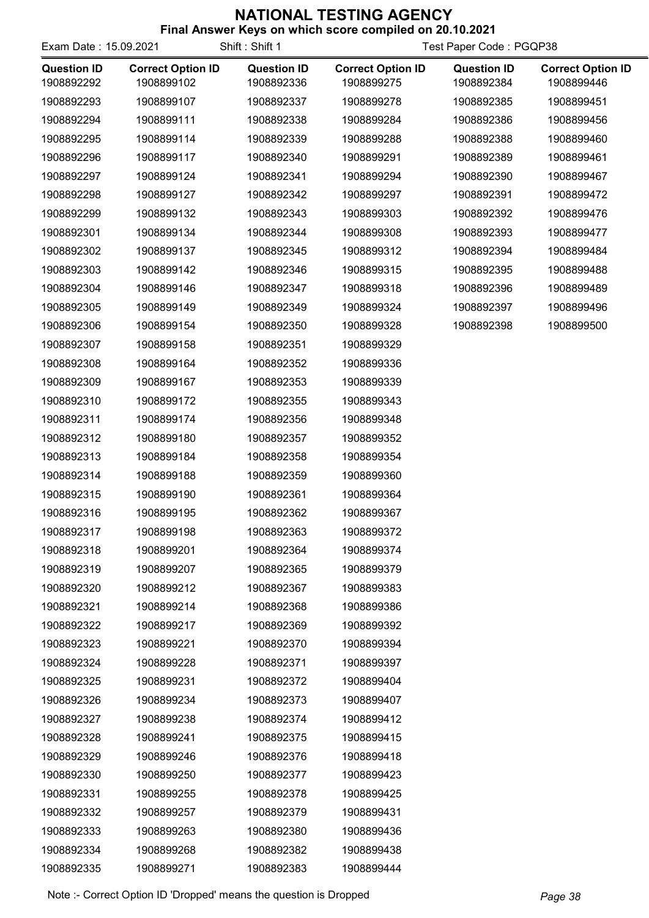| <b>THIS ANSWER INGGO ON WHICH SCOTE COMPILED ON ZU. 10.2021</b><br>Shift: Shift 1<br>Exam Date: 15.09.2021<br>Test Paper Code: PGQP38 |                                        |                                  |                                        |                                  |                                        |
|---------------------------------------------------------------------------------------------------------------------------------------|----------------------------------------|----------------------------------|----------------------------------------|----------------------------------|----------------------------------------|
| <b>Question ID</b><br>1908892292                                                                                                      | <b>Correct Option ID</b><br>1908899102 | <b>Question ID</b><br>1908892336 | <b>Correct Option ID</b><br>1908899275 | <b>Question ID</b><br>1908892384 | <b>Correct Option ID</b><br>1908899446 |
| 1908892293                                                                                                                            | 1908899107                             | 1908892337                       | 1908899278                             | 1908892385                       | 1908899451                             |
| 1908892294                                                                                                                            | 1908899111                             | 1908892338                       | 1908899284                             | 1908892386                       | 1908899456                             |
| 1908892295                                                                                                                            | 1908899114                             | 1908892339                       | 1908899288                             | 1908892388                       | 1908899460                             |
| 1908892296                                                                                                                            | 1908899117                             | 1908892340                       | 1908899291                             | 1908892389                       | 1908899461                             |
| 1908892297                                                                                                                            | 1908899124                             | 1908892341                       | 1908899294                             | 1908892390                       | 1908899467                             |
| 1908892298                                                                                                                            | 1908899127                             | 1908892342                       | 1908899297                             | 1908892391                       | 1908899472                             |
| 1908892299                                                                                                                            | 1908899132                             | 1908892343                       | 1908899303                             | 1908892392                       | 1908899476                             |
| 1908892301                                                                                                                            | 1908899134                             | 1908892344                       | 1908899308                             | 1908892393                       | 1908899477                             |
| 1908892302                                                                                                                            | 1908899137                             | 1908892345                       | 1908899312                             | 1908892394                       | 1908899484                             |
| 1908892303                                                                                                                            | 1908899142                             | 1908892346                       | 1908899315                             | 1908892395                       | 1908899488                             |
| 1908892304                                                                                                                            | 1908899146                             | 1908892347                       | 1908899318                             | 1908892396                       | 1908899489                             |
| 1908892305                                                                                                                            | 1908899149                             | 1908892349                       | 1908899324                             | 1908892397                       | 1908899496                             |
| 1908892306                                                                                                                            | 1908899154                             | 1908892350                       | 1908899328                             | 1908892398                       | 1908899500                             |
| 1908892307                                                                                                                            | 1908899158                             | 1908892351                       | 1908899329                             |                                  |                                        |
| 1908892308                                                                                                                            | 1908899164                             | 1908892352                       | 1908899336                             |                                  |                                        |
| 1908892309                                                                                                                            | 1908899167                             | 1908892353                       | 1908899339                             |                                  |                                        |
| 1908892310                                                                                                                            | 1908899172                             | 1908892355                       | 1908899343                             |                                  |                                        |
| 1908892311                                                                                                                            | 1908899174                             | 1908892356                       | 1908899348                             |                                  |                                        |
| 1908892312                                                                                                                            | 1908899180                             | 1908892357                       | 1908899352                             |                                  |                                        |
| 1908892313                                                                                                                            | 1908899184                             | 1908892358                       | 1908899354                             |                                  |                                        |
| 1908892314                                                                                                                            | 1908899188                             | 1908892359                       | 1908899360                             |                                  |                                        |
| 1908892315                                                                                                                            | 1908899190                             | 1908892361                       | 1908899364                             |                                  |                                        |
| 1908892316                                                                                                                            | 1908899195                             | 1908892362                       | 1908899367                             |                                  |                                        |
| 1908892317                                                                                                                            | 1908899198                             | 1908892363                       | 1908899372                             |                                  |                                        |
| 1908892318                                                                                                                            | 1908899201                             | 1908892364                       | 1908899374                             |                                  |                                        |
| 1908892319                                                                                                                            | 1908899207                             | 1908892365                       | 1908899379                             |                                  |                                        |
| 1908892320                                                                                                                            | 1908899212                             | 1908892367                       | 1908899383                             |                                  |                                        |
| 1908892321                                                                                                                            | 1908899214                             | 1908892368                       | 1908899386                             |                                  |                                        |
| 1908892322                                                                                                                            | 1908899217                             | 1908892369                       | 1908899392                             |                                  |                                        |
| 1908892323                                                                                                                            | 1908899221                             | 1908892370                       | 1908899394                             |                                  |                                        |
| 1908892324                                                                                                                            | 1908899228                             | 1908892371                       | 1908899397                             |                                  |                                        |
| 1908892325                                                                                                                            | 1908899231                             | 1908892372                       | 1908899404                             |                                  |                                        |
| 1908892326                                                                                                                            | 1908899234                             | 1908892373                       | 1908899407                             |                                  |                                        |
| 1908892327                                                                                                                            | 1908899238                             | 1908892374                       | 1908899412                             |                                  |                                        |
| 1908892328                                                                                                                            | 1908899241                             | 1908892375                       | 1908899415                             |                                  |                                        |
| 1908892329                                                                                                                            | 1908899246                             | 1908892376                       | 1908899418                             |                                  |                                        |
| 1908892330                                                                                                                            | 1908899250                             | 1908892377                       | 1908899423                             |                                  |                                        |
| 1908892331                                                                                                                            | 1908899255                             | 1908892378                       | 1908899425                             |                                  |                                        |
| 1908892332                                                                                                                            | 1908899257                             | 1908892379                       | 1908899431                             |                                  |                                        |
| 1908892333                                                                                                                            | 1908899263                             | 1908892380                       | 1908899436                             |                                  |                                        |
| 1908892334                                                                                                                            | 1908899268                             | 1908892382                       | 1908899438                             |                                  |                                        |
| 1908892335                                                                                                                            | 1908899271                             | 1908892383                       | 1908899444                             |                                  |                                        |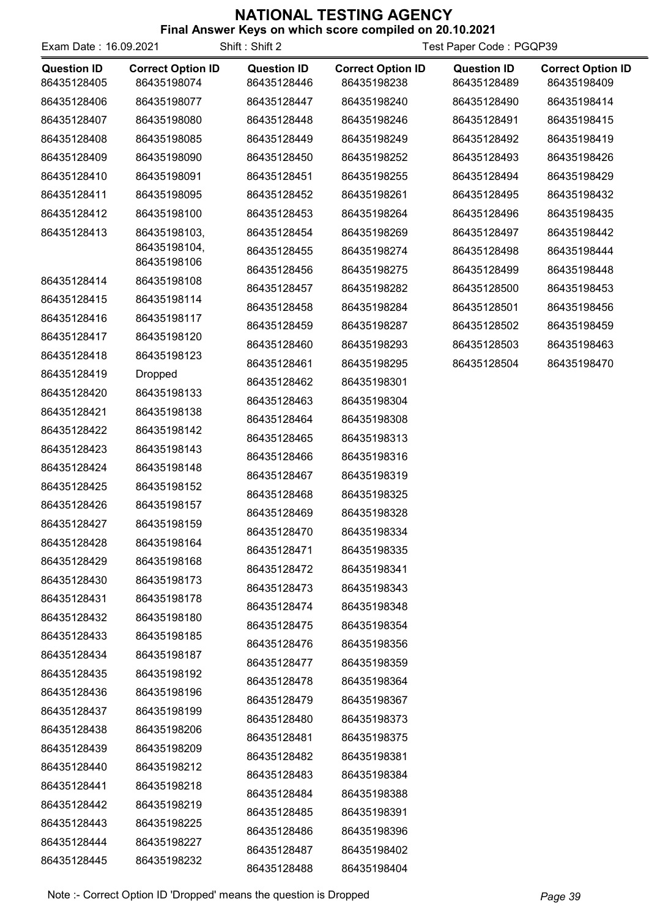| Exam Date: 16.09.2021             |                                         | Shift: Shift 2                    | Test Paper Code: PGQP39                 |                                   |                                         |
|-----------------------------------|-----------------------------------------|-----------------------------------|-----------------------------------------|-----------------------------------|-----------------------------------------|
| <b>Question ID</b><br>86435128405 | <b>Correct Option ID</b><br>86435198074 | <b>Question ID</b><br>86435128446 | <b>Correct Option ID</b><br>86435198238 | <b>Question ID</b><br>86435128489 | <b>Correct Option ID</b><br>86435198409 |
| 86435128406                       | 86435198077                             | 86435128447                       | 86435198240                             | 86435128490                       | 86435198414                             |
| 86435128407                       | 86435198080                             | 86435128448                       | 86435198246                             | 86435128491                       | 86435198415                             |
| 86435128408                       | 86435198085                             | 86435128449                       | 86435198249                             | 86435128492                       | 86435198419                             |
| 86435128409                       | 86435198090                             | 86435128450                       | 86435198252                             | 86435128493                       | 86435198426                             |
| 86435128410                       | 86435198091                             | 86435128451                       | 86435198255                             | 86435128494                       | 86435198429                             |
| 86435128411                       | 86435198095                             | 86435128452                       | 86435198261                             | 86435128495                       | 86435198432                             |
| 86435128412                       | 86435198100                             | 86435128453                       | 86435198264                             | 86435128496                       | 86435198435                             |
| 86435128413                       | 86435198103,                            | 86435128454                       | 86435198269                             | 86435128497                       | 86435198442                             |
|                                   | 86435198104,<br>86435198106             | 86435128455                       | 86435198274                             | 86435128498                       | 86435198444                             |
| 86435128414                       | 86435198108                             | 86435128456                       | 86435198275                             | 86435128499                       | 86435198448                             |
| 86435128415                       | 86435198114                             | 86435128457                       | 86435198282                             | 86435128500                       | 86435198453                             |
| 86435128416                       | 86435198117                             | 86435128458                       | 86435198284                             | 86435128501                       | 86435198456                             |
| 86435128417                       | 86435198120                             | 86435128459                       | 86435198287                             | 86435128502                       | 86435198459                             |
| 86435128418                       | 86435198123                             | 86435128460                       | 86435198293                             | 86435128503                       | 86435198463                             |
| 86435128419                       | <b>Dropped</b>                          | 86435128461                       | 86435198295                             | 86435128504                       | 86435198470                             |
| 86435128420                       | 86435198133                             | 86435128462                       | 86435198301                             |                                   |                                         |
| 86435128421                       | 86435198138                             | 86435128463                       | 86435198304                             |                                   |                                         |
| 86435128422                       | 86435198142                             | 86435128464                       | 86435198308                             |                                   |                                         |
| 86435128423                       | 86435198143                             | 86435128465                       | 86435198313                             |                                   |                                         |
| 86435128424                       | 86435198148                             | 86435128466                       | 86435198316                             |                                   |                                         |
| 86435128425                       | 86435198152                             | 86435128467                       | 86435198319                             |                                   |                                         |
| 86435128426                       | 86435198157                             | 86435128468                       | 86435198325                             |                                   |                                         |
| 86435128427                       | 86435198159                             | 86435128469                       | 86435198328                             |                                   |                                         |
| 86435128428                       | 86435198164                             | 86435128470                       | 86435198334                             |                                   |                                         |
| 86435128429                       | 86435198168                             | 86435128471                       | 86435198335                             |                                   |                                         |
| 86435128430                       | 86435198173                             | 86435128472                       | 86435198341                             |                                   |                                         |
| 86435128431                       | 86435198178                             | 86435128473                       | 86435198343                             |                                   |                                         |
| 86435128432                       | 86435198180                             | 86435128474                       | 86435198348                             |                                   |                                         |
| 86435128433                       | 86435198185                             | 86435128475                       | 86435198354                             |                                   |                                         |
| 86435128434                       | 86435198187                             | 86435128476                       | 86435198356                             |                                   |                                         |
| 86435128435                       | 86435198192                             | 86435128477                       | 86435198359                             |                                   |                                         |
| 86435128436                       | 86435198196                             | 86435128478                       | 86435198364                             |                                   |                                         |
| 86435128437                       | 86435198199                             | 86435128479                       | 86435198367                             |                                   |                                         |
| 86435128438                       | 86435198206                             | 86435128480                       | 86435198373                             |                                   |                                         |
| 86435128439                       | 86435198209                             | 86435128481                       | 86435198375                             |                                   |                                         |
| 86435128440                       | 86435198212                             | 86435128482                       | 86435198381                             |                                   |                                         |
| 86435128441                       | 86435198218                             | 86435128483                       | 86435198384                             |                                   |                                         |
| 86435128442                       | 86435198219                             | 86435128484                       | 86435198388                             |                                   |                                         |
| 86435128443                       | 86435198225                             | 86435128485                       | 86435198391                             |                                   |                                         |
| 86435128444                       | 86435198227                             | 86435128486                       | 86435198396                             |                                   |                                         |
| 86435128445                       | 86435198232                             | 86435128487                       | 86435198402                             |                                   |                                         |
|                                   |                                         | 86435128488                       | 86435198404                             |                                   |                                         |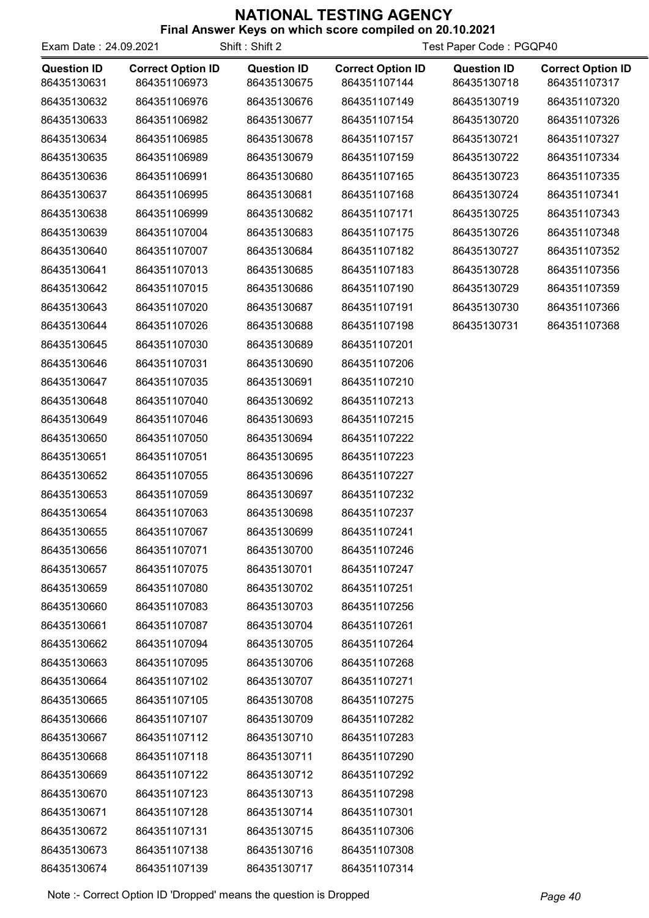| Exam Date: 24.09.2021             |                                          | Shift: Shift 2                    |                                          | Test Paper Code: PGQP40           |                                          |
|-----------------------------------|------------------------------------------|-----------------------------------|------------------------------------------|-----------------------------------|------------------------------------------|
| <b>Question ID</b><br>86435130631 | <b>Correct Option ID</b><br>864351106973 | <b>Question ID</b><br>86435130675 | <b>Correct Option ID</b><br>864351107144 | <b>Question ID</b><br>86435130718 | <b>Correct Option ID</b><br>864351107317 |
| 86435130632                       | 864351106976                             | 86435130676                       | 864351107149                             | 86435130719                       | 864351107320                             |
| 86435130633                       | 864351106982                             | 86435130677                       | 864351107154                             | 86435130720                       | 864351107326                             |
| 86435130634                       | 864351106985                             | 86435130678                       | 864351107157                             | 86435130721                       | 864351107327                             |
| 86435130635                       | 864351106989                             | 86435130679                       | 864351107159                             | 86435130722                       | 864351107334                             |
| 86435130636                       | 864351106991                             | 86435130680                       | 864351107165                             | 86435130723                       | 864351107335                             |
| 86435130637                       | 864351106995                             | 86435130681                       | 864351107168                             | 86435130724                       | 864351107341                             |
| 86435130638                       | 864351106999                             | 86435130682                       | 864351107171                             | 86435130725                       | 864351107343                             |
| 86435130639                       | 864351107004                             | 86435130683                       | 864351107175                             | 86435130726                       | 864351107348                             |
| 86435130640                       | 864351107007                             | 86435130684                       | 864351107182                             | 86435130727                       | 864351107352                             |
| 86435130641                       | 864351107013                             | 86435130685                       | 864351107183                             | 86435130728                       | 864351107356                             |
| 86435130642                       | 864351107015                             | 86435130686                       | 864351107190                             | 86435130729                       | 864351107359                             |
| 86435130643                       | 864351107020                             | 86435130687                       | 864351107191                             | 86435130730                       | 864351107366                             |
| 86435130644                       | 864351107026                             | 86435130688                       | 864351107198                             | 86435130731                       | 864351107368                             |
| 86435130645                       | 864351107030                             | 86435130689                       | 864351107201                             |                                   |                                          |
| 86435130646                       | 864351107031                             | 86435130690                       | 864351107206                             |                                   |                                          |
| 86435130647                       | 864351107035                             | 86435130691                       | 864351107210                             |                                   |                                          |
| 86435130648                       | 864351107040                             | 86435130692                       | 864351107213                             |                                   |                                          |
| 86435130649                       | 864351107046                             | 86435130693                       | 864351107215                             |                                   |                                          |
| 86435130650                       | 864351107050                             | 86435130694                       | 864351107222                             |                                   |                                          |
| 86435130651                       | 864351107051                             | 86435130695                       | 864351107223                             |                                   |                                          |
| 86435130652                       | 864351107055                             | 86435130696                       | 864351107227                             |                                   |                                          |
| 86435130653                       | 864351107059                             | 86435130697                       | 864351107232                             |                                   |                                          |
| 86435130654                       | 864351107063                             | 86435130698                       | 864351107237                             |                                   |                                          |
| 86435130655                       | 864351107067                             | 86435130699                       | 864351107241                             |                                   |                                          |
| 86435130656                       | 864351107071                             | 86435130700                       | 864351107246                             |                                   |                                          |
| 86435130657                       | 864351107075                             | 86435130701                       | 864351107247                             |                                   |                                          |
| 86435130659                       | 864351107080                             | 86435130702                       | 864351107251                             |                                   |                                          |
| 86435130660                       | 864351107083                             | 86435130703                       | 864351107256                             |                                   |                                          |
| 86435130661                       | 864351107087                             | 86435130704                       | 864351107261                             |                                   |                                          |
| 86435130662                       | 864351107094                             | 86435130705                       | 864351107264                             |                                   |                                          |
| 86435130663                       | 864351107095                             | 86435130706                       | 864351107268                             |                                   |                                          |
| 86435130664                       | 864351107102                             | 86435130707                       | 864351107271                             |                                   |                                          |
| 86435130665                       | 864351107105                             | 86435130708                       | 864351107275                             |                                   |                                          |
| 86435130666                       | 864351107107                             | 86435130709                       | 864351107282                             |                                   |                                          |
| 86435130667                       | 864351107112                             | 86435130710                       | 864351107283                             |                                   |                                          |
| 86435130668                       | 864351107118                             | 86435130711                       | 864351107290                             |                                   |                                          |
| 86435130669                       | 864351107122                             | 86435130712                       | 864351107292                             |                                   |                                          |
| 86435130670                       | 864351107123                             | 86435130713                       | 864351107298                             |                                   |                                          |
| 86435130671                       | 864351107128                             | 86435130714                       | 864351107301                             |                                   |                                          |
| 86435130672                       | 864351107131                             | 86435130715                       | 864351107306                             |                                   |                                          |
| 86435130673                       | 864351107138                             | 86435130716                       | 864351107308                             |                                   |                                          |
| 86435130674                       | 864351107139                             | 86435130717                       | 864351107314                             |                                   |                                          |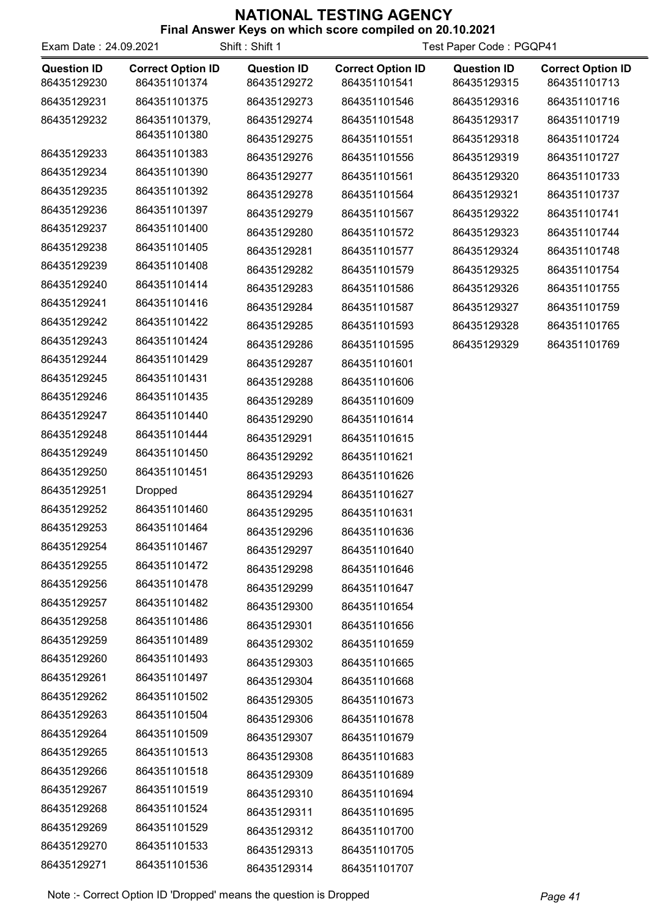| Exam Date: 24.09.2021 |                          | Shift: Shift 1     | Test Paper Code: PGQP41  |                    |                          |
|-----------------------|--------------------------|--------------------|--------------------------|--------------------|--------------------------|
| <b>Question ID</b>    | <b>Correct Option ID</b> | <b>Question ID</b> | <b>Correct Option ID</b> | <b>Question ID</b> | <b>Correct Option ID</b> |
| 86435129230           | 864351101374             | 86435129272        | 864351101541             | 86435129315        | 864351101713             |
| 86435129231           | 864351101375             | 86435129273        | 864351101546             | 86435129316        | 864351101716             |
| 86435129232           | 864351101379,            | 86435129274        | 864351101548             | 86435129317        | 864351101719             |
|                       | 864351101380             | 86435129275        | 864351101551             | 86435129318        | 864351101724             |
| 86435129233           | 864351101383             | 86435129276        | 864351101556             | 86435129319        | 864351101727             |
| 86435129234           | 864351101390             | 86435129277        | 864351101561             | 86435129320        | 864351101733             |
| 86435129235           | 864351101392             | 86435129278        | 864351101564             | 86435129321        | 864351101737             |
| 86435129236           | 864351101397             | 86435129279        | 864351101567             | 86435129322        | 864351101741             |
| 86435129237           | 864351101400             | 86435129280        | 864351101572             | 86435129323        | 864351101744             |
| 86435129238           | 864351101405             | 86435129281        | 864351101577             | 86435129324        | 864351101748             |
| 86435129239           | 864351101408             | 86435129282        | 864351101579             | 86435129325        | 864351101754             |
| 86435129240           | 864351101414             | 86435129283        | 864351101586             | 86435129326        | 864351101755             |
| 86435129241           | 864351101416             | 86435129284        | 864351101587             | 86435129327        | 864351101759             |
| 86435129242           | 864351101422             | 86435129285        | 864351101593             | 86435129328        | 864351101765             |
| 86435129243           | 864351101424             | 86435129286        | 864351101595             | 86435129329        | 864351101769             |
| 86435129244           | 864351101429             | 86435129287        | 864351101601             |                    |                          |
| 86435129245           | 864351101431             | 86435129288        | 864351101606             |                    |                          |
| 86435129246           | 864351101435             | 86435129289        | 864351101609             |                    |                          |
| 86435129247           | 864351101440             | 86435129290        | 864351101614             |                    |                          |
| 86435129248           | 864351101444             | 86435129291        | 864351101615             |                    |                          |
| 86435129249           | 864351101450             | 86435129292        | 864351101621             |                    |                          |
| 86435129250           | 864351101451             | 86435129293        | 864351101626             |                    |                          |
| 86435129251           | <b>Dropped</b>           | 86435129294        | 864351101627             |                    |                          |
| 86435129252           | 864351101460             | 86435129295        | 864351101631             |                    |                          |
| 86435129253           | 864351101464             | 86435129296        | 864351101636             |                    |                          |
| 86435129254           | 864351101467             | 86435129297        | 864351101640             |                    |                          |
| 86435129255           | 864351101472             | 86435129298        | 864351101646             |                    |                          |
| 86435129256           | 864351101478             | 86435129299        | 864351101647             |                    |                          |
| 86435129257           | 864351101482             | 86435129300        | 864351101654             |                    |                          |
| 86435129258           | 864351101486             | 86435129301        | 864351101656             |                    |                          |
| 86435129259           | 864351101489             | 86435129302        | 864351101659             |                    |                          |
| 86435129260           | 864351101493             | 86435129303        | 864351101665             |                    |                          |
| 86435129261           | 864351101497             | 86435129304        | 864351101668             |                    |                          |
| 86435129262           | 864351101502             | 86435129305        | 864351101673             |                    |                          |
| 86435129263           | 864351101504             | 86435129306        | 864351101678             |                    |                          |
| 86435129264           | 864351101509             | 86435129307        | 864351101679             |                    |                          |
| 86435129265           | 864351101513             | 86435129308        | 864351101683             |                    |                          |
| 86435129266           | 864351101518             | 86435129309        | 864351101689             |                    |                          |
| 86435129267           | 864351101519             | 86435129310        | 864351101694             |                    |                          |
| 86435129268           | 864351101524             | 86435129311        | 864351101695             |                    |                          |
| 86435129269           | 864351101529             | 86435129312        | 864351101700             |                    |                          |
| 86435129270           | 864351101533             | 86435129313        | 864351101705             |                    |                          |
| 86435129271           | 864351101536             | 86435129314        | 864351101707             |                    |                          |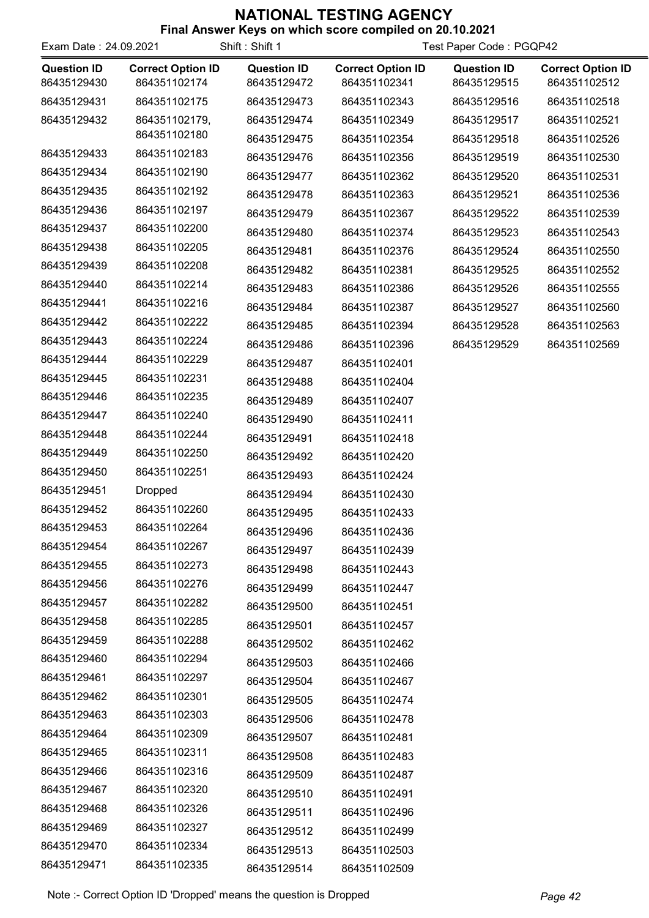|     | Final Answer Keys on which score compiled on 20.10.2021 |  |  |     |  |
|-----|---------------------------------------------------------|--|--|-----|--|
| - - |                                                         |  |  | - - |  |

| Exam Date: 24.09.2021 |                          | Shift: Shift 1     | Test Paper Code: PGQP42  |                    |                          |
|-----------------------|--------------------------|--------------------|--------------------------|--------------------|--------------------------|
| <b>Question ID</b>    | <b>Correct Option ID</b> | <b>Question ID</b> | <b>Correct Option ID</b> | <b>Question ID</b> | <b>Correct Option ID</b> |
| 86435129430           | 864351102174             | 86435129472        | 864351102341             | 86435129515        | 864351102512             |
| 86435129431           | 864351102175             | 86435129473        | 864351102343             | 86435129516        | 864351102518             |
| 86435129432           | 864351102179,            | 86435129474        | 864351102349             | 86435129517        | 864351102521             |
|                       | 864351102180             | 86435129475        | 864351102354             | 86435129518        | 864351102526             |
| 86435129433           | 864351102183             | 86435129476        | 864351102356             | 86435129519        | 864351102530             |
| 86435129434           | 864351102190             | 86435129477        | 864351102362             | 86435129520        | 864351102531             |
| 86435129435           | 864351102192             | 86435129478        | 864351102363             | 86435129521        | 864351102536             |
| 86435129436           | 864351102197             | 86435129479        | 864351102367             | 86435129522        | 864351102539             |
| 86435129437           | 864351102200             | 86435129480        | 864351102374             | 86435129523        | 864351102543             |
| 86435129438           | 864351102205             | 86435129481        | 864351102376             | 86435129524        | 864351102550             |
| 86435129439           | 864351102208             | 86435129482        | 864351102381             | 86435129525        | 864351102552             |
| 86435129440           | 864351102214             | 86435129483        | 864351102386             | 86435129526        | 864351102555             |
| 86435129441           | 864351102216             | 86435129484        | 864351102387             | 86435129527        | 864351102560             |
| 86435129442           | 864351102222             | 86435129485        | 864351102394             | 86435129528        | 864351102563             |
| 86435129443           | 864351102224             | 86435129486        | 864351102396             | 86435129529        | 864351102569             |
| 86435129444           | 864351102229             | 86435129487        | 864351102401             |                    |                          |
| 86435129445           | 864351102231             | 86435129488        | 864351102404             |                    |                          |
| 86435129446           | 864351102235             | 86435129489        | 864351102407             |                    |                          |
| 86435129447           | 864351102240             | 86435129490        | 864351102411             |                    |                          |
| 86435129448           | 864351102244             | 86435129491        | 864351102418             |                    |                          |
| 86435129449           | 864351102250             | 86435129492        | 864351102420             |                    |                          |
| 86435129450           | 864351102251             | 86435129493        | 864351102424             |                    |                          |
| 86435129451           | <b>Dropped</b>           | 86435129494        | 864351102430             |                    |                          |
| 86435129452           | 864351102260             | 86435129495        | 864351102433             |                    |                          |
| 86435129453           | 864351102264             | 86435129496        | 864351102436             |                    |                          |
| 86435129454           | 864351102267             | 86435129497        | 864351102439             |                    |                          |
| 86435129455           | 864351102273             | 86435129498        | 864351102443             |                    |                          |
| 86435129456           | 864351102276             | 86435129499        | 864351102447             |                    |                          |
| 86435129457           | 864351102282             | 86435129500        | 864351102451             |                    |                          |
| 86435129458           | 864351102285             | 86435129501        | 864351102457             |                    |                          |
| 86435129459           | 864351102288             | 86435129502        | 864351102462             |                    |                          |
| 86435129460           | 864351102294             | 86435129503        | 864351102466             |                    |                          |
| 86435129461           | 864351102297             | 86435129504        | 864351102467             |                    |                          |
| 86435129462           | 864351102301             | 86435129505        | 864351102474             |                    |                          |
| 86435129463           | 864351102303             | 86435129506        | 864351102478             |                    |                          |
| 86435129464           | 864351102309             | 86435129507        | 864351102481             |                    |                          |
| 86435129465           | 864351102311             | 86435129508        | 864351102483             |                    |                          |
| 86435129466           | 864351102316             | 86435129509        | 864351102487             |                    |                          |
| 86435129467           | 864351102320             | 86435129510        | 864351102491             |                    |                          |
| 86435129468           | 864351102326             | 86435129511        | 864351102496             |                    |                          |
| 86435129469           | 864351102327             | 86435129512        | 864351102499             |                    |                          |
| 86435129470           | 864351102334             | 86435129513        | 864351102503             |                    |                          |
| 86435129471           | 864351102335             | 86435129514        | 864351102509             |                    |                          |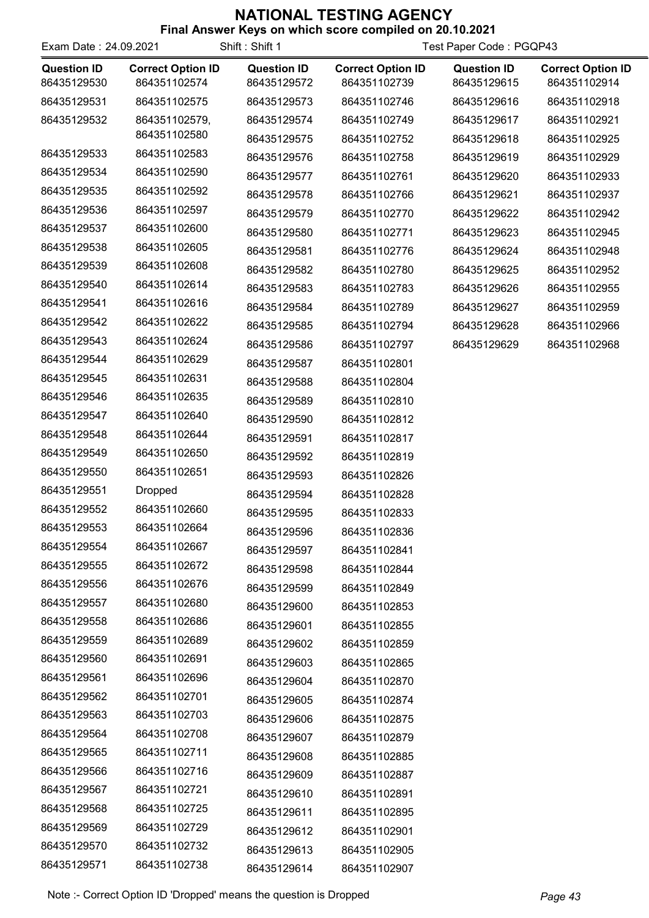#### **NATIONAL TESTING AGENCY**<br>Final Answer Keys on which score compiled on 20  $\kappa$  on which score compiled on 20.10.2021

|                       |                          |                    | <b>THE ALSWEITERS OF WHICH SCOTE COMPIEG OF ZU. 19.2021</b> |                    |        |
|-----------------------|--------------------------|--------------------|-------------------------------------------------------------|--------------------|--------|
| Exam Date: 24.09.2021 |                          | Shift: Shift 1     | Test Paper Code : PGQP43                                    |                    |        |
| <b>Question ID</b>    | <b>Correct Option ID</b> | <b>Question ID</b> | <b>Correct Option ID</b>                                    | <b>Question ID</b> | Correc |
| 00105100500           | 001051100571             | 00105100570        | 001051100700                                                | 00100100015        | 0.0101 |

| <b>Question ID</b><br>86435129530 | <b>Correct Option ID</b><br>864351102574 | <b>Question ID</b><br>86435129572 | <b>Correct Option ID</b><br>864351102739 | <b>Question ID</b><br>86435129615 | <b>Correct Option ID</b><br>864351102914 |
|-----------------------------------|------------------------------------------|-----------------------------------|------------------------------------------|-----------------------------------|------------------------------------------|
| 86435129531                       | 864351102575                             | 86435129573                       | 864351102746                             | 86435129616                       | 864351102918                             |
| 86435129532                       | 864351102579,                            | 86435129574                       | 864351102749                             | 86435129617                       | 864351102921                             |
|                                   | 864351102580                             | 86435129575                       | 864351102752                             | 86435129618                       | 864351102925                             |
| 86435129533                       | 864351102583                             | 86435129576                       | 864351102758                             | 86435129619                       | 864351102929                             |
| 86435129534                       | 864351102590                             | 86435129577                       | 864351102761                             | 86435129620                       | 864351102933                             |
| 86435129535                       | 864351102592                             | 86435129578                       | 864351102766                             | 86435129621                       | 864351102937                             |
| 86435129536                       | 864351102597                             | 86435129579                       | 864351102770                             | 86435129622                       | 864351102942                             |
| 86435129537                       | 864351102600                             | 86435129580                       | 864351102771                             | 86435129623                       | 864351102945                             |
| 86435129538                       | 864351102605                             | 86435129581                       | 864351102776                             | 86435129624                       | 864351102948                             |
| 86435129539                       | 864351102608                             | 86435129582                       | 864351102780                             | 86435129625                       | 864351102952                             |
| 86435129540                       | 864351102614                             | 86435129583                       | 864351102783                             | 86435129626                       | 864351102955                             |
| 86435129541                       | 864351102616                             | 86435129584                       | 864351102789                             | 86435129627                       | 864351102959                             |
| 86435129542                       | 864351102622                             | 86435129585                       | 864351102794                             | 86435129628                       | 864351102966                             |
| 86435129543                       | 864351102624                             | 86435129586                       | 864351102797                             | 86435129629                       | 864351102968                             |
| 86435129544                       | 864351102629                             | 86435129587                       | 864351102801                             |                                   |                                          |
| 86435129545                       | 864351102631                             | 86435129588                       | 864351102804                             |                                   |                                          |
| 86435129546                       | 864351102635                             | 86435129589                       | 864351102810                             |                                   |                                          |
| 86435129547                       | 864351102640                             | 86435129590                       | 864351102812                             |                                   |                                          |
| 86435129548                       | 864351102644                             | 86435129591                       | 864351102817                             |                                   |                                          |
| 86435129549                       | 864351102650                             | 86435129592                       | 864351102819                             |                                   |                                          |
| 86435129550                       | 864351102651                             | 86435129593                       | 864351102826                             |                                   |                                          |
| 86435129551                       | Dropped                                  | 86435129594                       | 864351102828                             |                                   |                                          |
| 86435129552                       | 864351102660                             | 86435129595                       | 864351102833                             |                                   |                                          |
| 86435129553                       | 864351102664                             | 86435129596                       | 864351102836                             |                                   |                                          |
| 86435129554                       | 864351102667                             | 86435129597                       | 864351102841                             |                                   |                                          |
| 86435129555                       | 864351102672                             | 86435129598                       | 864351102844                             |                                   |                                          |
| 86435129556                       | 864351102676                             | 86435129599                       | 864351102849                             |                                   |                                          |
| 86435129557                       | 864351102680                             | 86435129600                       | 864351102853                             |                                   |                                          |
| 86435129558                       | 864351102686                             | 86435129601                       | 864351102855                             |                                   |                                          |
| 86435129559                       | 864351102689                             | 86435129602                       | 864351102859                             |                                   |                                          |
| 86435129560                       | 864351102691                             | 86435129603                       | 864351102865                             |                                   |                                          |
| 86435129561                       | 864351102696                             | 86435129604                       | 864351102870                             |                                   |                                          |
| 86435129562                       | 864351102701                             | 86435129605                       | 864351102874                             |                                   |                                          |
| 86435129563                       | 864351102703                             | 86435129606                       | 864351102875                             |                                   |                                          |
| 86435129564                       | 864351102708                             | 86435129607                       | 864351102879                             |                                   |                                          |
| 86435129565                       | 864351102711                             | 86435129608                       | 864351102885                             |                                   |                                          |
| 86435129566                       | 864351102716                             | 86435129609                       | 864351102887                             |                                   |                                          |
| 86435129567                       | 864351102721                             | 86435129610                       | 864351102891                             |                                   |                                          |
| 86435129568                       | 864351102725                             | 86435129611                       | 864351102895                             |                                   |                                          |
| 86435129569                       | 864351102729                             | 86435129612                       | 864351102901                             |                                   |                                          |
| 86435129570                       | 864351102732                             |                                   |                                          |                                   |                                          |
| 86435129571                       | 864351102738                             | 86435129613                       | 864351102905                             |                                   |                                          |
|                                   |                                          | 86435129614                       | 864351102907                             |                                   |                                          |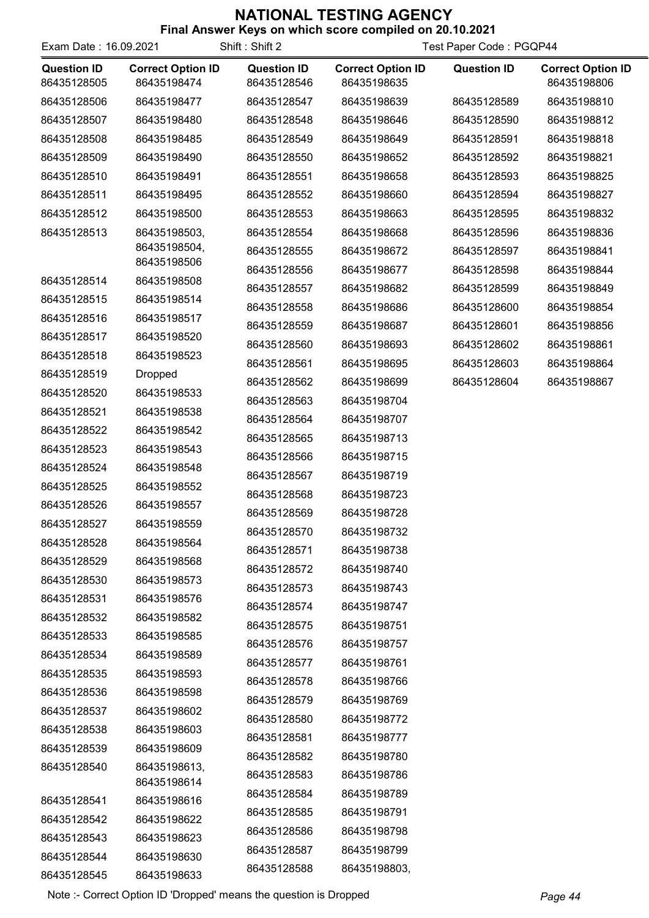Final Answer Keys on which score compiled on 20.10.2021

| Exam Date: 16.09.2021             |                                         | Shift: Shift 2                    | Test Paper Code: PGQP44                 |                    |                                         |
|-----------------------------------|-----------------------------------------|-----------------------------------|-----------------------------------------|--------------------|-----------------------------------------|
| <b>Question ID</b><br>86435128505 | <b>Correct Option ID</b><br>86435198474 | <b>Question ID</b><br>86435128546 | <b>Correct Option ID</b><br>86435198635 | <b>Question ID</b> | <b>Correct Option ID</b><br>86435198806 |
| 86435128506                       | 86435198477                             | 86435128547                       | 86435198639                             | 86435128589        | 86435198810                             |
| 86435128507                       | 86435198480                             | 86435128548                       | 86435198646                             | 86435128590        | 86435198812                             |
| 86435128508                       | 86435198485                             | 86435128549                       | 86435198649                             | 86435128591        | 86435198818                             |
| 86435128509                       | 86435198490                             | 86435128550                       | 86435198652                             | 86435128592        | 86435198821                             |
| 86435128510                       | 86435198491                             | 86435128551                       | 86435198658                             | 86435128593        | 86435198825                             |
| 86435128511                       | 86435198495                             | 86435128552                       | 86435198660                             | 86435128594        | 86435198827                             |
| 86435128512                       | 86435198500                             | 86435128553                       | 86435198663                             | 86435128595        | 86435198832                             |
| 86435128513                       | 86435198503,                            | 86435128554                       | 86435198668                             | 86435128596        | 86435198836                             |
|                                   | 86435198504,                            | 86435128555                       | 86435198672                             | 86435128597        | 86435198841                             |
|                                   | 86435198506                             | 86435128556                       | 86435198677                             | 86435128598        | 86435198844                             |
| 86435128514                       | 86435198508                             | 86435128557                       | 86435198682                             | 86435128599        | 86435198849                             |
| 86435128515                       | 86435198514                             | 86435128558                       | 86435198686                             | 86435128600        | 86435198854                             |
| 86435128516<br>86435128517        | 86435198517<br>86435198520              | 86435128559                       | 86435198687                             | 86435128601        | 86435198856                             |
|                                   |                                         | 86435128560                       | 86435198693                             | 86435128602        | 86435198861                             |
| 86435128518                       | 86435198523                             | 86435128561                       | 86435198695                             | 86435128603        | 86435198864                             |
| 86435128519                       | <b>Dropped</b>                          | 86435128562                       | 86435198699                             | 86435128604        | 86435198867                             |
| 86435128520                       | 86435198533                             | 86435128563                       | 86435198704                             |                    |                                         |
| 86435128521                       | 86435198538                             | 86435128564                       | 86435198707                             |                    |                                         |
| 86435128522                       | 86435198542                             | 86435128565                       | 86435198713                             |                    |                                         |
| 86435128523                       | 86435198543                             | 86435128566                       | 86435198715                             |                    |                                         |
| 86435128524                       | 86435198548                             | 86435128567                       | 86435198719                             |                    |                                         |
| 86435128525                       | 86435198552                             | 86435128568                       | 86435198723                             |                    |                                         |
| 86435128526                       | 86435198557                             | 86435128569                       | 86435198728                             |                    |                                         |
| 86435128527                       | 86435198559                             | 86435128570                       | 86435198732                             |                    |                                         |
| 86435128528                       | 86435198564                             | 86435128571                       | 86435198738                             |                    |                                         |
| 86435128529                       | 86435198568                             | 86435128572                       | 86435198740                             |                    |                                         |
| 86435128530<br>86435128531        | 86435198573                             | 86435128573                       | 86435198743                             |                    |                                         |
|                                   | 86435198576                             | 86435128574                       | 86435198747                             |                    |                                         |
| 86435128532<br>86435128533        | 86435198582<br>86435198585              | 86435128575                       | 86435198751                             |                    |                                         |
| 86435128534                       | 86435198589                             | 86435128576                       | 86435198757                             |                    |                                         |
| 86435128535                       | 86435198593                             | 86435128577                       | 86435198761                             |                    |                                         |
| 86435128536                       | 86435198598                             | 86435128578                       | 86435198766                             |                    |                                         |
| 86435128537                       | 86435198602                             | 86435128579                       | 86435198769                             |                    |                                         |
| 86435128538                       | 86435198603                             | 86435128580                       | 86435198772                             |                    |                                         |
| 86435128539                       | 86435198609                             | 86435128581                       | 86435198777                             |                    |                                         |
| 86435128540                       | 86435198613,                            | 86435128582                       | 86435198780                             |                    |                                         |
|                                   | 86435198614                             | 86435128583                       | 86435198786                             |                    |                                         |
| 86435128541                       | 86435198616                             | 86435128584                       | 86435198789                             |                    |                                         |
| 86435128542                       | 86435198622                             | 86435128585                       | 86435198791                             |                    |                                         |
| 86435128543                       | 86435198623                             | 86435128586                       | 86435198798                             |                    |                                         |
| 86435128544                       | 86435198630                             | 86435128587                       | 86435198799                             |                    |                                         |
| 86435128545                       | 86435198633                             | 86435128588                       | 86435198803,                            |                    |                                         |

Note :- Correct Option ID 'Dropped' means the question is Dropped Page 44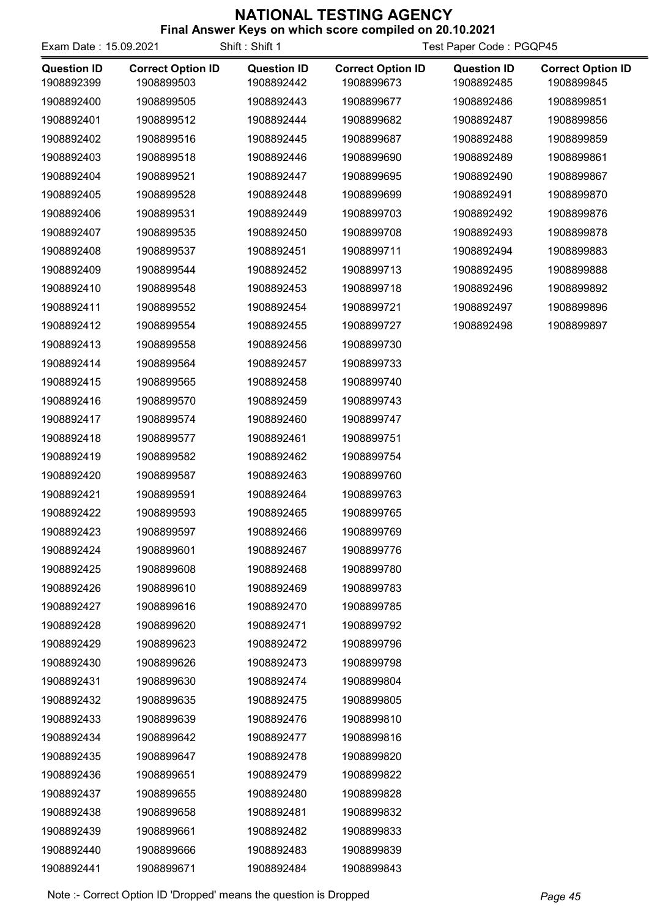| <b>Final Answer Keys on which score complied on 20.10.2021</b> |  |  |        |  |
|----------------------------------------------------------------|--|--|--------|--|
|                                                                |  |  | $\sim$ |  |

| Exam Date: 15.09.2021 |                          | Shift: Shift 1     |                          | Test Paper Code: PGQP45 |                          |
|-----------------------|--------------------------|--------------------|--------------------------|-------------------------|--------------------------|
| <b>Question ID</b>    | <b>Correct Option ID</b> | <b>Question ID</b> | <b>Correct Option ID</b> | <b>Question ID</b>      | <b>Correct Option ID</b> |
| 1908892399            | 1908899503               | 1908892442         | 1908899673               | 1908892485              | 1908899845               |
| 1908892400            | 1908899505               | 1908892443         | 1908899677               | 1908892486              | 1908899851               |
| 1908892401            | 1908899512               | 1908892444         | 1908899682               | 1908892487              | 1908899856               |
| 1908892402            | 1908899516               | 1908892445         | 1908899687               | 1908892488              | 1908899859               |
| 1908892403            | 1908899518               | 1908892446         | 1908899690               | 1908892489              | 1908899861               |
| 1908892404            | 1908899521               | 1908892447         | 1908899695               | 1908892490              | 1908899867               |
| 1908892405            | 1908899528               | 1908892448         | 1908899699               | 1908892491              | 1908899870               |
| 1908892406            | 1908899531               | 1908892449         | 1908899703               | 1908892492              | 1908899876               |
| 1908892407            | 1908899535               | 1908892450         | 1908899708               | 1908892493              | 1908899878               |
| 1908892408            | 1908899537               | 1908892451         | 1908899711               | 1908892494              | 1908899883               |
| 1908892409            | 1908899544               | 1908892452         | 1908899713               | 1908892495              | 1908899888               |
| 1908892410            | 1908899548               | 1908892453         | 1908899718               | 1908892496              | 1908899892               |
| 1908892411            | 1908899552               | 1908892454         | 1908899721               | 1908892497              | 1908899896               |
| 1908892412            | 1908899554               | 1908892455         | 1908899727               | 1908892498              | 1908899897               |
| 1908892413            | 1908899558               | 1908892456         | 1908899730               |                         |                          |
| 1908892414            | 1908899564               | 1908892457         | 1908899733               |                         |                          |
| 1908892415            | 1908899565               | 1908892458         | 1908899740               |                         |                          |
| 1908892416            | 1908899570               | 1908892459         | 1908899743               |                         |                          |
| 1908892417            | 1908899574               | 1908892460         | 1908899747               |                         |                          |
| 1908892418            | 1908899577               | 1908892461         | 1908899751               |                         |                          |
| 1908892419            | 1908899582               | 1908892462         | 1908899754               |                         |                          |
| 1908892420            | 1908899587               | 1908892463         | 1908899760               |                         |                          |
| 1908892421            | 1908899591               | 1908892464         | 1908899763               |                         |                          |
| 1908892422            | 1908899593               | 1908892465         | 1908899765               |                         |                          |
| 1908892423            | 1908899597               | 1908892466         | 1908899769               |                         |                          |
| 1908892424            | 1908899601               | 1908892467         | 1908899776               |                         |                          |
| 1908892425            | 1908899608               | 1908892468         | 1908899780               |                         |                          |
| 1908892426            | 1908899610               | 1908892469         | 1908899783               |                         |                          |
| 1908892427            | 1908899616               | 1908892470         | 1908899785               |                         |                          |
| 1908892428            | 1908899620               | 1908892471         | 1908899792               |                         |                          |
| 1908892429            | 1908899623               | 1908892472         | 1908899796               |                         |                          |
| 1908892430            | 1908899626               | 1908892473         | 1908899798               |                         |                          |
| 1908892431            | 1908899630               | 1908892474         | 1908899804               |                         |                          |
| 1908892432            | 1908899635               | 1908892475         | 1908899805               |                         |                          |
| 1908892433            | 1908899639               | 1908892476         | 1908899810               |                         |                          |
| 1908892434            | 1908899642               | 1908892477         | 1908899816               |                         |                          |
| 1908892435            | 1908899647               | 1908892478         | 1908899820               |                         |                          |
| 1908892436            | 1908899651               | 1908892479         | 1908899822               |                         |                          |
| 1908892437            | 1908899655               | 1908892480         | 1908899828               |                         |                          |
| 1908892438            | 1908899658               | 1908892481         | 1908899832               |                         |                          |
| 1908892439            | 1908899661               | 1908892482         | 1908899833               |                         |                          |
| 1908892440            | 1908899666               | 1908892483         | 1908899839               |                         |                          |
| 1908892441            | 1908899671               | 1908892484         | 1908899843               |                         |                          |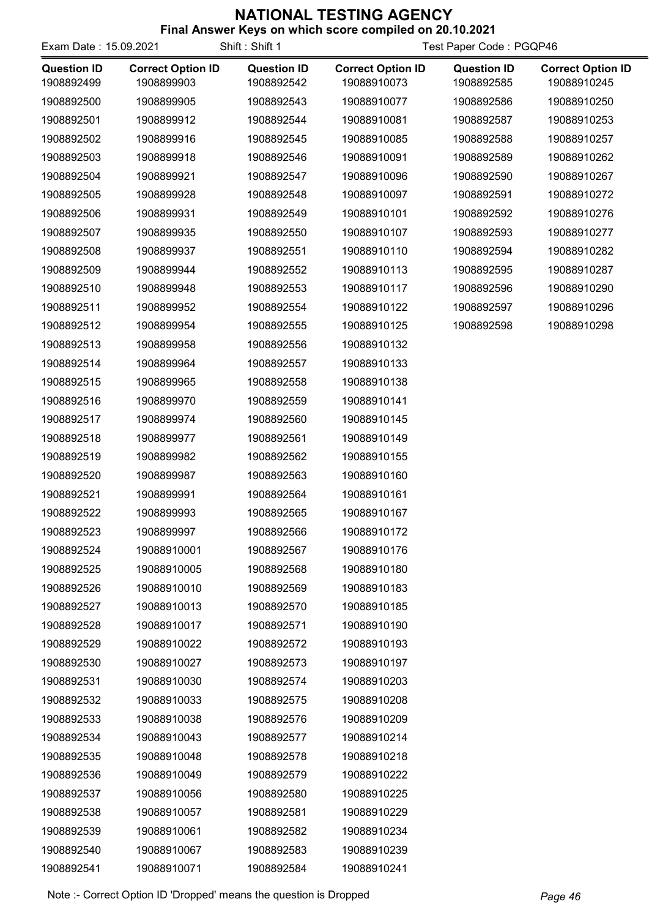| <b>Final Aliswel Reys Off Which Score Complied Off 20.10.2021</b> |  |  |  |  |  |
|-------------------------------------------------------------------|--|--|--|--|--|
|                                                                   |  |  |  |  |  |

| Exam Date: 15.09.2021            |                                        | Shift: Shift 1                   |                                         | Test Paper Code: PGQP46          |                                         |
|----------------------------------|----------------------------------------|----------------------------------|-----------------------------------------|----------------------------------|-----------------------------------------|
| <b>Question ID</b><br>1908892499 | <b>Correct Option ID</b><br>1908899903 | <b>Question ID</b><br>1908892542 | <b>Correct Option ID</b><br>19088910073 | <b>Question ID</b><br>1908892585 | <b>Correct Option ID</b><br>19088910245 |
| 1908892500                       | 1908899905                             | 1908892543                       | 19088910077                             | 1908892586                       | 19088910250                             |
| 1908892501                       | 1908899912                             | 1908892544                       | 19088910081                             | 1908892587                       | 19088910253                             |
| 1908892502                       | 1908899916                             | 1908892545                       | 19088910085                             | 1908892588                       | 19088910257                             |
| 1908892503                       | 1908899918                             | 1908892546                       | 19088910091                             | 1908892589                       | 19088910262                             |
| 1908892504                       | 1908899921                             | 1908892547                       | 19088910096                             | 1908892590                       | 19088910267                             |
| 1908892505                       | 1908899928                             | 1908892548                       | 19088910097                             | 1908892591                       | 19088910272                             |
| 1908892506                       | 1908899931                             | 1908892549                       | 19088910101                             | 1908892592                       | 19088910276                             |
| 1908892507                       | 1908899935                             | 1908892550                       | 19088910107                             | 1908892593                       | 19088910277                             |
| 1908892508                       | 1908899937                             | 1908892551                       | 19088910110                             | 1908892594                       | 19088910282                             |
| 1908892509                       | 1908899944                             | 1908892552                       | 19088910113                             | 1908892595                       | 19088910287                             |
| 1908892510                       | 1908899948                             | 1908892553                       | 19088910117                             | 1908892596                       | 19088910290                             |
| 1908892511                       | 1908899952                             | 1908892554                       | 19088910122                             | 1908892597                       | 19088910296                             |
| 1908892512                       | 1908899954                             | 1908892555                       | 19088910125                             | 1908892598                       | 19088910298                             |
| 1908892513                       | 1908899958                             | 1908892556                       | 19088910132                             |                                  |                                         |
| 1908892514                       | 1908899964                             | 1908892557                       | 19088910133                             |                                  |                                         |
| 1908892515                       | 1908899965                             | 1908892558                       | 19088910138                             |                                  |                                         |
| 1908892516                       | 1908899970                             | 1908892559                       | 19088910141                             |                                  |                                         |
| 1908892517                       | 1908899974                             | 1908892560                       | 19088910145                             |                                  |                                         |
| 1908892518                       | 1908899977                             | 1908892561                       | 19088910149                             |                                  |                                         |
| 1908892519                       | 1908899982                             | 1908892562                       | 19088910155                             |                                  |                                         |
| 1908892520                       | 1908899987                             | 1908892563                       | 19088910160                             |                                  |                                         |
| 1908892521                       | 1908899991                             | 1908892564                       | 19088910161                             |                                  |                                         |
| 1908892522                       | 1908899993                             | 1908892565                       | 19088910167                             |                                  |                                         |
| 1908892523                       | 1908899997                             | 1908892566                       | 19088910172                             |                                  |                                         |
| 1908892524                       | 19088910001                            | 1908892567                       | 19088910176                             |                                  |                                         |
| 1908892525                       | 19088910005                            | 1908892568                       | 19088910180                             |                                  |                                         |
| 1908892526                       | 19088910010                            | 1908892569                       | 19088910183                             |                                  |                                         |
| 1908892527                       | 19088910013                            | 1908892570                       | 19088910185                             |                                  |                                         |
| 1908892528                       | 19088910017                            | 1908892571                       | 19088910190                             |                                  |                                         |
| 1908892529                       | 19088910022                            | 1908892572                       | 19088910193                             |                                  |                                         |
| 1908892530                       | 19088910027                            | 1908892573                       | 19088910197                             |                                  |                                         |
| 1908892531                       | 19088910030                            | 1908892574                       | 19088910203                             |                                  |                                         |
| 1908892532                       | 19088910033                            | 1908892575                       | 19088910208                             |                                  |                                         |
| 1908892533                       | 19088910038                            | 1908892576                       | 19088910209                             |                                  |                                         |
| 1908892534                       | 19088910043                            | 1908892577                       | 19088910214                             |                                  |                                         |
| 1908892535                       | 19088910048                            | 1908892578                       | 19088910218                             |                                  |                                         |
| 1908892536                       | 19088910049                            | 1908892579                       | 19088910222                             |                                  |                                         |
| 1908892537                       | 19088910056                            | 1908892580                       | 19088910225                             |                                  |                                         |
| 1908892538                       | 19088910057                            | 1908892581                       | 19088910229                             |                                  |                                         |
| 1908892539                       | 19088910061                            | 1908892582                       | 19088910234                             |                                  |                                         |
| 1908892540                       | 19088910067                            | 1908892583                       | 19088910239                             |                                  |                                         |
| 1908892541                       | 19088910071                            | 1908892584                       | 19088910241                             |                                  |                                         |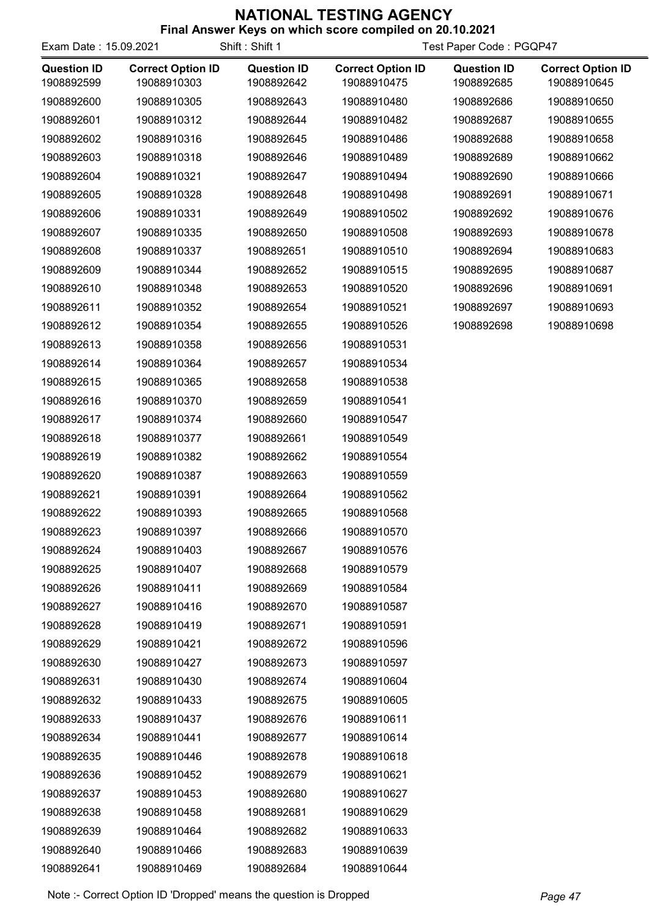| Exam Date: 15.09.2021            |                                         | Shift: Shift 1                   | Thial Aliswel Reys Off Which Score Complied Off ZV. 10.2021 | Test Paper Code: PGQP47          |                                         |
|----------------------------------|-----------------------------------------|----------------------------------|-------------------------------------------------------------|----------------------------------|-----------------------------------------|
| <b>Question ID</b><br>1908892599 | <b>Correct Option ID</b><br>19088910303 | <b>Question ID</b><br>1908892642 | <b>Correct Option ID</b><br>19088910475                     | <b>Question ID</b><br>1908892685 | <b>Correct Option ID</b><br>19088910645 |
| 1908892600                       | 19088910305                             | 1908892643                       | 19088910480                                                 | 1908892686                       | 19088910650                             |
| 1908892601                       | 19088910312                             | 1908892644                       | 19088910482                                                 | 1908892687                       | 19088910655                             |
| 1908892602                       | 19088910316                             | 1908892645                       | 19088910486                                                 | 1908892688                       | 19088910658                             |
| 1908892603                       | 19088910318                             | 1908892646                       | 19088910489                                                 | 1908892689                       | 19088910662                             |
| 1908892604                       | 19088910321                             | 1908892647                       | 19088910494                                                 | 1908892690                       | 19088910666                             |
| 1908892605                       | 19088910328                             | 1908892648                       | 19088910498                                                 | 1908892691                       | 19088910671                             |
| 1908892606                       | 19088910331                             | 1908892649                       | 19088910502                                                 | 1908892692                       | 19088910676                             |
| 1908892607                       | 19088910335                             | 1908892650                       | 19088910508                                                 | 1908892693                       | 19088910678                             |
| 1908892608                       | 19088910337                             | 1908892651                       | 19088910510                                                 | 1908892694                       | 19088910683                             |
| 1908892609                       | 19088910344                             | 1908892652                       | 19088910515                                                 | 1908892695                       | 19088910687                             |
| 1908892610                       | 19088910348                             | 1908892653                       | 19088910520                                                 | 1908892696                       | 19088910691                             |
| 1908892611                       | 19088910352                             | 1908892654                       | 19088910521                                                 | 1908892697                       | 19088910693                             |
| 1908892612                       | 19088910354                             | 1908892655                       | 19088910526                                                 | 1908892698                       | 19088910698                             |
| 1908892613                       | 19088910358                             | 1908892656                       | 19088910531                                                 |                                  |                                         |
| 1908892614                       | 19088910364                             | 1908892657                       | 19088910534                                                 |                                  |                                         |
| 1908892615                       | 19088910365                             | 1908892658                       | 19088910538                                                 |                                  |                                         |
| 1908892616                       | 19088910370                             | 1908892659                       | 19088910541                                                 |                                  |                                         |
| 1908892617                       | 19088910374                             | 1908892660                       | 19088910547                                                 |                                  |                                         |
| 1908892618                       | 19088910377                             | 1908892661                       | 19088910549                                                 |                                  |                                         |
| 1908892619                       | 19088910382                             | 1908892662                       | 19088910554                                                 |                                  |                                         |
| 1908892620                       | 19088910387                             | 1908892663                       | 19088910559                                                 |                                  |                                         |
| 1908892621                       | 19088910391                             | 1908892664                       | 19088910562                                                 |                                  |                                         |
| 1908892622                       | 19088910393                             | 1908892665                       | 19088910568                                                 |                                  |                                         |
| 1908892623                       | 19088910397                             | 1908892666                       | 19088910570                                                 |                                  |                                         |
| 1908892624                       | 19088910403                             | 1908892667                       | 19088910576                                                 |                                  |                                         |
| 1908892625                       | 19088910407                             | 1908892668                       | 19088910579                                                 |                                  |                                         |
| 1908892626                       | 19088910411                             | 1908892669                       | 19088910584                                                 |                                  |                                         |
| 1908892627                       | 19088910416                             | 1908892670                       | 19088910587                                                 |                                  |                                         |
| 1908892628                       | 19088910419                             | 1908892671                       | 19088910591                                                 |                                  |                                         |
| 1908892629                       | 19088910421                             | 1908892672                       | 19088910596                                                 |                                  |                                         |
| 1908892630                       | 19088910427                             | 1908892673                       | 19088910597                                                 |                                  |                                         |
| 1908892631                       | 19088910430                             | 1908892674                       | 19088910604                                                 |                                  |                                         |
| 1908892632                       | 19088910433                             | 1908892675                       | 19088910605                                                 |                                  |                                         |
| 1908892633                       | 19088910437                             | 1908892676                       | 19088910611                                                 |                                  |                                         |
| 1908892634                       | 19088910441                             | 1908892677                       | 19088910614                                                 |                                  |                                         |
| 1908892635                       | 19088910446                             | 1908892678                       | 19088910618                                                 |                                  |                                         |
| 1908892636                       | 19088910452                             | 1908892679                       | 19088910621                                                 |                                  |                                         |
| 1908892637                       | 19088910453                             | 1908892680                       | 19088910627                                                 |                                  |                                         |
| 1908892638                       | 19088910458                             | 1908892681                       | 19088910629                                                 |                                  |                                         |
| 1908892639                       | 19088910464                             | 1908892682                       | 19088910633                                                 |                                  |                                         |
| 1908892640                       | 19088910466                             | 1908892683                       | 19088910639                                                 |                                  |                                         |
| 1908892641                       | 19088910469                             | 1908892684                       | 19088910644                                                 |                                  |                                         |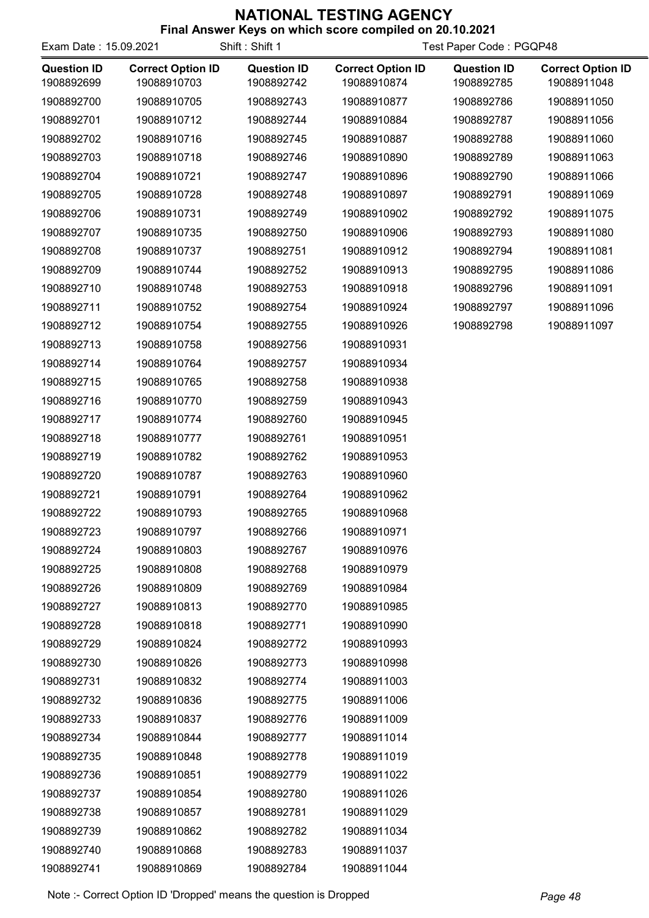| Exam Date: 15.09.2021            |                                         | Shift: Shift 1                   |                                         | Test Paper Code: PGQP48          |                                         |
|----------------------------------|-----------------------------------------|----------------------------------|-----------------------------------------|----------------------------------|-----------------------------------------|
| <b>Question ID</b><br>1908892699 | <b>Correct Option ID</b><br>19088910703 | <b>Question ID</b><br>1908892742 | <b>Correct Option ID</b><br>19088910874 | <b>Question ID</b><br>1908892785 | <b>Correct Option ID</b><br>19088911048 |
| 1908892700                       | 19088910705                             | 1908892743                       | 19088910877                             | 1908892786                       | 19088911050                             |
| 1908892701                       | 19088910712                             | 1908892744                       | 19088910884                             | 1908892787                       | 19088911056                             |
| 1908892702                       | 19088910716                             | 1908892745                       | 19088910887                             | 1908892788                       | 19088911060                             |
| 1908892703                       | 19088910718                             | 1908892746                       | 19088910890                             | 1908892789                       | 19088911063                             |
| 1908892704                       | 19088910721                             | 1908892747                       | 19088910896                             | 1908892790                       | 19088911066                             |
| 1908892705                       | 19088910728                             | 1908892748                       | 19088910897                             | 1908892791                       | 19088911069                             |
| 1908892706                       | 19088910731                             | 1908892749                       | 19088910902                             | 1908892792                       | 19088911075                             |
| 1908892707                       | 19088910735                             | 1908892750                       | 19088910906                             | 1908892793                       | 19088911080                             |
| 1908892708                       | 19088910737                             | 1908892751                       | 19088910912                             | 1908892794                       | 19088911081                             |
| 1908892709                       | 19088910744                             | 1908892752                       | 19088910913                             | 1908892795                       | 19088911086                             |
| 1908892710                       | 19088910748                             | 1908892753                       | 19088910918                             | 1908892796                       | 19088911091                             |
| 1908892711                       | 19088910752                             | 1908892754                       | 19088910924                             | 1908892797                       | 19088911096                             |
| 1908892712                       | 19088910754                             | 1908892755                       | 19088910926                             | 1908892798                       | 19088911097                             |
| 1908892713                       | 19088910758                             | 1908892756                       | 19088910931                             |                                  |                                         |
| 1908892714                       | 19088910764                             | 1908892757                       | 19088910934                             |                                  |                                         |
| 1908892715                       | 19088910765                             | 1908892758                       | 19088910938                             |                                  |                                         |
| 1908892716                       | 19088910770                             | 1908892759                       | 19088910943                             |                                  |                                         |
| 1908892717                       | 19088910774                             | 1908892760                       | 19088910945                             |                                  |                                         |
| 1908892718                       | 19088910777                             | 1908892761                       | 19088910951                             |                                  |                                         |
| 1908892719                       | 19088910782                             | 1908892762                       | 19088910953                             |                                  |                                         |
| 1908892720                       | 19088910787                             | 1908892763                       | 19088910960                             |                                  |                                         |
| 1908892721                       | 19088910791                             | 1908892764                       | 19088910962                             |                                  |                                         |
| 1908892722                       | 19088910793                             | 1908892765                       | 19088910968                             |                                  |                                         |
| 1908892723                       | 19088910797                             | 1908892766                       | 19088910971                             |                                  |                                         |
| 1908892724                       | 19088910803                             | 1908892767                       | 19088910976                             |                                  |                                         |
| 1908892725                       | 19088910808                             | 1908892768                       | 19088910979                             |                                  |                                         |
| 1908892726                       | 19088910809                             | 1908892769                       | 19088910984                             |                                  |                                         |
| 1908892727                       | 19088910813                             | 1908892770                       | 19088910985                             |                                  |                                         |
| 1908892728                       | 19088910818                             | 1908892771                       | 19088910990                             |                                  |                                         |
| 1908892729                       | 19088910824                             | 1908892772                       | 19088910993                             |                                  |                                         |
| 1908892730                       | 19088910826                             | 1908892773                       | 19088910998                             |                                  |                                         |
| 1908892731                       | 19088910832                             | 1908892774                       | 19088911003                             |                                  |                                         |
| 1908892732                       | 19088910836                             | 1908892775                       | 19088911006                             |                                  |                                         |
| 1908892733                       | 19088910837                             | 1908892776                       | 19088911009                             |                                  |                                         |
| 1908892734                       | 19088910844                             | 1908892777                       | 19088911014                             |                                  |                                         |
| 1908892735                       | 19088910848                             | 1908892778                       | 19088911019                             |                                  |                                         |
| 1908892736                       | 19088910851                             | 1908892779                       | 19088911022                             |                                  |                                         |
| 1908892737                       | 19088910854                             | 1908892780                       | 19088911026                             |                                  |                                         |
| 1908892738                       | 19088910857                             | 1908892781                       | 19088911029                             |                                  |                                         |
| 1908892739                       | 19088910862                             | 1908892782                       | 19088911034                             |                                  |                                         |
| 1908892740                       | 19088910868                             | 1908892783                       | 19088911037                             |                                  |                                         |
| 1908892741                       | 19088910869                             | 1908892784                       | 19088911044                             |                                  |                                         |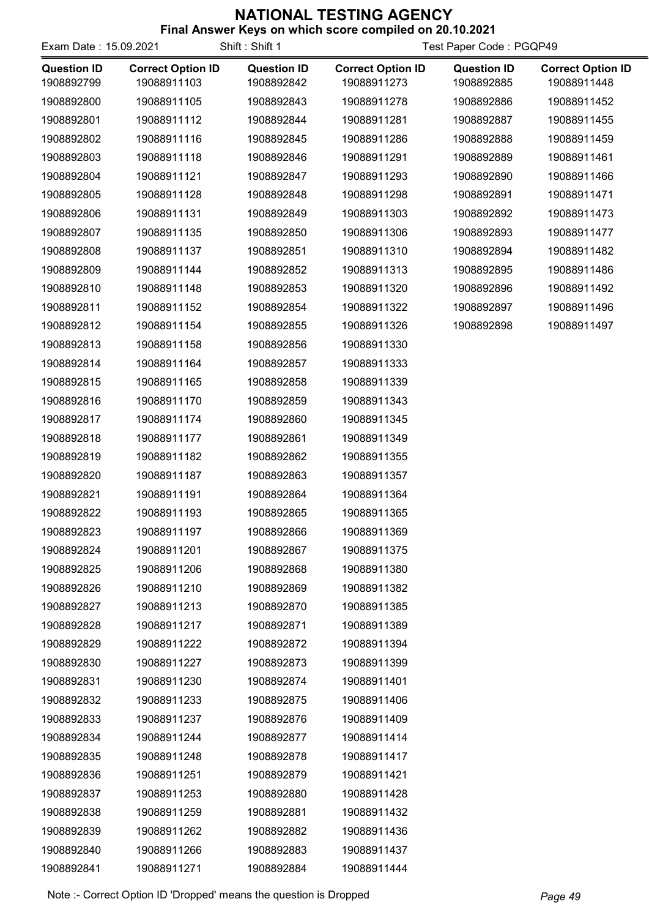| Exam Date: 15.09.2021            |                                         | Shift: Shift 1                   | Final Answer Reys on which score complied on 20.10.2021 | Test Paper Code: PGQP49          |                                         |
|----------------------------------|-----------------------------------------|----------------------------------|---------------------------------------------------------|----------------------------------|-----------------------------------------|
| <b>Question ID</b><br>1908892799 | <b>Correct Option ID</b><br>19088911103 | <b>Question ID</b><br>1908892842 | <b>Correct Option ID</b><br>19088911273                 | <b>Question ID</b><br>1908892885 | <b>Correct Option ID</b><br>19088911448 |
| 1908892800                       | 19088911105                             | 1908892843                       | 19088911278                                             | 1908892886                       | 19088911452                             |
| 1908892801                       | 19088911112                             | 1908892844                       | 19088911281                                             | 1908892887                       | 19088911455                             |
| 1908892802                       | 19088911116                             | 1908892845                       | 19088911286                                             | 1908892888                       | 19088911459                             |
| 1908892803                       | 19088911118                             | 1908892846                       | 19088911291                                             | 1908892889                       | 19088911461                             |
| 1908892804                       | 19088911121                             | 1908892847                       | 19088911293                                             | 1908892890                       | 19088911466                             |
| 1908892805                       | 19088911128                             | 1908892848                       | 19088911298                                             | 1908892891                       | 19088911471                             |
| 1908892806                       | 19088911131                             | 1908892849                       | 19088911303                                             | 1908892892                       | 19088911473                             |
| 1908892807                       | 19088911135                             | 1908892850                       | 19088911306                                             | 1908892893                       | 19088911477                             |
| 1908892808                       | 19088911137                             | 1908892851                       | 19088911310                                             | 1908892894                       | 19088911482                             |
| 1908892809                       | 19088911144                             | 1908892852                       | 19088911313                                             | 1908892895                       | 19088911486                             |
| 1908892810                       | 19088911148                             | 1908892853                       | 19088911320                                             | 1908892896                       | 19088911492                             |
| 1908892811                       | 19088911152                             | 1908892854                       | 19088911322                                             | 1908892897                       | 19088911496                             |
| 1908892812                       | 19088911154                             | 1908892855                       | 19088911326                                             | 1908892898                       | 19088911497                             |
| 1908892813                       | 19088911158                             | 1908892856                       | 19088911330                                             |                                  |                                         |
| 1908892814                       | 19088911164                             | 1908892857                       | 19088911333                                             |                                  |                                         |
| 1908892815                       | 19088911165                             | 1908892858                       | 19088911339                                             |                                  |                                         |
| 1908892816                       | 19088911170                             | 1908892859                       | 19088911343                                             |                                  |                                         |
| 1908892817                       | 19088911174                             | 1908892860                       | 19088911345                                             |                                  |                                         |
| 1908892818                       | 19088911177                             | 1908892861                       | 19088911349                                             |                                  |                                         |
| 1908892819                       | 19088911182                             | 1908892862                       | 19088911355                                             |                                  |                                         |
| 1908892820                       | 19088911187                             | 1908892863                       | 19088911357                                             |                                  |                                         |
| 1908892821                       | 19088911191                             | 1908892864                       | 19088911364                                             |                                  |                                         |
| 1908892822                       | 19088911193                             | 1908892865                       | 19088911365                                             |                                  |                                         |
| 1908892823                       | 19088911197                             | 1908892866                       | 19088911369                                             |                                  |                                         |
| 1908892824                       | 19088911201                             | 1908892867                       | 19088911375                                             |                                  |                                         |
| 1908892825                       | 19088911206                             | 1908892868                       | 19088911380                                             |                                  |                                         |
| 1908892826                       | 19088911210                             | 1908892869                       | 19088911382                                             |                                  |                                         |
| 1908892827                       | 19088911213                             | 1908892870                       | 19088911385                                             |                                  |                                         |
| 1908892828                       | 19088911217                             | 1908892871                       | 19088911389                                             |                                  |                                         |
| 1908892829                       | 19088911222                             | 1908892872                       | 19088911394                                             |                                  |                                         |
| 1908892830                       | 19088911227                             | 1908892873                       | 19088911399                                             |                                  |                                         |
| 1908892831                       | 19088911230                             | 1908892874                       | 19088911401                                             |                                  |                                         |
| 1908892832                       | 19088911233                             | 1908892875                       | 19088911406                                             |                                  |                                         |
| 1908892833                       | 19088911237                             | 1908892876                       | 19088911409                                             |                                  |                                         |
| 1908892834                       | 19088911244                             | 1908892877                       | 19088911414                                             |                                  |                                         |
| 1908892835                       | 19088911248                             | 1908892878                       | 19088911417                                             |                                  |                                         |
| 1908892836                       | 19088911251                             | 1908892879                       | 19088911421                                             |                                  |                                         |
| 1908892837                       | 19088911253                             | 1908892880                       | 19088911428                                             |                                  |                                         |
| 1908892838                       | 19088911259                             | 1908892881                       | 19088911432                                             |                                  |                                         |
| 1908892839                       | 19088911262                             | 1908892882                       | 19088911436                                             |                                  |                                         |
| 1908892840                       | 19088911266                             | 1908892883                       | 19088911437                                             |                                  |                                         |
| 1908892841                       | 19088911271                             | 1908892884                       | 19088911444                                             |                                  |                                         |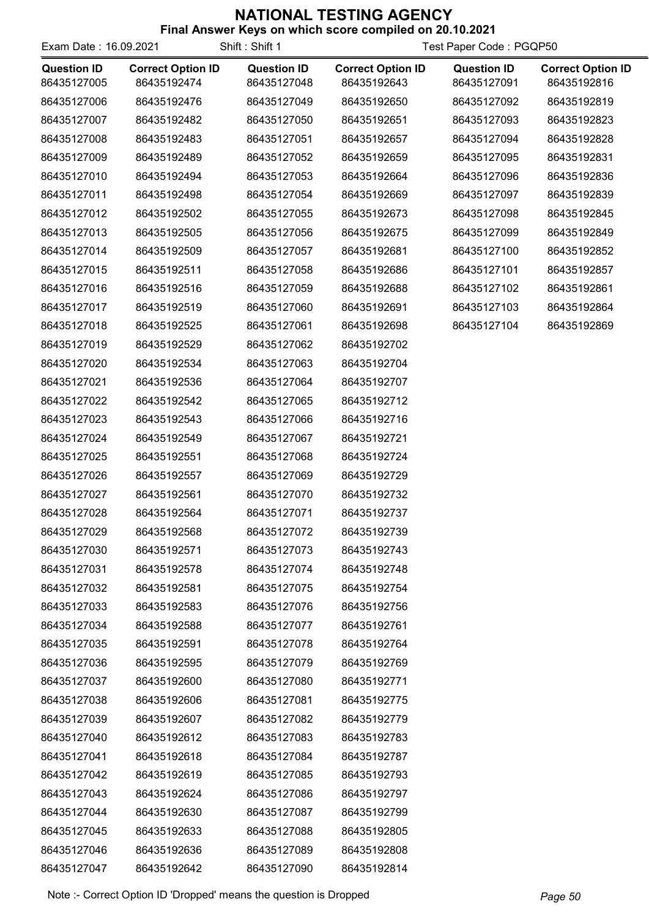| Exam Date: 16.09.2021             |                                         | Shift: Shift 1                    | Test Paper Code: PGQP50                 |                                   |                                         |
|-----------------------------------|-----------------------------------------|-----------------------------------|-----------------------------------------|-----------------------------------|-----------------------------------------|
| <b>Question ID</b><br>86435127005 | <b>Correct Option ID</b><br>86435192474 | <b>Question ID</b><br>86435127048 | <b>Correct Option ID</b><br>86435192643 | <b>Question ID</b><br>86435127091 | <b>Correct Option ID</b><br>86435192816 |
| 86435127006                       | 86435192476                             | 86435127049                       | 86435192650                             | 86435127092                       | 86435192819                             |
| 86435127007                       | 86435192482                             | 86435127050                       | 86435192651                             | 86435127093                       | 86435192823                             |
| 86435127008                       | 86435192483                             | 86435127051                       | 86435192657                             | 86435127094                       | 86435192828                             |
| 86435127009                       | 86435192489                             | 86435127052                       | 86435192659                             | 86435127095                       | 86435192831                             |
| 86435127010                       | 86435192494                             | 86435127053                       | 86435192664                             | 86435127096                       | 86435192836                             |
| 86435127011                       | 86435192498                             | 86435127054                       | 86435192669                             | 86435127097                       | 86435192839                             |
| 86435127012                       | 86435192502                             | 86435127055                       | 86435192673                             | 86435127098                       | 86435192845                             |
| 86435127013                       | 86435192505                             | 86435127056                       | 86435192675                             | 86435127099                       | 86435192849                             |
| 86435127014                       | 86435192509                             | 86435127057                       | 86435192681                             | 86435127100                       | 86435192852                             |
| 86435127015                       | 86435192511                             | 86435127058                       | 86435192686                             | 86435127101                       | 86435192857                             |
| 86435127016                       | 86435192516                             | 86435127059                       | 86435192688                             | 86435127102                       | 86435192861                             |
| 86435127017                       | 86435192519                             | 86435127060                       | 86435192691                             | 86435127103                       | 86435192864                             |
| 86435127018                       | 86435192525                             | 86435127061                       | 86435192698                             | 86435127104                       | 86435192869                             |
| 86435127019                       | 86435192529                             | 86435127062                       | 86435192702                             |                                   |                                         |
| 86435127020                       | 86435192534                             | 86435127063                       | 86435192704                             |                                   |                                         |
| 86435127021                       | 86435192536                             | 86435127064                       | 86435192707                             |                                   |                                         |
| 86435127022                       | 86435192542                             | 86435127065                       | 86435192712                             |                                   |                                         |
| 86435127023                       | 86435192543                             | 86435127066                       | 86435192716                             |                                   |                                         |
| 86435127024                       | 86435192549                             | 86435127067                       | 86435192721                             |                                   |                                         |
| 86435127025                       | 86435192551                             | 86435127068                       | 86435192724                             |                                   |                                         |
| 86435127026                       | 86435192557                             | 86435127069                       | 86435192729                             |                                   |                                         |
| 86435127027                       | 86435192561                             | 86435127070                       | 86435192732                             |                                   |                                         |
| 86435127028                       | 86435192564                             | 86435127071                       | 86435192737                             |                                   |                                         |
| 86435127029                       | 86435192568                             | 86435127072                       | 86435192739                             |                                   |                                         |
| 86435127030                       | 86435192571                             | 86435127073                       | 86435192743                             |                                   |                                         |
| 86435127031                       | 86435192578                             | 86435127074                       | 86435192748                             |                                   |                                         |
| 86435127032                       | 86435192581                             | 86435127075                       | 86435192754                             |                                   |                                         |
| 86435127033                       | 86435192583                             | 86435127076                       | 86435192756                             |                                   |                                         |
| 86435127034                       | 86435192588                             | 86435127077                       | 86435192761                             |                                   |                                         |
| 86435127035                       | 86435192591                             | 86435127078                       | 86435192764                             |                                   |                                         |
| 86435127036                       | 86435192595                             | 86435127079                       | 86435192769                             |                                   |                                         |
| 86435127037                       | 86435192600                             | 86435127080                       | 86435192771                             |                                   |                                         |
| 86435127038                       | 86435192606                             | 86435127081                       | 86435192775                             |                                   |                                         |
| 86435127039                       | 86435192607                             | 86435127082                       | 86435192779                             |                                   |                                         |
| 86435127040                       | 86435192612                             | 86435127083                       | 86435192783                             |                                   |                                         |
| 86435127041                       | 86435192618                             | 86435127084                       | 86435192787                             |                                   |                                         |
| 86435127042                       | 86435192619                             | 86435127085                       | 86435192793                             |                                   |                                         |
| 86435127043                       | 86435192624                             | 86435127086                       | 86435192797                             |                                   |                                         |
| 86435127044                       | 86435192630                             | 86435127087                       | 86435192799                             |                                   |                                         |
| 86435127045                       | 86435192633                             | 86435127088                       | 86435192805                             |                                   |                                         |
| 86435127046                       | 86435192636                             | 86435127089                       | 86435192808                             |                                   |                                         |
| 86435127047                       | 86435192642                             | 86435127090                       | 86435192814                             |                                   |                                         |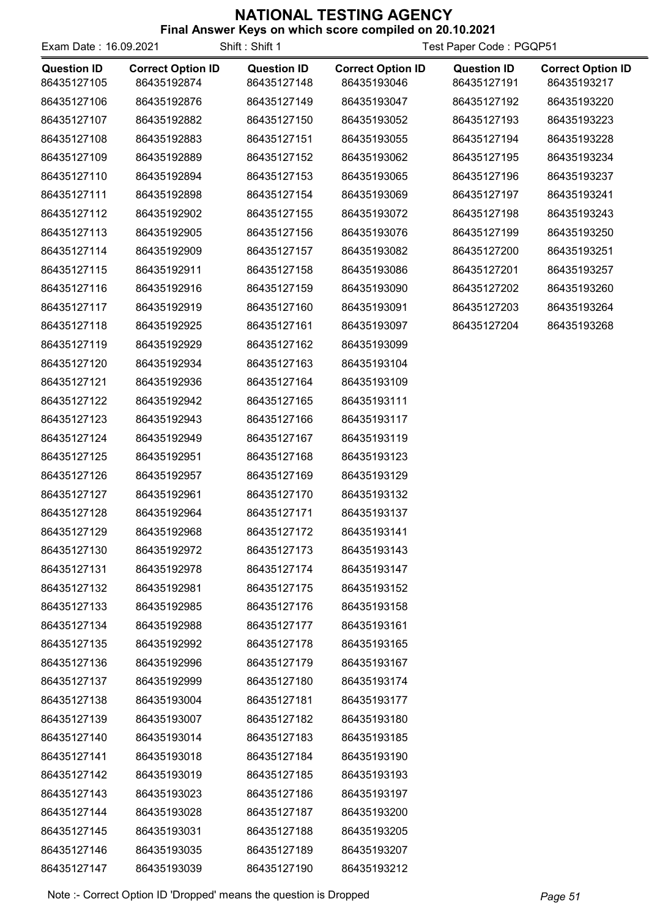| Exam Date: 16.09.2021             |                                         | Shift: Shift 1                    | Test Paper Code: PGQP51                 |                                   |                                         |
|-----------------------------------|-----------------------------------------|-----------------------------------|-----------------------------------------|-----------------------------------|-----------------------------------------|
| <b>Question ID</b><br>86435127105 | <b>Correct Option ID</b><br>86435192874 | <b>Question ID</b><br>86435127148 | <b>Correct Option ID</b><br>86435193046 | <b>Question ID</b><br>86435127191 | <b>Correct Option ID</b><br>86435193217 |
| 86435127106                       | 86435192876                             | 86435127149                       | 86435193047                             | 86435127192                       | 86435193220                             |
| 86435127107                       | 86435192882                             | 86435127150                       | 86435193052                             | 86435127193                       | 86435193223                             |
| 86435127108                       | 86435192883                             | 86435127151                       | 86435193055                             | 86435127194                       | 86435193228                             |
| 86435127109                       | 86435192889                             | 86435127152                       | 86435193062                             | 86435127195                       | 86435193234                             |
| 86435127110                       | 86435192894                             | 86435127153                       | 86435193065                             | 86435127196                       | 86435193237                             |
| 86435127111                       | 86435192898                             | 86435127154                       | 86435193069                             | 86435127197                       | 86435193241                             |
| 86435127112                       | 86435192902                             | 86435127155                       | 86435193072                             | 86435127198                       | 86435193243                             |
| 86435127113                       | 86435192905                             | 86435127156                       | 86435193076                             | 86435127199                       | 86435193250                             |
| 86435127114                       | 86435192909                             | 86435127157                       | 86435193082                             | 86435127200                       | 86435193251                             |
| 86435127115                       | 86435192911                             | 86435127158                       | 86435193086                             | 86435127201                       | 86435193257                             |
| 86435127116                       | 86435192916                             | 86435127159                       | 86435193090                             | 86435127202                       | 86435193260                             |
| 86435127117                       | 86435192919                             | 86435127160                       | 86435193091                             | 86435127203                       | 86435193264                             |
| 86435127118                       | 86435192925                             | 86435127161                       | 86435193097                             | 86435127204                       | 86435193268                             |
| 86435127119                       | 86435192929                             | 86435127162                       | 86435193099                             |                                   |                                         |
| 86435127120                       | 86435192934                             | 86435127163                       | 86435193104                             |                                   |                                         |
| 86435127121                       | 86435192936                             | 86435127164                       | 86435193109                             |                                   |                                         |
| 86435127122                       | 86435192942                             | 86435127165                       | 86435193111                             |                                   |                                         |
| 86435127123                       | 86435192943                             | 86435127166                       | 86435193117                             |                                   |                                         |
| 86435127124                       | 86435192949                             | 86435127167                       | 86435193119                             |                                   |                                         |
| 86435127125                       | 86435192951                             | 86435127168                       | 86435193123                             |                                   |                                         |
| 86435127126                       | 86435192957                             | 86435127169                       | 86435193129                             |                                   |                                         |
| 86435127127                       | 86435192961                             | 86435127170                       | 86435193132                             |                                   |                                         |
| 86435127128                       | 86435192964                             | 86435127171                       | 86435193137                             |                                   |                                         |
| 86435127129                       | 86435192968                             | 86435127172                       | 86435193141                             |                                   |                                         |
| 86435127130                       | 86435192972                             | 86435127173                       | 86435193143                             |                                   |                                         |
| 86435127131                       | 86435192978                             | 86435127174                       | 86435193147                             |                                   |                                         |
| 86435127132                       | 86435192981                             | 86435127175                       | 86435193152                             |                                   |                                         |
| 86435127133                       | 86435192985                             | 86435127176                       | 86435193158                             |                                   |                                         |
| 86435127134                       | 86435192988                             | 86435127177                       | 86435193161                             |                                   |                                         |
| 86435127135                       | 86435192992                             | 86435127178                       | 86435193165                             |                                   |                                         |
| 86435127136                       | 86435192996                             | 86435127179                       | 86435193167                             |                                   |                                         |
| 86435127137                       | 86435192999                             | 86435127180                       | 86435193174                             |                                   |                                         |
| 86435127138                       | 86435193004                             | 86435127181                       | 86435193177                             |                                   |                                         |
| 86435127139                       | 86435193007                             | 86435127182                       | 86435193180                             |                                   |                                         |
| 86435127140                       | 86435193014                             | 86435127183                       | 86435193185                             |                                   |                                         |
| 86435127141                       | 86435193018                             | 86435127184                       | 86435193190                             |                                   |                                         |
| 86435127142                       | 86435193019                             | 86435127185                       | 86435193193                             |                                   |                                         |
| 86435127143                       | 86435193023                             | 86435127186                       | 86435193197                             |                                   |                                         |
| 86435127144                       | 86435193028                             | 86435127187                       | 86435193200                             |                                   |                                         |
| 86435127145                       | 86435193031                             | 86435127188                       | 86435193205                             |                                   |                                         |
| 86435127146                       | 86435193035                             | 86435127189                       | 86435193207                             |                                   |                                         |
| 86435127147                       | 86435193039                             | 86435127190                       | 86435193212                             |                                   |                                         |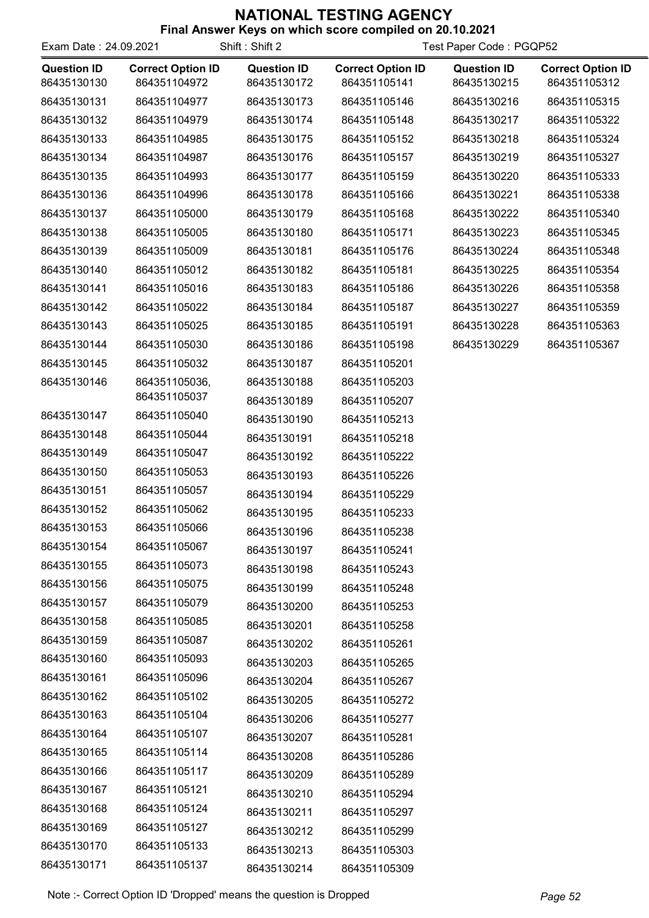| Final Answer Keys on which score compiled on 20.10.2021 |  |  |
|---------------------------------------------------------|--|--|
|                                                         |  |  |

| Exam Date: 24.09.2021             |                                          | Shift: Shift 2                    |                                          | Test Paper Code: PGQP52           |                                          |
|-----------------------------------|------------------------------------------|-----------------------------------|------------------------------------------|-----------------------------------|------------------------------------------|
| <b>Question ID</b><br>86435130130 | <b>Correct Option ID</b><br>864351104972 | <b>Question ID</b><br>86435130172 | <b>Correct Option ID</b><br>864351105141 | <b>Question ID</b><br>86435130215 | <b>Correct Option ID</b><br>864351105312 |
| 86435130131                       | 864351104977                             | 86435130173                       | 864351105146                             | 86435130216                       | 864351105315                             |
| 86435130132                       | 864351104979                             | 86435130174                       | 864351105148                             | 86435130217                       | 864351105322                             |
| 86435130133                       | 864351104985                             | 86435130175                       | 864351105152                             | 86435130218                       | 864351105324                             |
| 86435130134                       | 864351104987                             | 86435130176                       | 864351105157                             | 86435130219                       | 864351105327                             |
| 86435130135                       | 864351104993                             | 86435130177                       | 864351105159                             | 86435130220                       | 864351105333                             |
| 86435130136                       | 864351104996                             | 86435130178                       | 864351105166                             | 86435130221                       | 864351105338                             |
| 86435130137                       | 864351105000                             | 86435130179                       | 864351105168                             | 86435130222                       | 864351105340                             |
| 86435130138                       | 864351105005                             | 86435130180                       | 864351105171                             | 86435130223                       | 864351105345                             |
| 86435130139                       | 864351105009                             | 86435130181                       | 864351105176                             | 86435130224                       | 864351105348                             |
| 86435130140                       | 864351105012                             | 86435130182                       | 864351105181                             | 86435130225                       | 864351105354                             |
| 86435130141                       | 864351105016                             | 86435130183                       | 864351105186                             | 86435130226                       | 864351105358                             |
| 86435130142                       | 864351105022                             | 86435130184                       | 864351105187                             | 86435130227                       | 864351105359                             |
| 86435130143                       | 864351105025                             | 86435130185                       | 864351105191                             | 86435130228                       | 864351105363                             |
| 86435130144                       | 864351105030                             | 86435130186                       | 864351105198                             | 86435130229                       | 864351105367                             |
| 86435130145                       | 864351105032                             | 86435130187                       | 864351105201                             |                                   |                                          |
| 86435130146                       | 864351105036,                            | 86435130188                       | 864351105203                             |                                   |                                          |
|                                   | 864351105037                             | 86435130189                       | 864351105207                             |                                   |                                          |
| 86435130147                       | 864351105040                             | 86435130190                       | 864351105213                             |                                   |                                          |
| 86435130148                       | 864351105044                             | 86435130191                       | 864351105218                             |                                   |                                          |
| 86435130149                       | 864351105047                             | 86435130192                       | 864351105222                             |                                   |                                          |
| 86435130150                       | 864351105053                             | 86435130193                       | 864351105226                             |                                   |                                          |
| 86435130151                       | 864351105057                             | 86435130194                       | 864351105229                             |                                   |                                          |
| 86435130152                       | 864351105062                             | 86435130195                       | 864351105233                             |                                   |                                          |
| 86435130153                       | 864351105066                             | 86435130196                       | 864351105238                             |                                   |                                          |
| 86435130154                       | 864351105067                             | 86435130197                       | 864351105241                             |                                   |                                          |
| 86435130155                       | 864351105073                             | 86435130198                       | 864351105243                             |                                   |                                          |
| 86435130156                       | 864351105075                             | 86435130199                       | 864351105248                             |                                   |                                          |
| 86435130157                       | 864351105079                             | 86435130200                       | 864351105253                             |                                   |                                          |
| 86435130158                       | 864351105085                             | 86435130201                       | 864351105258                             |                                   |                                          |
| 86435130159                       | 864351105087                             | 86435130202                       | 864351105261                             |                                   |                                          |
| 86435130160                       | 864351105093                             | 86435130203                       | 864351105265                             |                                   |                                          |
| 86435130161                       | 864351105096                             | 86435130204                       | 864351105267                             |                                   |                                          |
| 86435130162                       | 864351105102                             | 86435130205                       | 864351105272                             |                                   |                                          |
| 86435130163                       | 864351105104                             | 86435130206                       | 864351105277                             |                                   |                                          |
| 86435130164                       | 864351105107                             | 86435130207                       | 864351105281                             |                                   |                                          |
| 86435130165                       | 864351105114                             | 86435130208                       | 864351105286                             |                                   |                                          |
| 86435130166                       | 864351105117                             | 86435130209                       | 864351105289                             |                                   |                                          |
| 86435130167                       | 864351105121                             | 86435130210                       | 864351105294                             |                                   |                                          |
| 86435130168                       | 864351105124                             | 86435130211                       | 864351105297                             |                                   |                                          |
| 86435130169                       | 864351105127                             | 86435130212                       | 864351105299                             |                                   |                                          |
| 86435130170                       | 864351105133                             | 86435130213                       | 864351105303                             |                                   |                                          |
| 86435130171                       | 864351105137                             | 86435130214                       | 864351105309                             |                                   |                                          |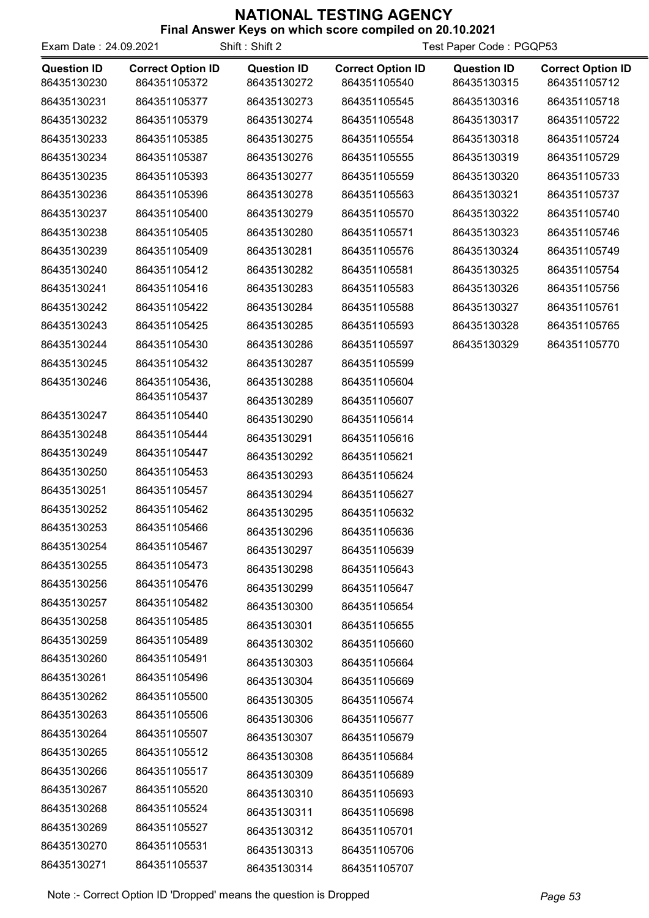| Exam Date: 24.09.2021             |                                          | Shift: Shift 2                    | Test Paper Code: PGQP53                  |                                   |                                          |
|-----------------------------------|------------------------------------------|-----------------------------------|------------------------------------------|-----------------------------------|------------------------------------------|
| <b>Question ID</b><br>86435130230 | <b>Correct Option ID</b><br>864351105372 | <b>Question ID</b><br>86435130272 | <b>Correct Option ID</b><br>864351105540 | <b>Question ID</b><br>86435130315 | <b>Correct Option ID</b><br>864351105712 |
| 86435130231                       | 864351105377                             | 86435130273                       | 864351105545                             | 86435130316                       | 864351105718                             |
| 86435130232                       | 864351105379                             | 86435130274                       | 864351105548                             | 86435130317                       | 864351105722                             |
| 86435130233                       | 864351105385                             | 86435130275                       | 864351105554                             | 86435130318                       | 864351105724                             |
| 86435130234                       | 864351105387                             | 86435130276                       | 864351105555                             | 86435130319                       | 864351105729                             |
| 86435130235                       | 864351105393                             | 86435130277                       | 864351105559                             | 86435130320                       | 864351105733                             |
| 86435130236                       | 864351105396                             | 86435130278                       | 864351105563                             | 86435130321                       | 864351105737                             |
| 86435130237                       | 864351105400                             | 86435130279                       | 864351105570                             | 86435130322                       | 864351105740                             |
| 86435130238                       | 864351105405                             | 86435130280                       | 864351105571                             | 86435130323                       | 864351105746                             |
| 86435130239                       | 864351105409                             | 86435130281                       | 864351105576                             | 86435130324                       | 864351105749                             |
| 86435130240                       | 864351105412                             | 86435130282                       | 864351105581                             | 86435130325                       | 864351105754                             |
| 86435130241                       | 864351105416                             | 86435130283                       | 864351105583                             | 86435130326                       | 864351105756                             |
| 86435130242                       | 864351105422                             | 86435130284                       | 864351105588                             | 86435130327                       | 864351105761                             |
| 86435130243                       | 864351105425                             | 86435130285                       | 864351105593                             | 86435130328                       | 864351105765                             |
| 86435130244                       | 864351105430                             | 86435130286                       | 864351105597                             | 86435130329                       | 864351105770                             |
| 86435130245                       | 864351105432                             | 86435130287                       | 864351105599                             |                                   |                                          |
| 86435130246                       | 864351105436,                            | 86435130288                       | 864351105604                             |                                   |                                          |
|                                   | 864351105437                             | 86435130289                       | 864351105607                             |                                   |                                          |
| 86435130247                       | 864351105440                             | 86435130290                       | 864351105614                             |                                   |                                          |
| 86435130248                       | 864351105444                             | 86435130291                       | 864351105616                             |                                   |                                          |
| 86435130249                       | 864351105447                             | 86435130292                       | 864351105621                             |                                   |                                          |
| 86435130250                       | 864351105453                             | 86435130293                       | 864351105624                             |                                   |                                          |
| 86435130251                       | 864351105457                             | 86435130294                       | 864351105627                             |                                   |                                          |
| 86435130252                       | 864351105462                             | 86435130295                       | 864351105632                             |                                   |                                          |
| 86435130253                       | 864351105466                             | 86435130296                       | 864351105636                             |                                   |                                          |
| 86435130254                       | 864351105467                             | 86435130297                       | 864351105639                             |                                   |                                          |
| 86435130255                       | 864351105473                             | 86435130298                       | 864351105643                             |                                   |                                          |
| 86435130256                       | 864351105476                             | 86435130299                       | 864351105647                             |                                   |                                          |
| 86435130257                       | 864351105482                             | 86435130300                       | 864351105654                             |                                   |                                          |
| 86435130258                       | 864351105485                             | 86435130301                       | 864351105655                             |                                   |                                          |
| 86435130259                       | 864351105489                             | 86435130302                       | 864351105660                             |                                   |                                          |
| 86435130260                       | 864351105491                             | 86435130303                       | 864351105664                             |                                   |                                          |
| 86435130261                       | 864351105496                             | 86435130304                       | 864351105669                             |                                   |                                          |
| 86435130262                       | 864351105500                             | 86435130305                       | 864351105674                             |                                   |                                          |
| 86435130263                       | 864351105506                             | 86435130306                       | 864351105677                             |                                   |                                          |
| 86435130264                       | 864351105507                             | 86435130307                       | 864351105679                             |                                   |                                          |
| 86435130265                       | 864351105512                             | 86435130308                       | 864351105684                             |                                   |                                          |
| 86435130266                       | 864351105517                             | 86435130309                       | 864351105689                             |                                   |                                          |
| 86435130267                       | 864351105520                             | 86435130310                       | 864351105693                             |                                   |                                          |
| 86435130268                       | 864351105524                             | 86435130311                       | 864351105698                             |                                   |                                          |
| 86435130269                       | 864351105527                             | 86435130312                       | 864351105701                             |                                   |                                          |
| 86435130270                       | 864351105531                             | 86435130313                       | 864351105706                             |                                   |                                          |
| 86435130271                       | 864351105537                             | 86435130314                       | 864351105707                             |                                   |                                          |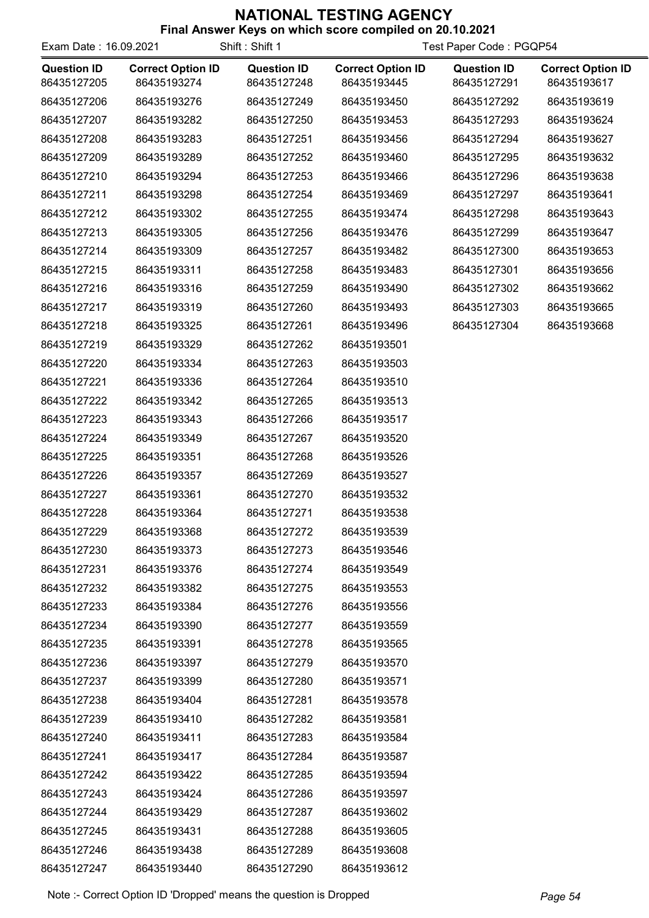| Exam Date: 16.09.2021             |                                         | Shift: Shift 1                    | Test Paper Code: PGQP54                 |                                   |                                         |
|-----------------------------------|-----------------------------------------|-----------------------------------|-----------------------------------------|-----------------------------------|-----------------------------------------|
| <b>Question ID</b><br>86435127205 | <b>Correct Option ID</b><br>86435193274 | <b>Question ID</b><br>86435127248 | <b>Correct Option ID</b><br>86435193445 | <b>Question ID</b><br>86435127291 | <b>Correct Option ID</b><br>86435193617 |
| 86435127206                       | 86435193276                             | 86435127249                       | 86435193450                             | 86435127292                       | 86435193619                             |
| 86435127207                       | 86435193282                             | 86435127250                       | 86435193453                             | 86435127293                       | 86435193624                             |
| 86435127208                       | 86435193283                             | 86435127251                       | 86435193456                             | 86435127294                       | 86435193627                             |
| 86435127209                       | 86435193289                             | 86435127252                       | 86435193460                             | 86435127295                       | 86435193632                             |
| 86435127210                       | 86435193294                             | 86435127253                       | 86435193466                             | 86435127296                       | 86435193638                             |
| 86435127211                       | 86435193298                             | 86435127254                       | 86435193469                             | 86435127297                       | 86435193641                             |
| 86435127212                       | 86435193302                             | 86435127255                       | 86435193474                             | 86435127298                       | 86435193643                             |
| 86435127213                       | 86435193305                             | 86435127256                       | 86435193476                             | 86435127299                       | 86435193647                             |
| 86435127214                       | 86435193309                             | 86435127257                       | 86435193482                             | 86435127300                       | 86435193653                             |
| 86435127215                       | 86435193311                             | 86435127258                       | 86435193483                             | 86435127301                       | 86435193656                             |
| 86435127216                       | 86435193316                             | 86435127259                       | 86435193490                             | 86435127302                       | 86435193662                             |
| 86435127217                       | 86435193319                             | 86435127260                       | 86435193493                             | 86435127303                       | 86435193665                             |
| 86435127218                       | 86435193325                             | 86435127261                       | 86435193496                             | 86435127304                       | 86435193668                             |
| 86435127219                       | 86435193329                             | 86435127262                       | 86435193501                             |                                   |                                         |
| 86435127220                       | 86435193334                             | 86435127263                       | 86435193503                             |                                   |                                         |
| 86435127221                       | 86435193336                             | 86435127264                       | 86435193510                             |                                   |                                         |
| 86435127222                       | 86435193342                             | 86435127265                       | 86435193513                             |                                   |                                         |
| 86435127223                       | 86435193343                             | 86435127266                       | 86435193517                             |                                   |                                         |
| 86435127224                       | 86435193349                             | 86435127267                       | 86435193520                             |                                   |                                         |
| 86435127225                       | 86435193351                             | 86435127268                       | 86435193526                             |                                   |                                         |
| 86435127226                       | 86435193357                             | 86435127269                       | 86435193527                             |                                   |                                         |
| 86435127227                       | 86435193361                             | 86435127270                       | 86435193532                             |                                   |                                         |
| 86435127228                       | 86435193364                             | 86435127271                       | 86435193538                             |                                   |                                         |
| 86435127229                       | 86435193368                             | 86435127272                       | 86435193539                             |                                   |                                         |
| 86435127230                       | 86435193373                             | 86435127273                       | 86435193546                             |                                   |                                         |
| 86435127231                       | 86435193376                             | 86435127274                       | 86435193549                             |                                   |                                         |
| 86435127232                       | 86435193382                             | 86435127275                       | 86435193553                             |                                   |                                         |
| 86435127233                       | 86435193384                             | 86435127276                       | 86435193556                             |                                   |                                         |
| 86435127234                       | 86435193390                             | 86435127277                       | 86435193559                             |                                   |                                         |
| 86435127235                       | 86435193391                             | 86435127278                       | 86435193565                             |                                   |                                         |
| 86435127236                       | 86435193397                             | 86435127279                       | 86435193570                             |                                   |                                         |
| 86435127237                       | 86435193399                             | 86435127280                       | 86435193571                             |                                   |                                         |
| 86435127238                       | 86435193404                             | 86435127281                       | 86435193578                             |                                   |                                         |
| 86435127239                       | 86435193410                             | 86435127282                       | 86435193581                             |                                   |                                         |
| 86435127240                       | 86435193411                             | 86435127283                       | 86435193584                             |                                   |                                         |
| 86435127241                       | 86435193417                             | 86435127284                       | 86435193587                             |                                   |                                         |
| 86435127242                       | 86435193422                             | 86435127285                       | 86435193594                             |                                   |                                         |
| 86435127243                       | 86435193424                             | 86435127286                       | 86435193597                             |                                   |                                         |
| 86435127244                       | 86435193429                             | 86435127287                       | 86435193602                             |                                   |                                         |
| 86435127245                       | 86435193431                             | 86435127288                       | 86435193605                             |                                   |                                         |
| 86435127246                       | 86435193438                             | 86435127289                       | 86435193608                             |                                   |                                         |
| 86435127247                       | 86435193440                             | 86435127290                       | 86435193612                             |                                   |                                         |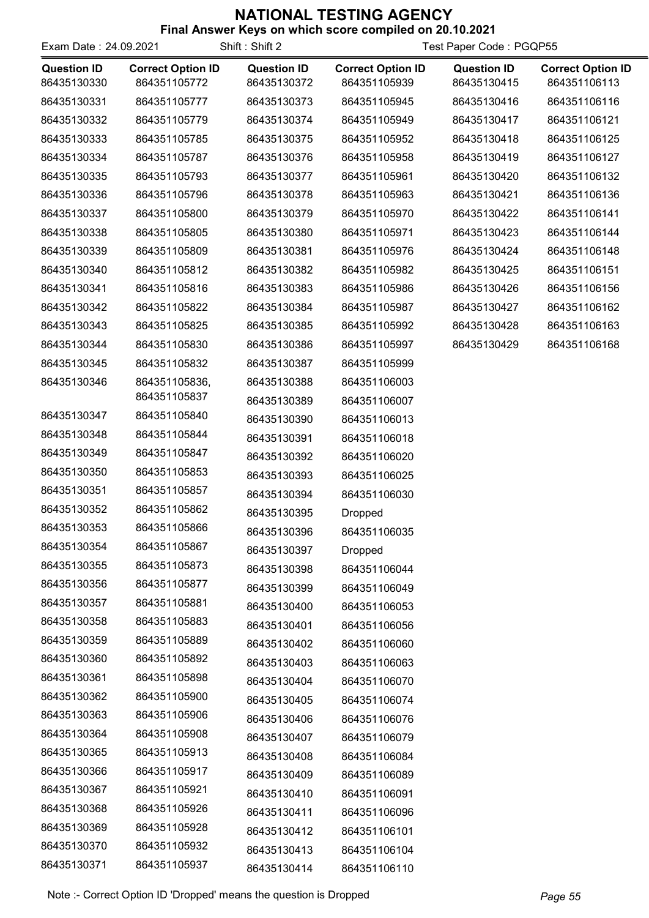| Exam Date: 24.09.2021             |                                          | Shift: Shift 2                    | Test Paper Code: PGQP55                  |                                   |                                          |
|-----------------------------------|------------------------------------------|-----------------------------------|------------------------------------------|-----------------------------------|------------------------------------------|
| <b>Question ID</b><br>86435130330 | <b>Correct Option ID</b><br>864351105772 | <b>Question ID</b><br>86435130372 | <b>Correct Option ID</b><br>864351105939 | <b>Question ID</b><br>86435130415 | <b>Correct Option ID</b><br>864351106113 |
| 86435130331                       | 864351105777                             | 86435130373                       | 864351105945                             | 86435130416                       | 864351106116                             |
| 86435130332                       | 864351105779                             | 86435130374                       | 864351105949                             | 86435130417                       | 864351106121                             |
| 86435130333                       | 864351105785                             | 86435130375                       | 864351105952                             | 86435130418                       | 864351106125                             |
| 86435130334                       | 864351105787                             | 86435130376                       | 864351105958                             | 86435130419                       | 864351106127                             |
| 86435130335                       | 864351105793                             | 86435130377                       | 864351105961                             | 86435130420                       | 864351106132                             |
| 86435130336                       | 864351105796                             | 86435130378                       | 864351105963                             | 86435130421                       | 864351106136                             |
| 86435130337                       | 864351105800                             | 86435130379                       | 864351105970                             | 86435130422                       | 864351106141                             |
| 86435130338                       | 864351105805                             | 86435130380                       | 864351105971                             | 86435130423                       | 864351106144                             |
| 86435130339                       | 864351105809                             | 86435130381                       | 864351105976                             | 86435130424                       | 864351106148                             |
| 86435130340                       | 864351105812                             | 86435130382                       | 864351105982                             | 86435130425                       | 864351106151                             |
| 86435130341                       | 864351105816                             | 86435130383                       | 864351105986                             | 86435130426                       | 864351106156                             |
| 86435130342                       | 864351105822                             | 86435130384                       | 864351105987                             | 86435130427                       | 864351106162                             |
| 86435130343                       | 864351105825                             | 86435130385                       | 864351105992                             | 86435130428                       | 864351106163                             |
| 86435130344                       | 864351105830                             | 86435130386                       | 864351105997                             | 86435130429                       | 864351106168                             |
| 86435130345                       | 864351105832                             | 86435130387                       | 864351105999                             |                                   |                                          |
| 86435130346                       | 864351105836,                            | 86435130388                       | 864351106003                             |                                   |                                          |
|                                   | 864351105837                             | 86435130389                       | 864351106007                             |                                   |                                          |
| 86435130347                       | 864351105840                             | 86435130390                       | 864351106013                             |                                   |                                          |
| 86435130348                       | 864351105844                             | 86435130391                       | 864351106018                             |                                   |                                          |
| 86435130349                       | 864351105847                             | 86435130392                       | 864351106020                             |                                   |                                          |
| 86435130350                       | 864351105853                             | 86435130393                       | 864351106025                             |                                   |                                          |
| 86435130351                       | 864351105857                             | 86435130394                       | 864351106030                             |                                   |                                          |
| 86435130352                       | 864351105862                             | 86435130395                       | Dropped                                  |                                   |                                          |
| 86435130353                       | 864351105866                             | 86435130396                       | 864351106035                             |                                   |                                          |
| 86435130354                       | 864351105867                             | 86435130397                       | <b>Dropped</b>                           |                                   |                                          |
| 86435130355                       | 864351105873                             | 86435130398                       | 864351106044                             |                                   |                                          |
| 86435130356                       | 864351105877                             | 86435130399                       | 864351106049                             |                                   |                                          |
| 86435130357                       | 864351105881                             | 86435130400                       | 864351106053                             |                                   |                                          |
| 86435130358                       | 864351105883                             | 86435130401                       | 864351106056                             |                                   |                                          |
| 86435130359                       | 864351105889                             | 86435130402                       | 864351106060                             |                                   |                                          |
| 86435130360                       | 864351105892                             | 86435130403                       | 864351106063                             |                                   |                                          |
| 86435130361                       | 864351105898                             | 86435130404                       | 864351106070                             |                                   |                                          |
| 86435130362                       | 864351105900                             | 86435130405                       | 864351106074                             |                                   |                                          |
| 86435130363                       | 864351105906                             | 86435130406                       | 864351106076                             |                                   |                                          |
| 86435130364                       | 864351105908                             | 86435130407                       | 864351106079                             |                                   |                                          |
| 86435130365                       | 864351105913                             | 86435130408                       | 864351106084                             |                                   |                                          |
| 86435130366                       | 864351105917                             | 86435130409                       | 864351106089                             |                                   |                                          |
| 86435130367                       | 864351105921                             | 86435130410                       | 864351106091                             |                                   |                                          |
| 86435130368                       | 864351105926                             | 86435130411                       | 864351106096                             |                                   |                                          |
| 86435130369                       | 864351105928                             | 86435130412                       | 864351106101                             |                                   |                                          |
| 86435130370                       | 864351105932                             | 86435130413                       | 864351106104                             |                                   |                                          |
| 86435130371                       | 864351105937                             | 86435130414                       | 864351106110                             |                                   |                                          |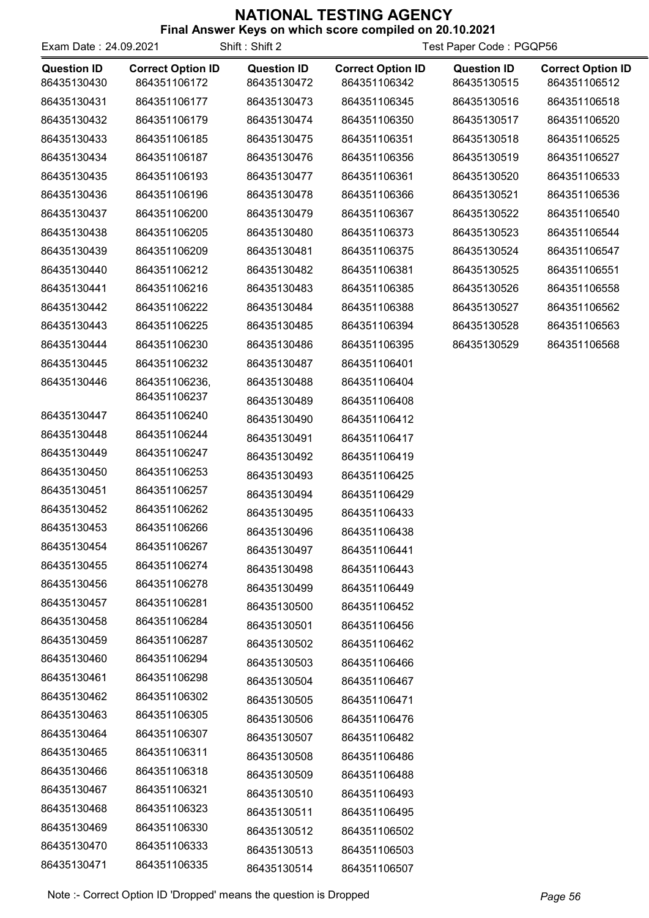| Exam Date: 24.09.2021             |                                          | Shift: Shift 2                    | Test Paper Code: PGQP56                  |                                   |                                          |
|-----------------------------------|------------------------------------------|-----------------------------------|------------------------------------------|-----------------------------------|------------------------------------------|
| <b>Question ID</b><br>86435130430 | <b>Correct Option ID</b><br>864351106172 | <b>Question ID</b><br>86435130472 | <b>Correct Option ID</b><br>864351106342 | <b>Question ID</b><br>86435130515 | <b>Correct Option ID</b><br>864351106512 |
| 86435130431                       | 864351106177                             | 86435130473                       | 864351106345                             | 86435130516                       | 864351106518                             |
| 86435130432                       | 864351106179                             | 86435130474                       | 864351106350                             | 86435130517                       | 864351106520                             |
| 86435130433                       | 864351106185                             | 86435130475                       | 864351106351                             | 86435130518                       | 864351106525                             |
| 86435130434                       | 864351106187                             | 86435130476                       | 864351106356                             | 86435130519                       | 864351106527                             |
| 86435130435                       | 864351106193                             | 86435130477                       | 864351106361                             | 86435130520                       | 864351106533                             |
| 86435130436                       | 864351106196                             | 86435130478                       | 864351106366                             | 86435130521                       | 864351106536                             |
| 86435130437                       | 864351106200                             | 86435130479                       | 864351106367                             | 86435130522                       | 864351106540                             |
| 86435130438                       | 864351106205                             | 86435130480                       | 864351106373                             | 86435130523                       | 864351106544                             |
| 86435130439                       | 864351106209                             | 86435130481                       | 864351106375                             | 86435130524                       | 864351106547                             |
| 86435130440                       | 864351106212                             | 86435130482                       | 864351106381                             | 86435130525                       | 864351106551                             |
| 86435130441                       | 864351106216                             | 86435130483                       | 864351106385                             | 86435130526                       | 864351106558                             |
| 86435130442                       | 864351106222                             | 86435130484                       | 864351106388                             | 86435130527                       | 864351106562                             |
| 86435130443                       | 864351106225                             | 86435130485                       | 864351106394                             | 86435130528                       | 864351106563                             |
| 86435130444                       | 864351106230                             | 86435130486                       | 864351106395                             | 86435130529                       | 864351106568                             |
| 86435130445                       | 864351106232                             | 86435130487                       | 864351106401                             |                                   |                                          |
| 86435130446                       | 864351106236,                            | 86435130488                       | 864351106404                             |                                   |                                          |
|                                   | 864351106237                             | 86435130489                       | 864351106408                             |                                   |                                          |
| 86435130447                       | 864351106240                             | 86435130490                       | 864351106412                             |                                   |                                          |
| 86435130448                       | 864351106244                             | 86435130491                       | 864351106417                             |                                   |                                          |
| 86435130449                       | 864351106247                             | 86435130492                       | 864351106419                             |                                   |                                          |
| 86435130450                       | 864351106253                             | 86435130493                       | 864351106425                             |                                   |                                          |
| 86435130451                       | 864351106257                             | 86435130494                       | 864351106429                             |                                   |                                          |
| 86435130452                       | 864351106262                             | 86435130495                       | 864351106433                             |                                   |                                          |
| 86435130453                       | 864351106266                             | 86435130496                       | 864351106438                             |                                   |                                          |
| 86435130454                       | 864351106267                             | 86435130497                       | 864351106441                             |                                   |                                          |
| 86435130455                       | 864351106274                             | 86435130498                       | 864351106443                             |                                   |                                          |
| 86435130456                       | 864351106278                             | 86435130499                       | 864351106449                             |                                   |                                          |
| 86435130457                       | 864351106281                             | 86435130500                       | 864351106452                             |                                   |                                          |
| 86435130458                       | 864351106284                             | 86435130501                       | 864351106456                             |                                   |                                          |
| 86435130459                       | 864351106287                             | 86435130502                       | 864351106462                             |                                   |                                          |
| 86435130460                       | 864351106294                             | 86435130503                       | 864351106466                             |                                   |                                          |
| 86435130461                       | 864351106298                             | 86435130504                       | 864351106467                             |                                   |                                          |
| 86435130462                       | 864351106302                             | 86435130505                       | 864351106471                             |                                   |                                          |
| 86435130463                       | 864351106305                             | 86435130506                       | 864351106476                             |                                   |                                          |
| 86435130464                       | 864351106307                             | 86435130507                       | 864351106482                             |                                   |                                          |
| 86435130465                       | 864351106311                             | 86435130508                       | 864351106486                             |                                   |                                          |
| 86435130466                       | 864351106318                             | 86435130509                       | 864351106488                             |                                   |                                          |
| 86435130467                       | 864351106321                             | 86435130510                       | 864351106493                             |                                   |                                          |
| 86435130468                       | 864351106323                             | 86435130511                       | 864351106495                             |                                   |                                          |
| 86435130469                       | 864351106330                             | 86435130512                       | 864351106502                             |                                   |                                          |
| 86435130470                       | 864351106333                             | 86435130513                       | 864351106503                             |                                   |                                          |
| 86435130471                       | 864351106335                             | 86435130514                       | 864351106507                             |                                   |                                          |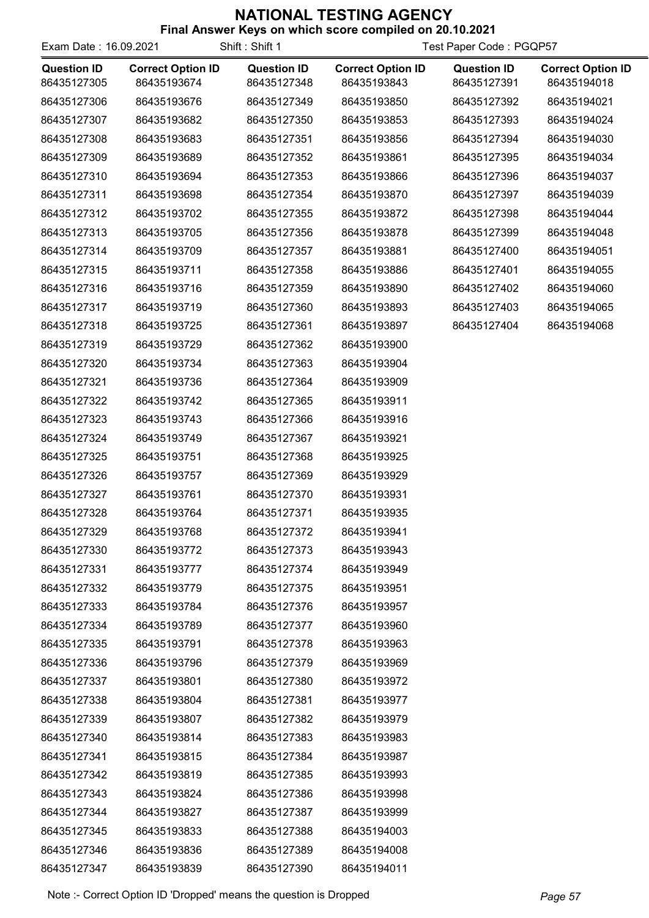| Exam Date: 16.09.2021             |                                         | Shift: Shift 1                    | Test Paper Code: PGQP57                 |                                   |                                         |
|-----------------------------------|-----------------------------------------|-----------------------------------|-----------------------------------------|-----------------------------------|-----------------------------------------|
| <b>Question ID</b><br>86435127305 | <b>Correct Option ID</b><br>86435193674 | <b>Question ID</b><br>86435127348 | <b>Correct Option ID</b><br>86435193843 | <b>Question ID</b><br>86435127391 | <b>Correct Option ID</b><br>86435194018 |
| 86435127306                       | 86435193676                             | 86435127349                       | 86435193850                             | 86435127392                       | 86435194021                             |
| 86435127307                       | 86435193682                             | 86435127350                       | 86435193853                             | 86435127393                       | 86435194024                             |
| 86435127308                       | 86435193683                             | 86435127351                       | 86435193856                             | 86435127394                       | 86435194030                             |
| 86435127309                       | 86435193689                             | 86435127352                       | 86435193861                             | 86435127395                       | 86435194034                             |
| 86435127310                       | 86435193694                             | 86435127353                       | 86435193866                             | 86435127396                       | 86435194037                             |
| 86435127311                       | 86435193698                             | 86435127354                       | 86435193870                             | 86435127397                       | 86435194039                             |
| 86435127312                       | 86435193702                             | 86435127355                       | 86435193872                             | 86435127398                       | 86435194044                             |
| 86435127313                       | 86435193705                             | 86435127356                       | 86435193878                             | 86435127399                       | 86435194048                             |
| 86435127314                       | 86435193709                             | 86435127357                       | 86435193881                             | 86435127400                       | 86435194051                             |
| 86435127315                       | 86435193711                             | 86435127358                       | 86435193886                             | 86435127401                       | 86435194055                             |
| 86435127316                       | 86435193716                             | 86435127359                       | 86435193890                             | 86435127402                       | 86435194060                             |
| 86435127317                       | 86435193719                             | 86435127360                       | 86435193893                             | 86435127403                       | 86435194065                             |
| 86435127318                       | 86435193725                             | 86435127361                       | 86435193897                             | 86435127404                       | 86435194068                             |
| 86435127319                       | 86435193729                             | 86435127362                       | 86435193900                             |                                   |                                         |
| 86435127320                       | 86435193734                             | 86435127363                       | 86435193904                             |                                   |                                         |
| 86435127321                       | 86435193736                             | 86435127364                       | 86435193909                             |                                   |                                         |
| 86435127322                       | 86435193742                             | 86435127365                       | 86435193911                             |                                   |                                         |
| 86435127323                       | 86435193743                             | 86435127366                       | 86435193916                             |                                   |                                         |
| 86435127324                       | 86435193749                             | 86435127367                       | 86435193921                             |                                   |                                         |
| 86435127325                       | 86435193751                             | 86435127368                       | 86435193925                             |                                   |                                         |
| 86435127326                       | 86435193757                             | 86435127369                       | 86435193929                             |                                   |                                         |
| 86435127327                       | 86435193761                             | 86435127370                       | 86435193931                             |                                   |                                         |
| 86435127328                       | 86435193764                             | 86435127371                       | 86435193935                             |                                   |                                         |
| 86435127329                       | 86435193768                             | 86435127372                       | 86435193941                             |                                   |                                         |
| 86435127330                       | 86435193772                             | 86435127373                       | 86435193943                             |                                   |                                         |
| 86435127331                       | 86435193777                             | 86435127374                       | 86435193949                             |                                   |                                         |
| 86435127332                       | 86435193779                             | 86435127375                       | 86435193951                             |                                   |                                         |
| 86435127333                       | 86435193784                             | 86435127376                       | 86435193957                             |                                   |                                         |
| 86435127334                       | 86435193789                             | 86435127377                       | 86435193960                             |                                   |                                         |
| 86435127335                       | 86435193791                             | 86435127378                       | 86435193963                             |                                   |                                         |
| 86435127336                       | 86435193796                             | 86435127379                       | 86435193969                             |                                   |                                         |
| 86435127337                       | 86435193801                             | 86435127380                       | 86435193972                             |                                   |                                         |
| 86435127338                       | 86435193804                             | 86435127381                       | 86435193977                             |                                   |                                         |
| 86435127339                       | 86435193807                             | 86435127382                       | 86435193979                             |                                   |                                         |
| 86435127340                       | 86435193814                             | 86435127383                       | 86435193983                             |                                   |                                         |
| 86435127341                       | 86435193815                             | 86435127384                       | 86435193987                             |                                   |                                         |
| 86435127342                       | 86435193819                             | 86435127385                       | 86435193993                             |                                   |                                         |
| 86435127343                       | 86435193824                             | 86435127386                       | 86435193998                             |                                   |                                         |
| 86435127344                       | 86435193827                             | 86435127387                       | 86435193999                             |                                   |                                         |
| 86435127345                       | 86435193833                             | 86435127388                       | 86435194003                             |                                   |                                         |
| 86435127346                       | 86435193836                             | 86435127389                       | 86435194008                             |                                   |                                         |
| 86435127347                       | 86435193839                             | 86435127390                       | 86435194011                             |                                   |                                         |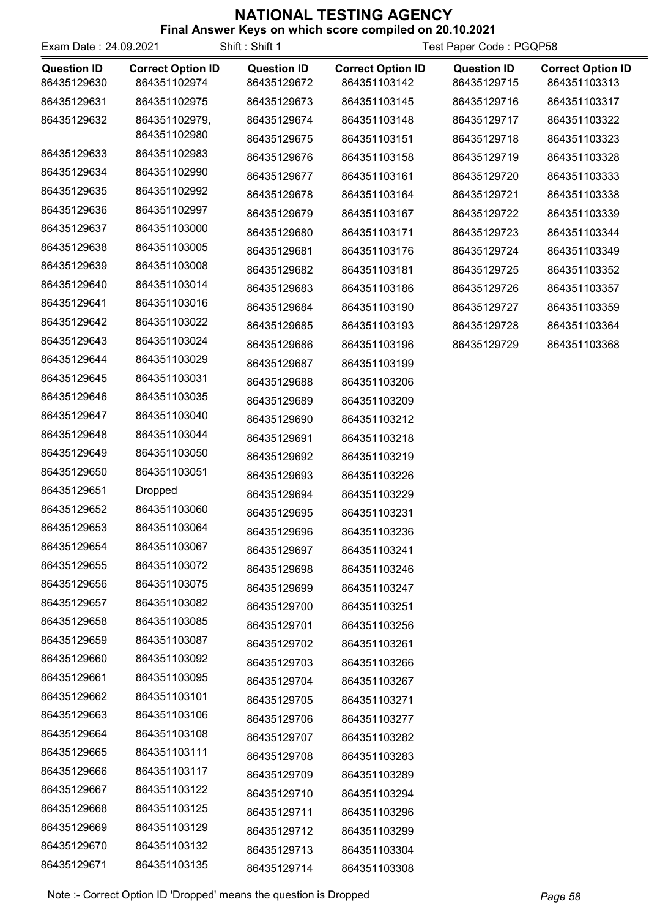| Final Answer Keys on which score compiled on 20.10.2021 |  |  |  |
|---------------------------------------------------------|--|--|--|
|                                                         |  |  |  |

| Exam Date: 24.09.2021 |                          | Shift: Shift 1     | Test Paper Code: PGQP58  |                    |                          |
|-----------------------|--------------------------|--------------------|--------------------------|--------------------|--------------------------|
| <b>Question ID</b>    | <b>Correct Option ID</b> | <b>Question ID</b> | <b>Correct Option ID</b> | <b>Question ID</b> | <b>Correct Option ID</b> |
| 86435129630           | 864351102974             | 86435129672        | 864351103142             | 86435129715        | 864351103313             |
| 86435129631           | 864351102975             | 86435129673        | 864351103145             | 86435129716        | 864351103317             |
| 86435129632           | 864351102979,            | 86435129674        | 864351103148             | 86435129717        | 864351103322             |
|                       | 864351102980             | 86435129675        | 864351103151             | 86435129718        | 864351103323             |
| 86435129633           | 864351102983             | 86435129676        | 864351103158             | 86435129719        | 864351103328             |
| 86435129634           | 864351102990             | 86435129677        | 864351103161             | 86435129720        | 864351103333             |
| 86435129635           | 864351102992             | 86435129678        | 864351103164             | 86435129721        | 864351103338             |
| 86435129636           | 864351102997             | 86435129679        | 864351103167             | 86435129722        | 864351103339             |
| 86435129637           | 864351103000             | 86435129680        | 864351103171             | 86435129723        | 864351103344             |
| 86435129638           | 864351103005             | 86435129681        | 864351103176             | 86435129724        | 864351103349             |
| 86435129639           | 864351103008             | 86435129682        | 864351103181             | 86435129725        | 864351103352             |
| 86435129640           | 864351103014             | 86435129683        | 864351103186             | 86435129726        | 864351103357             |
| 86435129641           | 864351103016             | 86435129684        | 864351103190             | 86435129727        | 864351103359             |
| 86435129642           | 864351103022             | 86435129685        | 864351103193             | 86435129728        | 864351103364             |
| 86435129643           | 864351103024             | 86435129686        | 864351103196             | 86435129729        | 864351103368             |
| 86435129644           | 864351103029             | 86435129687        | 864351103199             |                    |                          |
| 86435129645           | 864351103031             | 86435129688        | 864351103206             |                    |                          |
| 86435129646           | 864351103035             | 86435129689        | 864351103209             |                    |                          |
| 86435129647           | 864351103040             | 86435129690        | 864351103212             |                    |                          |
| 86435129648           | 864351103044             | 86435129691        | 864351103218             |                    |                          |
| 86435129649           | 864351103050             | 86435129692        | 864351103219             |                    |                          |
| 86435129650           | 864351103051             | 86435129693        | 864351103226             |                    |                          |
| 86435129651           | <b>Dropped</b>           | 86435129694        | 864351103229             |                    |                          |
| 86435129652           | 864351103060             | 86435129695        | 864351103231             |                    |                          |
| 86435129653           | 864351103064             | 86435129696        | 864351103236             |                    |                          |
| 86435129654           | 864351103067             | 86435129697        | 864351103241             |                    |                          |
| 86435129655           | 864351103072             | 86435129698        | 864351103246             |                    |                          |
| 86435129656           | 864351103075             | 86435129699        | 864351103247             |                    |                          |
| 86435129657           | 864351103082             | 86435129700        | 864351103251             |                    |                          |
| 86435129658           | 864351103085             | 86435129701        | 864351103256             |                    |                          |
| 86435129659           | 864351103087             | 86435129702        | 864351103261             |                    |                          |
| 86435129660           | 864351103092             | 86435129703        | 864351103266             |                    |                          |
| 86435129661           | 864351103095             | 86435129704        | 864351103267             |                    |                          |
| 86435129662           | 864351103101             | 86435129705        | 864351103271             |                    |                          |
| 86435129663           | 864351103106             | 86435129706        | 864351103277             |                    |                          |
| 86435129664           | 864351103108             | 86435129707        | 864351103282             |                    |                          |
| 86435129665           | 864351103111             | 86435129708        | 864351103283             |                    |                          |
| 86435129666           | 864351103117             | 86435129709        | 864351103289             |                    |                          |
| 86435129667           | 864351103122             | 86435129710        | 864351103294             |                    |                          |
| 86435129668           | 864351103125             | 86435129711        | 864351103296             |                    |                          |
| 86435129669           | 864351103129             | 86435129712        | 864351103299             |                    |                          |
| 86435129670           | 864351103132             | 86435129713        | 864351103304             |                    |                          |
| 86435129671           | 864351103135             | 86435129714        | 864351103308             |                    |                          |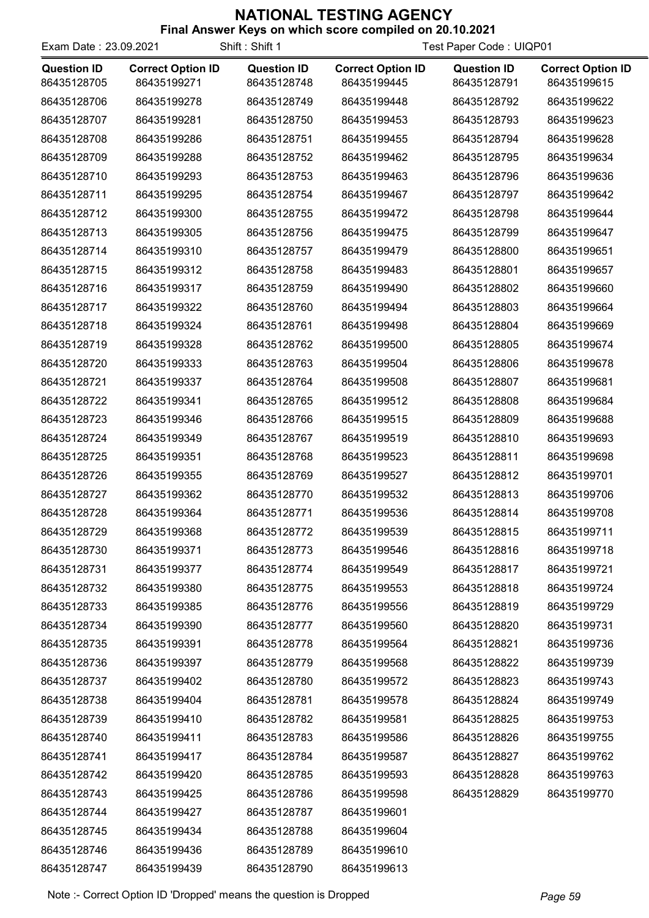| Exam Date: 23.09.2021             | Shift: Shift 1                          |                                   |                                         | Test Paper Code: UIQP01           |                                         |
|-----------------------------------|-----------------------------------------|-----------------------------------|-----------------------------------------|-----------------------------------|-----------------------------------------|
| <b>Question ID</b><br>86435128705 | <b>Correct Option ID</b><br>86435199271 | <b>Question ID</b><br>86435128748 | <b>Correct Option ID</b><br>86435199445 | <b>Question ID</b><br>86435128791 | <b>Correct Option ID</b><br>86435199615 |
| 86435128706                       | 86435199278                             | 86435128749                       | 86435199448                             | 86435128792                       | 86435199622                             |
| 86435128707                       | 86435199281                             | 86435128750                       | 86435199453                             | 86435128793                       | 86435199623                             |
| 86435128708                       | 86435199286                             | 86435128751                       | 86435199455                             | 86435128794                       | 86435199628                             |
| 86435128709                       | 86435199288                             | 86435128752                       | 86435199462                             | 86435128795                       | 86435199634                             |
| 86435128710                       | 86435199293                             | 86435128753                       | 86435199463                             | 86435128796                       | 86435199636                             |
| 86435128711                       | 86435199295                             | 86435128754                       | 86435199467                             | 86435128797                       | 86435199642                             |
| 86435128712                       | 86435199300                             | 86435128755                       | 86435199472                             | 86435128798                       | 86435199644                             |
| 86435128713                       | 86435199305                             | 86435128756                       | 86435199475                             | 86435128799                       | 86435199647                             |
| 86435128714                       | 86435199310                             | 86435128757                       | 86435199479                             | 86435128800                       | 86435199651                             |
| 86435128715                       | 86435199312                             | 86435128758                       | 86435199483                             | 86435128801                       | 86435199657                             |
| 86435128716                       | 86435199317                             | 86435128759                       | 86435199490                             | 86435128802                       | 86435199660                             |
| 86435128717                       | 86435199322                             | 86435128760                       | 86435199494                             | 86435128803                       | 86435199664                             |
| 86435128718                       | 86435199324                             | 86435128761                       | 86435199498                             | 86435128804                       | 86435199669                             |
| 86435128719                       | 86435199328                             | 86435128762                       | 86435199500                             | 86435128805                       | 86435199674                             |
| 86435128720                       | 86435199333                             | 86435128763                       | 86435199504                             | 86435128806                       | 86435199678                             |
| 86435128721                       | 86435199337                             | 86435128764                       | 86435199508                             | 86435128807                       | 86435199681                             |
| 86435128722                       | 86435199341                             | 86435128765                       | 86435199512                             | 86435128808                       | 86435199684                             |
| 86435128723                       | 86435199346                             | 86435128766                       | 86435199515                             | 86435128809                       | 86435199688                             |
| 86435128724                       | 86435199349                             | 86435128767                       | 86435199519                             | 86435128810                       | 86435199693                             |
| 86435128725                       | 86435199351                             | 86435128768                       | 86435199523                             | 86435128811                       | 86435199698                             |
| 86435128726                       | 86435199355                             | 86435128769                       | 86435199527                             | 86435128812                       | 86435199701                             |
| 86435128727                       | 86435199362                             | 86435128770                       | 86435199532                             | 86435128813                       | 86435199706                             |
| 86435128728                       | 86435199364                             | 86435128771                       | 86435199536                             | 86435128814                       | 86435199708                             |
| 86435128729                       | 86435199368                             | 86435128772                       | 86435199539                             | 86435128815                       | 86435199711                             |
| 86435128730                       | 86435199371                             | 86435128773                       | 86435199546                             | 86435128816                       | 86435199718                             |
| 86435128731                       | 86435199377                             | 86435128774                       | 86435199549                             | 86435128817                       | 86435199721                             |
| 86435128732                       | 86435199380                             | 86435128775                       | 86435199553                             | 86435128818                       | 86435199724                             |
| 86435128733                       | 86435199385                             | 86435128776                       | 86435199556                             | 86435128819                       | 86435199729                             |
| 86435128734                       | 86435199390                             | 86435128777                       | 86435199560                             | 86435128820                       | 86435199731                             |
| 86435128735                       | 86435199391                             | 86435128778                       | 86435199564                             | 86435128821                       | 86435199736                             |
| 86435128736                       | 86435199397                             | 86435128779                       | 86435199568                             | 86435128822                       | 86435199739                             |
| 86435128737                       | 86435199402                             | 86435128780                       | 86435199572                             | 86435128823                       | 86435199743                             |
| 86435128738                       | 86435199404                             | 86435128781                       | 86435199578                             | 86435128824                       | 86435199749                             |
| 86435128739                       | 86435199410                             | 86435128782                       | 86435199581                             | 86435128825                       | 86435199753                             |
| 86435128740                       | 86435199411                             | 86435128783                       | 86435199586                             | 86435128826                       | 86435199755                             |
| 86435128741                       | 86435199417                             | 86435128784                       | 86435199587                             | 86435128827                       | 86435199762                             |
| 86435128742                       | 86435199420                             | 86435128785                       | 86435199593                             | 86435128828                       | 86435199763                             |
| 86435128743                       | 86435199425                             | 86435128786                       | 86435199598                             | 86435128829                       | 86435199770                             |
| 86435128744                       | 86435199427                             | 86435128787                       | 86435199601                             |                                   |                                         |
| 86435128745                       | 86435199434                             | 86435128788                       | 86435199604                             |                                   |                                         |
| 86435128746                       | 86435199436                             | 86435128789                       | 86435199610                             |                                   |                                         |
| 86435128747                       | 86435199439                             | 86435128790                       | 86435199613                             |                                   |                                         |